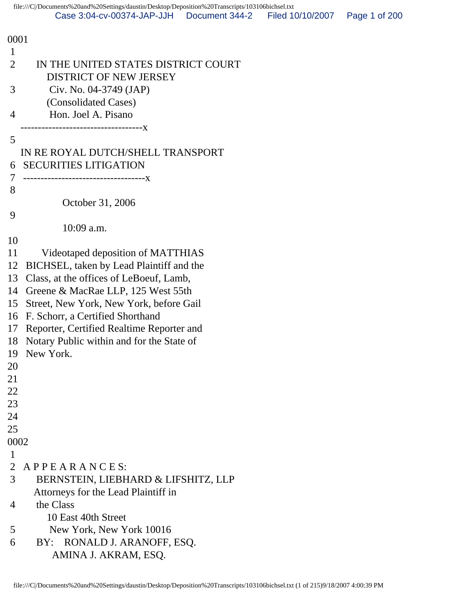0001 1 2 IN THE UNITED STATES DISTRICT COURT DISTRICT OF NEW JERSEY 3 Civ. No. 04-3749 (JAP) (Consolidated Cases) 4 Hon. Joel A. Pisano -----------------------------------x 5 IN RE ROYAL DUTCH/SHELL TRANSPORT 6 SECURITIES LITIGATION 7 -----------------------------------x 8 October 31, 2006 9 10:09 a.m. 10 11 Videotaped deposition of MATTHIAS 12 BICHSEL, taken by Lead Plaintiff and the 13 Class, at the offices of LeBoeuf, Lamb, 14 Greene & MacRae LLP, 125 West 55th 15 Street, New York, New York, before Gail 16 F. Schorr, a Certified Shorthand 17 Reporter, Certified Realtime Reporter and 18 Notary Public within and for the State of 19 New York. 20 21 22 23 24 25 0002 1 2 A P P E A R A N C E S: 3 BERNSTEIN, LIEBHARD & LIFSHITZ, LLP Attorneys for the Lead Plaintiff in 4 the Class 10 East 40th Street 5 New York, New York 10016 6 BY: RONALD J. ARANOFF, ESQ. AMINA J. AKRAM, ESQ.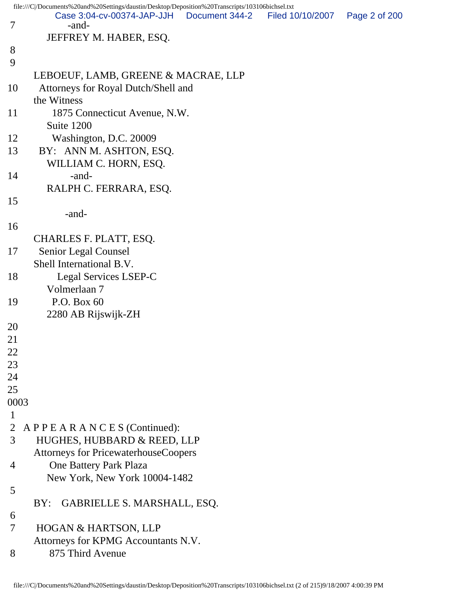|                | file:///C /Documents%20and%20Settings/daustin/Desktop/Deposition%20Transcripts/103106bichsel.txt |                |                  |               |
|----------------|--------------------------------------------------------------------------------------------------|----------------|------------------|---------------|
| $\overline{7}$ | Case 3:04-cv-00374-JAP-JJH<br>-and-                                                              | Document 344-2 | Filed 10/10/2007 | Page 2 of 200 |
|                | JEFFREY M. HABER, ESQ.                                                                           |                |                  |               |
| 8              |                                                                                                  |                |                  |               |
| 9              |                                                                                                  |                |                  |               |
|                |                                                                                                  |                |                  |               |
|                | LEBOEUF, LAMB, GREENE & MACRAE, LLP                                                              |                |                  |               |
| 10             | Attorneys for Royal Dutch/Shell and                                                              |                |                  |               |
|                | the Witness                                                                                      |                |                  |               |
| 11             | 1875 Connecticut Avenue, N.W.                                                                    |                |                  |               |
|                | Suite 1200                                                                                       |                |                  |               |
| 12             | Washington, D.C. 20009                                                                           |                |                  |               |
| 13             | BY: ANN M. ASHTON, ESQ.                                                                          |                |                  |               |
|                | WILLIAM C. HORN, ESQ.                                                                            |                |                  |               |
| 14             | -and-                                                                                            |                |                  |               |
|                | RALPH C. FERRARA, ESQ.                                                                           |                |                  |               |
| 15             |                                                                                                  |                |                  |               |
|                | -and-                                                                                            |                |                  |               |
| 16             |                                                                                                  |                |                  |               |
|                | CHARLES F. PLATT, ESQ.                                                                           |                |                  |               |
| 17             | Senior Legal Counsel                                                                             |                |                  |               |
|                | Shell International B.V.                                                                         |                |                  |               |
| 18             | Legal Services LSEP-C                                                                            |                |                  |               |
|                | Volmerlaan 7                                                                                     |                |                  |               |
| 19             | P.O. Box 60                                                                                      |                |                  |               |
|                | 2280 AB Rijswijk-ZH                                                                              |                |                  |               |
| 20             |                                                                                                  |                |                  |               |
| 21             |                                                                                                  |                |                  |               |
| 22             |                                                                                                  |                |                  |               |
| 23             |                                                                                                  |                |                  |               |
| 24             |                                                                                                  |                |                  |               |
| 25             |                                                                                                  |                |                  |               |
| 0003           |                                                                                                  |                |                  |               |
| $\mathbf{1}$   |                                                                                                  |                |                  |               |
| $\overline{2}$ | APPEARANCES (Continued):                                                                         |                |                  |               |
| 3              | HUGHES, HUBBARD & REED, LLP                                                                      |                |                  |               |
|                | <b>Attorneys for PricewaterhouseCoopers</b>                                                      |                |                  |               |
| 4              | One Battery Park Plaza                                                                           |                |                  |               |
|                | New York, New York 10004-1482                                                                    |                |                  |               |
| 5              |                                                                                                  |                |                  |               |
|                | GABRIELLE S. MARSHALL, ESQ.<br>BY:                                                               |                |                  |               |
| 6              |                                                                                                  |                |                  |               |
| 7              | HOGAN & HARTSON, LLP                                                                             |                |                  |               |
|                | Attorneys for KPMG Accountants N.V.                                                              |                |                  |               |
| 8              | 875 Third Avenue                                                                                 |                |                  |               |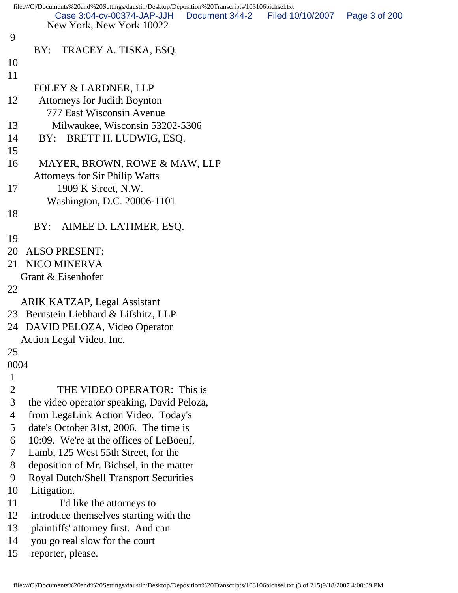```
file:///C|/Documents%20and%20Settings/daustin/Desktop/Deposition%20Transcripts/103106bichsel.txt
         New York, New York 10022
 9 
      BY: TRACEY A. TISKA, ESQ.
10 
11 
      FOLEY & LARDNER, LLP
12 Attorneys for Judith Boynton
         777 East Wisconsin Avenue
13 Milwaukee, Wisconsin 53202-5306
14 BY: BRETT H. LUDWIG, ESQ.
15 
16 MAYER, BROWN, ROWE & MAW, LLP
      Attorneys for Sir Philip Watts
17 1909 K Street, N.W.
         Washington, D.C. 20006-1101
18 
      BY: AIMEE D. LATIMER, ESQ.
19 
20 ALSO PRESENT:
21 NICO MINERVA
   Grant & Eisenhofer
22 
   ARIK KATZAP, Legal Assistant
23 Bernstein Liebhard & Lifshitz, LLP
24 DAVID PELOZA, Video Operator
   Action Legal Video, Inc.
25 
0004
 1 
 2 THE VIDEO OPERATOR: This is
 3 the video operator speaking, David Peloza,
 4 from LegaLink Action Video. Today's
 5 date's October 31st, 2006. The time is
 6 10:09. We're at the offices of LeBoeuf,
 7 Lamb, 125 West 55th Street, for the
 8 deposition of Mr. Bichsel, in the matter
 9 Royal Dutch/Shell Transport Securities
10 Litigation.
11 I'd like the attorneys to
12 introduce themselves starting with the
13 plaintiffs' attorney first. And can
14 you go real slow for the court
15 reporter, please.
          Case 3:04-cv-00374-JAP-JJH Document 344-2 Filed 10/10/2007 Page 3 of 200
```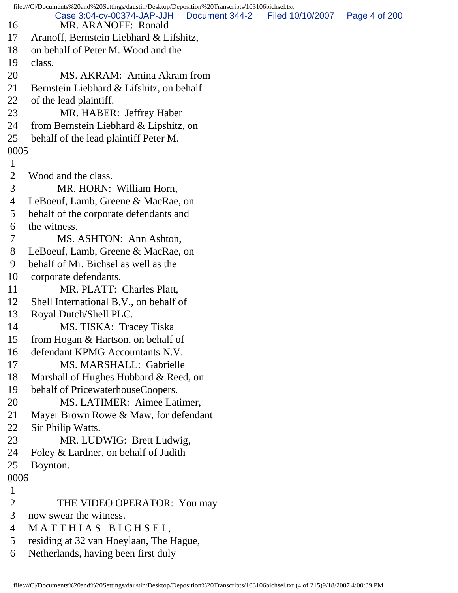file:///C|/Documents%20and%20Settings/daustin/Desktop/Deposition%20Transcripts/103106bichsel.txt 16 MR. ARANOFF: Ronald 17 Aranoff, Bernstein Liebhard & Lifshitz, 18 on behalf of Peter M. Wood and the 19 class. 20 MS. AKRAM: Amina Akram from 21 Bernstein Liebhard & Lifshitz, on behalf 22 of the lead plaintiff. 23 MR. HABER: Jeffrey Haber 24 from Bernstein Liebhard & Lipshitz, on 25 behalf of the lead plaintiff Peter M. 0005 1 2 Wood and the class. 3 MR. HORN: William Horn, 4 LeBoeuf, Lamb, Greene & MacRae, on 5 behalf of the corporate defendants and 6 the witness. 7 MS. ASHTON: Ann Ashton, 8 LeBoeuf, Lamb, Greene & MacRae, on 9 behalf of Mr. Bichsel as well as the 10 corporate defendants. 11 MR. PLATT: Charles Platt, 12 Shell International B.V., on behalf of 13 Royal Dutch/Shell PLC. 14 MS. TISKA: Tracey Tiska 15 from Hogan & Hartson, on behalf of 16 defendant KPMG Accountants N.V. 17 MS. MARSHALL: Gabrielle 18 Marshall of Hughes Hubbard & Reed, on 19 behalf of PricewaterhouseCoopers. 20 MS. LATIMER: Aimee Latimer, 21 Mayer Brown Rowe & Maw, for defendant 22 Sir Philip Watts. 23 MR. LUDWIG: Brett Ludwig, 24 Foley & Lardner, on behalf of Judith 25 Boynton. 0006 1 2 THE VIDEO OPERATOR: You may 3 now swear the witness. 4 M A T T H I A S B I C H S E L, 5 residing at 32 van Hoeylaan, The Hague, Case 3:04-cv-00374-JAP-JJH Document 344-2 Filed 10/10/2007 Page 4 of 200

6 Netherlands, having been first duly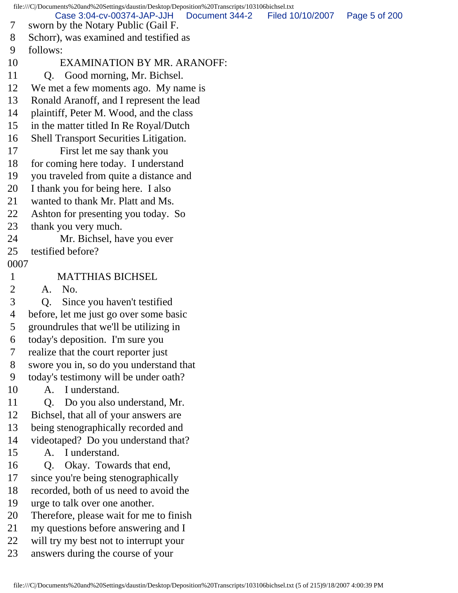file:///C|/Documents%20and%20Settings/daustin/Desktop/Deposition%20Transcripts/103106bichsel.txt 7 sworn by the Notary Public (Gail F. 8 Schorr), was examined and testified as 9 follows: 10 EXAMINATION BY MR. ARANOFF: 11 Q. Good morning, Mr. Bichsel. 12 We met a few moments ago. My name is 13 Ronald Aranoff, and I represent the lead 14 plaintiff, Peter M. Wood, and the class 15 in the matter titled In Re Royal/Dutch 16 Shell Transport Securities Litigation. 17 First let me say thank you 18 for coming here today. I understand 19 you traveled from quite a distance and 20 I thank you for being here. I also 21 wanted to thank Mr. Platt and Ms. 22 Ashton for presenting you today. So 23 thank you very much. 24 Mr. Bichsel, have you ever 25 testified before? 0007 1 MATTHIAS BICHSEL 2 A. No. 3 Q. Since you haven't testified 4 before, let me just go over some basic 5 groundrules that we'll be utilizing in 6 today's deposition. I'm sure you 7 realize that the court reporter just 8 swore you in, so do you understand that 9 today's testimony will be under oath? 10 A. I understand. 11 Q. Do you also understand, Mr. 12 Bichsel, that all of your answers are 13 being stenographically recorded and 14 videotaped? Do you understand that? 15 A. I understand. 16 Q. Okay. Towards that end, 17 since you're being stenographically 18 recorded, both of us need to avoid the 19 urge to talk over one another. 20 Therefore, please wait for me to finish 21 my questions before answering and I 22 will try my best not to interrupt your 23 answers during the course of your Case 3:04-cv-00374-JAP-JJH Document 344-2 Filed 10/10/2007 Page 5 of 200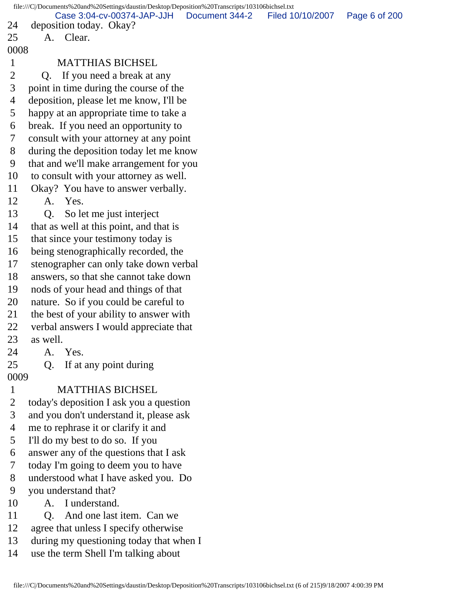file:///C|/Documents%20and%20Settings/daustin/Desktop/Deposition%20Transcripts/103106bichsel.txt 24 deposition today. Okay? 25 A. Clear. 0008 1 MATTHIAS BICHSEL 2 O. If you need a break at any 3 point in time during the course of the 4 deposition, please let me know, I'll be 5 happy at an appropriate time to take a 6 break. If you need an opportunity to 7 consult with your attorney at any point 8 during the deposition today let me know 9 that and we'll make arrangement for you 10 to consult with your attorney as well. 11 Okay? You have to answer verbally. 12 A. Yes. 13 Q. So let me just interject 14 that as well at this point, and that is 15 that since your testimony today is 16 being stenographically recorded, the 17 stenographer can only take down verbal 18 answers, so that she cannot take down 19 nods of your head and things of that 20 nature. So if you could be careful to 21 the best of your ability to answer with 22 verbal answers I would appreciate that 23 as well. 24 A. Yes. 25 Q. If at any point during 0009 1 MATTHIAS BICHSEL 2 today's deposition I ask you a question 3 and you don't understand it, please ask 4 me to rephrase it or clarify it and 5 I'll do my best to do so. If you 6 answer any of the questions that I ask 7 today I'm going to deem you to have 8 understood what I have asked you. Do 9 you understand that? 10 A. I understand. 11 O. And one last item. Can we 12 agree that unless I specify otherwise 13 during my questioning today that when I 14 use the term Shell I'm talking about Case 3:04-cv-00374-JAP-JJH Document 344-2 Filed 10/10/2007 Page 6 of 200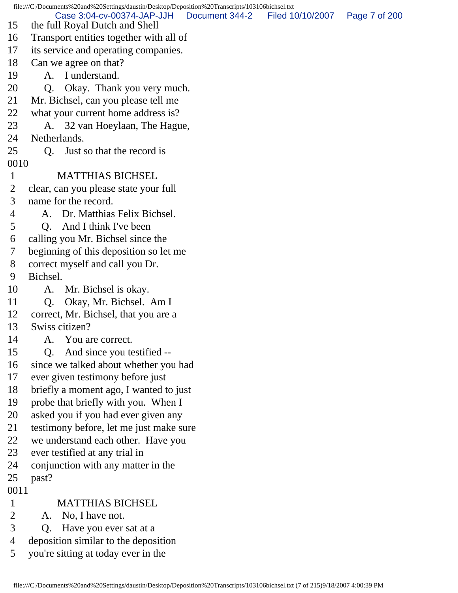file:///C|/Documents%20and%20Settings/daustin/Desktop/Deposition%20Transcripts/103106bichsel.txt 15 the full Royal Dutch and Shell 16 Transport entities together with all of 17 its service and operating companies. 18 Can we agree on that? 19 A. I understand. 20 Q. Okay. Thank you very much. 21 Mr. Bichsel, can you please tell me 22 what your current home address is? 23 A. 32 van Hoeylaan, The Hague, 24 Netherlands. 25 Q. Just so that the record is 0010 1 MATTHIAS BICHSEL 2 clear, can you please state your full 3 name for the record. 4 A. Dr. Matthias Felix Bichsel. 5 Q. And I think I've been 6 calling you Mr. Bichsel since the 7 beginning of this deposition so let me 8 correct myself and call you Dr. 9 Bichsel. 10 A. Mr. Bichsel is okay. 11 Q. Okay, Mr. Bichsel. Am I 12 correct, Mr. Bichsel, that you are a 13 Swiss citizen? 14 A. You are correct. 15 Q. And since you testified -- 16 since we talked about whether you had 17 ever given testimony before just 18 briefly a moment ago, I wanted to just 19 probe that briefly with you. When I 20 asked you if you had ever given any 21 testimony before, let me just make sure 22 we understand each other. Have you 23 ever testified at any trial in 24 conjunction with any matter in the 25 past? 0011 1 MATTHIAS BICHSEL 2 A. No, I have not. 3 Q. Have you ever sat at a 4 deposition similar to the deposition 5 you're sitting at today ever in the Case 3:04-cv-00374-JAP-JJH Document 344-2 Filed 10/10/2007 Page 7 of 200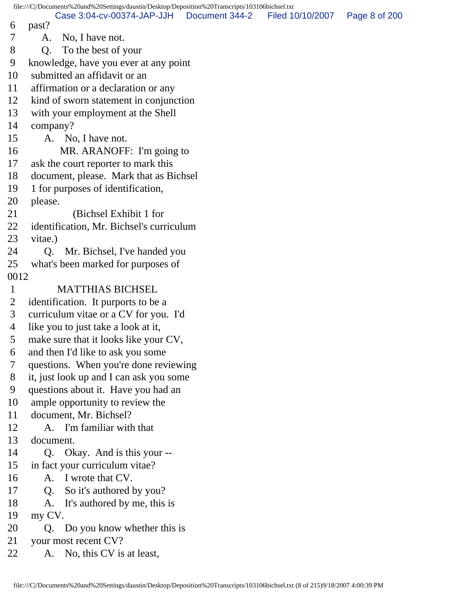file:///C|/Documents%20and%20Settings/daustin/Desktop/Deposition%20Transcripts/103106bichsel.txt 6 past? 7 A. No, I have not. 8 Q. To the best of your 9 knowledge, have you ever at any point 10 submitted an affidavit or an 11 affirmation or a declaration or any 12 kind of sworn statement in conjunction 13 with your employment at the Shell 14 company? 15 A. No, I have not. 16 MR. ARANOFF: I'm going to 17 ask the court reporter to mark this 18 document, please. Mark that as Bichsel 19 1 for purposes of identification, 20 please. 21 (Bichsel Exhibit 1 for 22 identification, Mr. Bichsel's curriculum 23 vitae.) 24 Q. Mr. Bichsel, I've handed you 25 what's been marked for purposes of 0012 1 MATTHIAS BICHSEL 2 identification. It purports to be a 3 curriculum vitae or a CV for you. I'd 4 like you to just take a look at it, 5 make sure that it looks like your CV, 6 and then I'd like to ask you some 7 questions. When you're done reviewing 8 it, just look up and I can ask you some 9 questions about it. Have you had an 10 ample opportunity to review the 11 document, Mr. Bichsel? 12 A. I'm familiar with that 13 document. 14 Q. Okay. And is this your -- 15 in fact your curriculum vitae? 16 A. I wrote that CV. 17 Q. So it's authored by you? 18 A. It's authored by me, this is 19 my CV. 20 Q. Do you know whether this is 21 your most recent CV? 22 A. No, this CV is at least, Case 3:04-cv-00374-JAP-JJH Document 344-2 Filed 10/10/2007 Page 8 of 200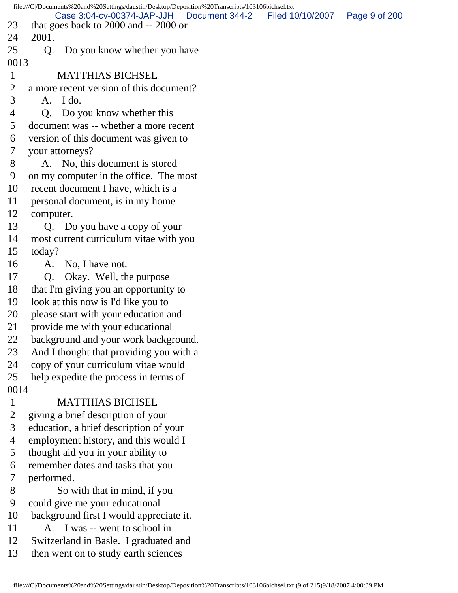file:///C|/Documents%20and%20Settings/daustin/Desktop/Deposition%20Transcripts/103106bichsel.txt 23 that goes back to 2000 and -- 2000 or 24 2001. 25 O. Do you know whether you have 0013 1 MATTHIAS BICHSEL 2 a more recent version of this document? 3 A. I do. 4 Q. Do you know whether this 5 document was -- whether a more recent 6 version of this document was given to 7 your attorneys? 8 A. No, this document is stored 9 on my computer in the office. The most 10 recent document I have, which is a 11 personal document, is in my home 12 computer. 13 Q. Do you have a copy of your 14 most current curriculum vitae with you 15 today? 16 A. No, I have not. 17 Q. Okay. Well, the purpose 18 that I'm giving you an opportunity to 19 look at this now is I'd like you to 20 please start with your education and 21 provide me with your educational 22 background and your work background. 23 And I thought that providing you with a 24 copy of your curriculum vitae would 25 help expedite the process in terms of 0014 1 MATTHIAS BICHSEL 2 giving a brief description of your 3 education, a brief description of your 4 employment history, and this would I 5 thought aid you in your ability to 6 remember dates and tasks that you 7 performed. 8 So with that in mind, if you 9 could give me your educational 10 background first I would appreciate it. 11 A. I was -- went to school in 12 Switzerland in Basle. I graduated and 13 then went on to study earth sciences Case 3:04-cv-00374-JAP-JJH Document 344-2 Filed 10/10/2007 Page 9 of 200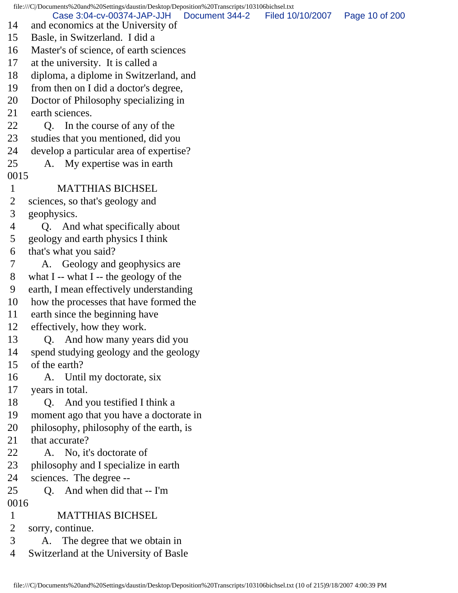file:///C|/Documents%20and%20Settings/daustin/Desktop/Deposition%20Transcripts/103106bichsel.txt 14 and economics at the University of 15 Basle, in Switzerland. I did a 16 Master's of science, of earth sciences 17 at the university. It is called a 18 diploma, a diplome in Switzerland, and 19 from then on I did a doctor's degree, 20 Doctor of Philosophy specializing in 21 earth sciences. 22 Q. In the course of any of the 23 studies that you mentioned, did you 24 develop a particular area of expertise? 25 A. My expertise was in earth 0015 1 MATTHIAS BICHSEL 2 sciences, so that's geology and 3 geophysics. 4 Q. And what specifically about 5 geology and earth physics I think 6 that's what you said? 7 A. Geology and geophysics are 8 what I -- what I -- the geology of the 9 earth, I mean effectively understanding 10 how the processes that have formed the 11 earth since the beginning have 12 effectively, how they work. 13 Q. And how many years did you 14 spend studying geology and the geology 15 of the earth? 16 A. Until my doctorate, six 17 years in total. 18 Q. And you testified I think a 19 moment ago that you have a doctorate in 20 philosophy, philosophy of the earth, is 21 that accurate? 22 A. No, it's doctorate of 23 philosophy and I specialize in earth 24 sciences. The degree -- 25 Q. And when did that -- I'm 0016 1 MATTHIAS BICHSEL 2 sorry, continue. 3 A. The degree that we obtain in 4 Switzerland at the University of Basle Case 3:04-cv-00374-JAP-JJH Document 344-2 Filed 10/10/2007 Page 10 of 200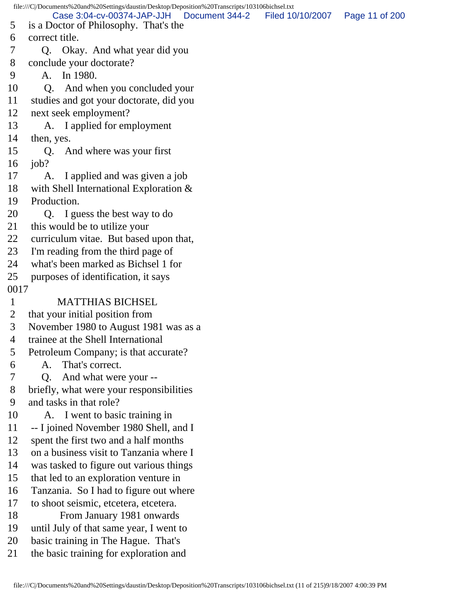file:///C|/Documents%20and%20Settings/daustin/Desktop/Deposition%20Transcripts/103106bichsel.txt 5 is a Doctor of Philosophy. That's the 6 correct title. 7 Q. Okay. And what year did you 8 conclude your doctorate? 9 A. In 1980. 10 Q. And when you concluded your 11 studies and got your doctorate, did you 12 next seek employment? 13 A. I applied for employment 14 then, yes. 15 Q. And where was your first 16 job? 17 A. I applied and was given a job 18 with Shell International Exploration & 19 Production. 20 Q. I guess the best way to do 21 this would be to utilize your 22 curriculum vitae. But based upon that, 23 I'm reading from the third page of 24 what's been marked as Bichsel 1 for 25 purposes of identification, it says 0017 1 MATTHIAS BICHSEL 2 that your initial position from 3 November 1980 to August 1981 was as a 4 trainee at the Shell International 5 Petroleum Company; is that accurate? 6 A. That's correct. 7 Q. And what were your -- 8 briefly, what were your responsibilities 9 and tasks in that role? 10 A. I went to basic training in 11 -- I joined November 1980 Shell, and I 12 spent the first two and a half months 13 on a business visit to Tanzania where I 14 was tasked to figure out various things 15 that led to an exploration venture in 16 Tanzania. So I had to figure out where 17 to shoot seismic, etcetera, etcetera. 18 From January 1981 onwards 19 until July of that same year, I went to 20 basic training in The Hague. That's 21 the basic training for exploration and Case 3:04-cv-00374-JAP-JJH Document 344-2 Filed 10/10/2007 Page 11 of 200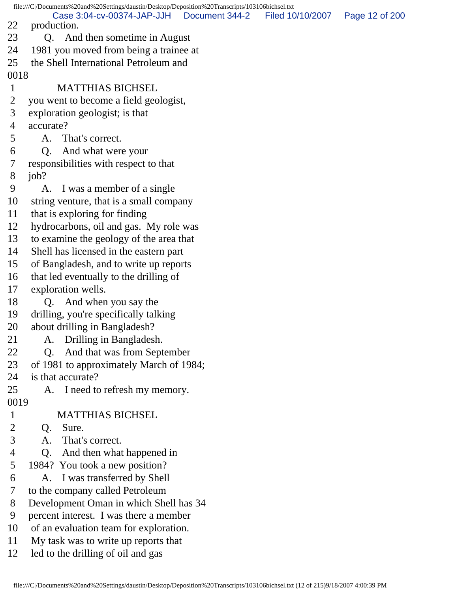file:///C|/Documents%20and%20Settings/daustin/Desktop/Deposition%20Transcripts/103106bichsel.txt 22 production. 23 Q. And then sometime in August 24 1981 you moved from being a trainee at 25 the Shell International Petroleum and 0018 1 MATTHIAS BICHSEL 2 you went to become a field geologist, 3 exploration geologist; is that 4 accurate? 5 A. That's correct. 6 Q. And what were your 7 responsibilities with respect to that 8 job? 9 A. I was a member of a single 10 string venture, that is a small company 11 that is exploring for finding 12 hydrocarbons, oil and gas. My role was 13 to examine the geology of the area that 14 Shell has licensed in the eastern part 15 of Bangladesh, and to write up reports 16 that led eventually to the drilling of 17 exploration wells. 18 Q. And when you say the 19 drilling, you're specifically talking 20 about drilling in Bangladesh? 21 A. Drilling in Bangladesh. 22 Q. And that was from September 23 of 1981 to approximately March of 1984; 24 is that accurate? 25 A. I need to refresh my memory. 0019 1 MATTHIAS BICHSEL 2 Q. Sure. 3 A. That's correct. 4 Q. And then what happened in 5 1984? You took a new position? 6 A. I was transferred by Shell 7 to the company called Petroleum 8 Development Oman in which Shell has 34 9 percent interest. I was there a member 10 of an evaluation team for exploration. 11 My task was to write up reports that 12 led to the drilling of oil and gas Case 3:04-cv-00374-JAP-JJH Document 344-2 Filed 10/10/2007 Page 12 of 200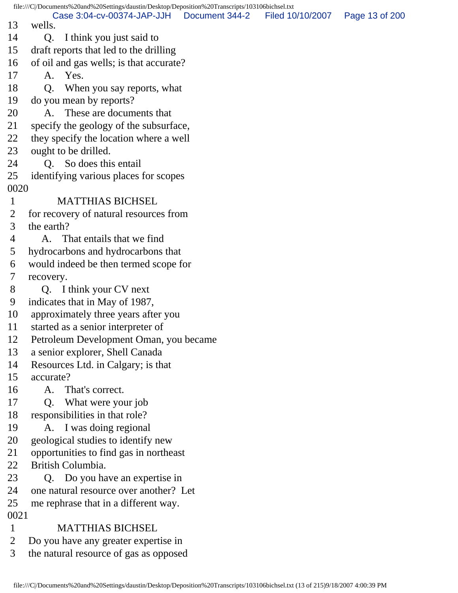file:///C|/Documents%20and%20Settings/daustin/Desktop/Deposition%20Transcripts/103106bichsel.txt 13 wells. 14 Q. I think you just said to 15 draft reports that led to the drilling 16 of oil and gas wells; is that accurate? 17 A. Yes. 18 Q. When you say reports, what 19 do you mean by reports? 20 A. These are documents that 21 specify the geology of the subsurface, 22 they specify the location where a well 23 ought to be drilled. 24 Q. So does this entail 25 identifying various places for scopes 0020 1 MATTHIAS BICHSEL 2 for recovery of natural resources from 3 the earth? 4 A. That entails that we find 5 hydrocarbons and hydrocarbons that 6 would indeed be then termed scope for 7 recovery. 8 Q. I think your CV next 9 indicates that in May of 1987, 10 approximately three years after you 11 started as a senior interpreter of 12 Petroleum Development Oman, you became 13 a senior explorer, Shell Canada 14 Resources Ltd. in Calgary; is that 15 accurate? 16 A. That's correct. 17 Q. What were your job 18 responsibilities in that role? 19 A. I was doing regional 20 geological studies to identify new 21 opportunities to find gas in northeast 22 British Columbia. 23 Q. Do you have an expertise in 24 one natural resource over another? Let 25 me rephrase that in a different way. 0021 1 MATTHIAS BICHSEL 2 Do you have any greater expertise in 3 the natural resource of gas as opposed Case 3:04-cv-00374-JAP-JJH Document 344-2 Filed 10/10/2007 Page 13 of 200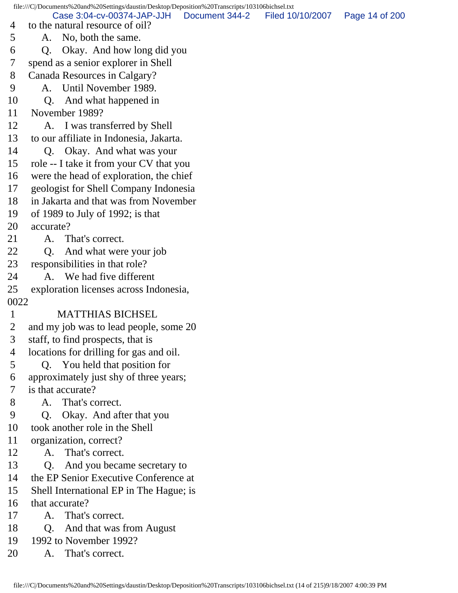file:///C|/Documents%20and%20Settings/daustin/Desktop/Deposition%20Transcripts/103106bichsel.txt 4 to the natural resource of oil? 5 A. No, both the same. 6 Q. Okay. And how long did you 7 spend as a senior explorer in Shell 8 Canada Resources in Calgary? 9 A. Until November 1989. 10 Q. And what happened in 11 November 1989? 12 A. I was transferred by Shell 13 to our affiliate in Indonesia, Jakarta. 14 Q. Okay. And what was your 15 role -- I take it from your CV that you 16 were the head of exploration, the chief 17 geologist for Shell Company Indonesia 18 in Jakarta and that was from November 19 of 1989 to July of 1992; is that 20 accurate? 21 A. That's correct. 22 Q. And what were your job 23 responsibilities in that role? 24 A. We had five different 25 exploration licenses across Indonesia, 0022 1 MATTHIAS BICHSEL 2 and my job was to lead people, some 20 3 staff, to find prospects, that is 4 locations for drilling for gas and oil. 5 Q. You held that position for 6 approximately just shy of three years; 7 is that accurate? 8 A. That's correct. 9 Q. Okay. And after that you 10 took another role in the Shell 11 organization, correct? 12 A. That's correct. 13 Q. And you became secretary to 14 the EP Senior Executive Conference at 15 Shell International EP in The Hague; is 16 that accurate? 17 A. That's correct. 18 Q. And that was from August 19 1992 to November 1992? 20 A. That's correct. Case 3:04-cv-00374-JAP-JJH Document 344-2 Filed 10/10/2007 Page 14 of 200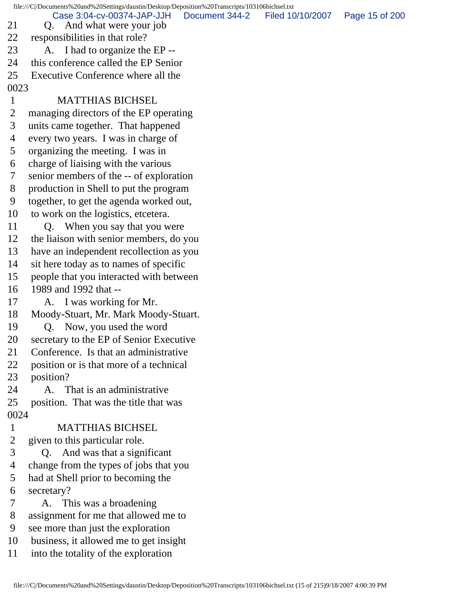file:///C|/Documents%20and%20Settings/daustin/Desktop/Deposition%20Transcripts/103106bichsel.txt

21 Q. And what were your job Case 3:04-cv-00374-JAP-JJH Document 344-2 Filed 10/10/2007 Page 15 of 200

- 
- 22 responsibilities in that role? 23 A. I had to organize the EP --
- 24 this conference called the EP Senior
- 25 Executive Conference where all the
- 0023

## 1 MATTHIAS BICHSEL

- 2 managing directors of the EP operating
- 3 units came together. That happened
- 4 every two years. I was in charge of
- 5 organizing the meeting. I was in
- 6 charge of liaising with the various
- 7 senior members of the -- of exploration
- 8 production in Shell to put the program
- 9 together, to get the agenda worked out,
- 10 to work on the logistics, etcetera.
- 11 Q. When you say that you were
- 12 the liaison with senior members, do you
- 13 have an independent recollection as you
- 14 sit here today as to names of specific
- 15 people that you interacted with between
- 16 1989 and 1992 that --
- 17 A. I was working for Mr.
- 18 Moody-Stuart, Mr. Mark Moody-Stuart.
- 19 Q. Now, you used the word
- 20 secretary to the EP of Senior Executive
- 21 Conference. Is that an administrative
- 22 position or is that more of a technical
- 23 position?
- 24 A. That is an administrative
- 25 position. That was the title that was 0024
- 1 MATTHIAS BICHSEL
- 2 given to this particular role.
- 3 Q. And was that a significant
- 4 change from the types of jobs that you
- 5 had at Shell prior to becoming the
- 6 secretary?
- 7 A. This was a broadening
- 8 assignment for me that allowed me to
- 9 see more than just the exploration
- 10 business, it allowed me to get insight
- 11 into the totality of the exploration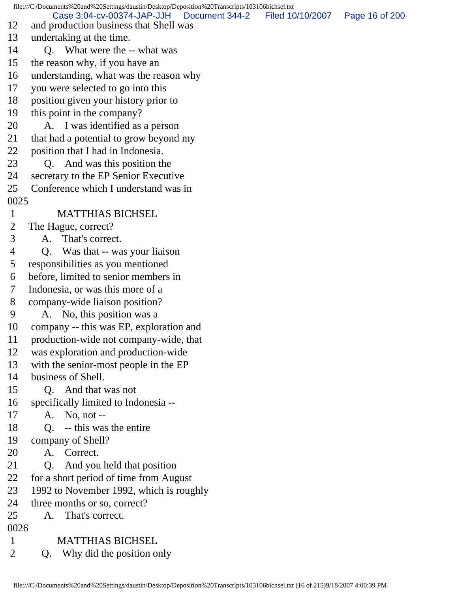file:///C|/Documents%20and%20Settings/daustin/Desktop/Deposition%20Transcripts/103106bichsel.txt 12 and production business that Shell was 13 undertaking at the time. 14 O. What were the -- what was 15 the reason why, if you have an 16 understanding, what was the reason why 17 you were selected to go into this 18 position given your history prior to 19 this point in the company? 20 A. I was identified as a person 21 that had a potential to grow beyond my 22 position that I had in Indonesia. 23 Q. And was this position the 24 secretary to the EP Senior Executive 25 Conference which I understand was in 0025 1 MATTHIAS BICHSEL 2 The Hague, correct? 3 A. That's correct. 4 Q. Was that -- was your liaison 5 responsibilities as you mentioned 6 before, limited to senior members in 7 Indonesia, or was this more of a 8 company-wide liaison position? 9 A. No, this position was a 10 company -- this was EP, exploration and 11 production-wide not company-wide, that 12 was exploration and production-wide 13 with the senior-most people in the EP 14 business of Shell. 15 Q. And that was not 16 specifically limited to Indonesia -- 17 A. No, not -- 18 O. -- this was the entire 19 company of Shell? 20 A. Correct. 21 Q. And you held that position 22 for a short period of time from August 23 1992 to November 1992, which is roughly 24 three months or so, correct? 25 A. That's correct. 0026 1 MATTHIAS BICHSEL 2 Q. Why did the position only Case 3:04-cv-00374-JAP-JJH Document 344-2 Filed 10/10/2007 Page 16 of 200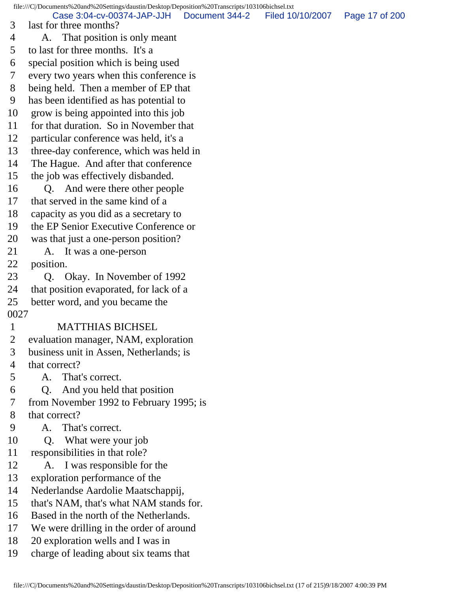file:///C|/Documents%20and%20Settings/daustin/Desktop/Deposition%20Transcripts/103106bichsel.txt 3 last for three months? 4 A. That position is only meant 5 to last for three months. It's a 6 special position which is being used 7 every two years when this conference is 8 being held. Then a member of EP that 9 has been identified as has potential to 10 grow is being appointed into this job 11 for that duration. So in November that 12 particular conference was held, it's a 13 three-day conference, which was held in 14 The Hague. And after that conference 15 the job was effectively disbanded. 16 Q. And were there other people 17 that served in the same kind of a 18 capacity as you did as a secretary to 19 the EP Senior Executive Conference or 20 was that just a one-person position? 21 A. It was a one-person 22 position. 23 Q. Okay. In November of 1992 24 that position evaporated, for lack of a 25 better word, and you became the 0027 1 MATTHIAS BICHSEL 2 evaluation manager, NAM, exploration 3 business unit in Assen, Netherlands; is 4 that correct? 5 A. That's correct. 6 Q. And you held that position 7 from November 1992 to February 1995; is 8 that correct? 9 A. That's correct. 10 Q. What were your job 11 responsibilities in that role? 12 A. I was responsible for the 13 exploration performance of the 14 Nederlandse Aardolie Maatschappij, 15 that's NAM, that's what NAM stands for. 16 Based in the north of the Netherlands. 17 We were drilling in the order of around 18 20 exploration wells and I was in 19 charge of leading about six teams that Case 3:04-cv-00374-JAP-JJH Document 344-2 Filed 10/10/2007 Page 17 of 200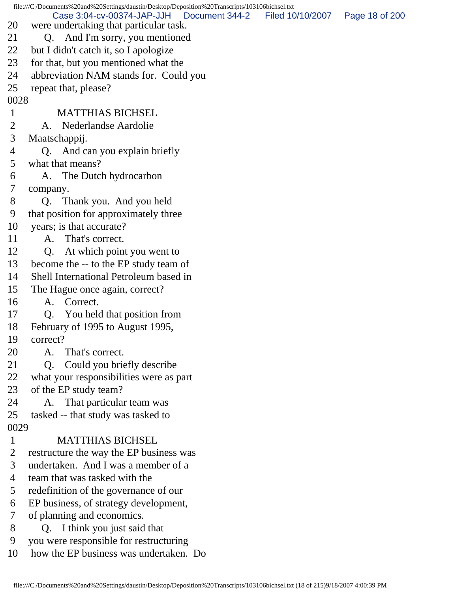|                | file:///C /Documents%20and%20Settings/daustin/Desktop/Deposition%20Transcripts/103106bichsel.txt |                  |                |
|----------------|--------------------------------------------------------------------------------------------------|------------------|----------------|
| 20             | Case 3:04-cv-00374-JAP-JJH<br>Document 344-2<br>were undertaking that particular task.           | Filed 10/10/2007 | Page 18 of 200 |
| 21             | Q. And I'm sorry, you mentioned                                                                  |                  |                |
| 22             | but I didn't catch it, so I apologize                                                            |                  |                |
| 23             | for that, but you mentioned what the                                                             |                  |                |
| 24             | abbreviation NAM stands for. Could you                                                           |                  |                |
| 25             | repeat that, please?                                                                             |                  |                |
| 0028           |                                                                                                  |                  |                |
| $\mathbf{1}$   | <b>MATTHIAS BICHSEL</b>                                                                          |                  |                |
| 2              | A. Nederlandse Aardolie                                                                          |                  |                |
| 3              | Maatschappij.                                                                                    |                  |                |
| 4              | Q. And can you explain briefly                                                                   |                  |                |
| 5              | what that means?                                                                                 |                  |                |
| 6              | A. The Dutch hydrocarbon                                                                         |                  |                |
| 7              | company.                                                                                         |                  |                |
| 8              | Thank you. And you held<br>Q <sub>r</sub>                                                        |                  |                |
| 9              | that position for approximately three                                                            |                  |                |
| 10             | years; is that accurate?                                                                         |                  |                |
| 11             | A. That's correct.                                                                               |                  |                |
| 12             | At which point you went to<br>Q <sub>r</sub>                                                     |                  |                |
| 13             | become the -- to the EP study team of                                                            |                  |                |
| 14             | Shell International Petroleum based in                                                           |                  |                |
| 15             | The Hague once again, correct?                                                                   |                  |                |
| 16             | A. Correct.                                                                                      |                  |                |
| 17             | You held that position from<br>Q <sub>1</sub>                                                    |                  |                |
| 18             | February of 1995 to August 1995,                                                                 |                  |                |
| 19             | correct?                                                                                         |                  |                |
| 20             | A.<br>That's correct.                                                                            |                  |                |
| 21             | Could you briefly describe<br>Q <sub>r</sub>                                                     |                  |                |
| 22             | what your responsibilities were as part                                                          |                  |                |
| 23             | of the EP study team?                                                                            |                  |                |
| 24             | That particular team was<br>A.                                                                   |                  |                |
| 25             | tasked -- that study was tasked to                                                               |                  |                |
| 0029           |                                                                                                  |                  |                |
| $\mathbf{1}$   | <b>MATTHIAS BICHSEL</b>                                                                          |                  |                |
| $\overline{2}$ | restructure the way the EP business was                                                          |                  |                |
| 3              | undertaken. And I was a member of a                                                              |                  |                |
| 4              | team that was tasked with the                                                                    |                  |                |
| 5              | redefinition of the governance of our                                                            |                  |                |
| 6              | EP business, of strategy development,                                                            |                  |                |
| 7              | of planning and economics.                                                                       |                  |                |
| 8              | Q. I think you just said that                                                                    |                  |                |
| 9              | you were responsible for restructuring                                                           |                  |                |
| 10             | how the EP business was undertaken. Do                                                           |                  |                |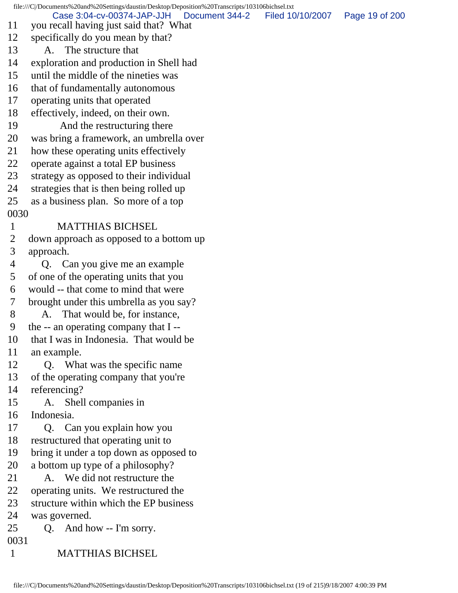file:///C|/Documents%20and%20Settings/daustin/Desktop/Deposition%20Transcripts/103106bichsel.txt 11 you recall having just said that? What 12 specifically do you mean by that? 13 A. The structure that 14 exploration and production in Shell had 15 until the middle of the nineties was 16 that of fundamentally autonomous 17 operating units that operated 18 effectively, indeed, on their own. 19 And the restructuring there 20 was bring a framework, an umbrella over 21 how these operating units effectively 22 operate against a total EP business 23 strategy as opposed to their individual 24 strategies that is then being rolled up 25 as a business plan. So more of a top 0030 1 MATTHIAS BICHSEL 2 down approach as opposed to a bottom up 3 approach. 4 Q. Can you give me an example 5 of one of the operating units that you 6 would -- that come to mind that were 7 brought under this umbrella as you say? 8 A. That would be, for instance, 9 the -- an operating company that I -- 10 that I was in Indonesia. That would be 11 an example. 12 Q. What was the specific name 13 of the operating company that you're 14 referencing? 15 A. Shell companies in 16 Indonesia. 17 Q. Can you explain how you 18 restructured that operating unit to 19 bring it under a top down as opposed to 20 a bottom up type of a philosophy? 21 A. We did not restructure the 22 operating units. We restructured the 23 structure within which the EP business 24 was governed. 25 Q. And how -- I'm sorry. 0031 1 MATTHIAS BICHSEL Case 3:04-cv-00374-JAP-JJH Document 344-2 Filed 10/10/2007 Page 19 of 200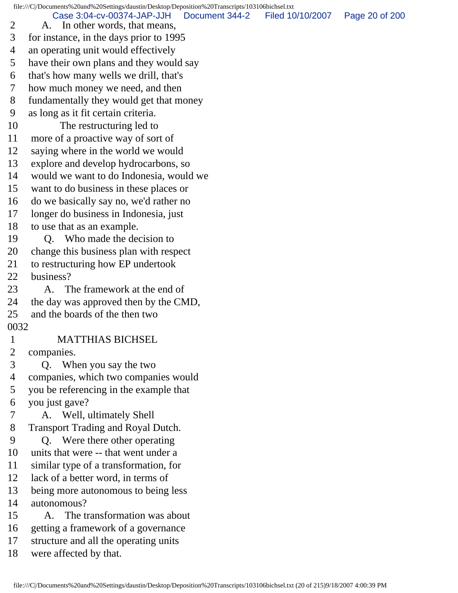file:///C|/Documents%20and%20Settings/daustin/Desktop/Deposition%20Transcripts/103106bichsel.txt 2 A. In other words, that means, 3 for instance, in the days prior to 1995 4 an operating unit would effectively 5 have their own plans and they would say 6 that's how many wells we drill, that's 7 how much money we need, and then 8 fundamentally they would get that money 9 as long as it fit certain criteria. 10 The restructuring led to 11 more of a proactive way of sort of 12 saying where in the world we would 13 explore and develop hydrocarbons, so 14 would we want to do Indonesia, would we 15 want to do business in these places or 16 do we basically say no, we'd rather no 17 longer do business in Indonesia, just 18 to use that as an example. 19 O. Who made the decision to 20 change this business plan with respect 21 to restructuring how EP undertook 22 business? 23 A. The framework at the end of 24 the day was approved then by the CMD, 25 and the boards of the then two 0032 1 MATTHIAS BICHSEL 2 companies. 3 Q. When you say the two 4 companies, which two companies would 5 you be referencing in the example that 6 you just gave? 7 A. Well, ultimately Shell 8 Transport Trading and Royal Dutch. 9 Q. Were there other operating 10 units that were -- that went under a 11 similar type of a transformation, for 12 lack of a better word, in terms of 13 being more autonomous to being less 14 autonomous? 15 A. The transformation was about 16 getting a framework of a governance 17 structure and all the operating units 18 were affected by that. Case 3:04-cv-00374-JAP-JJH Document 344-2 Filed 10/10/2007 Page 20 of 200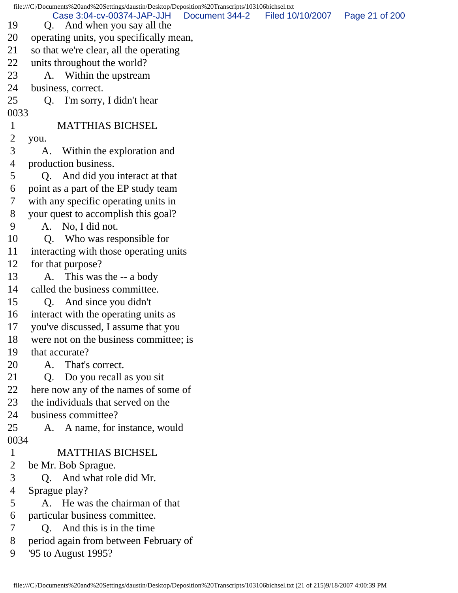file:///C|/Documents%20and%20Settings/daustin/Desktop/Deposition%20Transcripts/103106bichsel.txt 19 Q. And when you say all the 20 operating units, you specifically mean, 21 so that we're clear, all the operating 22 units throughout the world? 23 A. Within the upstream 24 business, correct. 25 Q. I'm sorry, I didn't hear 0033 1 MATTHIAS BICHSEL 2 you. 3 A. Within the exploration and 4 production business. 5 Q. And did you interact at that 6 point as a part of the EP study team 7 with any specific operating units in 8 your quest to accomplish this goal? 9 A. No, I did not. 10 Q. Who was responsible for 11 interacting with those operating units 12 for that purpose? 13 A. This was the -- a body 14 called the business committee. 15 Q. And since you didn't 16 interact with the operating units as 17 you've discussed, I assume that you 18 were not on the business committee; is 19 that accurate? 20 A. That's correct. 21 Q. Do you recall as you sit 22 here now any of the names of some of 23 the individuals that served on the 24 business committee? 25 A. A name, for instance, would 0034 1 MATTHIAS BICHSEL 2 be Mr. Bob Sprague. 3 Q. And what role did Mr. 4 Sprague play? 5 A. He was the chairman of that 6 particular business committee. 7 Q. And this is in the time 8 period again from between February of 9 '95 to August 1995? Case 3:04-cv-00374-JAP-JJH Document 344-2 Filed 10/10/2007 Page 21 of 200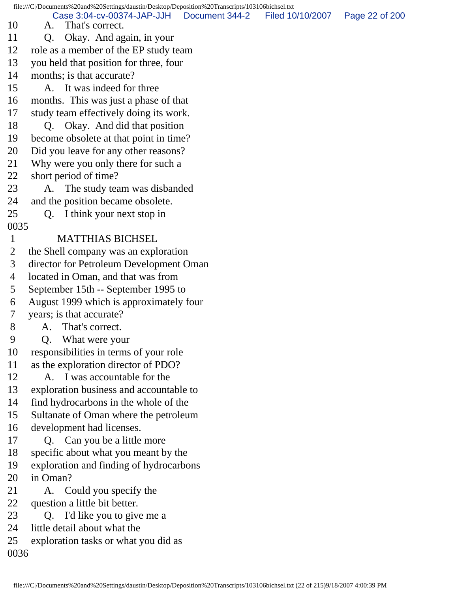file:///C|/Documents%20and%20Settings/daustin/Desktop/Deposition%20Transcripts/103106bichsel.txt 10 A. That's correct. 11 Q. Okay. And again, in your 12 role as a member of the EP study team 13 you held that position for three, four 14 months; is that accurate? 15 A. It was indeed for three 16 months. This was just a phase of that 17 study team effectively doing its work. 18 Q. Okay. And did that position 19 become obsolete at that point in time? 20 Did you leave for any other reasons? 21 Why were you only there for such a 22 short period of time? 23 A. The study team was disbanded 24 and the position became obsolete. 25 Q. I think your next stop in 0035 1 MATTHIAS BICHSEL 2 the Shell company was an exploration 3 director for Petroleum Development Oman 4 located in Oman, and that was from 5 September 15th -- September 1995 to 6 August 1999 which is approximately four 7 years; is that accurate? 8 A. That's correct. 9 Q. What were your 10 responsibilities in terms of your role 11 as the exploration director of PDO? 12 A. I was accountable for the 13 exploration business and accountable to 14 find hydrocarbons in the whole of the 15 Sultanate of Oman where the petroleum 16 development had licenses. 17 Q. Can you be a little more 18 specific about what you meant by the 19 exploration and finding of hydrocarbons 20 in Oman? 21 A. Could you specify the 22 question a little bit better. 23 O. I'd like you to give me a 24 little detail about what the 25 exploration tasks or what you did as 0036 Case 3:04-cv-00374-JAP-JJH Document 344-2 Filed 10/10/2007 Page 22 of 200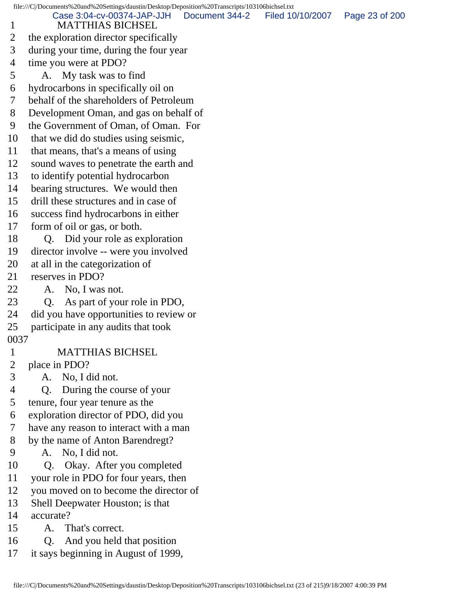file:///C|/Documents%20and%20Settings/daustin/Desktop/Deposition%20Transcripts/103106bichsel.txt 1 MATTHIAS BICHSEL 2 the exploration director specifically 3 during your time, during the four year 4 time you were at PDO? 5 A. My task was to find 6 hydrocarbons in specifically oil on 7 behalf of the shareholders of Petroleum 8 Development Oman, and gas on behalf of 9 the Government of Oman, of Oman. For 10 that we did do studies using seismic, 11 that means, that's a means of using 12 sound waves to penetrate the earth and 13 to identify potential hydrocarbon 14 bearing structures. We would then 15 drill these structures and in case of 16 success find hydrocarbons in either 17 form of oil or gas, or both. 18 O. Did your role as exploration 19 director involve -- were you involved 20 at all in the categorization of 21 reserves in PDO? 22 A. No, I was not. 23 Q. As part of your role in PDO, 24 did you have opportunities to review or 25 participate in any audits that took 0037 1 MATTHIAS BICHSEL 2 place in PDO? 3 A. No, I did not. 4 Q. During the course of your 5 tenure, four year tenure as the 6 exploration director of PDO, did you 7 have any reason to interact with a man 8 by the name of Anton Barendregt? 9 A. No, I did not. 10 Q. Okay. After you completed 11 your role in PDO for four years, then 12 you moved on to become the director of 13 Shell Deepwater Houston; is that 14 accurate? 15 A. That's correct. 16 Q. And you held that position 17 it says beginning in August of 1999, Case 3:04-cv-00374-JAP-JJH Document 344-2 Filed 10/10/2007 Page 23 of 200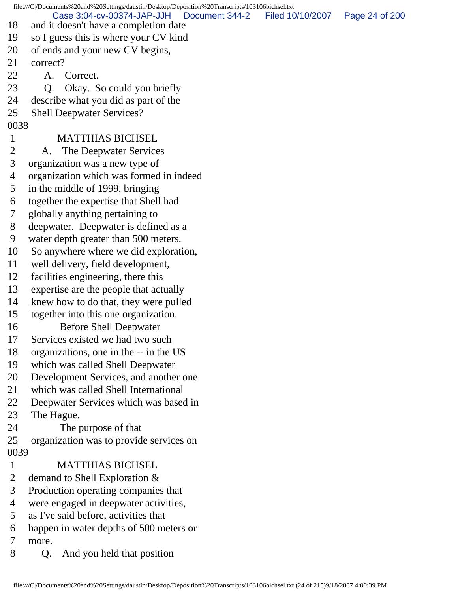file:///C|/Documents%20and%20Settings/daustin/Desktop/Deposition%20Transcripts/103106bichsel.txt 18 and it doesn't have a completion date 19 so I guess this is where your CV kind 20 of ends and your new CV begins, 21 correct? 22 A. Correct. 23 Q. Okay. So could you briefly 24 describe what you did as part of the 25 Shell Deepwater Services? 0038 1 MATTHIAS BICHSEL 2 A. The Deepwater Services 3 organization was a new type of 4 organization which was formed in indeed 5 in the middle of 1999, bringing 6 together the expertise that Shell had 7 globally anything pertaining to 8 deepwater. Deepwater is defined as a 9 water depth greater than 500 meters. 10 So anywhere where we did exploration, 11 well delivery, field development, 12 facilities engineering, there this 13 expertise are the people that actually 14 knew how to do that, they were pulled 15 together into this one organization. 16 Before Shell Deepwater 17 Services existed we had two such 18 organizations, one in the -- in the US 19 which was called Shell Deepwater 20 Development Services, and another one 21 which was called Shell International 22 Deepwater Services which was based in 23 The Hague. 24 The purpose of that 25 organization was to provide services on 0039 1 MATTHIAS BICHSEL 2 demand to Shell Exploration & 3 Production operating companies that 4 were engaged in deepwater activities, 5 as I've said before, activities that 6 happen in water depths of 500 meters or 7 more. Case 3:04-cv-00374-JAP-JJH Document 344-2 Filed 10/10/2007 Page 24 of 200

8 Q. And you held that position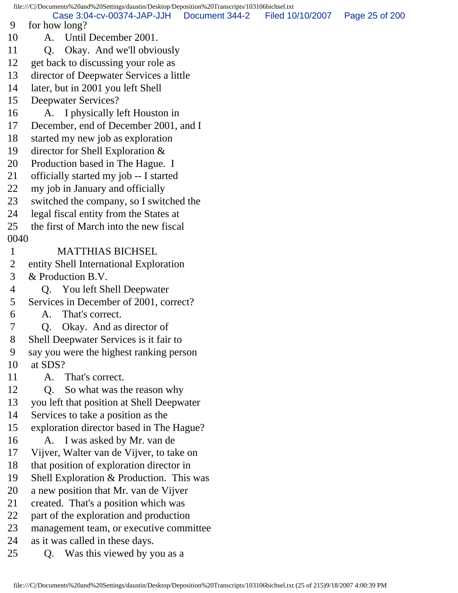file:///C|/Documents%20and%20Settings/daustin/Desktop/Deposition%20Transcripts/103106bichsel.txt 9 for how long? 10 A. Until December 2001. 11 O. Okay. And we'll obviously 12 get back to discussing your role as 13 director of Deepwater Services a little 14 later, but in 2001 you left Shell 15 Deepwater Services? 16 A. I physically left Houston in 17 December, end of December 2001, and I 18 started my new job as exploration 19 director for Shell Exploration & 20 Production based in The Hague. I 21 officially started my job -- I started 22 my job in January and officially 23 switched the company, so I switched the 24 legal fiscal entity from the States at 25 the first of March into the new fiscal 0040 1 MATTHIAS BICHSEL 2 entity Shell International Exploration 3 & Production B.V. 4 Q. You left Shell Deepwater 5 Services in December of 2001, correct? 6 A. That's correct. 7 Q. Okay. And as director of 8 Shell Deepwater Services is it fair to 9 say you were the highest ranking person 10 at SDS? 11 A. That's correct. 12 Q. So what was the reason why 13 you left that position at Shell Deepwater 14 Services to take a position as the 15 exploration director based in The Hague? 16 A. I was asked by Mr. van de 17 Vijver, Walter van de Vijver, to take on 18 that position of exploration director in 19 Shell Exploration & Production. This was 20 a new position that Mr. van de Vijver 21 created. That's a position which was 22 part of the exploration and production 23 management team, or executive committee 24 as it was called in these days. 25 Q. Was this viewed by you as a Case 3:04-cv-00374-JAP-JJH Document 344-2 Filed 10/10/2007 Page 25 of 200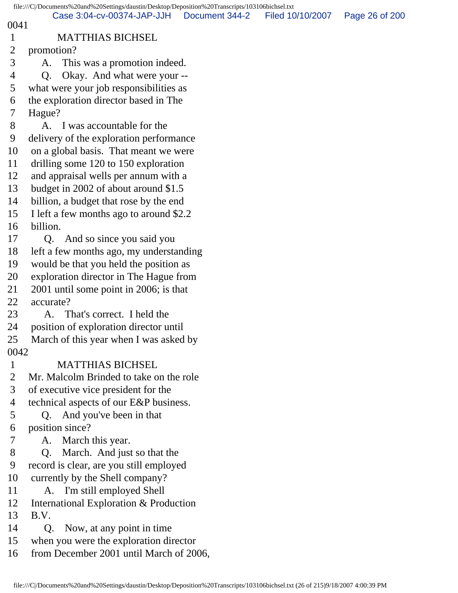|                | file:///C /Documents%20and%20Settings/daustin/Desktop/Deposition%20Transcripts/103106bichsel.txt |                |                  |                |
|----------------|--------------------------------------------------------------------------------------------------|----------------|------------------|----------------|
| 0041           | Case 3:04-cv-00374-JAP-JJH                                                                       | Document 344-2 | Filed 10/10/2007 | Page 26 of 200 |
| $\mathbf{1}$   | <b>MATTHIAS BICHSEL</b>                                                                          |                |                  |                |
| $\overline{2}$ | promotion?                                                                                       |                |                  |                |
| 3              | This was a promotion indeed.<br>A.                                                               |                |                  |                |
| $\overline{4}$ | Okay. And what were your --<br>Q.                                                                |                |                  |                |
| 5              | what were your job responsibilities as                                                           |                |                  |                |
| 6              | the exploration director based in The                                                            |                |                  |                |
| 7              | Hague?                                                                                           |                |                  |                |
| 8              | A. I was accountable for the                                                                     |                |                  |                |
| 9              | delivery of the exploration performance                                                          |                |                  |                |
| 10             | on a global basis. That meant we were                                                            |                |                  |                |
| 11             | drilling some 120 to 150 exploration                                                             |                |                  |                |
| 12             | and appraisal wells per annum with a                                                             |                |                  |                |
| 13             | budget in 2002 of about around \$1.5                                                             |                |                  |                |
| 14             | billion, a budget that rose by the end                                                           |                |                  |                |
| 15             | I left a few months ago to around \$2.2                                                          |                |                  |                |
| 16             | billion.                                                                                         |                |                  |                |
| 17             | Q. And so since you said you                                                                     |                |                  |                |
| 18             | left a few months ago, my understanding                                                          |                |                  |                |
| 19             | would be that you held the position as                                                           |                |                  |                |
| 20             | exploration director in The Hague from                                                           |                |                  |                |
| 21             | 2001 until some point in 2006; is that                                                           |                |                  |                |
| 22             | accurate?                                                                                        |                |                  |                |
| 23             | A. That's correct. I held the                                                                    |                |                  |                |
| 24             | position of exploration director until                                                           |                |                  |                |
| 25             | March of this year when I was asked by                                                           |                |                  |                |
| 0042           |                                                                                                  |                |                  |                |
| $\mathbf{1}$   | <b>MATTHIAS BICHSEL</b>                                                                          |                |                  |                |
| $\overline{2}$ | Mr. Malcolm Brinded to take on the role                                                          |                |                  |                |
| 3              | of executive vice president for the                                                              |                |                  |                |
| 4              | technical aspects of our E&P business.                                                           |                |                  |                |
| 5              | Q. And you've been in that                                                                       |                |                  |                |
| 6              | position since?                                                                                  |                |                  |                |
| 7              | March this year.<br>A.                                                                           |                |                  |                |
| 8              | Q. March. And just so that the                                                                   |                |                  |                |
| 9              | record is clear, are you still employed                                                          |                |                  |                |
| 10             | currently by the Shell company?                                                                  |                |                  |                |
| 11             | A. I'm still employed Shell                                                                      |                |                  |                |
| 12             | International Exploration & Production                                                           |                |                  |                |
| 13             | B.V.                                                                                             |                |                  |                |
| 14<br>15       | Now, at any point in time<br>Q.                                                                  |                |                  |                |
|                | when you were the exploration director                                                           |                |                  |                |
| 16             | from December 2001 until March of 2006,                                                          |                |                  |                |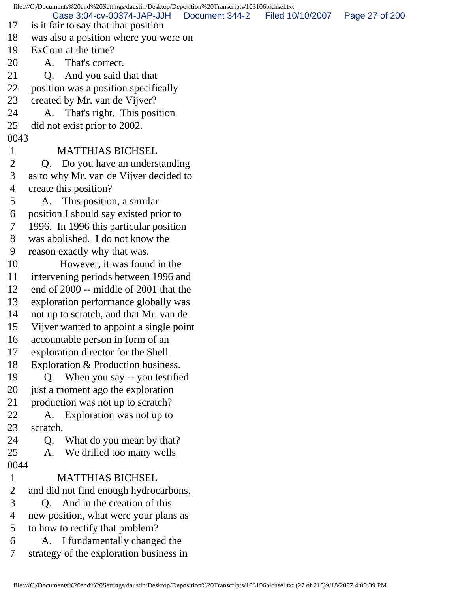file:///C|/Documents%20and%20Settings/daustin/Desktop/Deposition%20Transcripts/103106bichsel.txt 17 is it fair to say that that position 18 was also a position where you were on 19 ExCom at the time? 20 A. That's correct. 21 O. And you said that that 22 position was a position specifically 23 created by Mr. van de Vijver? 24 A. That's right. This position 25 did not exist prior to 2002. 0043 1 MATTHIAS BICHSEL 2 Q. Do you have an understanding 3 as to why Mr. van de Vijver decided to 4 create this position? 5 A. This position, a similar 6 position I should say existed prior to 7 1996. In 1996 this particular position 8 was abolished. I do not know the 9 reason exactly why that was. 10 However, it was found in the 11 intervening periods between 1996 and 12 end of 2000 -- middle of 2001 that the 13 exploration performance globally was 14 not up to scratch, and that Mr. van de 15 Vijver wanted to appoint a single point 16 accountable person in form of an 17 exploration director for the Shell 18 Exploration & Production business. 19 Q. When you say -- you testified 20 just a moment ago the exploration 21 production was not up to scratch? 22 A. Exploration was not up to 23 scratch. 24 Q. What do you mean by that? 25 A. We drilled too many wells 0044 1 MATTHIAS BICHSEL 2 and did not find enough hydrocarbons. 3 Q. And in the creation of this 4 new position, what were your plans as 5 to how to rectify that problem? 6 A. I fundamentally changed the 7 strategy of the exploration business in Case 3:04-cv-00374-JAP-JJH Document 344-2 Filed 10/10/2007 Page 27 of 200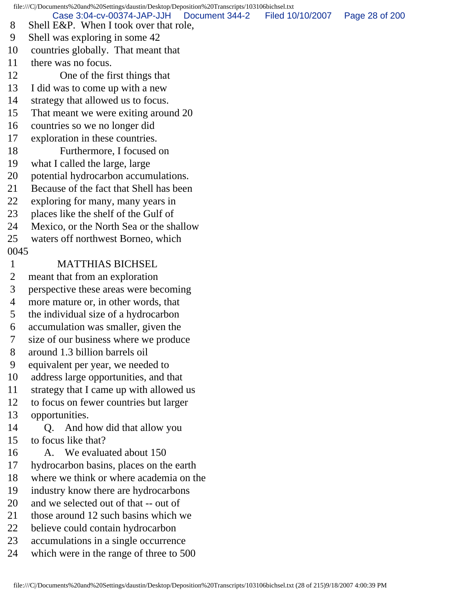file:///C|/Documents%20and%20Settings/daustin/Desktop/Deposition%20Transcripts/103106bichsel.txt 8 Shell E&P. When I took over that role, 9 Shell was exploring in some 42 10 countries globally. That meant that 11 there was no focus. 12 One of the first things that 13 I did was to come up with a new 14 strategy that allowed us to focus. 15 That meant we were exiting around 20 16 countries so we no longer did 17 exploration in these countries. 18 Furthermore, I focused on 19 what I called the large, large 20 potential hydrocarbon accumulations. 21 Because of the fact that Shell has been 22 exploring for many, many years in 23 places like the shelf of the Gulf of 24 Mexico, or the North Sea or the shallow 25 waters off northwest Borneo, which 0045 1 MATTHIAS BICHSEL 2 meant that from an exploration 3 perspective these areas were becoming 4 more mature or, in other words, that 5 the individual size of a hydrocarbon 6 accumulation was smaller, given the 7 size of our business where we produce 8 around 1.3 billion barrels oil 9 equivalent per year, we needed to 10 address large opportunities, and that 11 strategy that I came up with allowed us 12 to focus on fewer countries but larger 13 opportunities. 14 Q. And how did that allow you 15 to focus like that? 16 A. We evaluated about 150 17 hydrocarbon basins, places on the earth 18 where we think or where academia on the 19 industry know there are hydrocarbons 20 and we selected out of that -- out of 21 those around 12 such basins which we 22 believe could contain hydrocarbon 23 accumulations in a single occurrence 24 which were in the range of three to 500 Case 3:04-cv-00374-JAP-JJH Document 344-2 Filed 10/10/2007 Page 28 of 200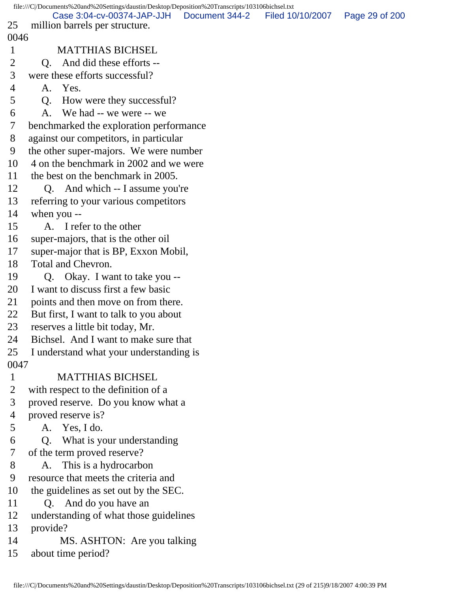file:///C|/Documents%20and%20Settings/daustin/Desktop/Deposition%20Transcripts/103106bichsel.txt 25 million barrels per structure. 0046 1 MATTHIAS BICHSEL 2 O. And did these efforts -- 3 were these efforts successful? 4 A. Yes. 5 Q. How were they successful? 6 A. We had -- we were -- we 7 benchmarked the exploration performance 8 against our competitors, in particular 9 the other super-majors. We were number 10 4 on the benchmark in 2002 and we were 11 the best on the benchmark in 2005. 12 Q. And which -- I assume you're 13 referring to your various competitors 14 when you -- 15 A. I refer to the other 16 super-majors, that is the other oil 17 super-major that is BP, Exxon Mobil, 18 Total and Chevron. 19 Q. Okay. I want to take you -- 20 I want to discuss first a few basic 21 points and then move on from there. 22 But first, I want to talk to you about 23 reserves a little bit today, Mr. 24 Bichsel. And I want to make sure that 25 I understand what your understanding is 0047 1 MATTHIAS BICHSEL 2 with respect to the definition of a 3 proved reserve. Do you know what a 4 proved reserve is? 5 A. Yes, I do. 6 Q. What is your understanding 7 of the term proved reserve? 8 A. This is a hydrocarbon 9 resource that meets the criteria and 10 the guidelines as set out by the SEC. 11 Q. And do you have an 12 understanding of what those guidelines 13 provide? 14 MS. ASHTON: Are you talking 15 about time period? Case 3:04-cv-00374-JAP-JJH Document 344-2 Filed 10/10/2007 Page 29 of 200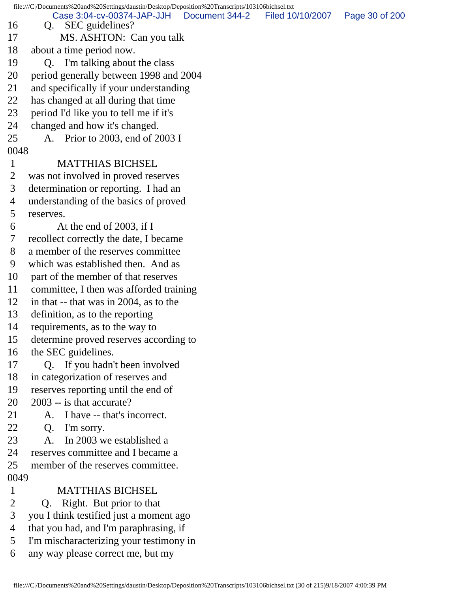file:///C|/Documents%20and%20Settings/daustin/Desktop/Deposition%20Transcripts/103106bichsel.txt 16 Q. SEC guidelines? 17 MS. ASHTON: Can you talk 18 about a time period now. 19 Q. I'm talking about the class 20 period generally between 1998 and 2004 21 and specifically if your understanding 22 has changed at all during that time 23 period I'd like you to tell me if it's 24 changed and how it's changed. 25 A. Prior to 2003, end of 2003 I 0048 1 MATTHIAS BICHSEL 2 was not involved in proved reserves 3 determination or reporting. I had an 4 understanding of the basics of proved 5 reserves. 6 At the end of 2003, if I 7 recollect correctly the date, I became 8 a member of the reserves committee 9 which was established then. And as 10 part of the member of that reserves 11 committee, I then was afforded training 12 in that -- that was in 2004, as to the 13 definition, as to the reporting 14 requirements, as to the way to 15 determine proved reserves according to 16 the SEC guidelines. 17 Q. If you hadn't been involved 18 in categorization of reserves and 19 reserves reporting until the end of 20 2003 -- is that accurate? 21 A. I have -- that's incorrect. 22 Q. I'm sorry. 23 A. In 2003 we established a 24 reserves committee and I became a 25 member of the reserves committee. 0049 1 MATTHIAS BICHSEL 2 Q. Right. But prior to that 3 you I think testified just a moment ago 4 that you had, and I'm paraphrasing, if 5 I'm mischaracterizing your testimony in 6 any way please correct me, but my Case 3:04-cv-00374-JAP-JJH Document 344-2 Filed 10/10/2007 Page 30 of 200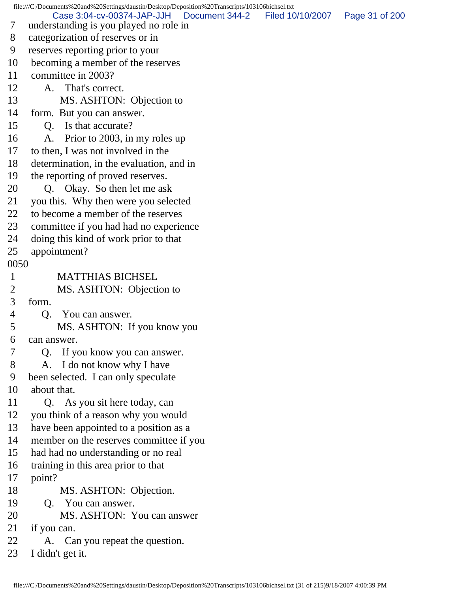file:///C|/Documents%20and%20Settings/daustin/Desktop/Deposition%20Transcripts/103106bichsel.txt 7 understanding is you played no role in 8 categorization of reserves or in 9 reserves reporting prior to your 10 becoming a member of the reserves 11 committee in 2003? 12 A. That's correct. 13 MS. ASHTON: Objection to 14 form. But you can answer. 15 Q. Is that accurate? 16 A. Prior to 2003, in my roles up 17 to then, I was not involved in the 18 determination, in the evaluation, and in 19 the reporting of proved reserves. 20 Q. Okay. So then let me ask 21 you this. Why then were you selected 22 to become a member of the reserves 23 committee if you had had no experience 24 doing this kind of work prior to that 25 appointment? 0050 1 MATTHIAS BICHSEL 2 MS. ASHTON: Objection to 3 form. 4 Q. You can answer. 5 MS. ASHTON: If you know you 6 can answer. 7 Q. If you know you can answer. 8 A. I do not know why I have 9 been selected. I can only speculate 10 about that. 11 Q. As you sit here today, can 12 you think of a reason why you would 13 have been appointed to a position as a 14 member on the reserves committee if you 15 had had no understanding or no real 16 training in this area prior to that 17 point? 18 MS. ASHTON: Objection. 19 Q. You can answer. 20 MS. ASHTON: You can answer 21 if you can. 22 A. Can you repeat the question. 23 I didn't get it. Case 3:04-cv-00374-JAP-JJH Document 344-2 Filed 10/10/2007 Page 31 of 200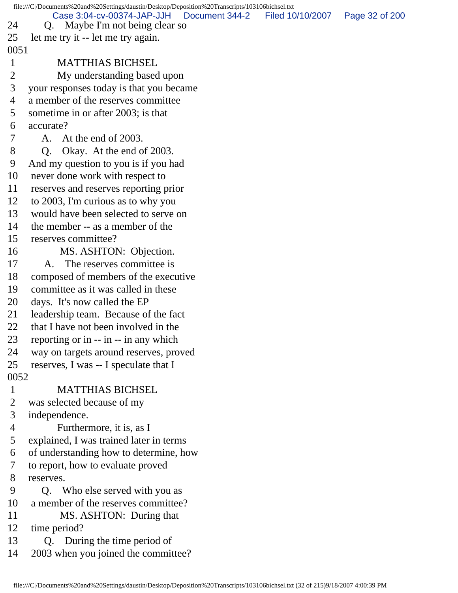file:///C|/Documents%20and%20Settings/daustin/Desktop/Deposition%20Transcripts/103106bichsel.txt 24 Q. Maybe I'm not being clear so 25 let me try it -- let me try again. 0051 1 MATTHIAS BICHSEL 2 My understanding based upon 3 your responses today is that you became 4 a member of the reserves committee 5 sometime in or after 2003; is that 6 accurate? 7 A. At the end of 2003. 8 Q. Okay. At the end of 2003. 9 And my question to you is if you had 10 never done work with respect to 11 reserves and reserves reporting prior 12 to 2003, I'm curious as to why you 13 would have been selected to serve on 14 the member -- as a member of the 15 reserves committee? 16 MS. ASHTON: Objection. 17 A. The reserves committee is 18 composed of members of the executive 19 committee as it was called in these 20 days. It's now called the EP 21 leadership team. Because of the fact 22 that I have not been involved in the 23 reporting or in -- in -- in any which 24 way on targets around reserves, proved 25 reserves, I was -- I speculate that I 0052 1 MATTHIAS BICHSEL 2 was selected because of my 3 independence. 4 Furthermore, it is, as I 5 explained, I was trained later in terms 6 of understanding how to determine, how 7 to report, how to evaluate proved 8 reserves. 9 Q. Who else served with you as 10 a member of the reserves committee? 11 MS. ASHTON: During that 12 time period? 13 Q. During the time period of 14 2003 when you joined the committee? Case 3:04-cv-00374-JAP-JJH Document 344-2 Filed 10/10/2007 Page 32 of 200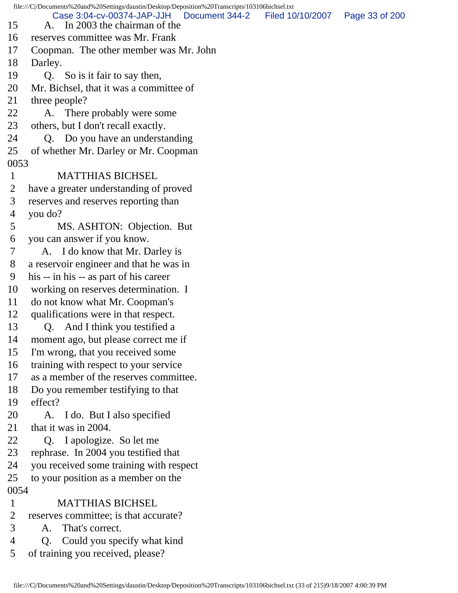file:///C|/Documents%20and%20Settings/daustin/Desktop/Deposition%20Transcripts/103106bichsel.txt 15 A. In 2003 the chairman of the 16 reserves committee was Mr. Frank 17 Coopman. The other member was Mr. John 18 Darley. 19 Q. So is it fair to say then, 20 Mr. Bichsel, that it was a committee of 21 three people? 22 A. There probably were some 23 others, but I don't recall exactly. 24 Q. Do you have an understanding 25 of whether Mr. Darley or Mr. Coopman 0053 1 MATTHIAS BICHSEL 2 have a greater understanding of proved 3 reserves and reserves reporting than 4 you do? 5 MS. ASHTON: Objection. But 6 you can answer if you know. 7 A. I do know that Mr. Darley is 8 a reservoir engineer and that he was in 9 his -- in his -- as part of his career 10 working on reserves determination. I 11 do not know what Mr. Coopman's 12 qualifications were in that respect. 13 Q. And I think you testified a 14 moment ago, but please correct me if 15 I'm wrong, that you received some 16 training with respect to your service 17 as a member of the reserves committee. 18 Do you remember testifying to that 19 effect? 20 A. I do. But I also specified 21 that it was in 2004. 22 Q. I apologize. So let me 23 rephrase. In 2004 you testified that 24 you received some training with respect 25 to your position as a member on the 0054 1 MATTHIAS BICHSEL 2 reserves committee; is that accurate? 3 A. That's correct. 4 Q. Could you specify what kind Case 3:04-cv-00374-JAP-JJH Document 344-2 Filed 10/10/2007 Page 33 of 200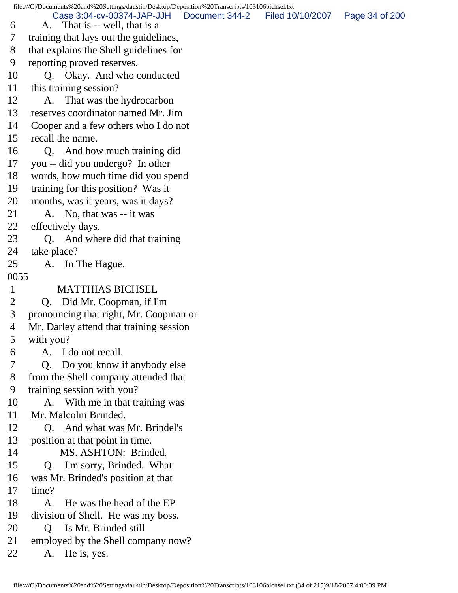file:///C|/Documents%20and%20Settings/daustin/Desktop/Deposition%20Transcripts/103106bichsel.txt 6 A. That is -- well, that is a 7 training that lays out the guidelines, 8 that explains the Shell guidelines for 9 reporting proved reserves. 10 Q. Okay. And who conducted 11 this training session? 12 A. That was the hydrocarbon 13 reserves coordinator named Mr. Jim 14 Cooper and a few others who I do not 15 recall the name. 16 Q. And how much training did 17 you -- did you undergo? In other 18 words, how much time did you spend 19 training for this position? Was it 20 months, was it years, was it days? 21 A. No, that was -- it was 22 effectively days. 23 O. And where did that training 24 take place? 25 A. In The Hague. 0055 1 MATTHIAS BICHSEL 2 Q. Did Mr. Coopman, if I'm 3 pronouncing that right, Mr. Coopman or 4 Mr. Darley attend that training session 5 with you? 6 A. I do not recall. 7 Q. Do you know if anybody else 8 from the Shell company attended that 9 training session with you? 10 A. With me in that training was 11 Mr. Malcolm Brinded. 12 Q. And what was Mr. Brindel's 13 position at that point in time. 14 MS. ASHTON: Brinded. 15 Q. I'm sorry, Brinded. What 16 was Mr. Brinded's position at that 17 time? 18 A. He was the head of the EP 19 division of Shell. He was my boss. 20 Q. Is Mr. Brinded still 21 employed by the Shell company now? 22 A. He is, yes. Case 3:04-cv-00374-JAP-JJH Document 344-2 Filed 10/10/2007 Page 34 of 200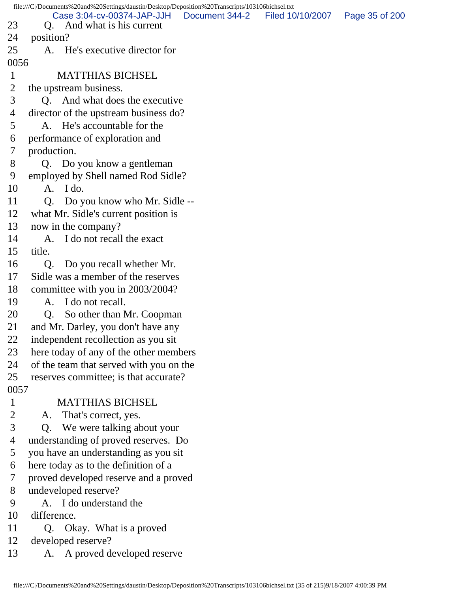|                | file:///C//Documents%20and%20Settings/daustin/Desktop/Deposition%20Transcripts/103106bichsel.txt |                |                  |                |
|----------------|--------------------------------------------------------------------------------------------------|----------------|------------------|----------------|
| 23             | Case 3:04-cv-00374-JAP-JJH<br>And what is his current<br>Q.                                      | Document 344-2 | Filed 10/10/2007 | Page 35 of 200 |
| 24             | position?                                                                                        |                |                  |                |
| 25             | A. He's executive director for                                                                   |                |                  |                |
| 0056           |                                                                                                  |                |                  |                |
| $\mathbf{1}$   | <b>MATTHIAS BICHSEL</b>                                                                          |                |                  |                |
| $\overline{2}$ | the upstream business.                                                                           |                |                  |                |
| 3              | Q. And what does the executive                                                                   |                |                  |                |
| 4              | director of the upstream business do?                                                            |                |                  |                |
| 5              | A. He's accountable for the                                                                      |                |                  |                |
| 6              | performance of exploration and                                                                   |                |                  |                |
| 7              | production.                                                                                      |                |                  |                |
| 8              | Q. Do you know a gentleman                                                                       |                |                  |                |
| 9              | employed by Shell named Rod Sidle?                                                               |                |                  |                |
| 10             | $A.$ I do.                                                                                       |                |                  |                |
| 11             | Do you know who Mr. Sidle --<br>Q <sub>1</sub>                                                   |                |                  |                |
| 12             | what Mr. Sidle's current position is                                                             |                |                  |                |
| 13             | now in the company?                                                                              |                |                  |                |
| 14             | I do not recall the exact<br>A.                                                                  |                |                  |                |
| 15             | title.                                                                                           |                |                  |                |
| 16             | Q.<br>Do you recall whether Mr.                                                                  |                |                  |                |
| 17             | Sidle was a member of the reserves                                                               |                |                  |                |
| 18             | committee with you in 2003/2004?                                                                 |                |                  |                |
| 19             | I do not recall.<br>A.                                                                           |                |                  |                |
| 20             | So other than Mr. Coopman<br>Q.                                                                  |                |                  |                |
| 21             | and Mr. Darley, you don't have any                                                               |                |                  |                |
| 22             | independent recollection as you sit                                                              |                |                  |                |
| 23             | here today of any of the other members                                                           |                |                  |                |
| 24             | of the team that served with you on the                                                          |                |                  |                |
| 25             | reserves committee; is that accurate?                                                            |                |                  |                |
| 0057           |                                                                                                  |                |                  |                |
| $\mathbf{1}$   | <b>MATTHIAS BICHSEL</b>                                                                          |                |                  |                |
| $\overline{c}$ | That's correct, yes.<br>A.                                                                       |                |                  |                |
| 3              | We were talking about your<br>Q.                                                                 |                |                  |                |
| 4              | understanding of proved reserves. Do                                                             |                |                  |                |
| 5              | you have an understanding as you sit                                                             |                |                  |                |
| 6              | here today as to the definition of a                                                             |                |                  |                |
| 7              | proved developed reserve and a proved                                                            |                |                  |                |
| 8              | undeveloped reserve?                                                                             |                |                  |                |
| 9              | A. I do understand the                                                                           |                |                  |                |
| 10             | difference.                                                                                      |                |                  |                |
| 11             | Q. Okay. What is a proved                                                                        |                |                  |                |
| 12             | developed reserve?                                                                               |                |                  |                |
| 13             | A. A proved developed reserve                                                                    |                |                  |                |
|                |                                                                                                  |                |                  |                |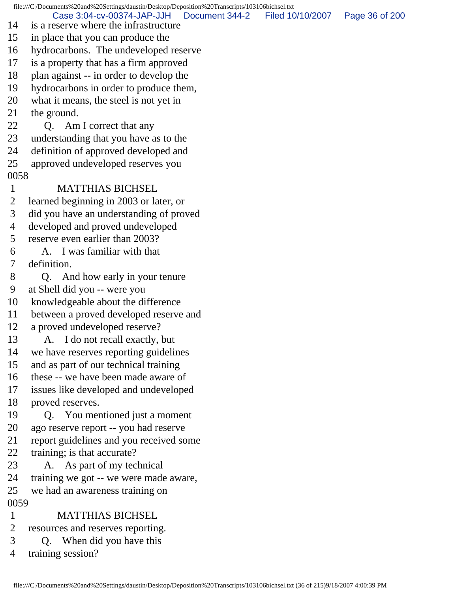file:///C|/Documents%20and%20Settings/daustin/Desktop/Deposition%20Transcripts/103106bichsel.txt 14 is a reserve where the infrastructure 15 in place that you can produce the 16 hydrocarbons. The undeveloped reserve 17 is a property that has a firm approved 18 plan against -- in order to develop the 19 hydrocarbons in order to produce them, 20 what it means, the steel is not yet in 21 the ground. 22 Q. Am I correct that any 23 understanding that you have as to the 24 definition of approved developed and 25 approved undeveloped reserves you 0058 1 MATTHIAS BICHSEL 2 learned beginning in 2003 or later, or 3 did you have an understanding of proved 4 developed and proved undeveloped 5 reserve even earlier than 2003? 6 A. I was familiar with that 7 definition. 8 Q. And how early in your tenure 9 at Shell did you -- were you 10 knowledgeable about the difference 11 between a proved developed reserve and 12 a proved undeveloped reserve? 13 A. I do not recall exactly, but 14 we have reserves reporting guidelines 15 and as part of our technical training 16 these -- we have been made aware of 17 issues like developed and undeveloped 18 proved reserves. 19 Q. You mentioned just a moment 20 ago reserve report -- you had reserve 21 report guidelines and you received some 22 training; is that accurate? 23 A. As part of my technical 24 training we got -- we were made aware, 25 we had an awareness training on 0059 1 MATTHIAS BICHSEL 2 resources and reserves reporting. 3 Q. When did you have this Case 3:04-cv-00374-JAP-JJH Document 344-2 Filed 10/10/2007 Page 36 of 200

4 training session?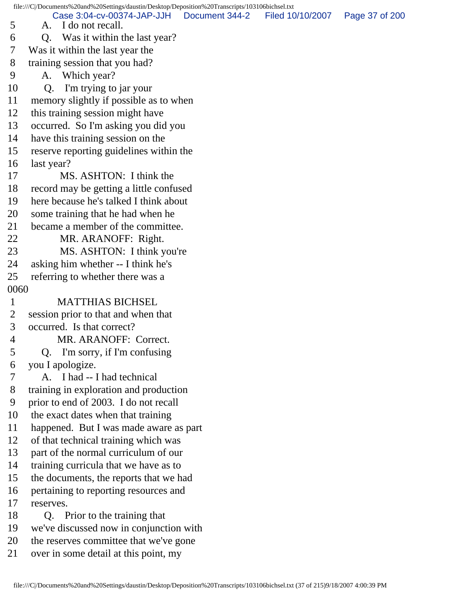file:///C|/Documents%20and%20Settings/daustin/Desktop/Deposition%20Transcripts/103106bichsel.txt 5 A. I do not recall. 6 Q. Was it within the last year? 7 Was it within the last year the 8 training session that you had? 9 A. Which year? 10 Q. I'm trying to jar your 11 memory slightly if possible as to when 12 this training session might have 13 occurred. So I'm asking you did you 14 have this training session on the 15 reserve reporting guidelines within the 16 last year? 17 MS. ASHTON: I think the 18 record may be getting a little confused 19 here because he's talked I think about 20 some training that he had when he 21 became a member of the committee. 22 MR. ARANOFF: Right. 23 MS. ASHTON: I think you're 24 asking him whether -- I think he's 25 referring to whether there was a 0060 1 MATTHIAS BICHSEL 2 session prior to that and when that 3 occurred. Is that correct? 4 MR. ARANOFF: Correct. 5 Q. I'm sorry, if I'm confusing 6 you I apologize. 7 A. I had -- I had technical 8 training in exploration and production 9 prior to end of 2003. I do not recall 10 the exact dates when that training 11 happened. But I was made aware as part 12 of that technical training which was 13 part of the normal curriculum of our 14 training curricula that we have as to 15 the documents, the reports that we had 16 pertaining to reporting resources and 17 reserves. 18 Q. Prior to the training that 19 we've discussed now in conjunction with 20 the reserves committee that we've gone 21 over in some detail at this point, my Case 3:04-cv-00374-JAP-JJH Document 344-2 Filed 10/10/2007 Page 37 of 200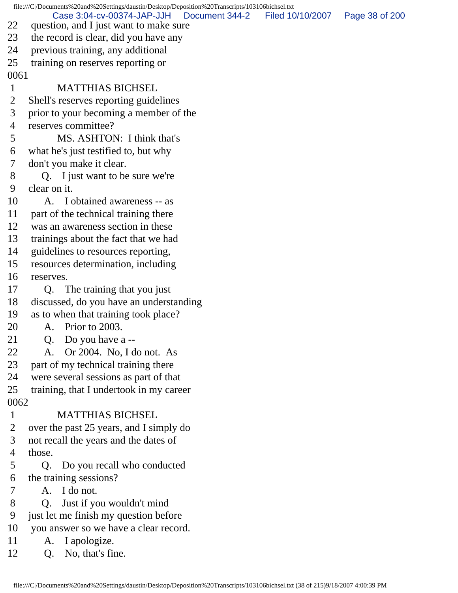file:///C|/Documents%20and%20Settings/daustin/Desktop/Deposition%20Transcripts/103106bichsel.txt 22 question, and I just want to make sure 23 the record is clear, did you have any 24 previous training, any additional 25 training on reserves reporting or 0061 1 MATTHIAS BICHSEL 2 Shell's reserves reporting guidelines 3 prior to your becoming a member of the 4 reserves committee? 5 MS. ASHTON: I think that's 6 what he's just testified to, but why 7 don't you make it clear. 8 Q. I just want to be sure we're 9 clear on it. 10 A. I obtained awareness -- as 11 part of the technical training there 12 was an awareness section in these 13 trainings about the fact that we had 14 guidelines to resources reporting, 15 resources determination, including 16 reserves. 17 Q. The training that you just 18 discussed, do you have an understanding 19 as to when that training took place? 20 A. Prior to 2003. 21 Q. Do you have a -- 22 A. Or 2004. No, I do not. As 23 part of my technical training there 24 were several sessions as part of that 25 training, that I undertook in my career 0062 1 MATTHIAS BICHSEL 2 over the past 25 years, and I simply do 3 not recall the years and the dates of 4 those. 5 Q. Do you recall who conducted 6 the training sessions? 7 A. I do not. 8 Q. Just if you wouldn't mind 9 just let me finish my question before 10 you answer so we have a clear record. 11 A. I apologize. 12 O. No, that's fine. Case 3:04-cv-00374-JAP-JJH Document 344-2 Filed 10/10/2007 Page 38 of 200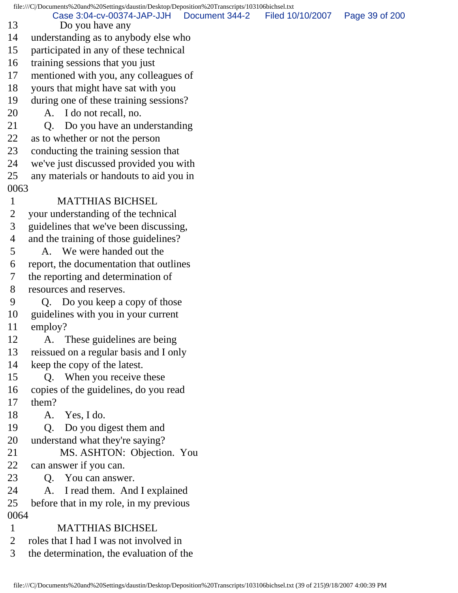file:///C|/Documents%20and%20Settings/daustin/Desktop/Deposition%20Transcripts/103106bichsel.txt 13 Do you have any 14 understanding as to anybody else who 15 participated in any of these technical 16 training sessions that you just 17 mentioned with you, any colleagues of 18 yours that might have sat with you 19 during one of these training sessions? 20 A. I do not recall, no. 21 Q. Do you have an understanding 22 as to whether or not the person 23 conducting the training session that 24 we've just discussed provided you with 25 any materials or handouts to aid you in 0063 1 MATTHIAS BICHSEL 2 your understanding of the technical 3 guidelines that we've been discussing, 4 and the training of those guidelines? 5 A. We were handed out the 6 report, the documentation that outlines 7 the reporting and determination of 8 resources and reserves. 9 Q. Do you keep a copy of those 10 guidelines with you in your current 11 employ? 12 A. These guidelines are being 13 reissued on a regular basis and I only 14 keep the copy of the latest. 15 Q. When you receive these 16 copies of the guidelines, do you read 17 them? 18 A. Yes, I do. 19 Q. Do you digest them and 20 understand what they're saying? 21 MS. ASHTON: Objection. You 22 can answer if you can. 23 Q. You can answer. 24 A. I read them. And I explained 25 before that in my role, in my previous 0064 1 MATTHIAS BICHSEL 2 roles that I had I was not involved in 3 the determination, the evaluation of the Case 3:04-cv-00374-JAP-JJH Document 344-2 Filed 10/10/2007 Page 39 of 200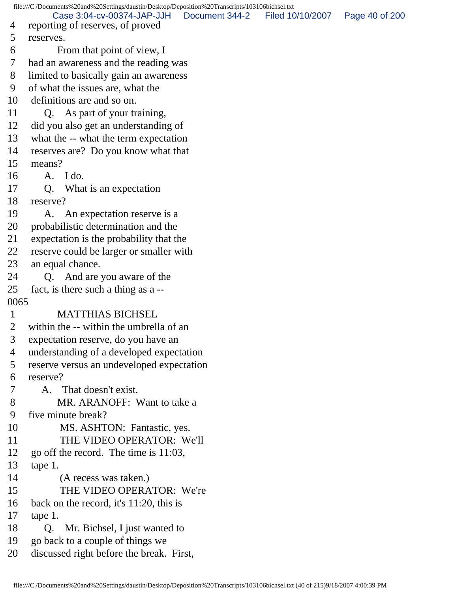file:///C|/Documents%20and%20Settings/daustin/Desktop/Deposition%20Transcripts/103106bichsel.txt 4 reporting of reserves, of proved 5 reserves. 6 From that point of view, I 7 had an awareness and the reading was 8 limited to basically gain an awareness 9 of what the issues are, what the 10 definitions are and so on. 11 Q. As part of your training, 12 did you also get an understanding of 13 what the -- what the term expectation 14 reserves are? Do you know what that 15 means? 16 A. I do. 17 Q. What is an expectation 18 reserve? 19 A. An expectation reserve is a 20 probabilistic determination and the 21 expectation is the probability that the 22 reserve could be larger or smaller with 23 an equal chance. 24 Q. And are you aware of the 25 fact, is there such a thing as a -- 0065 1 MATTHIAS BICHSEL 2 within the -- within the umbrella of an 3 expectation reserve, do you have an 4 understanding of a developed expectation 5 reserve versus an undeveloped expectation 6 reserve? 7 A. That doesn't exist. 8 MR. ARANOFF: Want to take a 9 five minute break? 10 MS. ASHTON: Fantastic, yes. 11 THE VIDEO OPERATOR: We'll 12 go off the record. The time is 11:03, 13 tape 1. 14 (A recess was taken.) 15 THE VIDEO OPERATOR: We're 16 back on the record, it's 11:20, this is 17 tape 1. 18 Q. Mr. Bichsel, I just wanted to 19 go back to a couple of things we 20 discussed right before the break. First, Case 3:04-cv-00374-JAP-JJH Document 344-2 Filed 10/10/2007 Page 40 of 200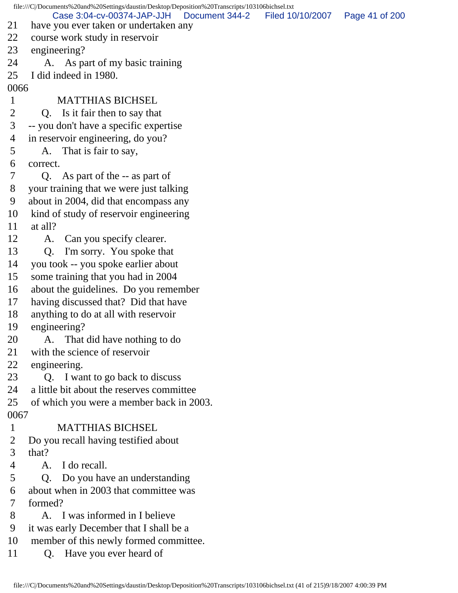file:///C|/Documents%20and%20Settings/daustin/Desktop/Deposition%20Transcripts/103106bichsel.txt 21 have you ever taken or undertaken any 22 course work study in reservoir 23 engineering? 24 A. As part of my basic training 25 I did indeed in 1980. 0066 1 MATTHIAS BICHSEL 2 Q. Is it fair then to say that 3 -- you don't have a specific expertise 4 in reservoir engineering, do you? 5 A. That is fair to say, 6 correct. 7 Q. As part of the -- as part of 8 your training that we were just talking 9 about in 2004, did that encompass any 10 kind of study of reservoir engineering 11 at all? 12 A. Can you specify clearer. 13 Q. I'm sorry. You spoke that 14 you took -- you spoke earlier about 15 some training that you had in 2004 16 about the guidelines. Do you remember 17 having discussed that? Did that have 18 anything to do at all with reservoir 19 engineering? 20 A. That did have nothing to do 21 with the science of reservoir 22 engineering. 23 Q. I want to go back to discuss 24 a little bit about the reserves committee 25 of which you were a member back in 2003. 0067 1 MATTHIAS BICHSEL 2 Do you recall having testified about 3 that? 4 A. I do recall. 5 Q. Do you have an understanding 6 about when in 2003 that committee was 7 formed? 8 A. I was informed in I believe 9 it was early December that I shall be a 10 member of this newly formed committee. 11 Q. Have you ever heard of Case 3:04-cv-00374-JAP-JJH Document 344-2 Filed 10/10/2007 Page 41 of 200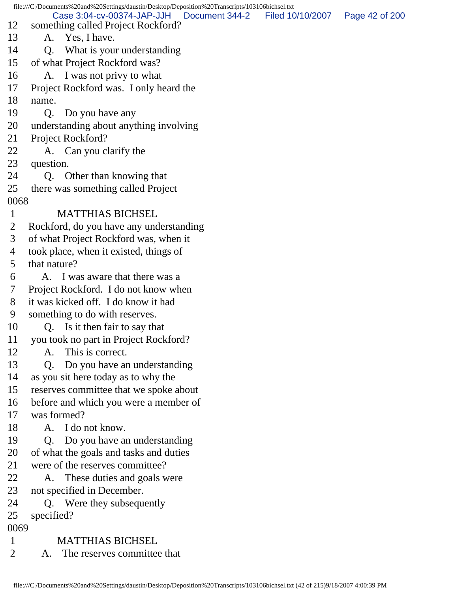|                | file:///C/Documents%20and%20Settings/daustin/Desktop/Deposition%20Transcripts/103106bichsel.txt |                  |                |
|----------------|-------------------------------------------------------------------------------------------------|------------------|----------------|
| 12             | Case 3:04-cv-00374-JAP-JJH<br>Document 344-2<br>something called Project Rockford?              | Filed 10/10/2007 | Page 42 of 200 |
| 13             | A. Yes, I have.                                                                                 |                  |                |
| 14             | What is your understanding<br>Q.                                                                |                  |                |
| 15             | of what Project Rockford was?                                                                   |                  |                |
| 16             | A. I was not privy to what                                                                      |                  |                |
| 17             | Project Rockford was. I only heard the                                                          |                  |                |
| 18             | name.                                                                                           |                  |                |
| 19             | Do you have any<br>Q.                                                                           |                  |                |
| 20             | understanding about anything involving                                                          |                  |                |
| 21             | Project Rockford?                                                                               |                  |                |
| 22             | A. Can you clarify the                                                                          |                  |                |
| 23             | question.                                                                                       |                  |                |
| 24             | Q. Other than knowing that                                                                      |                  |                |
| 25             | there was something called Project                                                              |                  |                |
| 0068           |                                                                                                 |                  |                |
| $\mathbf{1}$   | <b>MATTHIAS BICHSEL</b>                                                                         |                  |                |
| 2              | Rockford, do you have any understanding                                                         |                  |                |
| 3              | of what Project Rockford was, when it                                                           |                  |                |
| 4              | took place, when it existed, things of                                                          |                  |                |
| 5              | that nature?                                                                                    |                  |                |
| 6              | A. I was aware that there was a                                                                 |                  |                |
| 7              | Project Rockford. I do not know when                                                            |                  |                |
| 8              | it was kicked off. I do know it had                                                             |                  |                |
| 9              | something to do with reserves.                                                                  |                  |                |
| 10             | Is it then fair to say that<br>O.                                                               |                  |                |
| 11             | you took no part in Project Rockford?                                                           |                  |                |
| 12             | This is correct.<br>A.                                                                          |                  |                |
| 13             | Do you have an understanding<br>Q.                                                              |                  |                |
| 14             | as you sit here today as to why the                                                             |                  |                |
| 15             | reserves committee that we spoke about                                                          |                  |                |
| 16             | before and which you were a member of                                                           |                  |                |
| 17             | was formed?                                                                                     |                  |                |
| 18             | A. I do not know.                                                                               |                  |                |
| 19             | Do you have an understanding<br>Q.                                                              |                  |                |
| 20             | of what the goals and tasks and duties                                                          |                  |                |
| 21             | were of the reserves committee?                                                                 |                  |                |
| 22             | These duties and goals were<br>A.                                                               |                  |                |
| 23             | not specified in December.                                                                      |                  |                |
| 24             | Q. Were they subsequently                                                                       |                  |                |
| 25             | specified?                                                                                      |                  |                |
| 0069           |                                                                                                 |                  |                |
| $\mathbf{1}$   | <b>MATTHIAS BICHSEL</b>                                                                         |                  |                |
| $\overline{2}$ | The reserves committee that<br>A.                                                               |                  |                |
|                |                                                                                                 |                  |                |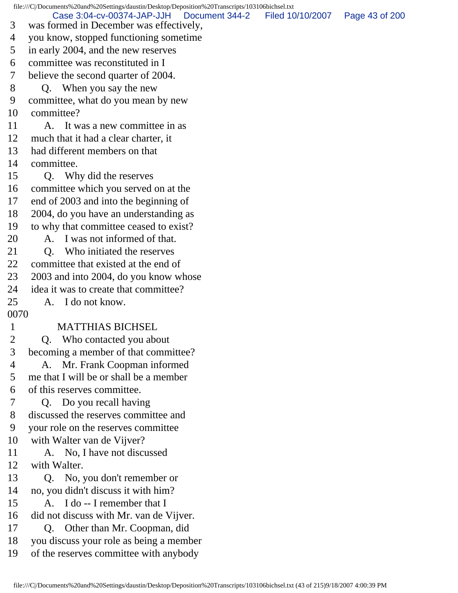file:///C|/Documents%20and%20Settings/daustin/Desktop/Deposition%20Transcripts/103106bichsel.txt 3 was formed in December was effectively, 4 you know, stopped functioning sometime 5 in early 2004, and the new reserves 6 committee was reconstituted in I 7 believe the second quarter of 2004. 8 Q. When you say the new 9 committee, what do you mean by new 10 committee? 11 A. It was a new committee in as 12 much that it had a clear charter, it 13 had different members on that 14 committee. 15 Q. Why did the reserves 16 committee which you served on at the 17 end of 2003 and into the beginning of 18 2004, do you have an understanding as 19 to why that committee ceased to exist? 20 A. I was not informed of that. 21 O. Who initiated the reserves 22 committee that existed at the end of 23 2003 and into 2004, do you know whose 24 idea it was to create that committee? 25 A. I do not know. 0070 1 MATTHIAS BICHSEL 2 Q. Who contacted you about 3 becoming a member of that committee? 4 A. Mr. Frank Coopman informed 5 me that I will be or shall be a member 6 of this reserves committee. 7 Q. Do you recall having 8 discussed the reserves committee and 9 your role on the reserves committee 10 with Walter van de Vijver? 11 A. No, I have not discussed 12 with Walter. 13 Q. No, you don't remember or 14 no, you didn't discuss it with him? 15 A. I do -- I remember that I 16 did not discuss with Mr. van de Vijver. 17 Q. Other than Mr. Coopman, did 18 you discuss your role as being a member 19 of the reserves committee with anybody Case 3:04-cv-00374-JAP-JJH Document 344-2 Filed 10/10/2007 Page 43 of 200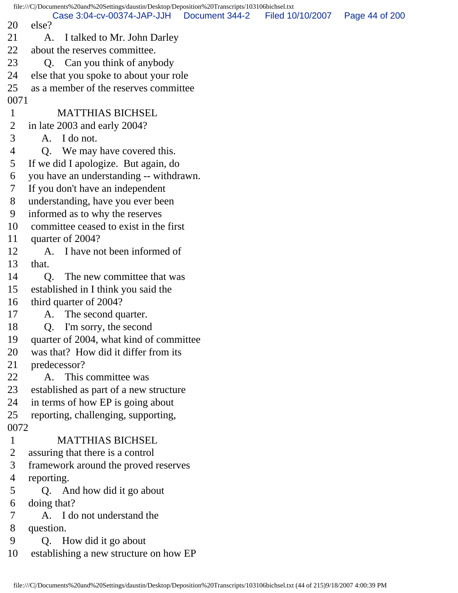|                | file:///C /Documents%20and%20Settings/daustin/Desktop/Deposition%20Transcripts/103106bichsel.txt |                |                  |                |
|----------------|--------------------------------------------------------------------------------------------------|----------------|------------------|----------------|
| 20             | Case 3:04-cv-00374-JAP-JJH<br>else?                                                              | Document 344-2 | Filed 10/10/2007 | Page 44 of 200 |
| 21             | I talked to Mr. John Darley<br>A.                                                                |                |                  |                |
| 22             | about the reserves committee.                                                                    |                |                  |                |
| 23             | Q. Can you think of anybody                                                                      |                |                  |                |
| 24             | else that you spoke to about your role                                                           |                |                  |                |
| 25             | as a member of the reserves committee                                                            |                |                  |                |
| 0071           |                                                                                                  |                |                  |                |
| $\mathbf{1}$   | <b>MATTHIAS BICHSEL</b>                                                                          |                |                  |                |
| $\overline{2}$ | in late 2003 and early 2004?                                                                     |                |                  |                |
| 3              | I do not.<br>A.                                                                                  |                |                  |                |
| 4              | Q. We may have covered this.                                                                     |                |                  |                |
| 5              | If we did I apologize. But again, do                                                             |                |                  |                |
| 6              | you have an understanding -- withdrawn.                                                          |                |                  |                |
| 7              | If you don't have an independent                                                                 |                |                  |                |
| 8              | understanding, have you ever been                                                                |                |                  |                |
| 9              | informed as to why the reserves                                                                  |                |                  |                |
| 10             | committee ceased to exist in the first                                                           |                |                  |                |
| 11             | quarter of 2004?                                                                                 |                |                  |                |
| 12             | I have not been informed of<br>A.                                                                |                |                  |                |
| 13             | that.                                                                                            |                |                  |                |
| 14             | The new committee that was<br>Q.                                                                 |                |                  |                |
| 15             | established in I think you said the                                                              |                |                  |                |
| 16             | third quarter of 2004?                                                                           |                |                  |                |
| 17             | A. The second quarter.                                                                           |                |                  |                |
| 18             | I'm sorry, the second<br>Q.                                                                      |                |                  |                |
| 19             | quarter of 2004, what kind of committee                                                          |                |                  |                |
| 20             | was that? How did it differ from its                                                             |                |                  |                |
| 21             | predecessor?                                                                                     |                |                  |                |
| 22             | A. This committee was                                                                            |                |                  |                |
| 23             | established as part of a new structure                                                           |                |                  |                |
| 24             | in terms of how EP is going about                                                                |                |                  |                |
| 25             | reporting, challenging, supporting,                                                              |                |                  |                |
| 0072           |                                                                                                  |                |                  |                |
| $\mathbf{1}$   | <b>MATTHIAS BICHSEL</b>                                                                          |                |                  |                |
| $\overline{2}$ | assuring that there is a control                                                                 |                |                  |                |
| 3              | framework around the proved reserves                                                             |                |                  |                |
| 4              | reporting.                                                                                       |                |                  |                |
| 5              | Q. And how did it go about                                                                       |                |                  |                |
| 6              | doing that?                                                                                      |                |                  |                |
| 7              | A. I do not understand the                                                                       |                |                  |                |
| 8              | question.                                                                                        |                |                  |                |
| 9              | Q. How did it go about                                                                           |                |                  |                |
| 10             | establishing a new structure on how EP                                                           |                |                  |                |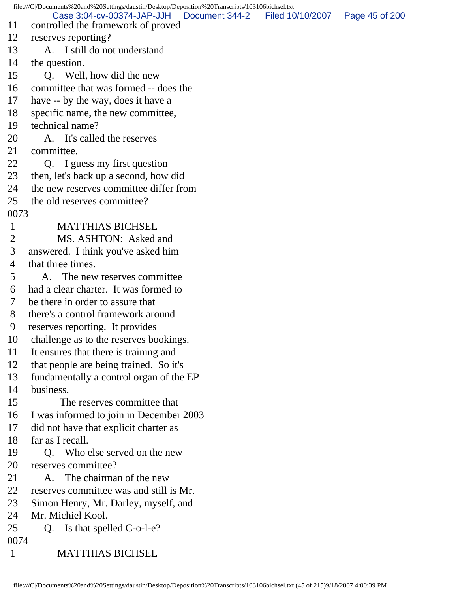file:///C|/Documents%20and%20Settings/daustin/Desktop/Deposition%20Transcripts/103106bichsel.txt 11 controlled the framework of proved 12 reserves reporting? 13 A. I still do not understand 14 the question. 15 O. Well, how did the new 16 committee that was formed -- does the 17 have -- by the way, does it have a 18 specific name, the new committee, 19 technical name? 20 A. It's called the reserves 21 committee. 22 Q. I guess my first question 23 then, let's back up a second, how did 24 the new reserves committee differ from 25 the old reserves committee? 0073 1 MATTHIAS BICHSEL 2 MS. ASHTON: Asked and 3 answered. I think you've asked him 4 that three times. 5 A. The new reserves committee 6 had a clear charter. It was formed to 7 be there in order to assure that 8 there's a control framework around 9 reserves reporting. It provides 10 challenge as to the reserves bookings. 11 It ensures that there is training and 12 that people are being trained. So it's 13 fundamentally a control organ of the EP 14 business. 15 The reserves committee that 16 I was informed to join in December 2003 17 did not have that explicit charter as 18 far as I recall. 19 Q. Who else served on the new 20 reserves committee? 21 A. The chairman of the new 22 reserves committee was and still is Mr. 23 Simon Henry, Mr. Darley, myself, and 24 Mr. Michiel Kool. 25 Q. Is that spelled C-o-l-e? 0074 1 MATTHIAS BICHSEL Case 3:04-cv-00374-JAP-JJH Document 344-2 Filed 10/10/2007 Page 45 of 200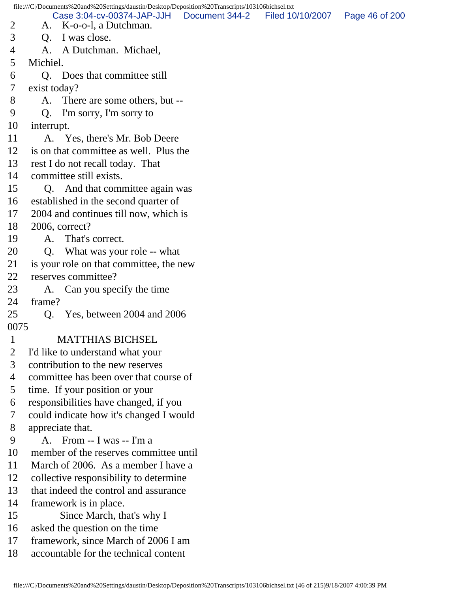|                | file:///C /Documents%20and%20Settings/daustin/Desktop/Deposition%20Transcripts/103106bichsel.txt |                                                    |                |                  |                |  |
|----------------|--------------------------------------------------------------------------------------------------|----------------------------------------------------|----------------|------------------|----------------|--|
| $\overline{2}$ | A.                                                                                               | Case 3:04-cv-00374-JAP-JJH<br>K-o-o-l, a Dutchman. | Document 344-2 | Filed 10/10/2007 | Page 46 of 200 |  |
| 3              | Q.                                                                                               | I was close.                                       |                |                  |                |  |
| 4              |                                                                                                  | A. A Dutchman. Michael,                            |                |                  |                |  |
| 5              | Michiel.                                                                                         |                                                    |                |                  |                |  |
| 6              |                                                                                                  | Q. Does that committee still                       |                |                  |                |  |
| 7              | exist today?                                                                                     |                                                    |                |                  |                |  |
| 8              |                                                                                                  | A. There are some others, but --                   |                |                  |                |  |
| 9              | Q.                                                                                               | I'm sorry, I'm sorry to                            |                |                  |                |  |
| 10             | interrupt.                                                                                       |                                                    |                |                  |                |  |
| 11             |                                                                                                  | A. Yes, there's Mr. Bob Deere                      |                |                  |                |  |
| 12             |                                                                                                  | is on that committee as well. Plus the             |                |                  |                |  |
| 13             |                                                                                                  | rest I do not recall today. That                   |                |                  |                |  |
| 14             |                                                                                                  | committee still exists.                            |                |                  |                |  |
| 15             |                                                                                                  | Q. And that committee again was                    |                |                  |                |  |
| 16             |                                                                                                  | established in the second quarter of               |                |                  |                |  |
| 17             |                                                                                                  | 2004 and continues till now, which is              |                |                  |                |  |
| 18             |                                                                                                  | 2006, correct?                                     |                |                  |                |  |
| 19             | A.                                                                                               | That's correct.                                    |                |                  |                |  |
| 20             | Q.                                                                                               | What was your role -- what                         |                |                  |                |  |
| 21             |                                                                                                  | is your role on that committee, the new            |                |                  |                |  |
| 22             |                                                                                                  | reserves committee?                                |                |                  |                |  |
| 23             | A.                                                                                               | Can you specify the time                           |                |                  |                |  |
| 24             | frame?                                                                                           |                                                    |                |                  |                |  |
| 25             |                                                                                                  | Q. Yes, between 2004 and 2006                      |                |                  |                |  |
| 0075           |                                                                                                  |                                                    |                |                  |                |  |
| $\mathbf{1}$   |                                                                                                  | <b>MATTHIAS BICHSEL</b>                            |                |                  |                |  |
| $\overline{2}$ |                                                                                                  | I'd like to understand what your                   |                |                  |                |  |
| 3              |                                                                                                  | contribution to the new reserves                   |                |                  |                |  |
| $\overline{4}$ |                                                                                                  | committee has been over that course of             |                |                  |                |  |
| 5              |                                                                                                  | time. If your position or your                     |                |                  |                |  |
| 6              |                                                                                                  | responsibilities have changed, if you              |                |                  |                |  |
| 7              |                                                                                                  | could indicate how it's changed I would            |                |                  |                |  |
| 8              |                                                                                                  | appreciate that.                                   |                |                  |                |  |
| 9              |                                                                                                  | A. From -- I was -- I'm a                          |                |                  |                |  |
| 10             |                                                                                                  | member of the reserves committee until             |                |                  |                |  |
| 11             |                                                                                                  | March of 2006. As a member I have a                |                |                  |                |  |
| 12             |                                                                                                  | collective responsibility to determine             |                |                  |                |  |
| 13             |                                                                                                  | that indeed the control and assurance              |                |                  |                |  |
| 14             |                                                                                                  | framework is in place.                             |                |                  |                |  |
| 15             |                                                                                                  | Since March, that's why I                          |                |                  |                |  |
| 16             |                                                                                                  | asked the question on the time                     |                |                  |                |  |
| 17             |                                                                                                  | framework, since March of 2006 I am                |                |                  |                |  |
| 18             |                                                                                                  | accountable for the technical content              |                |                  |                |  |
|                |                                                                                                  |                                                    |                |                  |                |  |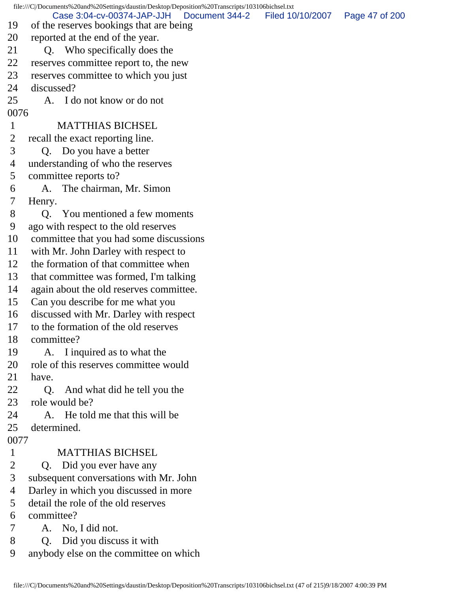file:///C|/Documents%20and%20Settings/daustin/Desktop/Deposition%20Transcripts/103106bichsel.txt 19 of the reserves bookings that are being 20 reported at the end of the year. 21 Q. Who specifically does the 22 reserves committee report to, the new 23 reserves committee to which you just 24 discussed? 25 A. I do not know or do not 0076 1 MATTHIAS BICHSEL 2 recall the exact reporting line. 3 Q. Do you have a better 4 understanding of who the reserves 5 committee reports to? 6 A. The chairman, Mr. Simon 7 Henry. 8 Q. You mentioned a few moments 9 ago with respect to the old reserves 10 committee that you had some discussions 11 with Mr. John Darley with respect to 12 the formation of that committee when 13 that committee was formed, I'm talking 14 again about the old reserves committee. 15 Can you describe for me what you 16 discussed with Mr. Darley with respect 17 to the formation of the old reserves 18 committee? 19 A. I inquired as to what the 20 role of this reserves committee would 21 have. 22 Q. And what did he tell you the 23 role would be? 24 A. He told me that this will be 25 determined. 0077 1 MATTHIAS BICHSEL 2 Q. Did you ever have any 3 subsequent conversations with Mr. John 4 Darley in which you discussed in more 5 detail the role of the old reserves 6 committee? 7 A. No, I did not. 8 Q. Did you discuss it with 9 anybody else on the committee on which Case 3:04-cv-00374-JAP-JJH Document 344-2 Filed 10/10/2007 Page 47 of 200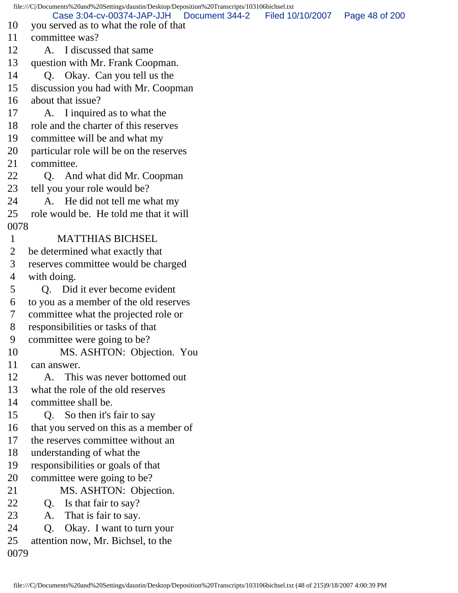file:///C|/Documents%20and%20Settings/daustin/Desktop/Deposition%20Transcripts/103106bichsel.txt 10 you served as to what the role of that 11 committee was? 12 A. I discussed that same 13 question with Mr. Frank Coopman. 14 Q. Okay. Can you tell us the 15 discussion you had with Mr. Coopman 16 about that issue? 17 A. I inquired as to what the 18 role and the charter of this reserves 19 committee will be and what my 20 particular role will be on the reserves 21 committee. 22 Q. And what did Mr. Coopman 23 tell you your role would be? 24 A. He did not tell me what my 25 role would be. He told me that it will 0078 1 MATTHIAS BICHSEL 2 be determined what exactly that 3 reserves committee would be charged 4 with doing. 5 Q. Did it ever become evident 6 to you as a member of the old reserves 7 committee what the projected role or 8 responsibilities or tasks of that 9 committee were going to be? 10 MS. ASHTON: Objection. You 11 can answer. 12 A. This was never bottomed out 13 what the role of the old reserves 14 committee shall be. 15 Q. So then it's fair to say 16 that you served on this as a member of 17 the reserves committee without an 18 understanding of what the 19 responsibilities or goals of that 20 committee were going to be? 21 MS. ASHTON: Objection. 22 Q. Is that fair to say? 23 A. That is fair to say. 24 Q. Okay. I want to turn your 25 attention now, Mr. Bichsel, to the 0079 Case 3:04-cv-00374-JAP-JJH Document 344-2 Filed 10/10/2007 Page 48 of 200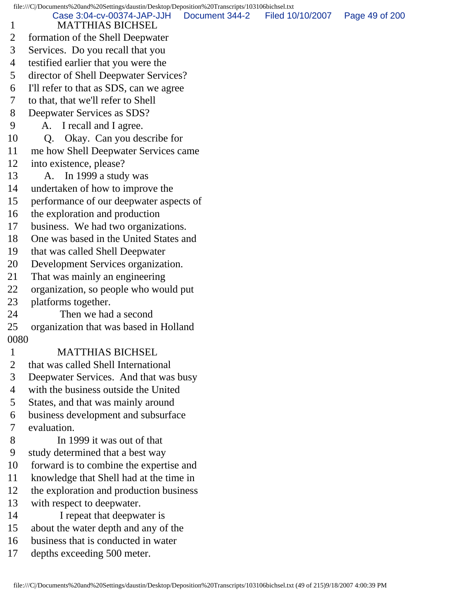|                | file:///C /Documents%20and%20Settings/daustin/Desktop/Deposition%20Transcripts/103106bichsel.txt |                |                  |                |
|----------------|--------------------------------------------------------------------------------------------------|----------------|------------------|----------------|
| $\mathbf{1}$   | Case 3:04-cv-00374-JAP-JJH<br><b>MATTHIAS BICHSEL</b>                                            | Document 344-2 | Filed 10/10/2007 | Page 49 of 200 |
| $\overline{2}$ | formation of the Shell Deepwater                                                                 |                |                  |                |
| 3              | Services. Do you recall that you                                                                 |                |                  |                |
| 4              | testified earlier that you were the                                                              |                |                  |                |
| 5              | director of Shell Deepwater Services?                                                            |                |                  |                |
| 6              | I'll refer to that as SDS, can we agree                                                          |                |                  |                |
| 7              | to that, that we'll refer to Shell                                                               |                |                  |                |
| 8              | Deepwater Services as SDS?                                                                       |                |                  |                |
| 9              | I recall and I agree.<br>A.                                                                      |                |                  |                |
| 10             | Okay. Can you describe for<br>Q.                                                                 |                |                  |                |
| 11             | me how Shell Deepwater Services came                                                             |                |                  |                |
| 12             | into existence, please?                                                                          |                |                  |                |
| 13             | A. In 1999 a study was                                                                           |                |                  |                |
| 14             | undertaken of how to improve the                                                                 |                |                  |                |
| 15             | performance of our deepwater aspects of                                                          |                |                  |                |
| 16             | the exploration and production                                                                   |                |                  |                |
| 17             | business. We had two organizations.                                                              |                |                  |                |
| 18             | One was based in the United States and                                                           |                |                  |                |
| 19             | that was called Shell Deepwater                                                                  |                |                  |                |
| 20             | Development Services organization.                                                               |                |                  |                |
| 21             | That was mainly an engineering                                                                   |                |                  |                |
| 22             | organization, so people who would put                                                            |                |                  |                |
| 23             | platforms together.                                                                              |                |                  |                |
| 24             | Then we had a second                                                                             |                |                  |                |
| 25             | organization that was based in Holland                                                           |                |                  |                |
| 0080           |                                                                                                  |                |                  |                |
| $\mathbf{1}$   | <b>MATTHIAS BICHSEL</b>                                                                          |                |                  |                |
| $\overline{2}$ | that was called Shell International                                                              |                |                  |                |
| 3              | Deepwater Services. And that was busy                                                            |                |                  |                |
| $\overline{4}$ | with the business outside the United                                                             |                |                  |                |
| 5              | States, and that was mainly around                                                               |                |                  |                |
| 6              | business development and subsurface                                                              |                |                  |                |
| 7              | evaluation.                                                                                      |                |                  |                |
| 8              | In 1999 it was out of that                                                                       |                |                  |                |
| 9              | study determined that a best way                                                                 |                |                  |                |
| 10             | forward is to combine the expertise and                                                          |                |                  |                |
| 11             | knowledge that Shell had at the time in                                                          |                |                  |                |
| 12             | the exploration and production business                                                          |                |                  |                |
| 13             | with respect to deepwater.                                                                       |                |                  |                |
| 14             | I repeat that deepwater is                                                                       |                |                  |                |
| 15             | about the water depth and any of the                                                             |                |                  |                |
| 16             | business that is conducted in water                                                              |                |                  |                |
| 17             | depths exceeding 500 meter.                                                                      |                |                  |                |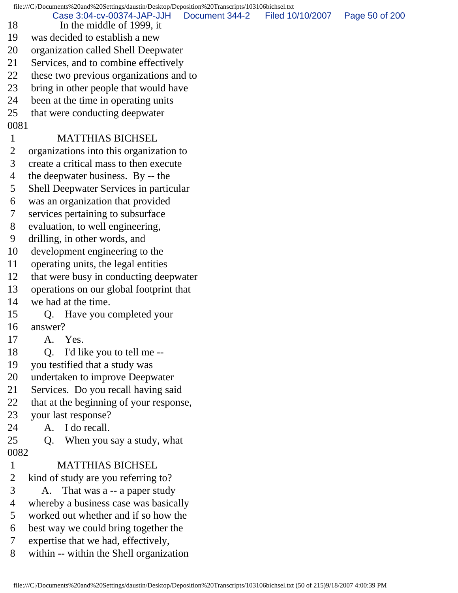file:///C|/Documents%20and%20Settings/daustin/Desktop/Deposition%20Transcripts/103106bichsel.txt 18 In the middle of 1999, it 19 was decided to establish a new 20 organization called Shell Deepwater 21 Services, and to combine effectively 22 these two previous organizations and to 23 bring in other people that would have 24 been at the time in operating units 25 that were conducting deepwater 0081 1 MATTHIAS BICHSEL 2 organizations into this organization to 3 create a critical mass to then execute 4 the deepwater business. By -- the 5 Shell Deepwater Services in particular 6 was an organization that provided 7 services pertaining to subsurface 8 evaluation, to well engineering, 9 drilling, in other words, and 10 development engineering to the 11 operating units, the legal entities 12 that were busy in conducting deepwater 13 operations on our global footprint that 14 we had at the time. 15 Q. Have you completed your 16 answer? 17 A. Yes. 18 Q. I'd like you to tell me -- 19 you testified that a study was 20 undertaken to improve Deepwater 21 Services. Do you recall having said 22 that at the beginning of your response, 23 your last response? 24 A. I do recall. 25 Q. When you say a study, what 0082 1 MATTHIAS BICHSEL 2 kind of study are you referring to? 3 A. That was a -- a paper study 4 whereby a business case was basically 5 worked out whether and if so how the 6 best way we could bring together the 7 expertise that we had, effectively, 8 within -- within the Shell organization Case 3:04-cv-00374-JAP-JJH Document 344-2 Filed 10/10/2007 Page 50 of 200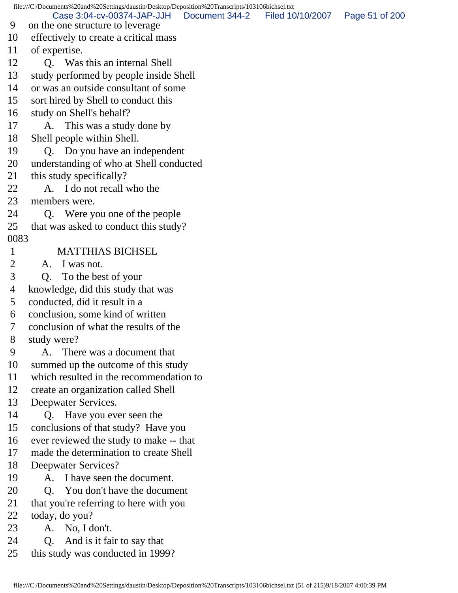file:///C|/Documents%20and%20Settings/daustin/Desktop/Deposition%20Transcripts/103106bichsel.txt 9 on the one structure to leverage 10 effectively to create a critical mass 11 of expertise. 12 Q. Was this an internal Shell 13 study performed by people inside Shell 14 or was an outside consultant of some 15 sort hired by Shell to conduct this 16 study on Shell's behalf? 17 A. This was a study done by 18 Shell people within Shell. 19 Q. Do you have an independent 20 understanding of who at Shell conducted 21 this study specifically? 22 A. I do not recall who the 23 members were. 24 Q. Were you one of the people 25 that was asked to conduct this study? 0083 1 MATTHIAS BICHSEL 2 A. I was not. 3 Q. To the best of your 4 knowledge, did this study that was 5 conducted, did it result in a 6 conclusion, some kind of written 7 conclusion of what the results of the 8 study were? 9 A. There was a document that 10 summed up the outcome of this study 11 which resulted in the recommendation to 12 create an organization called Shell 13 Deepwater Services. 14 Q. Have you ever seen the 15 conclusions of that study? Have you 16 ever reviewed the study to make -- that 17 made the determination to create Shell 18 Deepwater Services? 19 A. I have seen the document. 20 Q. You don't have the document 21 that you're referring to here with you 22 today, do you? 23 A. No, I don't. 24 Q. And is it fair to say that 25 this study was conducted in 1999? Case 3:04-cv-00374-JAP-JJH Document 344-2 Filed 10/10/2007 Page 51 of 200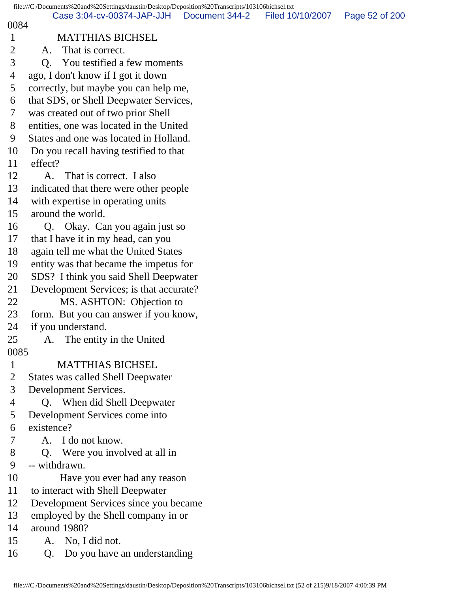|                | file:///C /Documents%20and%20Settings/daustin/Desktop/Deposition%20Transcripts/103106bichsel.txt |                |                  |                |
|----------------|--------------------------------------------------------------------------------------------------|----------------|------------------|----------------|
| 0084           | Case 3:04-cv-00374-JAP-JJH                                                                       | Document 344-2 | Filed 10/10/2007 | Page 52 of 200 |
| $\mathbf{1}$   | <b>MATTHIAS BICHSEL</b>                                                                          |                |                  |                |
| $\overline{2}$ | That is correct.<br>A.                                                                           |                |                  |                |
| 3              | You testified a few moments<br>Q.                                                                |                |                  |                |
| 4              | ago, I don't know if I got it down                                                               |                |                  |                |
| 5              | correctly, but maybe you can help me,                                                            |                |                  |                |
| 6              | that SDS, or Shell Deepwater Services,                                                           |                |                  |                |
| 7              | was created out of two prior Shell                                                               |                |                  |                |
| 8              | entities, one was located in the United                                                          |                |                  |                |
| 9              | States and one was located in Holland.                                                           |                |                  |                |
| 10             | Do you recall having testified to that                                                           |                |                  |                |
| 11             | effect?                                                                                          |                |                  |                |
| 12             | That is correct. I also<br>A.                                                                    |                |                  |                |
| 13             | indicated that there were other people                                                           |                |                  |                |
| 14             | with expertise in operating units                                                                |                |                  |                |
| 15             | around the world.                                                                                |                |                  |                |
| 16             | Q. Okay. Can you again just so                                                                   |                |                  |                |
| 17             | that I have it in my head, can you                                                               |                |                  |                |
| 18             | again tell me what the United States                                                             |                |                  |                |
| 19             | entity was that became the impetus for                                                           |                |                  |                |
| 20             | SDS? I think you said Shell Deepwater                                                            |                |                  |                |
| 21             | Development Services; is that accurate?                                                          |                |                  |                |
| 22             | MS. ASHTON: Objection to                                                                         |                |                  |                |
| 23             | form. But you can answer if you know,                                                            |                |                  |                |
| 24             | if you understand.                                                                               |                |                  |                |
| 25             | The entity in the United<br>A.                                                                   |                |                  |                |
| 0085           |                                                                                                  |                |                  |                |
| $\mathbf{1}$   | <b>MATTHIAS BICHSEL</b>                                                                          |                |                  |                |
| $\overline{2}$ | <b>States was called Shell Deepwater</b>                                                         |                |                  |                |
| 3              | Development Services.                                                                            |                |                  |                |
| 4              | Q. When did Shell Deepwater                                                                      |                |                  |                |
| 5              | Development Services come into                                                                   |                |                  |                |
| 6              | existence?                                                                                       |                |                  |                |
| 7              | A. I do not know.                                                                                |                |                  |                |
| 8              | Q. Were you involved at all in                                                                   |                |                  |                |
| 9              | -- withdrawn.                                                                                    |                |                  |                |
| 10             | Have you ever had any reason                                                                     |                |                  |                |
| 11             | to interact with Shell Deepwater                                                                 |                |                  |                |
| 12             | Development Services since you became                                                            |                |                  |                |
| 13             | employed by the Shell company in or                                                              |                |                  |                |
| 14             | around 1980?                                                                                     |                |                  |                |
| 15             | A. No, I did not.                                                                                |                |                  |                |
| 16             | Do you have an understanding<br>Q.                                                               |                |                  |                |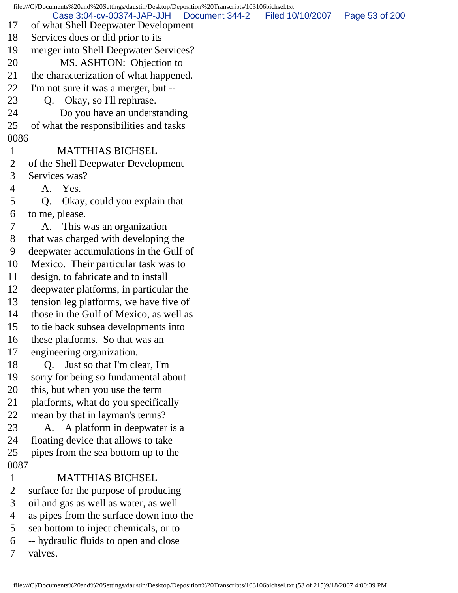file:///C|/Documents%20and%20Settings/daustin/Desktop/Deposition%20Transcripts/103106bichsel.txt 17 of what Shell Deepwater Development 18 Services does or did prior to its 19 merger into Shell Deepwater Services? 20 MS. ASHTON: Objection to 21 the characterization of what happened. 22 I'm not sure it was a merger, but -- 23 Q. Okay, so I'll rephrase. 24 Do you have an understanding 25 of what the responsibilities and tasks 0086 1 MATTHIAS BICHSEL 2 of the Shell Deepwater Development 3 Services was? 4 A. Yes. 5 Q. Okay, could you explain that 6 to me, please. 7 A. This was an organization 8 that was charged with developing the 9 deepwater accumulations in the Gulf of 10 Mexico. Their particular task was to 11 design, to fabricate and to install 12 deepwater platforms, in particular the 13 tension leg platforms, we have five of 14 those in the Gulf of Mexico, as well as 15 to tie back subsea developments into 16 these platforms. So that was an 17 engineering organization. 18 O. Just so that I'm clear, I'm 19 sorry for being so fundamental about 20 this, but when you use the term 21 platforms, what do you specifically 22 mean by that in layman's terms? 23 A. A platform in deepwater is a 24 floating device that allows to take 25 pipes from the sea bottom up to the 0087 1 MATTHIAS BICHSEL 2 surface for the purpose of producing 3 oil and gas as well as water, as well 4 as pipes from the surface down into the 5 sea bottom to inject chemicals, or to 6 -- hydraulic fluids to open and close 7 valves. Case 3:04-cv-00374-JAP-JJH Document 344-2 Filed 10/10/2007 Page 53 of 200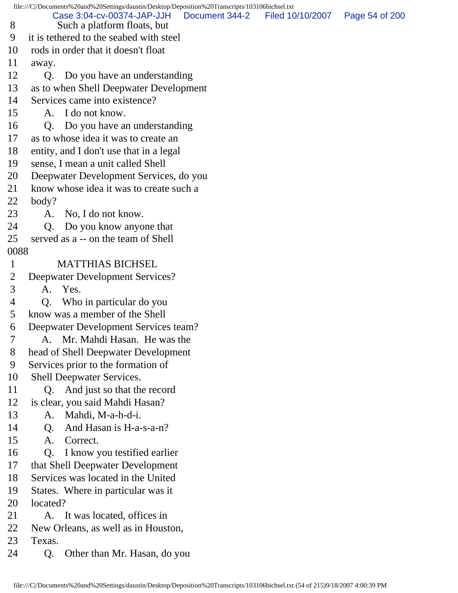file:///C|/Documents%20and%20Settings/daustin/Desktop/Deposition%20Transcripts/103106bichsel.txt 8 Such a platform floats, but 9 it is tethered to the seabed with steel 10 rods in order that it doesn't float 11 away. 12 Q. Do you have an understanding 13 as to when Shell Deepwater Development 14 Services came into existence? 15 A. I do not know. 16 Q. Do you have an understanding 17 as to whose idea it was to create an 18 entity, and I don't use that in a legal 19 sense, I mean a unit called Shell 20 Deepwater Development Services, do you 21 know whose idea it was to create such a 22 body? 23 A. No, I do not know. 24 Q. Do you know anyone that 25 served as a -- on the team of Shell 0088 1 MATTHIAS BICHSEL 2 Deepwater Development Services? 3 A. Yes. 4 Q. Who in particular do you 5 know was a member of the Shell 6 Deepwater Development Services team? 7 A. Mr. Mahdi Hasan. He was the 8 head of Shell Deepwater Development 9 Services prior to the formation of 10 Shell Deepwater Services. 11 Q. And just so that the record 12 is clear, you said Mahdi Hasan? 13 A. Mahdi, M-a-h-d-i. 14 Q. And Hasan is H-a-s-a-n? 15 A. Correct. 16 Q. I know you testified earlier 17 that Shell Deepwater Development 18 Services was located in the United 19 States. Where in particular was it 20 located? 21 A. It was located, offices in 22 New Orleans, as well as in Houston, 23 Texas. 24 Q. Other than Mr. Hasan, do you Case 3:04-cv-00374-JAP-JJH Document 344-2 Filed 10/10/2007 Page 54 of 200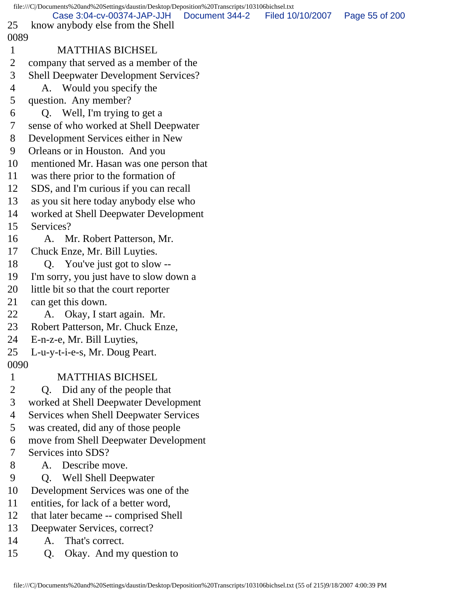|              | file:///C /Documents%20and%20Settings/daustin/Desktop/Deposition%20Transcripts/103106bichsel.txt |                |                  |                |
|--------------|--------------------------------------------------------------------------------------------------|----------------|------------------|----------------|
| 25           | Case 3:04-cv-00374-JAP-JJH                                                                       | Document 344-2 | Filed 10/10/2007 | Page 55 of 200 |
| 0089         | know anybody else from the Shell                                                                 |                |                  |                |
| $\mathbf{1}$ | <b>MATTHIAS BICHSEL</b>                                                                          |                |                  |                |
|              |                                                                                                  |                |                  |                |
| 2            | company that served as a member of the                                                           |                |                  |                |
| 3            | <b>Shell Deepwater Development Services?</b>                                                     |                |                  |                |
| 4            | A. Would you specify the                                                                         |                |                  |                |
| 5            | question. Any member?                                                                            |                |                  |                |
| 6            | Q. Well, I'm trying to get a                                                                     |                |                  |                |
| 7            | sense of who worked at Shell Deepwater                                                           |                |                  |                |
| 8            | Development Services either in New                                                               |                |                  |                |
| 9            | Orleans or in Houston. And you                                                                   |                |                  |                |
| 10           | mentioned Mr. Hasan was one person that                                                          |                |                  |                |
| 11           | was there prior to the formation of                                                              |                |                  |                |
| 12           | SDS, and I'm curious if you can recall                                                           |                |                  |                |
| 13           | as you sit here today anybody else who                                                           |                |                  |                |
| 14           | worked at Shell Deepwater Development                                                            |                |                  |                |
| 15           | Services?                                                                                        |                |                  |                |
| 16           | A. Mr. Robert Patterson, Mr.                                                                     |                |                  |                |
| 17           | Chuck Enze, Mr. Bill Luyties.                                                                    |                |                  |                |
| 18           | Q. You've just got to slow --                                                                    |                |                  |                |
| 19           | I'm sorry, you just have to slow down a                                                          |                |                  |                |
| 20           | little bit so that the court reporter                                                            |                |                  |                |
| 21           | can get this down.                                                                               |                |                  |                |
| 22           | A. Okay, I start again. Mr.                                                                      |                |                  |                |
| 23           | Robert Patterson, Mr. Chuck Enze,                                                                |                |                  |                |
| 24           | E-n-z-e, Mr. Bill Luyties,                                                                       |                |                  |                |
| 25           | L-u-y-t-i-e-s, Mr. Doug Peart.                                                                   |                |                  |                |
| 0090         |                                                                                                  |                |                  |                |
| $\mathbf{1}$ | <b>MATTHIAS BICHSEL</b>                                                                          |                |                  |                |
| 2            | Q. Did any of the people that                                                                    |                |                  |                |
| 3            | worked at Shell Deepwater Development                                                            |                |                  |                |
| 4            | <b>Services when Shell Deepwater Services</b>                                                    |                |                  |                |
| 5            | was created, did any of those people                                                             |                |                  |                |
| 6            | move from Shell Deepwater Development                                                            |                |                  |                |
| 7            | Services into SDS?                                                                               |                |                  |                |
| 8            | Describe move.<br>A.                                                                             |                |                  |                |
| 9            | Q. Well Shell Deepwater                                                                          |                |                  |                |
| 10           | Development Services was one of the                                                              |                |                  |                |
| 11           | entities, for lack of a better word,                                                             |                |                  |                |
| 12           | that later became -- comprised Shell                                                             |                |                  |                |
| 13           | Deepwater Services, correct?                                                                     |                |                  |                |
| 14           | That's correct.<br>А.                                                                            |                |                  |                |

15 Q. Okay. And my question to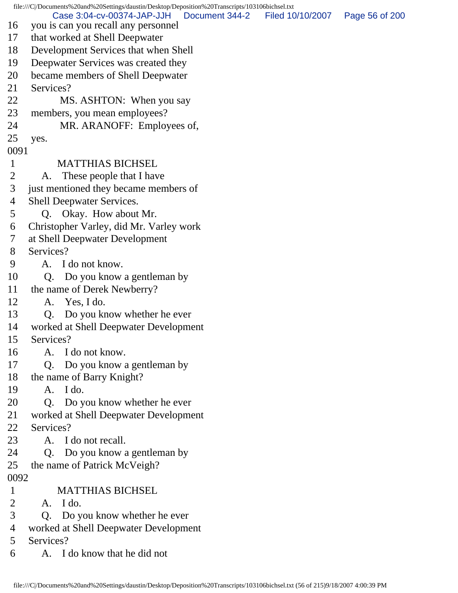file:///C|/Documents%20and%20Settings/daustin/Desktop/Deposition%20Transcripts/103106bichsel.txt 16 you is can you recall any personnel 17 that worked at Shell Deepwater 18 Development Services that when Shell 19 Deepwater Services was created they 20 became members of Shell Deepwater 21 Services? 22 MS. ASHTON: When you say 23 members, you mean employees? 24 MR. ARANOFF: Employees of, 25 yes. 0091 1 MATTHIAS BICHSEL 2 A. These people that I have 3 just mentioned they became members of 4 Shell Deepwater Services. 5 Q. Okay. How about Mr. 6 Christopher Varley, did Mr. Varley work 7 at Shell Deepwater Development 8 Services? 9 A. I do not know. 10 Q. Do you know a gentleman by 11 the name of Derek Newberry? 12 A. Yes, I do. 13 Q. Do you know whether he ever 14 worked at Shell Deepwater Development 15 Services? 16 A. I do not know. 17 Q. Do you know a gentleman by 18 the name of Barry Knight? 19 A. I do. 20 Q. Do you know whether he ever 21 worked at Shell Deepwater Development 22 Services? 23 A. I do not recall. 24 Q. Do you know a gentleman by 25 the name of Patrick McVeigh? 0092 1 MATTHIAS BICHSEL 2 A. I do. 3 Q. Do you know whether he ever 4 worked at Shell Deepwater Development 5 Services? 6 A. I do know that he did not Case 3:04-cv-00374-JAP-JJH Document 344-2 Filed 10/10/2007 Page 56 of 200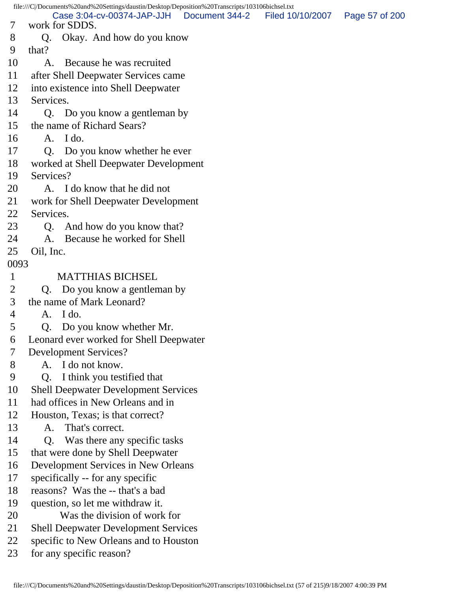file:///C|/Documents%20and%20Settings/daustin/Desktop/Deposition%20Transcripts/103106bichsel.txt 7 work for SDDS. 8 Q. Okay. And how do you know 9 that? 10 A. Because he was recruited 11 after Shell Deepwater Services came 12 into existence into Shell Deepwater 13 Services. 14 Q. Do you know a gentleman by 15 the name of Richard Sears? 16 A. I do. 17 Q. Do you know whether he ever 18 worked at Shell Deepwater Development 19 Services? 20 A. I do know that he did not 21 work for Shell Deepwater Development 22 Services. 23 Q. And how do you know that? 24 A. Because he worked for Shell 25 Oil, Inc. 0093 1 MATTHIAS BICHSEL 2 Q. Do you know a gentleman by 3 the name of Mark Leonard? 4 A. I do. 5 Q. Do you know whether Mr. 6 Leonard ever worked for Shell Deepwater 7 Development Services? 8 A. I do not know. 9 Q. I think you testified that 10 Shell Deepwater Development Services 11 had offices in New Orleans and in 12 Houston, Texas; is that correct? 13 A. That's correct. 14 Q. Was there any specific tasks 15 that were done by Shell Deepwater 16 Development Services in New Orleans 17 specifically -- for any specific 18 reasons? Was the -- that's a bad 19 question, so let me withdraw it. 20 Was the division of work for 21 Shell Deepwater Development Services 22 specific to New Orleans and to Houston 23 for any specific reason? Case 3:04-cv-00374-JAP-JJH Document 344-2 Filed 10/10/2007 Page 57 of 200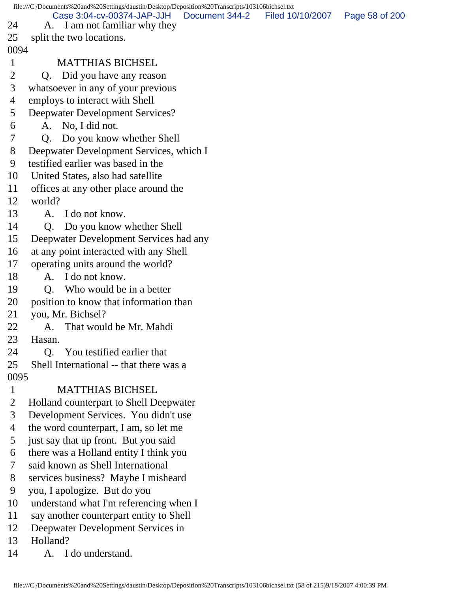file:///C|/Documents%20and%20Settings/daustin/Desktop/Deposition%20Transcripts/103106bichsel.txt 24 A. I am not familiar why they 25 split the two locations. 0094 1 MATTHIAS BICHSEL 2 Q. Did you have any reason 3 whatsoever in any of your previous 4 employs to interact with Shell 5 Deepwater Development Services? 6 A. No, I did not. 7 Q. Do you know whether Shell 8 Deepwater Development Services, which I 9 testified earlier was based in the 10 United States, also had satellite 11 offices at any other place around the 12 world? 13 A. I do not know. 14 Q. Do you know whether Shell 15 Deepwater Development Services had any 16 at any point interacted with any Shell 17 operating units around the world? 18 A. I do not know. 19 O. Who would be in a better 20 position to know that information than 21 you, Mr. Bichsel? 22 A. That would be Mr. Mahdi 23 Hasan. 24 Q. You testified earlier that 25 Shell International -- that there was a 0095 1 MATTHIAS BICHSEL 2 Holland counterpart to Shell Deepwater 3 Development Services. You didn't use 4 the word counterpart, I am, so let me 5 just say that up front. But you said 6 there was a Holland entity I think you 7 said known as Shell International 8 services business? Maybe I misheard 9 you, I apologize. But do you 10 understand what I'm referencing when I 11 say another counterpart entity to Shell 12 Deepwater Development Services in 13 Holland? 14 A. I do understand. Case 3:04-cv-00374-JAP-JJH Document 344-2 Filed 10/10/2007 Page 58 of 200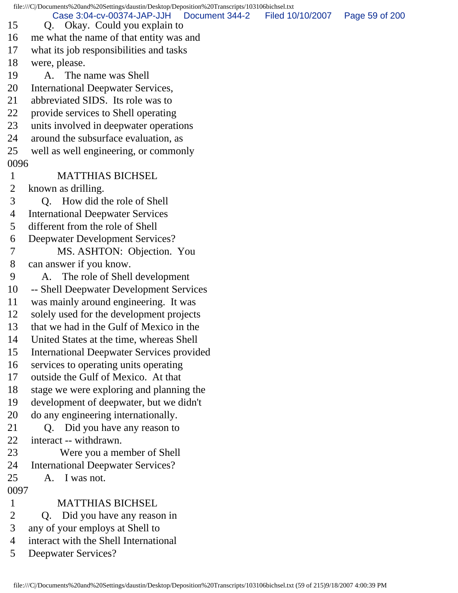file:///C|/Documents%20and%20Settings/daustin/Desktop/Deposition%20Transcripts/103106bichsel.txt 15 Q. Okay. Could you explain to 16 me what the name of that entity was and 17 what its job responsibilities and tasks 18 were, please. 19 A. The name was Shell 20 International Deepwater Services, 21 abbreviated SIDS. Its role was to 22 provide services to Shell operating 23 units involved in deepwater operations 24 around the subsurface evaluation, as 25 well as well engineering, or commonly 0096 1 MATTHIAS BICHSEL 2 known as drilling. 3 Q. How did the role of Shell 4 International Deepwater Services 5 different from the role of Shell 6 Deepwater Development Services? 7 MS. ASHTON: Objection. You 8 can answer if you know. 9 A. The role of Shell development 10 -- Shell Deepwater Development Services 11 was mainly around engineering. It was 12 solely used for the development projects 13 that we had in the Gulf of Mexico in the 14 United States at the time, whereas Shell 15 International Deepwater Services provided 16 services to operating units operating 17 outside the Gulf of Mexico. At that 18 stage we were exploring and planning the 19 development of deepwater, but we didn't 20 do any engineering internationally. 21 Q. Did you have any reason to 22 interact -- withdrawn. 23 Were you a member of Shell 24 International Deepwater Services? 25 A. I was not. 0097 1 MATTHIAS BICHSEL 2 Q. Did you have any reason in 3 any of your employs at Shell to 4 interact with the Shell International 5 Deepwater Services? Case 3:04-cv-00374-JAP-JJH Document 344-2 Filed 10/10/2007 Page 59 of 200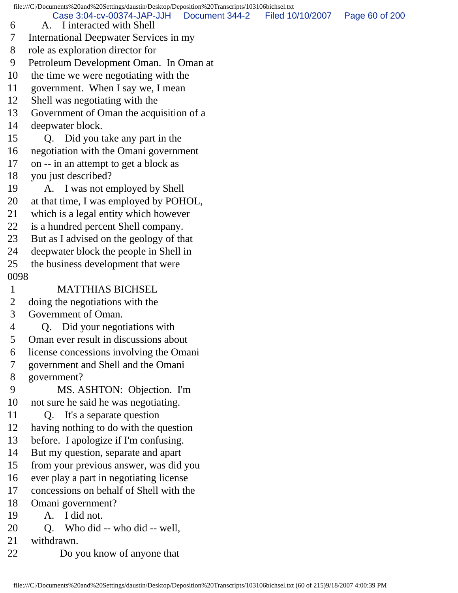6 A. I interacted with Shell 7 International Deepwater Services in my 8 role as exploration director for 9 Petroleum Development Oman. In Oman at 10 the time we were negotiating with the 11 government. When I say we, I mean 12 Shell was negotiating with the 13 Government of Oman the acquisition of a 14 deepwater block. 15 Q. Did you take any part in the 16 negotiation with the Omani government 17 on -- in an attempt to get a block as 18 you just described? 19 A. I was not employed by Shell 20 at that time, I was employed by POHOL, 21 which is a legal entity which however 22 is a hundred percent Shell company. 23 But as I advised on the geology of that 24 deepwater block the people in Shell in 25 the business development that were 0098 1 MATTHIAS BICHSEL 2 doing the negotiations with the 3 Government of Oman. 4 Q. Did your negotiations with 5 Oman ever result in discussions about 6 license concessions involving the Omani 7 government and Shell and the Omani 8 government? 9 MS. ASHTON: Objection. I'm 10 not sure he said he was negotiating. 11 Q. It's a separate question 12 having nothing to do with the question 13 before. I apologize if I'm confusing. 14 But my question, separate and apart 15 from your previous answer, was did you 16 ever play a part in negotiating license 17 concessions on behalf of Shell with the 18 Omani government? 19 A. I did not. 20 Q. Who did -- who did -- well, 21 withdrawn. 22 Do you know of anyone that Case 3:04-cv-00374-JAP-JJH Document 344-2 Filed 10/10/2007 Page 60 of 200

file:///C|/Documents%20and%20Settings/daustin/Desktop/Deposition%20Transcripts/103106bichsel.txt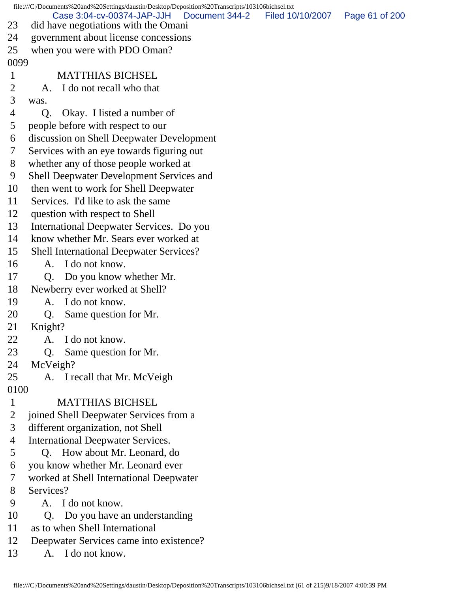|                | file:///C /Documents%20and%20Settings/daustin/Desktop/Deposition%20Transcripts/103106bichsel.txt |                  |                |
|----------------|--------------------------------------------------------------------------------------------------|------------------|----------------|
| 23             | Case 3:04-cv-00374-JAP-JJH<br>Document 344-2<br>did have negotiations with the Omani             | Filed 10/10/2007 | Page 61 of 200 |
| 24             | government about license concessions                                                             |                  |                |
| 25             | when you were with PDO Oman?                                                                     |                  |                |
| 0099           |                                                                                                  |                  |                |
| $\mathbf{1}$   | <b>MATTHIAS BICHSEL</b>                                                                          |                  |                |
| 2              | A. I do not recall who that                                                                      |                  |                |
| 3              | was.                                                                                             |                  |                |
| $\overline{4}$ | Okay. I listed a number of<br>Q.                                                                 |                  |                |
| 5              | people before with respect to our                                                                |                  |                |
| 6              | discussion on Shell Deepwater Development                                                        |                  |                |
| 7              | Services with an eye towards figuring out                                                        |                  |                |
| 8              | whether any of those people worked at                                                            |                  |                |
| 9              | <b>Shell Deepwater Development Services and</b>                                                  |                  |                |
| 10             | then went to work for Shell Deepwater                                                            |                  |                |
| 11             | Services. I'd like to ask the same                                                               |                  |                |
| 12             | question with respect to Shell                                                                   |                  |                |
| 13             | International Deepwater Services. Do you                                                         |                  |                |
| 14             | know whether Mr. Sears ever worked at                                                            |                  |                |
| 15             | <b>Shell International Deepwater Services?</b>                                                   |                  |                |
| 16             | A. I do not know.                                                                                |                  |                |
| 17             | Do you know whether Mr.<br>Q.                                                                    |                  |                |
| 18             | Newberry ever worked at Shell?                                                                   |                  |                |
| 19             | A. I do not know.                                                                                |                  |                |
| 20             | Same question for Mr.<br>Q.                                                                      |                  |                |
| 21             | Knight?                                                                                          |                  |                |
| 22             | I do not know.<br>A.                                                                             |                  |                |
| 23             | Same question for Mr.<br>Q.                                                                      |                  |                |
| 24             | McVeigh?                                                                                         |                  |                |
| 25             | A. I recall that Mr. McVeigh                                                                     |                  |                |
| 0100           |                                                                                                  |                  |                |
| $\mathbf{1}$   | <b>MATTHIAS BICHSEL</b>                                                                          |                  |                |
| 2              | joined Shell Deepwater Services from a                                                           |                  |                |
| 3              | different organization, not Shell                                                                |                  |                |
| 4              | <b>International Deepwater Services.</b>                                                         |                  |                |
| 5              | Q. How about Mr. Leonard, do                                                                     |                  |                |
| 6              | you know whether Mr. Leonard ever                                                                |                  |                |
| 7              | worked at Shell International Deepwater                                                          |                  |                |
| 8              | Services?                                                                                        |                  |                |
| 9              | A. I do not know.                                                                                |                  |                |
| 10             | Do you have an understanding<br>Q.                                                               |                  |                |
| 11             | as to when Shell International                                                                   |                  |                |
| 12             | Deenwater Services came into existence?                                                          |                  |                |

12 Deepwater Services came into existence?<br>13 A. I do not know. A. I do not know.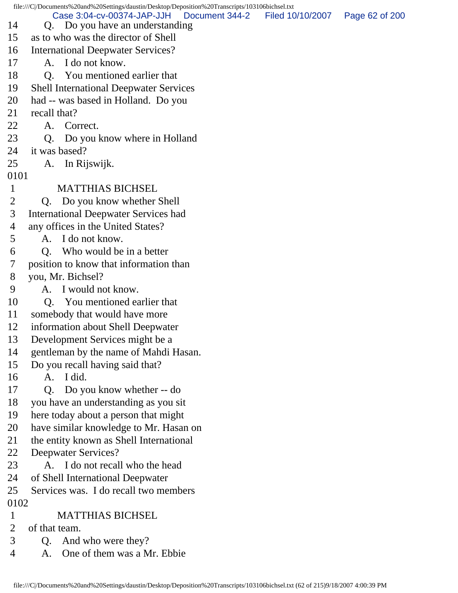|                | file:///C /Documents%20and%20Settings/daustin/Desktop/Deposition%20Transcripts/103106bichsel.txt |                  |                |
|----------------|--------------------------------------------------------------------------------------------------|------------------|----------------|
| 14             | Case 3:04-cv-00374-JAP-JJH<br>Document 344-2<br>Q. Do you have an understanding                  | Filed 10/10/2007 | Page 62 of 200 |
| 15             | as to who was the director of Shell                                                              |                  |                |
| 16             | <b>International Deepwater Services?</b>                                                         |                  |                |
| 17             | A. I do not know.                                                                                |                  |                |
| 18             | Q. You mentioned earlier that                                                                    |                  |                |
| 19             | <b>Shell International Deepwater Services</b>                                                    |                  |                |
| 20             | had -- was based in Holland. Do you                                                              |                  |                |
| 21             | recall that?                                                                                     |                  |                |
| 22             | A. Correct.                                                                                      |                  |                |
| 23             | Do you know where in Holland<br>Q.                                                               |                  |                |
| 24             | it was based?                                                                                    |                  |                |
| 25             | In Rijswijk.<br>A.                                                                               |                  |                |
| 0101           |                                                                                                  |                  |                |
| $\mathbf{1}$   | <b>MATTHIAS BICHSEL</b>                                                                          |                  |                |
| $\overline{2}$ | Q. Do you know whether Shell                                                                     |                  |                |
| 3              | <b>International Deepwater Services had</b>                                                      |                  |                |
| 4              | any offices in the United States?                                                                |                  |                |
| 5              | A. I do not know.                                                                                |                  |                |
| 6              | Who would be in a better<br>O.                                                                   |                  |                |
| 7              | position to know that information than                                                           |                  |                |
| 8              | you, Mr. Bichsel?                                                                                |                  |                |
| 9              | A. I would not know.                                                                             |                  |                |
| 10             | Q. You mentioned earlier that                                                                    |                  |                |
| 11             | somebody that would have more                                                                    |                  |                |
| 12             | information about Shell Deepwater                                                                |                  |                |
| 13             | Development Services might be a                                                                  |                  |                |
| 14             | gentleman by the name of Mahdi Hasan.                                                            |                  |                |
| 15             | Do you recall having said that?                                                                  |                  |                |
| 16             | A. I did.                                                                                        |                  |                |
| 17             | Do you know whether -- do<br>Q.                                                                  |                  |                |
| 18             | you have an understanding as you sit                                                             |                  |                |
| 19             | here today about a person that might                                                             |                  |                |
| 20             | have similar knowledge to Mr. Hasan on                                                           |                  |                |
| 21             | the entity known as Shell International                                                          |                  |                |
| 22             | Deepwater Services?                                                                              |                  |                |
| 23             | A. I do not recall who the head                                                                  |                  |                |
| 24             | of Shell International Deepwater                                                                 |                  |                |
| 25             | Services was. I do recall two members                                                            |                  |                |
| 0102           |                                                                                                  |                  |                |
| $\mathbf{1}$   | <b>MATTHIAS BICHSEL</b>                                                                          |                  |                |
| $\overline{2}$ | of that team.                                                                                    |                  |                |
| 3              | And who were they?<br>Q.                                                                         |                  |                |
| $\overline{4}$ | One of them was a Mr. Ebbie<br>A.                                                                |                  |                |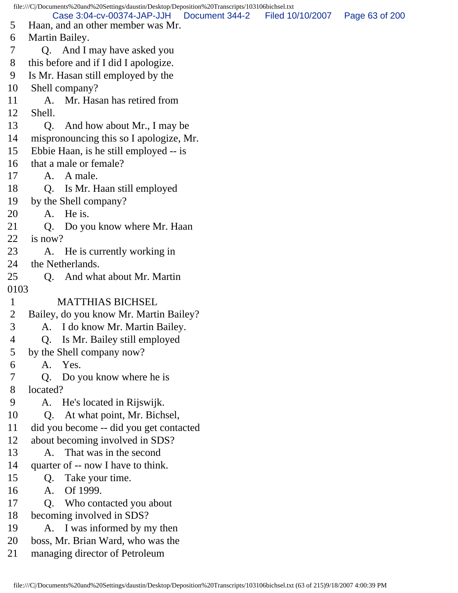file:///C|/Documents%20and%20Settings/daustin/Desktop/Deposition%20Transcripts/103106bichsel.txt 5 Haan, and an other member was Mr. 6 Martin Bailey. 7 Q. And I may have asked you 8 this before and if I did I apologize. 9 Is Mr. Hasan still employed by the 10 Shell company? 11 A. Mr. Hasan has retired from 12 Shell. 13 Q. And how about Mr., I may be 14 mispronouncing this so I apologize, Mr. 15 Ebbie Haan, is he still employed -- is 16 that a male or female? 17 A. A male. 18 Q. Is Mr. Haan still employed 19 by the Shell company? 20 A. He is. 21 Q. Do you know where Mr. Haan 22 is now? 23 A. He is currently working in 24 the Netherlands. 25 Q. And what about Mr. Martin 0103 1 MATTHIAS BICHSEL 2 Bailey, do you know Mr. Martin Bailey? 3 A. I do know Mr. Martin Bailey. 4 Q. Is Mr. Bailey still employed 5 by the Shell company now? 6 A. Yes. 7 Q. Do you know where he is 8 located? 9 A. He's located in Rijswijk. 10 Q. At what point, Mr. Bichsel, 11 did you become -- did you get contacted 12 about becoming involved in SDS? 13 A. That was in the second 14 quarter of -- now I have to think. 15 Q. Take your time. 16 A. Of 1999. 17 Q. Who contacted you about 18 becoming involved in SDS? 19 A. I was informed by my then 20 boss, Mr. Brian Ward, who was the 21 managing director of Petroleum Case 3:04-cv-00374-JAP-JJH Document 344-2 Filed 10/10/2007 Page 63 of 200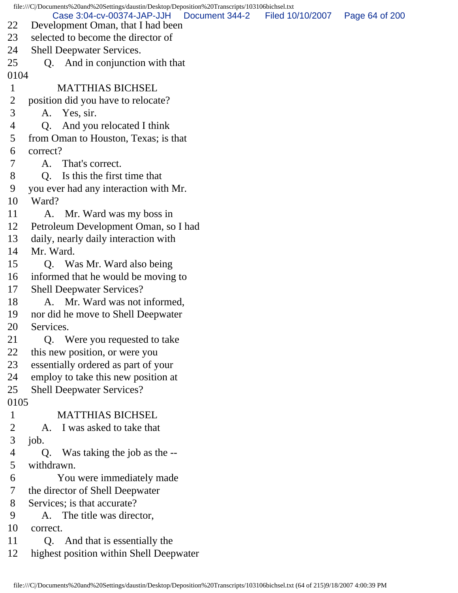file:///C|/Documents%20and%20Settings/daustin/Desktop/Deposition%20Transcripts/103106bichsel.txt 22 Development Oman, that I had been 23 selected to become the director of 24 Shell Deepwater Services. 25 Q. And in conjunction with that 0104 1 MATTHIAS BICHSEL 2 position did you have to relocate? 3 A. Yes, sir. 4 Q. And you relocated I think 5 from Oman to Houston, Texas; is that 6 correct? 7 A. That's correct. 8 Q. Is this the first time that 9 you ever had any interaction with Mr. 10 Ward? 11 A. Mr. Ward was my boss in 12 Petroleum Development Oman, so I had 13 daily, nearly daily interaction with 14 Mr. Ward. 15 Q. Was Mr. Ward also being 16 informed that he would be moving to 17 Shell Deepwater Services? 18 A. Mr. Ward was not informed, 19 nor did he move to Shell Deepwater 20 Services. 21 Q. Were you requested to take 22 this new position, or were you 23 essentially ordered as part of your 24 employ to take this new position at 25 Shell Deepwater Services? 0105 1 MATTHIAS BICHSEL 2 A. I was asked to take that 3 job. 4 Q. Was taking the job as the -- 5 withdrawn. 6 You were immediately made 7 the director of Shell Deepwater 8 Services; is that accurate? 9 A. The title was director, 10 correct. 11 Q. And that is essentially the 12 highest position within Shell Deepwater Case 3:04-cv-00374-JAP-JJH Document 344-2 Filed 10/10/2007 Page 64 of 200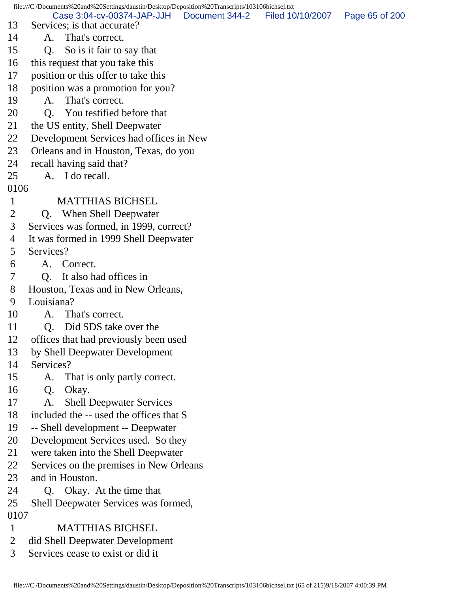file:///C|/Documents%20and%20Settings/daustin/Desktop/Deposition%20Transcripts/103106bichsel.txt 13 Services; is that accurate? 14 A. That's correct. 15 Q. So is it fair to say that 16 this request that you take this 17 position or this offer to take this 18 position was a promotion for you? 19 A. That's correct. 20 O. You testified before that 21 the US entity, Shell Deepwater 22 Development Services had offices in New 23 Orleans and in Houston, Texas, do you 24 recall having said that? 25 A. I do recall. 0106 1 MATTHIAS BICHSEL 2 Q. When Shell Deepwater 3 Services was formed, in 1999, correct? 4 It was formed in 1999 Shell Deepwater 5 Services? 6 A. Correct. 7 Q. It also had offices in 8 Houston, Texas and in New Orleans, 9 Louisiana? 10 A. That's correct. 11 Q. Did SDS take over the 12 offices that had previously been used 13 by Shell Deepwater Development 14 Services? 15 A. That is only partly correct. 16 Q. Okay. 17 A. Shell Deepwater Services 18 included the -- used the offices that S 19 -- Shell development -- Deepwater 20 Development Services used. So they 21 were taken into the Shell Deepwater 22 Services on the premises in New Orleans 23 and in Houston. 24 Q. Okay. At the time that 25 Shell Deepwater Services was formed, 0107 1 MATTHIAS BICHSEL 2 did Shell Deepwater Development 3 Services cease to exist or did it Case 3:04-cv-00374-JAP-JJH Document 344-2 Filed 10/10/2007 Page 65 of 200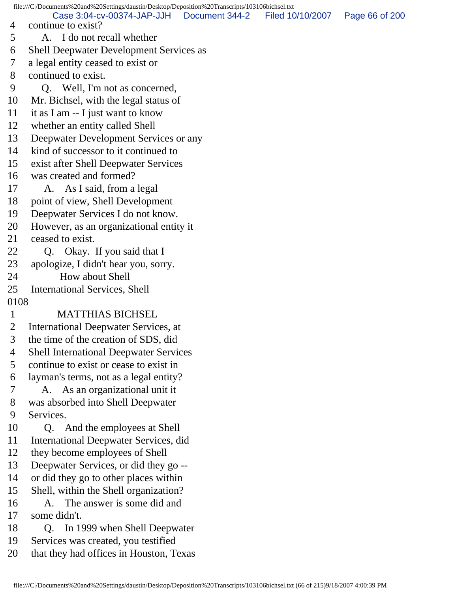file:///C|/Documents%20and%20Settings/daustin/Desktop/Deposition%20Transcripts/103106bichsel.txt 4 continue to exist? 5 A. I do not recall whether 6 Shell Deepwater Development Services as 7 a legal entity ceased to exist or 8 continued to exist. 9 Q. Well, I'm not as concerned, 10 Mr. Bichsel, with the legal status of 11 it as I am -- I just want to know 12 whether an entity called Shell 13 Deepwater Development Services or any 14 kind of successor to it continued to 15 exist after Shell Deepwater Services 16 was created and formed? 17 A. As I said, from a legal 18 point of view, Shell Development 19 Deepwater Services I do not know. 20 However, as an organizational entity it 21 ceased to exist. 22 Q. Okay. If you said that I 23 apologize, I didn't hear you, sorry. 24 How about Shell 25 International Services, Shell 0108 1 MATTHIAS BICHSEL 2 International Deepwater Services, at 3 the time of the creation of SDS, did 4 Shell International Deepwater Services 5 continue to exist or cease to exist in 6 layman's terms, not as a legal entity? 7 A. As an organizational unit it 8 was absorbed into Shell Deepwater 9 Services. 10 Q. And the employees at Shell 11 International Deepwater Services, did 12 they become employees of Shell 13 Deepwater Services, or did they go -- 14 or did they go to other places within 15 Shell, within the Shell organization? 16 A. The answer is some did and 17 some didn't. 18 Q. In 1999 when Shell Deepwater 19 Services was created, you testified 20 that they had offices in Houston, Texas Case 3:04-cv-00374-JAP-JJH Document 344-2 Filed 10/10/2007 Page 66 of 200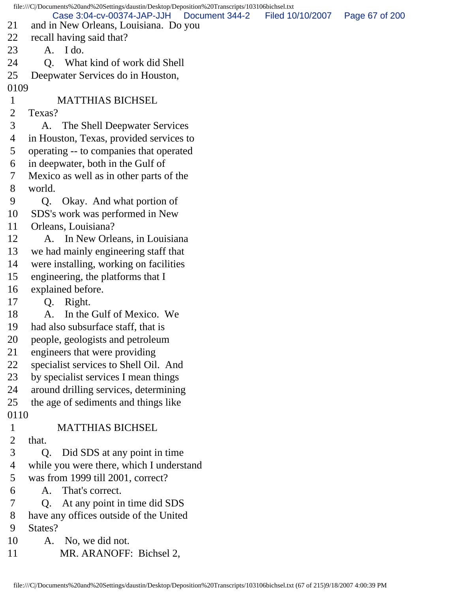| and in New Orleans, Louisiana. Do you    |                                              | Page 67 of 200                                                                                                       |
|------------------------------------------|----------------------------------------------|----------------------------------------------------------------------------------------------------------------------|
| recall having said that?                 |                                              |                                                                                                                      |
| I do.<br>A.                              |                                              |                                                                                                                      |
| What kind of work did Shell<br><b>O.</b> |                                              |                                                                                                                      |
| Deepwater Services do in Houston,        |                                              |                                                                                                                      |
| 0109                                     |                                              |                                                                                                                      |
| <b>MATTHIAS BICHSEL</b>                  |                                              |                                                                                                                      |
| Texas?                                   |                                              |                                                                                                                      |
| The Shell Deepwater Services<br>A.       |                                              |                                                                                                                      |
| in Houston, Texas, provided services to  |                                              |                                                                                                                      |
| operating -- to companies that operated  |                                              |                                                                                                                      |
| in deepwater, both in the Gulf of        |                                              |                                                                                                                      |
| Mexico as well as in other parts of the  |                                              |                                                                                                                      |
| world.                                   |                                              |                                                                                                                      |
| Okay. And what portion of<br>Q.          |                                              |                                                                                                                      |
| SDS's work was performed in New          |                                              |                                                                                                                      |
| Orleans, Louisiana?                      |                                              |                                                                                                                      |
| A. In New Orleans, in Louisiana          |                                              |                                                                                                                      |
| we had mainly engineering staff that     |                                              |                                                                                                                      |
| were installing, working on facilities   |                                              |                                                                                                                      |
| engineering, the platforms that I        |                                              |                                                                                                                      |
| explained before.                        |                                              |                                                                                                                      |
| Right.<br>Q.                             |                                              |                                                                                                                      |
| In the Gulf of Mexico. We<br>A.          |                                              |                                                                                                                      |
| had also subsurface staff, that is       |                                              |                                                                                                                      |
| people, geologists and petroleum         |                                              |                                                                                                                      |
| engineers that were providing            |                                              |                                                                                                                      |
| specialist services to Shell Oil. And    |                                              |                                                                                                                      |
| by specialist services I mean things     |                                              |                                                                                                                      |
| around drilling services, determining    |                                              |                                                                                                                      |
| the age of sediments and things like     |                                              |                                                                                                                      |
| 0110                                     |                                              |                                                                                                                      |
| <b>MATTHIAS BICHSEL</b>                  |                                              |                                                                                                                      |
| that.                                    |                                              |                                                                                                                      |
| Q. Did SDS at any point in time          |                                              |                                                                                                                      |
| while you were there, which I understand |                                              |                                                                                                                      |
| was from 1999 till 2001, correct?        |                                              |                                                                                                                      |
| A. That's correct.                       |                                              |                                                                                                                      |
| At any point in time did SDS<br>Q.       |                                              |                                                                                                                      |
| have any offices outside of the United   |                                              |                                                                                                                      |
| States?                                  |                                              |                                                                                                                      |
| No, we did not.<br>A.                    |                                              |                                                                                                                      |
| MR. ARANOFF: Bichsel 2,                  |                                              |                                                                                                                      |
|                                          | Case 3:04-cv-00374-JAP-JJH<br>Document 344-2 | file:///C /Documents%20and%20Settings/daustin/Desktop/Deposition%20Transcripts/103106bichsel.txt<br>Filed 10/10/2007 |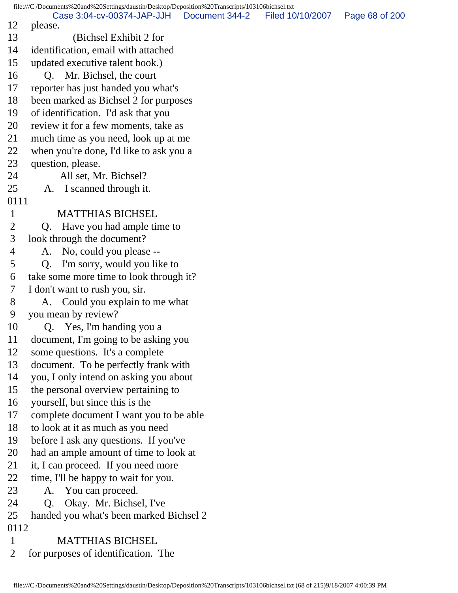file:///C|/Documents%20and%20Settings/daustin/Desktop/Deposition%20Transcripts/103106bichsel.txt 12 please. 13 (Bichsel Exhibit 2 for 14 identification, email with attached 15 updated executive talent book.) 16 Q. Mr. Bichsel, the court 17 reporter has just handed you what's 18 been marked as Bichsel 2 for purposes 19 of identification. I'd ask that you 20 review it for a few moments, take as 21 much time as you need, look up at me 22 when you're done, I'd like to ask you a 23 question, please. 24 All set, Mr. Bichsel? 25 A. I scanned through it. 0111 1 MATTHIAS BICHSEL 2 Q. Have you had ample time to 3 look through the document? 4 A. No, could you please -- 5 Q. I'm sorry, would you like to 6 take some more time to look through it? 7 I don't want to rush you, sir. 8 A. Could you explain to me what 9 you mean by review? 10 Q. Yes, I'm handing you a 11 document, I'm going to be asking you 12 some questions. It's a complete 13 document. To be perfectly frank with 14 you, I only intend on asking you about 15 the personal overview pertaining to 16 yourself, but since this is the 17 complete document I want you to be able 18 to look at it as much as you need 19 before I ask any questions. If you've 20 had an ample amount of time to look at 21 it, I can proceed. If you need more 22 time, I'll be happy to wait for you. 23 A. You can proceed. 24 Q. Okay. Mr. Bichsel, I've 25 handed you what's been marked Bichsel 2 0112 1 MATTHIAS BICHSEL 2 for purposes of identification. The Case 3:04-cv-00374-JAP-JJH Document 344-2 Filed 10/10/2007 Page 68 of 200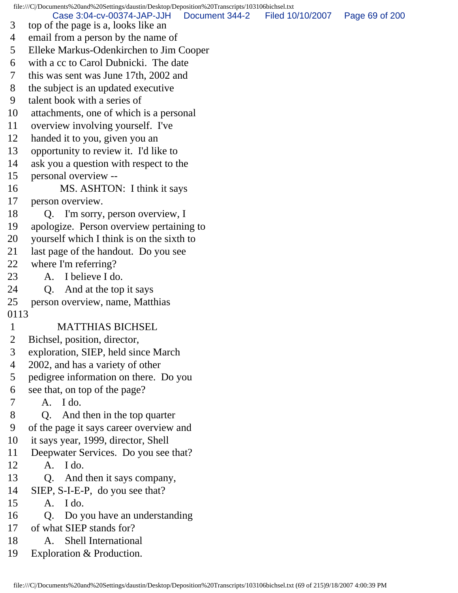file:///C|/Documents%20and%20Settings/daustin/Desktop/Deposition%20Transcripts/103106bichsel.txt 3 top of the page is a, looks like an 4 email from a person by the name of 5 Elleke Markus-Odenkirchen to Jim Cooper 6 with a cc to Carol Dubnicki. The date 7 this was sent was June 17th, 2002 and 8 the subject is an updated executive 9 talent book with a series of 10 attachments, one of which is a personal 11 overview involving yourself. I've 12 handed it to you, given you an 13 opportunity to review it. I'd like to 14 ask you a question with respect to the 15 personal overview -- 16 MS. ASHTON: I think it says 17 person overview. 18 Q. I'm sorry, person overview, I 19 apologize. Person overview pertaining to 20 yourself which I think is on the sixth to 21 last page of the handout. Do you see 22 where I'm referring? 23 A. I believe I do. 24 Q. And at the top it says 25 person overview, name, Matthias 0113 1 MATTHIAS BICHSEL 2 Bichsel, position, director, 3 exploration, SIEP, held since March 4 2002, and has a variety of other 5 pedigree information on there. Do you 6 see that, on top of the page? 7 A. I do. 8 Q. And then in the top quarter 9 of the page it says career overview and 10 it says year, 1999, director, Shell 11 Deepwater Services. Do you see that? 12 A. I do. 13 Q. And then it says company, 14 SIEP, S-I-E-P, do you see that? 15 A. I do. 16 Q. Do you have an understanding 17 of what SIEP stands for? 18 A. Shell International Case 3:04-cv-00374-JAP-JJH Document 344-2 Filed 10/10/2007 Page 69 of 200

19 Exploration & Production.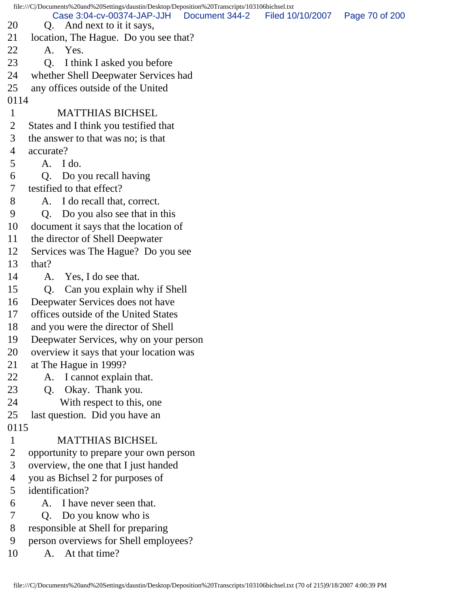file:///C|/Documents%20and%20Settings/daustin/Desktop/Deposition%20Transcripts/103106bichsel.txt 20 Q. And next to it it says, 21 location, The Hague. Do you see that? 22 A. Yes. 23 Q. I think I asked you before 24 whether Shell Deepwater Services had 25 any offices outside of the United 0114 1 MATTHIAS BICHSEL 2 States and I think you testified that 3 the answer to that was no; is that 4 accurate? 5 A. I do. 6 Q. Do you recall having 7 testified to that effect? 8 A. I do recall that, correct. 9 Q. Do you also see that in this 10 document it says that the location of 11 the director of Shell Deepwater 12 Services was The Hague? Do you see 13 that? 14 A. Yes, I do see that. 15 Q. Can you explain why if Shell 16 Deepwater Services does not have 17 offices outside of the United States 18 and you were the director of Shell 19 Deepwater Services, why on your person 20 overview it says that your location was 21 at The Hague in 1999? 22 A. I cannot explain that. 23 Q. Okay. Thank you. 24 With respect to this, one 25 last question. Did you have an 0115 1 MATTHIAS BICHSEL 2 opportunity to prepare your own person 3 overview, the one that I just handed 4 you as Bichsel 2 for purposes of 5 identification? 6 A. I have never seen that. 7 Q. Do you know who is 8 responsible at Shell for preparing 9 person overviews for Shell employees? 10 A. At that time? Case 3:04-cv-00374-JAP-JJH Document 344-2 Filed 10/10/2007 Page 70 of 200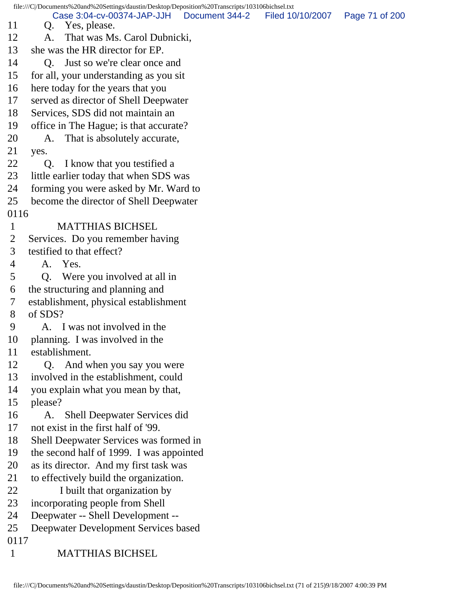file:///C|/Documents%20and%20Settings/daustin/Desktop/Deposition%20Transcripts/103106bichsel.txt 11 Q. Yes, please. 12 A. That was Ms. Carol Dubnicki, 13 she was the HR director for EP. 14 O. Just so we're clear once and 15 for all, your understanding as you sit 16 here today for the years that you 17 served as director of Shell Deepwater 18 Services, SDS did not maintain an 19 office in The Hague; is that accurate? 20 A. That is absolutely accurate, 21 yes. 22 Q. I know that you testified a 23 little earlier today that when SDS was 24 forming you were asked by Mr. Ward to 25 become the director of Shell Deepwater 0116 1 MATTHIAS BICHSEL 2 Services. Do you remember having 3 testified to that effect? 4 A. Yes. 5 Q. Were you involved at all in 6 the structuring and planning and 7 establishment, physical establishment 8 of SDS? 9 A. I was not involved in the 10 planning. I was involved in the 11 establishment. 12 Q. And when you say you were 13 involved in the establishment, could 14 you explain what you mean by that, 15 please? 16 A. Shell Deepwater Services did 17 not exist in the first half of '99. 18 Shell Deepwater Services was formed in 19 the second half of 1999. I was appointed 20 as its director. And my first task was 21 to effectively build the organization. 22 I built that organization by 23 incorporating people from Shell 24 Deepwater -- Shell Development -- 25 Deepwater Development Services based 0117 1 MATTHIAS BICHSEL Case 3:04-cv-00374-JAP-JJH Document 344-2 Filed 10/10/2007 Page 71 of 200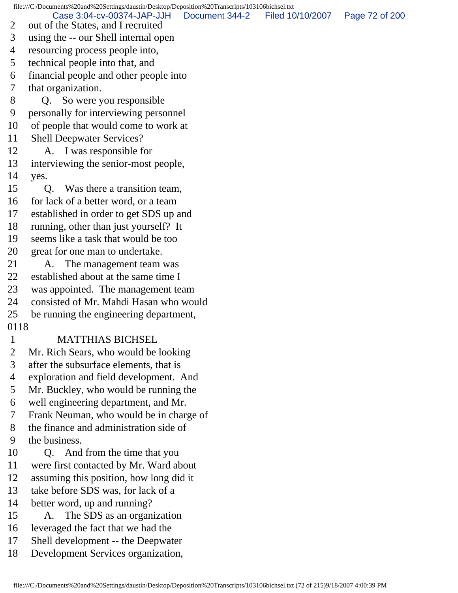file:///C|/Documents%20and%20Settings/daustin/Desktop/Deposition%20Transcripts/103106bichsel.txt

Case 3:04-cv-00374-JAP-JJH Document 344-2 Filed 10/10/2007 Page 72 of 200

- 2 out of the States, and I recruited
- 3 using the -- our Shell internal open
- 4 resourcing process people into,
- 5 technical people into that, and
- 6 financial people and other people into
- 7 that organization.
- 8 Q. So were you responsible
- 9 personally for interviewing personnel
- 10 of people that would come to work at
- 11 Shell Deepwater Services?
- 12 A. I was responsible for
- 13 interviewing the senior-most people,
- 14 yes.
- 15 Q. Was there a transition team,
- 16 for lack of a better word, or a team
- 17 established in order to get SDS up and
- 18 running, other than just yourself? It
- 19 seems like a task that would be too
- 20 great for one man to undertake.
- 21 A. The management team was
- 22 established about at the same time I
- 23 was appointed. The management team
- 24 consisted of Mr. Mahdi Hasan who would
- 25 be running the engineering department,
- 0118

## 1 MATTHIAS BICHSEL

- 2 Mr. Rich Sears, who would be looking
- 3 after the subsurface elements, that is
- 4 exploration and field development. And
- 5 Mr. Buckley, who would be running the
- 6 well engineering department, and Mr.
- 7 Frank Neuman, who would be in charge of
- 8 the finance and administration side of
- 9 the business.
- 10 Q. And from the time that you
- 11 were first contacted by Mr. Ward about
- 12 assuming this position, how long did it
- 13 take before SDS was, for lack of a
- 14 better word, up and running?
- 15 A. The SDS as an organization
- 16 leveraged the fact that we had the
- 17 Shell development -- the Deepwater
- 18 Development Services organization,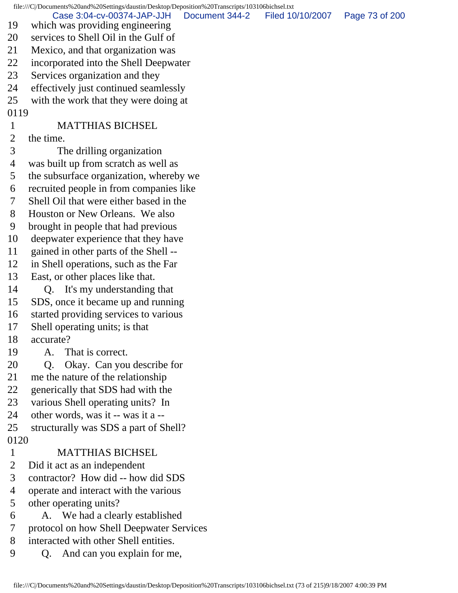file:///C|/Documents%20and%20Settings/daustin/Desktop/Deposition%20Transcripts/103106bichsel.txt 19 which was providing engineering 20 services to Shell Oil in the Gulf of 21 Mexico, and that organization was 22 incorporated into the Shell Deepwater 23 Services organization and they 24 effectively just continued seamlessly 25 with the work that they were doing at 0119 1 MATTHIAS BICHSEL 2 the time. 3 The drilling organization 4 was built up from scratch as well as 5 the subsurface organization, whereby we 6 recruited people in from companies like 7 Shell Oil that were either based in the 8 Houston or New Orleans. We also 9 brought in people that had previous 10 deepwater experience that they have 11 gained in other parts of the Shell -- 12 in Shell operations, such as the Far 13 East, or other places like that. 14 Q. It's my understanding that 15 SDS, once it became up and running 16 started providing services to various 17 Shell operating units; is that 18 accurate? 19 A. That is correct. 20 Q. Okay. Can you describe for 21 me the nature of the relationship 22 generically that SDS had with the 23 various Shell operating units? In 24 other words, was it -- was it a -- 25 structurally was SDS a part of Shell? 0120 1 MATTHIAS BICHSEL 2 Did it act as an independent 3 contractor? How did -- how did SDS 4 operate and interact with the various 5 other operating units? 6 A. We had a clearly established 7 protocol on how Shell Deepwater Services 8 interacted with other Shell entities. Case 3:04-cv-00374-JAP-JJH Document 344-2 Filed 10/10/2007 Page 73 of 200

9 Q. And can you explain for me,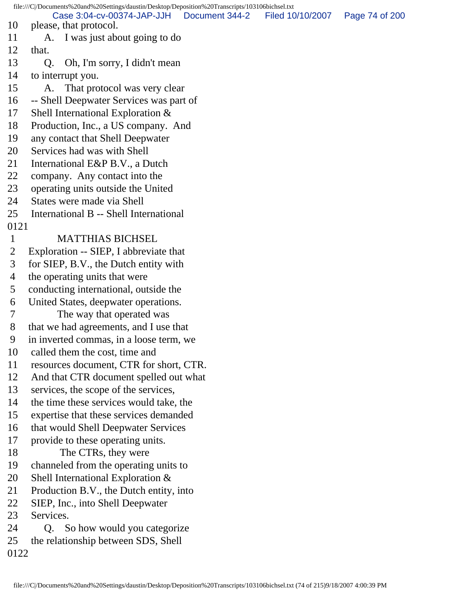file:///C|/Documents%20and%20Settings/daustin/Desktop/Deposition%20Transcripts/103106bichsel.txt 10 please, that protocol. 11 A. I was just about going to do 12 that. 13 Q. Oh, I'm sorry, I didn't mean 14 to interrupt you. 15 A. That protocol was very clear 16 -- Shell Deepwater Services was part of 17 Shell International Exploration & 18 Production, Inc., a US company. And 19 any contact that Shell Deepwater 20 Services had was with Shell 21 International E&P B.V., a Dutch 22 company. Any contact into the 23 operating units outside the United 24 States were made via Shell 25 International B -- Shell International 0121 1 MATTHIAS BICHSEL 2 Exploration -- SIEP, I abbreviate that 3 for SIEP, B.V., the Dutch entity with 4 the operating units that were 5 conducting international, outside the 6 United States, deepwater operations. 7 The way that operated was 8 that we had agreements, and I use that 9 in inverted commas, in a loose term, we 10 called them the cost, time and 11 resources document, CTR for short, CTR. 12 And that CTR document spelled out what 13 services, the scope of the services, 14 the time these services would take, the 15 expertise that these services demanded 16 that would Shell Deepwater Services 17 provide to these operating units. 18 The CTRs, they were 19 channeled from the operating units to 20 Shell International Exploration & 21 Production B.V., the Dutch entity, into 22 SIEP, Inc., into Shell Deepwater 23 Services. 24 Q. So how would you categorize 25 the relationship between SDS, Shell 0122 Case 3:04-cv-00374-JAP-JJH Document 344-2 Filed 10/10/2007 Page 74 of 200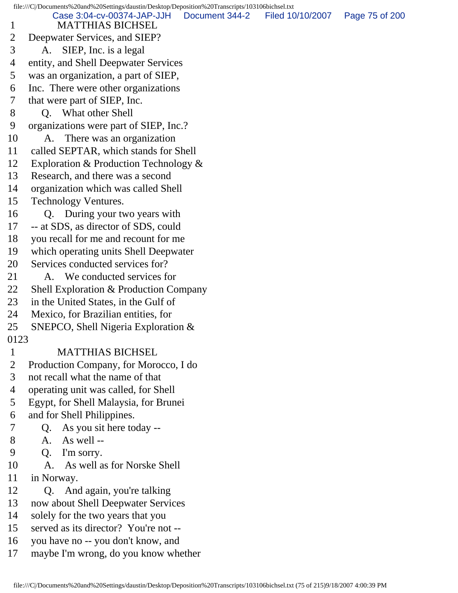file:///C|/Documents%20and%20Settings/daustin/Desktop/Deposition%20Transcripts/103106bichsel.txt 1 MATTHIAS BICHSEL 2 Deepwater Services, and SIEP? 3 A. SIEP, Inc. is a legal 4 entity, and Shell Deepwater Services 5 was an organization, a part of SIEP, 6 Inc. There were other organizations 7 that were part of SIEP, Inc. 8 Q. What other Shell 9 organizations were part of SIEP, Inc.? 10 A. There was an organization 11 called SEPTAR, which stands for Shell 12 Exploration & Production Technology & 13 Research, and there was a second 14 organization which was called Shell 15 Technology Ventures. 16 Q. During your two years with 17 -- at SDS, as director of SDS, could 18 you recall for me and recount for me 19 which operating units Shell Deepwater 20 Services conducted services for? 21 A. We conducted services for 22 Shell Exploration & Production Company 23 in the United States, in the Gulf of 24 Mexico, for Brazilian entities, for 25 SNEPCO, Shell Nigeria Exploration & 0123 1 MATTHIAS BICHSEL 2 Production Company, for Morocco, I do 3 not recall what the name of that 4 operating unit was called, for Shell 5 Egypt, for Shell Malaysia, for Brunei 6 and for Shell Philippines. 7 Q. As you sit here today -- 8 A. As well -- 9 Q. I'm sorry. 10 A. As well as for Norske Shell 11 in Norway. 12 Q. And again, you're talking 13 now about Shell Deepwater Services 14 solely for the two years that you 15 served as its director? You're not -- 16 you have no -- you don't know, and 17 maybe I'm wrong, do you know whether Case 3:04-cv-00374-JAP-JJH Document 344-2 Filed 10/10/2007 Page 75 of 200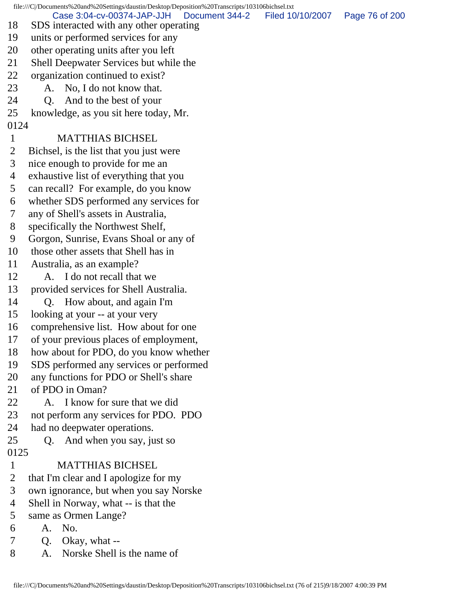file:///C|/Documents%20and%20Settings/daustin/Desktop/Deposition%20Transcripts/103106bichsel.txt 18 SDS interacted with any other operating 19 units or performed services for any 20 other operating units after you left 21 Shell Deepwater Services but while the 22 organization continued to exist? 23 A. No, I do not know that. 24 Q. And to the best of your 25 knowledge, as you sit here today, Mr. 0124 1 MATTHIAS BICHSEL 2 Bichsel, is the list that you just were 3 nice enough to provide for me an 4 exhaustive list of everything that you 5 can recall? For example, do you know 6 whether SDS performed any services for 7 any of Shell's assets in Australia, 8 specifically the Northwest Shelf, 9 Gorgon, Sunrise, Evans Shoal or any of 10 those other assets that Shell has in 11 Australia, as an example? 12 A. I do not recall that we 13 provided services for Shell Australia. 14 Q. How about, and again I'm 15 looking at your -- at your very 16 comprehensive list. How about for one 17 of your previous places of employment, 18 how about for PDO, do you know whether 19 SDS performed any services or performed 20 any functions for PDO or Shell's share 21 of PDO in Oman? 22 A. I know for sure that we did 23 not perform any services for PDO. PDO 24 had no deepwater operations. 25 Q. And when you say, just so 0125 1 MATTHIAS BICHSEL 2 that I'm clear and I apologize for my 3 own ignorance, but when you say Norske 4 Shell in Norway, what -- is that the 5 same as Ormen Lange? 6 A. No. 7 Q. Okay, what -- 8 A. Norske Shell is the name of Case 3:04-cv-00374-JAP-JJH Document 344-2 Filed 10/10/2007 Page 76 of 200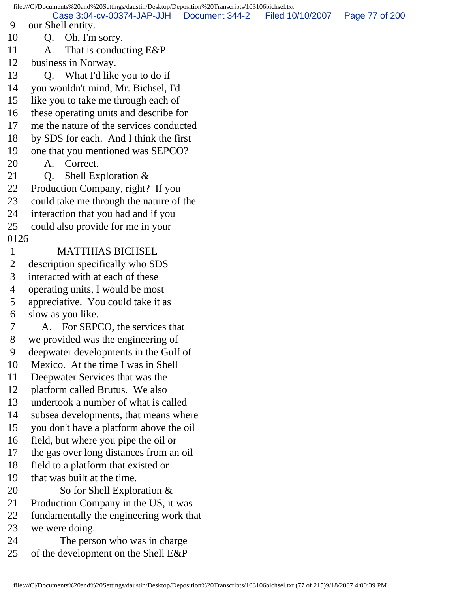file:///C|/Documents%20and%20Settings/daustin/Desktop/Deposition%20Transcripts/103106bichsel.txt 9 our Shell entity. 10 Q. Oh, I'm sorry. 11 A. That is conducting E&P 12 business in Norway. 13 O. What I'd like you to do if 14 you wouldn't mind, Mr. Bichsel, I'd 15 like you to take me through each of 16 these operating units and describe for 17 me the nature of the services conducted 18 by SDS for each. And I think the first 19 one that you mentioned was SEPCO? 20 A. Correct. 21 Q. Shell Exploration & 22 Production Company, right? If you 23 could take me through the nature of the 24 interaction that you had and if you 25 could also provide for me in your 0126 1 MATTHIAS BICHSEL 2 description specifically who SDS 3 interacted with at each of these 4 operating units, I would be most 5 appreciative. You could take it as 6 slow as you like. 7 A. For SEPCO, the services that 8 we provided was the engineering of 9 deepwater developments in the Gulf of 10 Mexico. At the time I was in Shell 11 Deepwater Services that was the 12 platform called Brutus. We also 13 undertook a number of what is called 14 subsea developments, that means where 15 you don't have a platform above the oil 16 field, but where you pipe the oil or 17 the gas over long distances from an oil 18 field to a platform that existed or 19 that was built at the time. 20 So for Shell Exploration & 21 Production Company in the US, it was 22 fundamentally the engineering work that 23 we were doing. 24 The person who was in charge 25 of the development on the Shell E&P Case 3:04-cv-00374-JAP-JJH Document 344-2 Filed 10/10/2007 Page 77 of 200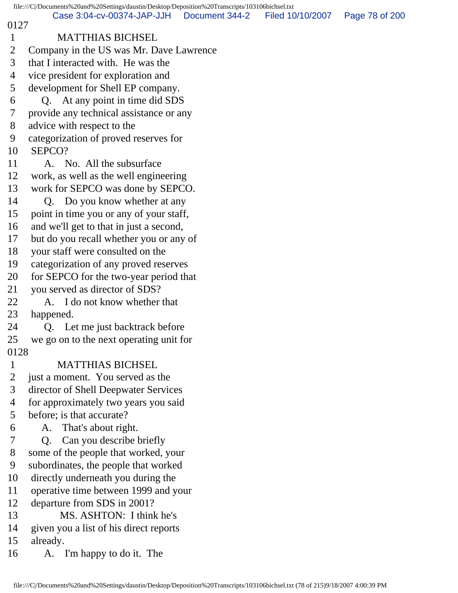file:///C|/Documents%20and%20Settings/daustin/Desktop/Deposition%20Transcripts/103106bichsel.txt 0127 1 MATTHIAS BICHSEL 2 Company in the US was Mr. Dave Lawrence 3 that I interacted with. He was the 4 vice president for exploration and 5 development for Shell EP company. 6 Q. At any point in time did SDS 7 provide any technical assistance or any 8 advice with respect to the 9 categorization of proved reserves for 10 SEPCO? 11 A. No. All the subsurface 12 work, as well as the well engineering 13 work for SEPCO was done by SEPCO. 14 Q. Do you know whether at any 15 point in time you or any of your staff, 16 and we'll get to that in just a second, 17 but do you recall whether you or any of 18 your staff were consulted on the 19 categorization of any proved reserves 20 for SEPCO for the two-year period that 21 you served as director of SDS? 22 A. I do not know whether that 23 happened. 24 Q. Let me just backtrack before 25 we go on to the next operating unit for 0128 1 MATTHIAS BICHSEL 2 just a moment. You served as the 3 director of Shell Deepwater Services 4 for approximately two years you said 5 before; is that accurate? 6 A. That's about right. 7 Q. Can you describe briefly 8 some of the people that worked, your 9 subordinates, the people that worked 10 directly underneath you during the 11 operative time between 1999 and your 12 departure from SDS in 2001? 13 MS. ASHTON: I think he's 14 given you a list of his direct reports 15 already. 16 A. I'm happy to do it. The Case 3:04-cv-00374-JAP-JJH Document 344-2 Filed 10/10/2007 Page 78 of 200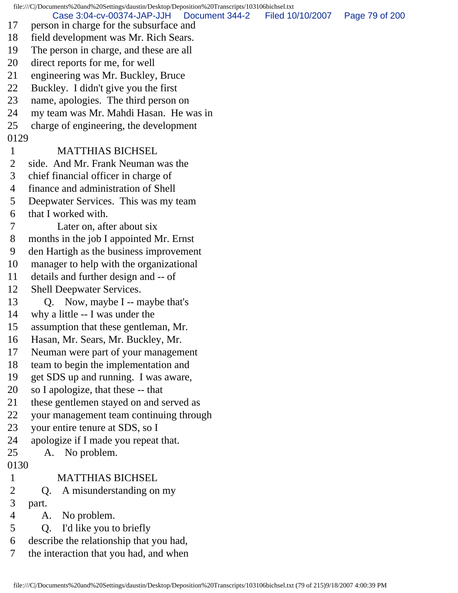file:///C|/Documents%20and%20Settings/daustin/Desktop/Deposition%20Transcripts/103106bichsel.txt 17 person in charge for the subsurface and 18 field development was Mr. Rich Sears. 19 The person in charge, and these are all 20 direct reports for me, for well 21 engineering was Mr. Buckley, Bruce 22 Buckley. I didn't give you the first 23 name, apologies. The third person on 24 my team was Mr. Mahdi Hasan. He was in 25 charge of engineering, the development 0129 1 MATTHIAS BICHSEL 2 side. And Mr. Frank Neuman was the 3 chief financial officer in charge of 4 finance and administration of Shell 5 Deepwater Services. This was my team 6 that I worked with. 7 Later on, after about six 8 months in the job I appointed Mr. Ernst 9 den Hartigh as the business improvement 10 manager to help with the organizational 11 details and further design and -- of 12 Shell Deepwater Services. 13 Q. Now, maybe I -- maybe that's 14 why a little -- I was under the 15 assumption that these gentleman, Mr. 16 Hasan, Mr. Sears, Mr. Buckley, Mr. 17 Neuman were part of your management 18 team to begin the implementation and 19 get SDS up and running. I was aware, 20 so I apologize, that these -- that 21 these gentlemen stayed on and served as 22 your management team continuing through 23 your entire tenure at SDS, so I 24 apologize if I made you repeat that. 25 A. No problem. 0130 1 MATTHIAS BICHSEL 2 Q. A misunderstanding on my 3 part. 4 A. No problem. 5 Q. I'd like you to briefly 6 describe the relationship that you had, 7 the interaction that you had, and when Case 3:04-cv-00374-JAP-JJH Document 344-2 Filed 10/10/2007 Page 79 of 200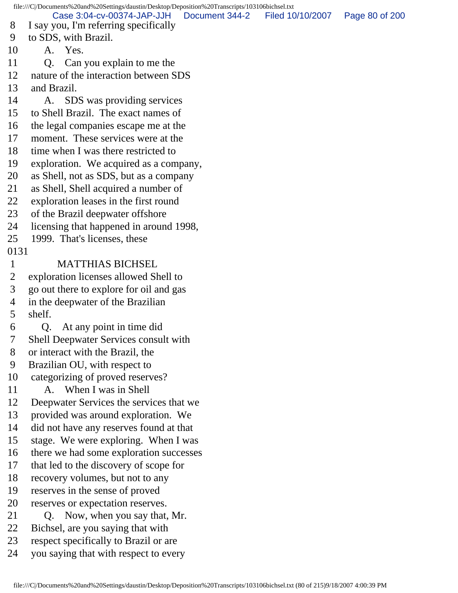file:///C|/Documents%20and%20Settings/daustin/Desktop/Deposition%20Transcripts/103106bichsel.txt 8 I say you, I'm referring specifically 9 to SDS, with Brazil. 10 A. Yes. 11 Q. Can you explain to me the 12 nature of the interaction between SDS 13 and Brazil. 14 A. SDS was providing services 15 to Shell Brazil. The exact names of 16 the legal companies escape me at the 17 moment. These services were at the 18 time when I was there restricted to 19 exploration. We acquired as a company, 20 as Shell, not as SDS, but as a company 21 as Shell, Shell acquired a number of 22 exploration leases in the first round 23 of the Brazil deepwater offshore 24 licensing that happened in around 1998, 25 1999. That's licenses, these 0131 1 MATTHIAS BICHSEL 2 exploration licenses allowed Shell to 3 go out there to explore for oil and gas 4 in the deepwater of the Brazilian 5 shelf. 6 Q. At any point in time did 7 Shell Deepwater Services consult with 8 or interact with the Brazil, the 9 Brazilian OU, with respect to 10 categorizing of proved reserves? 11 A. When I was in Shell 12 Deepwater Services the services that we 13 provided was around exploration. We 14 did not have any reserves found at that 15 stage. We were exploring. When I was 16 there we had some exploration successes 17 that led to the discovery of scope for 18 recovery volumes, but not to any 19 reserves in the sense of proved 20 reserves or expectation reserves. 21 Q. Now, when you say that, Mr. 22 Bichsel, are you saying that with 23 respect specifically to Brazil or are 24 you saying that with respect to every Case 3:04-cv-00374-JAP-JJH Document 344-2 Filed 10/10/2007 Page 80 of 200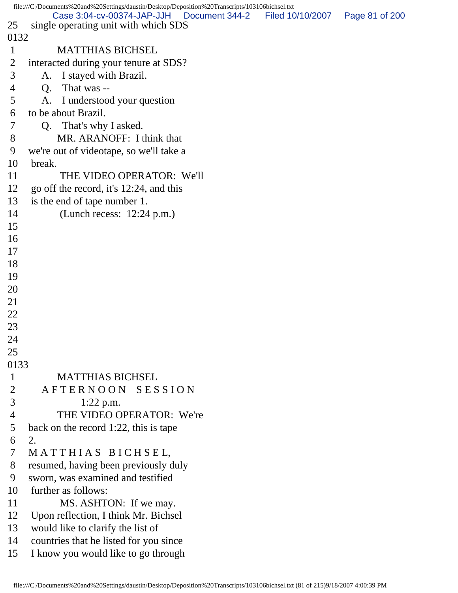```
file:///C|/Documents%20and%20Settings/daustin/Desktop/Deposition%20Transcripts/103106bichsel.txt
25 single operating unit with which SDS
0132
 1 MATTHIAS BICHSEL
 2 interacted during your tenure at SDS?
 3 A. I stayed with Brazil.
 4 Q. That was --
 5 A. I understood your question
 6 to be about Brazil.
 7 Q. That's why I asked.
 8 MR. ARANOFF: I think that
 9 we're out of videotape, so we'll take a
10 break.
11 THE VIDEO OPERATOR: We'll
12 go off the record, it's 12:24, and this
13 is the end of tape number 1.
14 (Lunch recess: 12:24 p.m.)
15 
16 
17 
18 
19 
20 
21 
22 
23 
24 
25 
0133
 1 MATTHIAS BICHSEL
2 A F T E R N O O N S E S S I O N
 3 1:22 p.m.
 4 THE VIDEO OPERATOR: We're
 5 back on the record 1:22, this is tape
 6 2.
 7 M A T T H I A S B I C H S E L,
 8 resumed, having been previously duly
 9 sworn, was examined and testified
10 further as follows:
11 MS. ASHTON: If we may.
12 Upon reflection, I think Mr. Bichsel
13 would like to clarify the list of
14 countries that he listed for you since
15 I know you would like to go through
         Case 3:04-cv-00374-JAP-JJH Document 344-2 Filed 10/10/2007 Page 81 of 200
```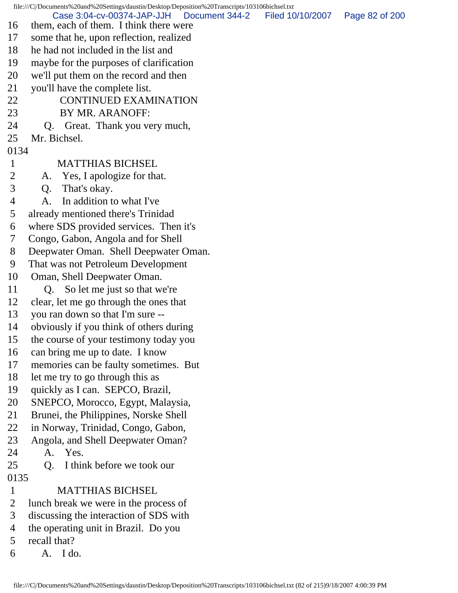file:///C|/Documents%20and%20Settings/daustin/Desktop/Deposition%20Transcripts/103106bichsel.txt 16 them, each of them. I think there were 17 some that he, upon reflection, realized 18 he had not included in the list and 19 maybe for the purposes of clarification 20 we'll put them on the record and then 21 you'll have the complete list. 22 CONTINUED EXAMINATION 23 BY MR. ARANOFF: 24 Q. Great. Thank you very much, 25 Mr. Bichsel. 0134 1 MATTHIAS BICHSEL 2 A. Yes, I apologize for that. 3 Q. That's okay. 4 A. In addition to what I've 5 already mentioned there's Trinidad 6 where SDS provided services. Then it's 7 Congo, Gabon, Angola and for Shell 8 Deepwater Oman. Shell Deepwater Oman. 9 That was not Petroleum Development 10 Oman, Shell Deepwater Oman. 11 Q. So let me just so that we're 12 clear, let me go through the ones that 13 you ran down so that I'm sure -- 14 obviously if you think of others during 15 the course of your testimony today you 16 can bring me up to date. I know 17 memories can be faulty sometimes. But 18 let me try to go through this as 19 quickly as I can. SEPCO, Brazil, 20 SNEPCO, Morocco, Egypt, Malaysia, 21 Brunei, the Philippines, Norske Shell 22 in Norway, Trinidad, Congo, Gabon, 23 Angola, and Shell Deepwater Oman? 24 A. Yes. 25 Q. I think before we took our 0135 1 MATTHIAS BICHSEL 2 lunch break we were in the process of 3 discussing the interaction of SDS with 4 the operating unit in Brazil. Do you 5 recall that?  $6 \qquad A \qquad$  I do. Case 3:04-cv-00374-JAP-JJH Document 344-2 Filed 10/10/2007 Page 82 of 200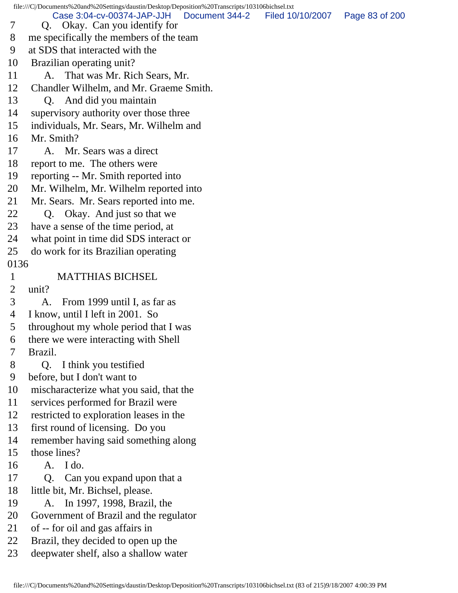file:///C|/Documents%20and%20Settings/daustin/Desktop/Deposition%20Transcripts/103106bichsel.txt 7 Q. Okay. Can you identify for 8 me specifically the members of the team 9 at SDS that interacted with the 10 Brazilian operating unit? 11 A. That was Mr. Rich Sears, Mr. 12 Chandler Wilhelm, and Mr. Graeme Smith. 13 Q. And did you maintain 14 supervisory authority over those three 15 individuals, Mr. Sears, Mr. Wilhelm and 16 Mr. Smith? 17 A. Mr. Sears was a direct 18 report to me. The others were 19 reporting -- Mr. Smith reported into 20 Mr. Wilhelm, Mr. Wilhelm reported into 21 Mr. Sears. Mr. Sears reported into me. 22 Q. Okay. And just so that we 23 have a sense of the time period, at 24 what point in time did SDS interact or 25 do work for its Brazilian operating 0136 1 MATTHIAS BICHSEL 2 unit? 3 A. From 1999 until I, as far as 4 I know, until I left in 2001. So 5 throughout my whole period that I was 6 there we were interacting with Shell 7 Brazil. 8 Q. I think you testified 9 before, but I don't want to 10 mischaracterize what you said, that the 11 services performed for Brazil were 12 restricted to exploration leases in the 13 first round of licensing. Do you 14 remember having said something along 15 those lines? 16 A. I do. 17 Q. Can you expand upon that a 18 little bit, Mr. Bichsel, please. 19 A. In 1997, 1998, Brazil, the 20 Government of Brazil and the regulator 21 of -- for oil and gas affairs in 22 Brazil, they decided to open up the Case 3:04-cv-00374-JAP-JJH Document 344-2 Filed 10/10/2007 Page 83 of 200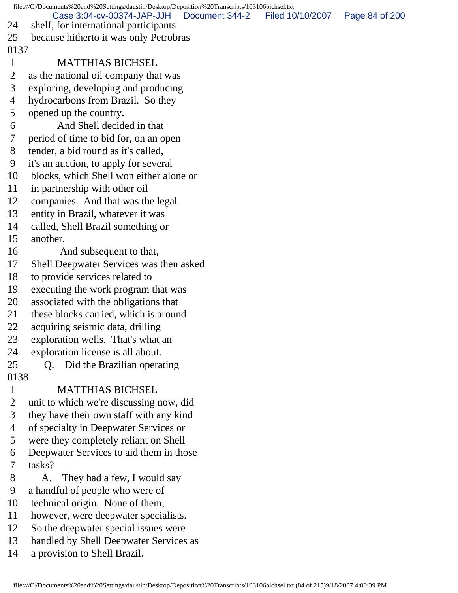|                                | file:///C/Documents%20and%20Settings/daustin/Desktop/Deposition%20Transcripts/103106bichsel.txt |                |                  |                |
|--------------------------------|-------------------------------------------------------------------------------------------------|----------------|------------------|----------------|
| 24                             | Case 3:04-cv-00374-JAP-JJH<br>shelf, for international participants                             | Document 344-2 | Filed 10/10/2007 | Page 84 of 200 |
| 25                             | because hitherto it was only Petrobras                                                          |                |                  |                |
| 0137                           |                                                                                                 |                |                  |                |
| $\mathbf{1}$                   | <b>MATTHIAS BICHSEL</b>                                                                         |                |                  |                |
| $\overline{2}$                 | as the national oil company that was                                                            |                |                  |                |
| 3                              | exploring, developing and producing                                                             |                |                  |                |
| 4                              | hydrocarbons from Brazil. So they                                                               |                |                  |                |
| 5                              | opened up the country.                                                                          |                |                  |                |
| 6                              | And Shell decided in that                                                                       |                |                  |                |
| 7                              | period of time to bid for, on an open                                                           |                |                  |                |
| 8                              | tender, a bid round as it's called,                                                             |                |                  |                |
| 9                              | it's an auction, to apply for several                                                           |                |                  |                |
| 10                             | blocks, which Shell won either alone or                                                         |                |                  |                |
| 11                             | in partnership with other oil                                                                   |                |                  |                |
| 12                             | companies. And that was the legal                                                               |                |                  |                |
| 13                             | entity in Brazil, whatever it was                                                               |                |                  |                |
| 14                             | called, Shell Brazil something or                                                               |                |                  |                |
| 15                             | another.                                                                                        |                |                  |                |
| 16                             | And subsequent to that,                                                                         |                |                  |                |
| 17                             | Shell Deepwater Services was then asked                                                         |                |                  |                |
| 18                             | to provide services related to                                                                  |                |                  |                |
| 19                             | executing the work program that was                                                             |                |                  |                |
| 20                             | associated with the obligations that                                                            |                |                  |                |
| 21                             | these blocks carried, which is around                                                           |                |                  |                |
| 22                             | acquiring seismic data, drilling                                                                |                |                  |                |
| 23                             | exploration wells. That's what an                                                               |                |                  |                |
| 24                             | exploration license is all about.                                                               |                |                  |                |
| 25                             | Did the Brazilian operating<br>Q.                                                               |                |                  |                |
| 0138                           | <b>MATTHIAS BICHSEL</b>                                                                         |                |                  |                |
| $\mathbf{1}$<br>$\overline{2}$ |                                                                                                 |                |                  |                |
| 3                              | unit to which we're discussing now, did<br>they have their own staff with any kind              |                |                  |                |
| 4                              | of specialty in Deepwater Services or                                                           |                |                  |                |
| 5                              | were they completely reliant on Shell                                                           |                |                  |                |
| 6                              | Deepwater Services to aid them in those                                                         |                |                  |                |
| 7                              | tasks?                                                                                          |                |                  |                |
| 8                              | They had a few, I would say<br>A.                                                               |                |                  |                |
| 9                              | a handful of people who were of                                                                 |                |                  |                |
| 10                             | technical origin. None of them,                                                                 |                |                  |                |
| 11                             | however, were deepwater specialists.                                                            |                |                  |                |
| 12                             | So the deepwater special issues were                                                            |                |                  |                |
| 13                             | handled by Shell Deepwater Services as                                                          |                |                  |                |
|                                |                                                                                                 |                |                  |                |

14 a provision to Shell Brazil.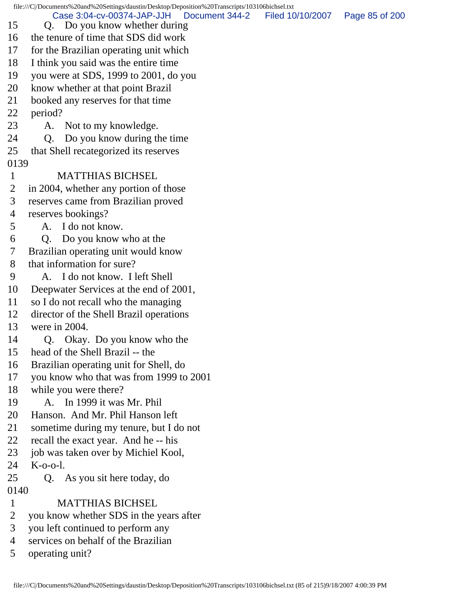file:///C|/Documents%20and%20Settings/daustin/Desktop/Deposition%20Transcripts/103106bichsel.txt 15 Q. Do you know whether during 16 the tenure of time that SDS did work 17 for the Brazilian operating unit which 18 I think you said was the entire time 19 you were at SDS, 1999 to 2001, do you 20 know whether at that point Brazil 21 booked any reserves for that time 22 period? 23 A. Not to my knowledge. 24 Q. Do you know during the time 25 that Shell recategorized its reserves 0139 1 MATTHIAS BICHSEL 2 in 2004, whether any portion of those 3 reserves came from Brazilian proved 4 reserves bookings? 5 A. I do not know. 6 Q. Do you know who at the 7 Brazilian operating unit would know 8 that information for sure? 9 A. I do not know. I left Shell 10 Deepwater Services at the end of 2001, 11 so I do not recall who the managing 12 director of the Shell Brazil operations 13 were in 2004. 14 Q. Okay. Do you know who the 15 head of the Shell Brazil -- the 16 Brazilian operating unit for Shell, do 17 you know who that was from 1999 to 2001 18 while you were there? 19 A. In 1999 it was Mr. Phil 20 Hanson. And Mr. Phil Hanson left 21 sometime during my tenure, but I do not 22 recall the exact year. And he -- his 23 job was taken over by Michiel Kool, 24 K-o-o-l. 25 Q. As you sit here today, do 0140 1 MATTHIAS BICHSEL 2 you know whether SDS in the years after 3 you left continued to perform any 4 services on behalf of the Brazilian 5 operating unit? Case 3:04-cv-00374-JAP-JJH Document 344-2 Filed 10/10/2007 Page 85 of 200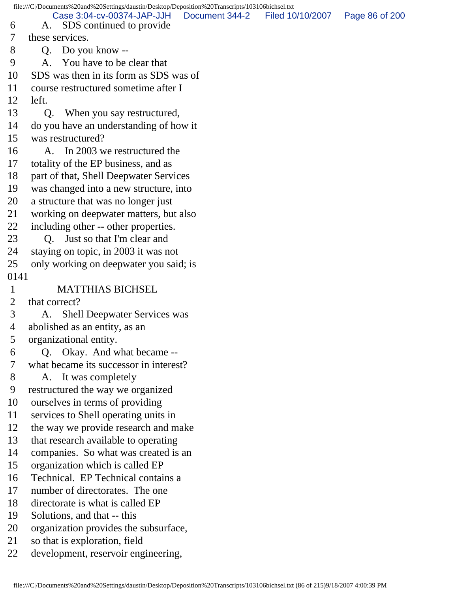file:///C|/Documents%20and%20Settings/daustin/Desktop/Deposition%20Transcripts/103106bichsel.txt 6 A. SDS continued to provide 7 these services. 8 Q. Do you know -- 9 A. You have to be clear that 10 SDS was then in its form as SDS was of 11 course restructured sometime after I 12 left. 13 Q. When you say restructured, 14 do you have an understanding of how it 15 was restructured? 16 A. In 2003 we restructured the 17 totality of the EP business, and as 18 part of that, Shell Deepwater Services 19 was changed into a new structure, into 20 a structure that was no longer just 21 working on deepwater matters, but also 22 including other -- other properties. 23 O. Just so that I'm clear and 24 staying on topic, in 2003 it was not 25 only working on deepwater you said; is 0141 1 MATTHIAS BICHSEL 2 that correct? 3 A. Shell Deepwater Services was 4 abolished as an entity, as an 5 organizational entity. 6 Q. Okay. And what became -- 7 what became its successor in interest? 8 A. It was completely 9 restructured the way we organized 10 ourselves in terms of providing 11 services to Shell operating units in 12 the way we provide research and make 13 that research available to operating 14 companies. So what was created is an 15 organization which is called EP 16 Technical. EP Technical contains a 17 number of directorates. The one 18 directorate is what is called EP 19 Solutions, and that -- this 20 organization provides the subsurface, 21 so that is exploration, field Case 3:04-cv-00374-JAP-JJH Document 344-2 Filed 10/10/2007 Page 86 of 200

22 development, reservoir engineering,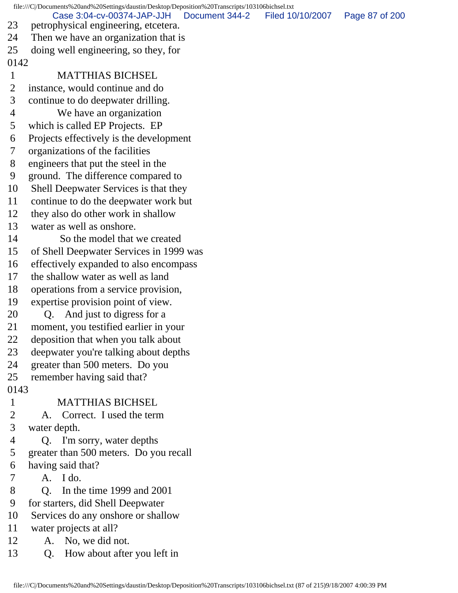file:///C|/Documents%20and%20Settings/daustin/Desktop/Deposition%20Transcripts/103106bichsel.txt 23 petrophysical engineering, etcetera. 24 Then we have an organization that is 25 doing well engineering, so they, for 0142 1 MATTHIAS BICHSEL 2 instance, would continue and do 3 continue to do deepwater drilling. 4 We have an organization 5 which is called EP Projects. EP 6 Projects effectively is the development 7 organizations of the facilities 8 engineers that put the steel in the 9 ground. The difference compared to 10 Shell Deepwater Services is that they 11 continue to do the deepwater work but 12 they also do other work in shallow 13 water as well as onshore. 14 So the model that we created 15 of Shell Deepwater Services in 1999 was 16 effectively expanded to also encompass 17 the shallow water as well as land 18 operations from a service provision, 19 expertise provision point of view. 20 Q. And just to digress for a 21 moment, you testified earlier in your 22 deposition that when you talk about 23 deepwater you're talking about depths 24 greater than 500 meters. Do you 25 remember having said that? 0143 1 MATTHIAS BICHSEL 2 A. Correct. I used the term 3 water depth. 4 Q. I'm sorry, water depths 5 greater than 500 meters. Do you recall 6 having said that? 7 A. I do. 8 Q. In the time 1999 and 2001 9 for starters, did Shell Deepwater 10 Services do any onshore or shallow 11 water projects at all? 12 A. No, we did not. 13 Q. How about after you left in Case 3:04-cv-00374-JAP-JJH Document 344-2 Filed 10/10/2007 Page 87 of 200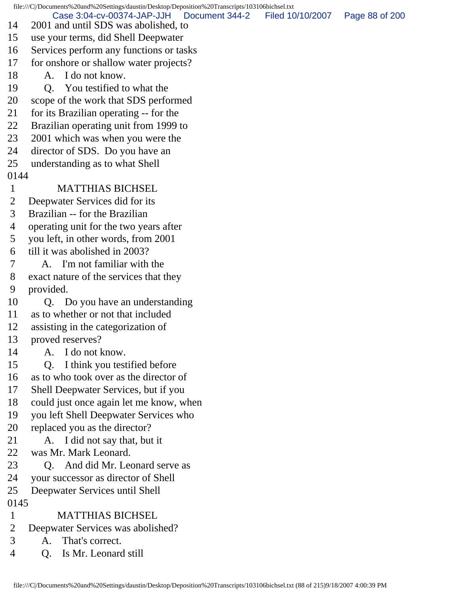file:///C|/Documents%20and%20Settings/daustin/Desktop/Deposition%20Transcripts/103106bichsel.txt 14 2001 and until SDS was abolished, to 15 use your terms, did Shell Deepwater 16 Services perform any functions or tasks 17 for onshore or shallow water projects? 18 A. I do not know. 19 Q. You testified to what the 20 scope of the work that SDS performed 21 for its Brazilian operating -- for the 22 Brazilian operating unit from 1999 to 23 2001 which was when you were the 24 director of SDS. Do you have an 25 understanding as to what Shell 0144 1 MATTHIAS BICHSEL 2 Deepwater Services did for its 3 Brazilian -- for the Brazilian 4 operating unit for the two years after 5 you left, in other words, from 2001 6 till it was abolished in 2003? 7 A. I'm not familiar with the 8 exact nature of the services that they 9 provided. 10 O. Do you have an understanding 11 as to whether or not that included 12 assisting in the categorization of 13 proved reserves? 14 A. I do not know. 15 Q. I think you testified before 16 as to who took over as the director of 17 Shell Deepwater Services, but if you 18 could just once again let me know, when 19 you left Shell Deepwater Services who 20 replaced you as the director? 21 A. I did not say that, but it 22 was Mr. Mark Leonard. 23 Q. And did Mr. Leonard serve as 24 your successor as director of Shell 25 Deepwater Services until Shell 0145 1 MATTHIAS BICHSEL 2 Deepwater Services was abolished? 3 A. That's correct. 4 Q. Is Mr. Leonard still Case 3:04-cv-00374-JAP-JJH Document 344-2 Filed 10/10/2007 Page 88 of 200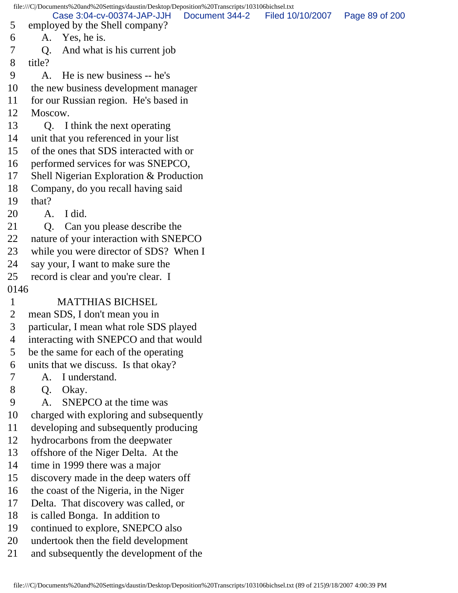file:///C|/Documents%20and%20Settings/daustin/Desktop/Deposition%20Transcripts/103106bichsel.txt 5 employed by the Shell company? 6 A. Yes, he is. 7 Q. And what is his current job 8 title? 9 A. He is new business -- he's 10 the new business development manager 11 for our Russian region. He's based in 12 Moscow. 13 Q. I think the next operating 14 unit that you referenced in your list 15 of the ones that SDS interacted with or 16 performed services for was SNEPCO, 17 Shell Nigerian Exploration & Production 18 Company, do you recall having said 19 that? 20 A. I did. 21 Q. Can you please describe the 22 nature of your interaction with SNEPCO 23 while you were director of SDS? When I 24 say your, I want to make sure the 25 record is clear and you're clear. I 0146 1 MATTHIAS BICHSEL 2 mean SDS, I don't mean you in 3 particular, I mean what role SDS played 4 interacting with SNEPCO and that would 5 be the same for each of the operating 6 units that we discuss. Is that okay? 7 A. I understand. 8 Q. Okay. 9 A. SNEPCO at the time was 10 charged with exploring and subsequently 11 developing and subsequently producing 12 hydrocarbons from the deepwater 13 offshore of the Niger Delta. At the 14 time in 1999 there was a major 15 discovery made in the deep waters off 16 the coast of the Nigeria, in the Niger 17 Delta. That discovery was called, or 18 is called Bonga. In addition to 19 continued to explore, SNEPCO also 20 undertook then the field development 21 and subsequently the development of the Case 3:04-cv-00374-JAP-JJH Document 344-2 Filed 10/10/2007 Page 89 of 200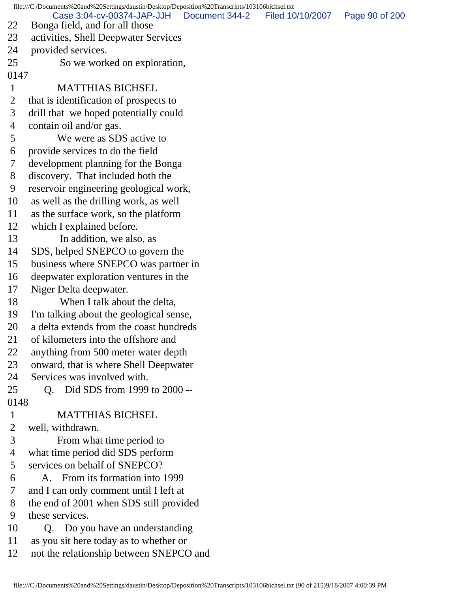file:///C|/Documents%20and%20Settings/daustin/Desktop/Deposition%20Transcripts/103106bichsel.txt 22 Bonga field, and for all those 23 activities, Shell Deepwater Services 24 provided services. 25 So we worked on exploration, 0147 1 MATTHIAS BICHSEL 2 that is identification of prospects to 3 drill that we hoped potentially could 4 contain oil and/or gas. 5 We were as SDS active to 6 provide services to do the field 7 development planning for the Bonga 8 discovery. That included both the 9 reservoir engineering geological work, 10 as well as the drilling work, as well 11 as the surface work, so the platform 12 which I explained before. 13 In addition, we also, as 14 SDS, helped SNEPCO to govern the 15 business where SNEPCO was partner in 16 deepwater exploration ventures in the 17 Niger Delta deepwater. 18 When I talk about the delta, 19 I'm talking about the geological sense, 20 a delta extends from the coast hundreds 21 of kilometers into the offshore and 22 anything from 500 meter water depth 23 onward, that is where Shell Deepwater 24 Services was involved with. 25 Q. Did SDS from 1999 to 2000 -- 0148 1 MATTHIAS BICHSEL 2 well, withdrawn. 3 From what time period to 4 what time period did SDS perform 5 services on behalf of SNEPCO? 6 A. From its formation into 1999 7 and I can only comment until I left at 8 the end of 2001 when SDS still provided 9 these services. 10 Q. Do you have an understanding 11 as you sit here today as to whether or 12 not the relationship between SNEPCO and Case 3:04-cv-00374-JAP-JJH Document 344-2 Filed 10/10/2007 Page 90 of 200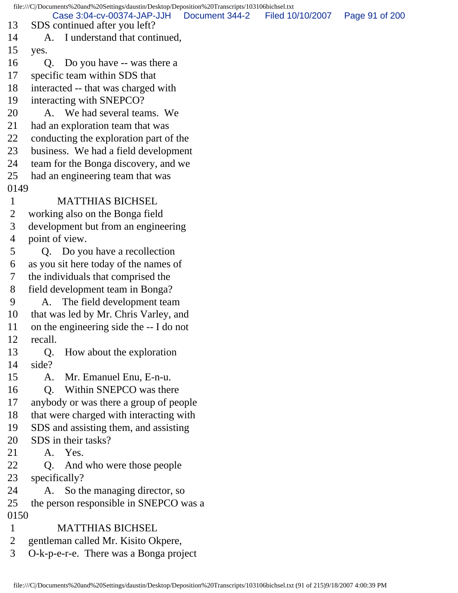file:///C|/Documents%20and%20Settings/daustin/Desktop/Deposition%20Transcripts/103106bichsel.txt 13 SDS continued after you left? 14 A. I understand that continued, 15 yes. 16 Q. Do you have -- was there a 17 specific team within SDS that 18 interacted -- that was charged with 19 interacting with SNEPCO? 20 A. We had several teams. We 21 had an exploration team that was 22 conducting the exploration part of the 23 business. We had a field development 24 team for the Bonga discovery, and we 25 had an engineering team that was 0149 1 MATTHIAS BICHSEL 2 working also on the Bonga field 3 development but from an engineering 4 point of view. 5 Q. Do you have a recollection 6 as you sit here today of the names of 7 the individuals that comprised the 8 field development team in Bonga? 9 A. The field development team 10 that was led by Mr. Chris Varley, and 11 on the engineering side the -- I do not 12 recall. 13 Q. How about the exploration 14 side? 15 A. Mr. Emanuel Enu, E-n-u. 16 O. Within SNEPCO was there 17 anybody or was there a group of people 18 that were charged with interacting with 19 SDS and assisting them, and assisting 20 SDS in their tasks? 21 A. Yes. 22 Q. And who were those people 23 specifically? 24 A. So the managing director, so 25 the person responsible in SNEPCO was a 0150 1 MATTHIAS BICHSEL 2 gentleman called Mr. Kisito Okpere, 3 O-k-p-e-r-e. There was a Bonga project Case 3:04-cv-00374-JAP-JJH Document 344-2 Filed 10/10/2007 Page 91 of 200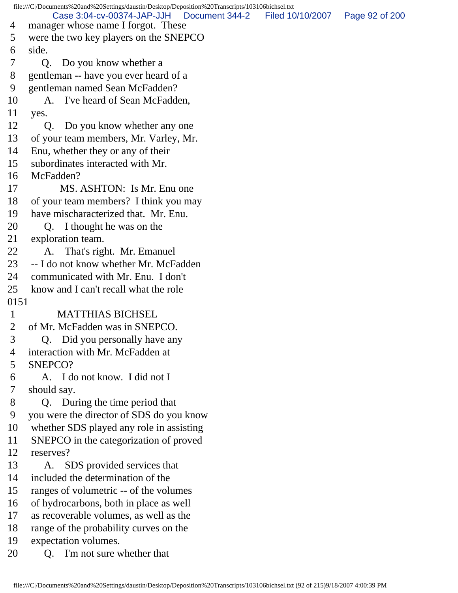file:///C|/Documents%20and%20Settings/daustin/Desktop/Deposition%20Transcripts/103106bichsel.txt 4 manager whose name I forgot. These 5 were the two key players on the SNEPCO 6 side. 7 Q. Do you know whether a 8 gentleman -- have you ever heard of a 9 gentleman named Sean McFadden? 10 A. I've heard of Sean McFadden, 11 yes. 12 Q. Do you know whether any one 13 of your team members, Mr. Varley, Mr. 14 Enu, whether they or any of their 15 subordinates interacted with Mr. 16 McFadden? 17 MS. ASHTON: Is Mr. Enu one 18 of your team members? I think you may 19 have mischaracterized that. Mr. Enu. 20 Q. I thought he was on the 21 exploration team. 22 A. That's right. Mr. Emanuel 23 -- I do not know whether Mr. McFadden 24 communicated with Mr. Enu. I don't 25 know and I can't recall what the role 0151 1 MATTHIAS BICHSEL 2 of Mr. McFadden was in SNEPCO. 3 Q. Did you personally have any 4 interaction with Mr. McFadden at 5 SNEPCO? 6 A. I do not know. I did not I 7 should say. 8 Q. During the time period that 9 you were the director of SDS do you know 10 whether SDS played any role in assisting 11 SNEPCO in the categorization of proved 12 reserves? 13 A. SDS provided services that 14 included the determination of the 15 ranges of volumetric -- of the volumes 16 of hydrocarbons, both in place as well 17 as recoverable volumes, as well as the 18 range of the probability curves on the 19 expectation volumes. 20 Q. I'm not sure whether that Case 3:04-cv-00374-JAP-JJH Document 344-2 Filed 10/10/2007 Page 92 of 200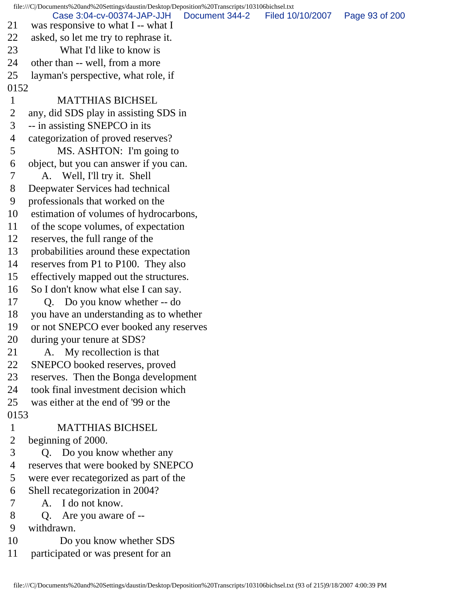file:///C|/Documents%20and%20Settings/daustin/Desktop/Deposition%20Transcripts/103106bichsel.txt 21 was responsive to what I -- what I 22 asked, so let me try to rephrase it. 23 What I'd like to know is 24 other than -- well, from a more 25 layman's perspective, what role, if 0152 1 MATTHIAS BICHSEL 2 any, did SDS play in assisting SDS in 3 -- in assisting SNEPCO in its 4 categorization of proved reserves? 5 MS. ASHTON: I'm going to 6 object, but you can answer if you can. 7 A. Well, I'll try it. Shell 8 Deepwater Services had technical 9 professionals that worked on the 10 estimation of volumes of hydrocarbons, 11 of the scope volumes, of expectation 12 reserves, the full range of the 13 probabilities around these expectation 14 reserves from P1 to P100. They also 15 effectively mapped out the structures. 16 So I don't know what else I can say. 17 Q. Do you know whether -- do 18 you have an understanding as to whether 19 or not SNEPCO ever booked any reserves 20 during your tenure at SDS? 21 A. My recollection is that 22 SNEPCO booked reserves, proved 23 reserves. Then the Bonga development 24 took final investment decision which 25 was either at the end of '99 or the 0153 1 MATTHIAS BICHSEL 2 beginning of 2000. 3 Q. Do you know whether any 4 reserves that were booked by SNEPCO 5 were ever recategorized as part of the 6 Shell recategorization in 2004? 7 A. I do not know. 8 Q. Are you aware of -- 9 withdrawn. 10 Do you know whether SDS Case 3:04-cv-00374-JAP-JJH Document 344-2 Filed 10/10/2007 Page 93 of 200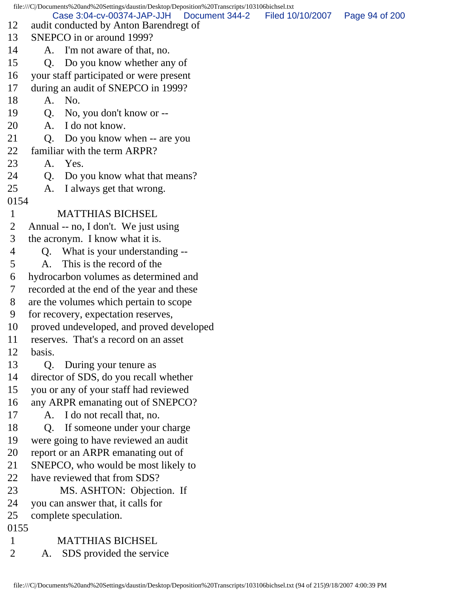|                                                          |                | file:///C /Documents%20and%20Settings/daustin/Desktop/Deposition%20Transcripts/103106bichsel.txt                                               |                  |                |
|----------------------------------------------------------|----------------|------------------------------------------------------------------------------------------------------------------------------------------------|------------------|----------------|
|                                                          |                | Case 3:04-cv-00374-JAP-JJH<br>Document 344-2                                                                                                   | Filed 10/10/2007 | Page 94 of 200 |
| 12<br>13                                                 |                | audit conducted by Anton Barendregt of<br>SNEPCO in or around 1999?                                                                            |                  |                |
|                                                          |                |                                                                                                                                                |                  |                |
| 14                                                       | A.             | I'm not aware of that, no.                                                                                                                     |                  |                |
| 15                                                       | Q.             | Do you know whether any of                                                                                                                     |                  |                |
| 16                                                       |                | your staff participated or were present                                                                                                        |                  |                |
| 17                                                       |                | during an audit of SNEPCO in 1999?                                                                                                             |                  |                |
| 18                                                       | A.             | No.                                                                                                                                            |                  |                |
| 19                                                       | Q.             | No, you don't know or --                                                                                                                       |                  |                |
| 20                                                       | A.             | I do not know.                                                                                                                                 |                  |                |
| 21                                                       | Q.             | Do you know when -- are you                                                                                                                    |                  |                |
| 22                                                       |                | familiar with the term ARPR?                                                                                                                   |                  |                |
| 23                                                       |                | A. Yes.                                                                                                                                        |                  |                |
| 24                                                       | Q.             | Do you know what that means?                                                                                                                   |                  |                |
| 25                                                       | A.             | I always get that wrong.                                                                                                                       |                  |                |
| 0154                                                     |                |                                                                                                                                                |                  |                |
| $\mathbf{1}$                                             |                | <b>MATTHIAS BICHSEL</b>                                                                                                                        |                  |                |
| 2                                                        |                | Annual -- no, I don't. We just using                                                                                                           |                  |                |
| 3                                                        |                | the acronym. I know what it is.                                                                                                                |                  |                |
| 4                                                        |                | Q. What is your understanding --                                                                                                               |                  |                |
| 5                                                        | A.             | This is the record of the                                                                                                                      |                  |                |
| 6                                                        |                | hydrocarbon volumes as determined and                                                                                                          |                  |                |
| 7                                                        |                | recorded at the end of the year and these                                                                                                      |                  |                |
| 8                                                        |                | are the volumes which pertain to scope                                                                                                         |                  |                |
| 9                                                        |                | for recovery, expectation reserves,                                                                                                            |                  |                |
| 10                                                       |                | proved undeveloped, and proved developed                                                                                                       |                  |                |
| 11                                                       |                | reserves. That's a record on an asset                                                                                                          |                  |                |
| 12                                                       | basis.         |                                                                                                                                                |                  |                |
| 13                                                       | Q <sub>r</sub> | During your tenure as                                                                                                                          |                  |                |
| 14                                                       |                | director of SDS, do you recall whether                                                                                                         |                  |                |
| 15                                                       |                | you or any of your staff had reviewed                                                                                                          |                  |                |
| 16                                                       |                | any ARPR emanating out of SNEPCO?                                                                                                              |                  |                |
| 17                                                       | A.             | I do not recall that, no.                                                                                                                      |                  |                |
| 18                                                       | Q <sub>r</sub> | If someone under your charge                                                                                                                   |                  |                |
| 19                                                       |                | were going to have reviewed an audit                                                                                                           |                  |                |
| 20                                                       |                | report or an ARPR emanating out of                                                                                                             |                  |                |
| 21                                                       |                | SNEPCO, who would be most likely to                                                                                                            |                  |                |
| 22                                                       |                | have reviewed that from SDS?                                                                                                                   |                  |                |
|                                                          |                |                                                                                                                                                |                  |                |
|                                                          |                |                                                                                                                                                |                  |                |
|                                                          |                |                                                                                                                                                |                  |                |
|                                                          |                |                                                                                                                                                |                  |                |
|                                                          |                |                                                                                                                                                |                  |                |
|                                                          |                |                                                                                                                                                |                  |                |
| 23<br>24<br>25<br>0155<br>$\mathbf{1}$<br>$\overline{2}$ | A.             | MS. ASHTON: Objection. If<br>you can answer that, it calls for<br>complete speculation.<br><b>MATTHIAS BICHSEL</b><br>SDS provided the service |                  |                |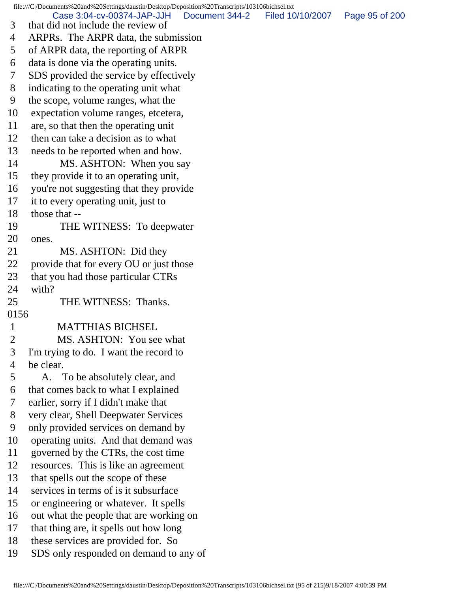file:///C|/Documents%20and%20Settings/daustin/Desktop/Deposition%20Transcripts/103106bichsel.txt 3 that did not include the review of 4 ARPRs. The ARPR data, the submission 5 of ARPR data, the reporting of ARPR 6 data is done via the operating units. 7 SDS provided the service by effectively 8 indicating to the operating unit what 9 the scope, volume ranges, what the 10 expectation volume ranges, etcetera, 11 are, so that then the operating unit 12 then can take a decision as to what 13 needs to be reported when and how. 14 MS. ASHTON: When you say 15 they provide it to an operating unit, 16 you're not suggesting that they provide 17 it to every operating unit, just to 18 those that -- 19 THE WITNESS: To deepwater 20 ones. 21 MS. ASHTON: Did they 22 provide that for every OU or just those 23 that you had those particular CTRs 24 with? 25 THE WITNESS: Thanks. 0156 1 MATTHIAS BICHSEL 2 MS. ASHTON: You see what 3 I'm trying to do. I want the record to 4 be clear. 5 A. To be absolutely clear, and 6 that comes back to what I explained 7 earlier, sorry if I didn't make that 8 very clear, Shell Deepwater Services 9 only provided services on demand by 10 operating units. And that demand was 11 governed by the CTRs, the cost time 12 resources. This is like an agreement 13 that spells out the scope of these 14 services in terms of is it subsurface 15 or engineering or whatever. It spells 16 out what the people that are working on 17 that thing are, it spells out how long 18 these services are provided for. So 19 SDS only responded on demand to any of Case 3:04-cv-00374-JAP-JJH Document 344-2 Filed 10/10/2007 Page 95 of 200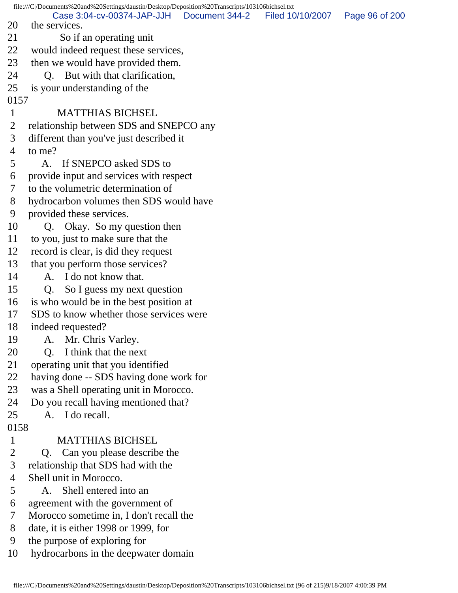file:///C|/Documents%20and%20Settings/daustin/Desktop/Deposition%20Transcripts/103106bichsel.txt 20 the services. 21 So if an operating unit 22 would indeed request these services, 23 then we would have provided them. 24 Q. But with that clarification, 25 is your understanding of the 0157 1 MATTHIAS BICHSEL 2 relationship between SDS and SNEPCO any 3 different than you've just described it 4 to me? 5 A. If SNEPCO asked SDS to 6 provide input and services with respect 7 to the volumetric determination of 8 hydrocarbon volumes then SDS would have 9 provided these services. 10 Q. Okay. So my question then 11 to you, just to make sure that the 12 record is clear, is did they request 13 that you perform those services? 14 A. I do not know that. 15 Q. So I guess my next question 16 is who would be in the best position at 17 SDS to know whether those services were 18 indeed requested? 19 A. Mr. Chris Varley. 20 Q. I think that the next 21 operating unit that you identified 22 having done -- SDS having done work for 23 was a Shell operating unit in Morocco. 24 Do you recall having mentioned that? 25 A. I do recall. 0158 1 MATTHIAS BICHSEL 2 Q. Can you please describe the 3 relationship that SDS had with the 4 Shell unit in Morocco. 5 A. Shell entered into an 6 agreement with the government of 7 Morocco sometime in, I don't recall the 8 date, it is either 1998 or 1999, for 9 the purpose of exploring for 10 hydrocarbons in the deepwater domain Case 3:04-cv-00374-JAP-JJH Document 344-2 Filed 10/10/2007 Page 96 of 200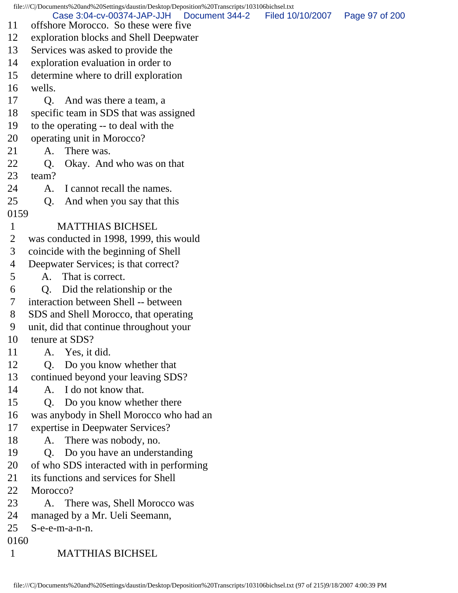file:///C|/Documents%20and%20Settings/daustin/Desktop/Deposition%20Transcripts/103106bichsel.txt 11 offshore Morocco. So these were five 12 exploration blocks and Shell Deepwater 13 Services was asked to provide the 14 exploration evaluation in order to 15 determine where to drill exploration 16 wells. 17 Q. And was there a team, a 18 specific team in SDS that was assigned 19 to the operating -- to deal with the 20 operating unit in Morocco? 21 A. There was. 22 Q. Okay. And who was on that 23 team? 24 A. I cannot recall the names. 25 Q. And when you say that this 0159 1 MATTHIAS BICHSEL 2 was conducted in 1998, 1999, this would 3 coincide with the beginning of Shell 4 Deepwater Services; is that correct? 5 A. That is correct. 6 Q. Did the relationship or the 7 interaction between Shell -- between 8 SDS and Shell Morocco, that operating 9 unit, did that continue throughout your 10 tenure at SDS? 11 A. Yes, it did. 12 Q. Do you know whether that 13 continued beyond your leaving SDS? 14 A. I do not know that. 15 Q. Do you know whether there 16 was anybody in Shell Morocco who had an 17 expertise in Deepwater Services? 18 A. There was nobody, no. 19 Q. Do you have an understanding 20 of who SDS interacted with in performing 21 its functions and services for Shell 22 Morocco? 23 A. There was, Shell Morocco was 24 managed by a Mr. Ueli Seemann, 25 S-e-e-m-a-n-n. 0160 1 MATTHIAS BICHSEL Case 3:04-cv-00374-JAP-JJH Document 344-2 Filed 10/10/2007 Page 97 of 200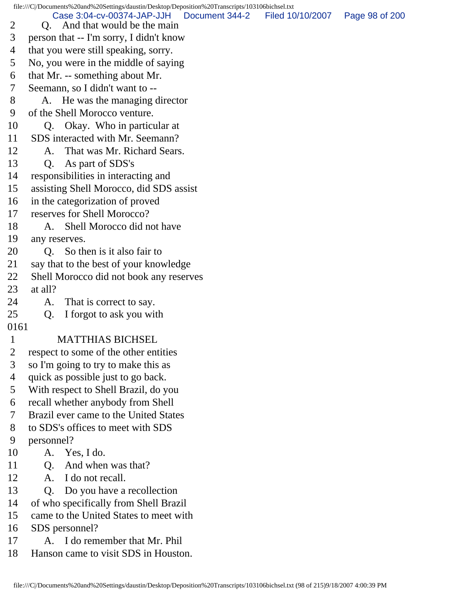file:///C|/Documents%20and%20Settings/daustin/Desktop/Deposition%20Transcripts/103106bichsel.txt

2 O. And that would be the main Case 3:04-cv-00374-JAP-JJH Document 344-2 Filed 10/10/2007 Page 98 of 200

3 person that -- I'm sorry, I didn't know

- 4 that you were still speaking, sorry.
- 5 No, you were in the middle of saying
- 6 that Mr. -- something about Mr.
- 7 Seemann, so I didn't want to --
- 8 A. He was the managing director
- 9 of the Shell Morocco venture.
- 10 Q. Okay. Who in particular at
- 11 SDS interacted with Mr. Seemann?

## 12 A. That was Mr. Richard Sears.

- 13 Q. As part of SDS's
- 14 responsibilities in interacting and
- 15 assisting Shell Morocco, did SDS assist
- 16 in the categorization of proved
- 17 reserves for Shell Morocco?
- 18 A. Shell Morocco did not have
- 19 any reserves.
- 20 Q. So then is it also fair to
- 21 say that to the best of your knowledge
- 22 Shell Morocco did not book any reserves
- 23 at all?
- 24 A. That is correct to say.
- 25 Q. I forgot to ask you with
- 0161

## 1 MATTHIAS BICHSEL

- 2 respect to some of the other entities
- 3 so I'm going to try to make this as
- 4 quick as possible just to go back.
- 5 With respect to Shell Brazil, do you
- 6 recall whether anybody from Shell
- 7 Brazil ever came to the United States
- 8 to SDS's offices to meet with SDS
- 9 personnel?
- 10 A. Yes, I do.
- 11 Q. And when was that?
- 12 A. I do not recall.
- 13 Q. Do you have a recollection
- 14 of who specifically from Shell Brazil
- 15 came to the United States to meet with
- 16 SDS personnel?
- 17 A. I do remember that Mr. Phil
- 18 Hanson came to visit SDS in Houston.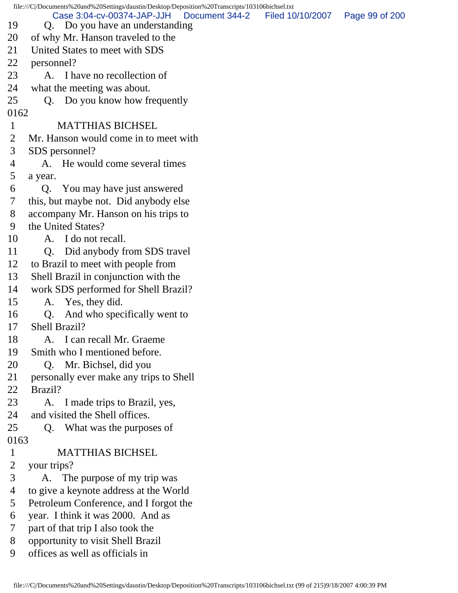| file:///C /Documents%20and%20Settings/daustin/Desktop/Deposition%20Transcripts/103106bichsel.txt |                                               |                  |                |  |  |
|--------------------------------------------------------------------------------------------------|-----------------------------------------------|------------------|----------------|--|--|
|                                                                                                  | Case 3:04-cv-00374-JAP-JJH<br>Document 344-2  | Filed 10/10/2007 | Page 99 of 200 |  |  |
| 19                                                                                               | Q. Do you have an understanding               |                  |                |  |  |
| 20                                                                                               | of why Mr. Hanson traveled to the             |                  |                |  |  |
| 21                                                                                               | United States to meet with SDS                |                  |                |  |  |
| 22                                                                                               | personnel?                                    |                  |                |  |  |
| 23                                                                                               | A. I have no recollection of                  |                  |                |  |  |
| 24                                                                                               | what the meeting was about.                   |                  |                |  |  |
| 25                                                                                               | Q. Do you know how frequently                 |                  |                |  |  |
| 0162                                                                                             |                                               |                  |                |  |  |
| 1                                                                                                | <b>MATTHIAS BICHSEL</b>                       |                  |                |  |  |
| $\overline{2}$                                                                                   | Mr. Hanson would come in to meet with         |                  |                |  |  |
| 3                                                                                                | SDS personnel?                                |                  |                |  |  |
| 4                                                                                                | He would come several times                   |                  |                |  |  |
| 5                                                                                                | a year.                                       |                  |                |  |  |
| 6                                                                                                | You may have just answered<br>Q.              |                  |                |  |  |
| 7                                                                                                | this, but maybe not. Did anybody else         |                  |                |  |  |
| 8                                                                                                | accompany Mr. Hanson on his trips to          |                  |                |  |  |
| 9                                                                                                | the United States?                            |                  |                |  |  |
| 10                                                                                               | A. I do not recall.                           |                  |                |  |  |
| 11                                                                                               | Did anybody from SDS travel<br>Q <sub>1</sub> |                  |                |  |  |
| 12                                                                                               | to Brazil to meet with people from            |                  |                |  |  |
| 13                                                                                               | Shell Brazil in conjunction with the          |                  |                |  |  |
| 14                                                                                               | work SDS performed for Shell Brazil?          |                  |                |  |  |
| 15                                                                                               | A. Yes, they did.                             |                  |                |  |  |
| 16                                                                                               | And who specifically went to<br>Q.            |                  |                |  |  |
| 17                                                                                               | Shell Brazil?                                 |                  |                |  |  |
| 18                                                                                               | I can recall Mr. Graeme<br>A.                 |                  |                |  |  |
| 19                                                                                               | Smith who I mentioned before.                 |                  |                |  |  |
| 20                                                                                               | Mr. Bichsel, did you<br>Q.                    |                  |                |  |  |
| 21                                                                                               | personally ever make any trips to Shell       |                  |                |  |  |
| 22                                                                                               | Brazil?                                       |                  |                |  |  |
| 23                                                                                               | A. I made trips to Brazil, yes,               |                  |                |  |  |
| 24                                                                                               | and visited the Shell offices.                |                  |                |  |  |
| 25                                                                                               | What was the purposes of<br>Q.                |                  |                |  |  |
| 0163                                                                                             |                                               |                  |                |  |  |
| $\mathbf{1}$                                                                                     | <b>MATTHIAS BICHSEL</b>                       |                  |                |  |  |
| $\overline{2}$                                                                                   | your trips?                                   |                  |                |  |  |
| 3                                                                                                | A. The purpose of my trip was                 |                  |                |  |  |
| 4                                                                                                | to give a keynote address at the World        |                  |                |  |  |
| 5                                                                                                | Petroleum Conference, and I forgot the        |                  |                |  |  |
| 6                                                                                                | year. I think it was 2000. And as             |                  |                |  |  |
| 7                                                                                                | part of that trip I also took the             |                  |                |  |  |
| 8                                                                                                | opportunity to visit Shell Brazil             |                  |                |  |  |
| 9                                                                                                | offices as well as officials in               |                  |                |  |  |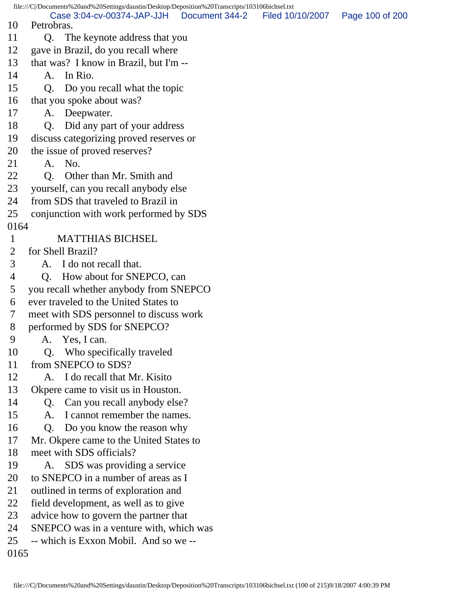file:///C|/Documents%20and%20Settings/daustin/Desktop/Deposition%20Transcripts/103106bichsel.txt 10 Petrobras. 11 Q. The keynote address that you 12 gave in Brazil, do you recall where 13 that was? I know in Brazil, but I'm -- 14 A. In Rio. 15 Q. Do you recall what the topic 16 that you spoke about was? 17 A. Deepwater. 18 Q. Did any part of your address 19 discuss categorizing proved reserves or 20 the issue of proved reserves? 21 A. No. 22 O. Other than Mr. Smith and 23 yourself, can you recall anybody else 24 from SDS that traveled to Brazil in 25 conjunction with work performed by SDS 0164 1 MATTHIAS BICHSEL 2 for Shell Brazil? 3 A. I do not recall that. 4 Q. How about for SNEPCO, can 5 you recall whether anybody from SNEPCO 6 ever traveled to the United States to 7 meet with SDS personnel to discuss work 8 performed by SDS for SNEPCO? 9 A. Yes, I can. 10 Q. Who specifically traveled 11 from SNEPCO to SDS? 12 A. I do recall that Mr. Kisito 13 Okpere came to visit us in Houston. 14 Q. Can you recall anybody else? 15 A. I cannot remember the names. 16 Q. Do you know the reason why 17 Mr. Okpere came to the United States to 18 meet with SDS officials? 19 A. SDS was providing a service 20 to SNEPCO in a number of areas as I 21 outlined in terms of exploration and 22 field development, as well as to give 23 advice how to govern the partner that 24 SNEPCO was in a venture with, which was 25 -- which is Exxon Mobil. And so we -- 0165 Case 3:04-cv-00374-JAP-JJH Document 344-2 Filed 10/10/2007 Page 100 of 200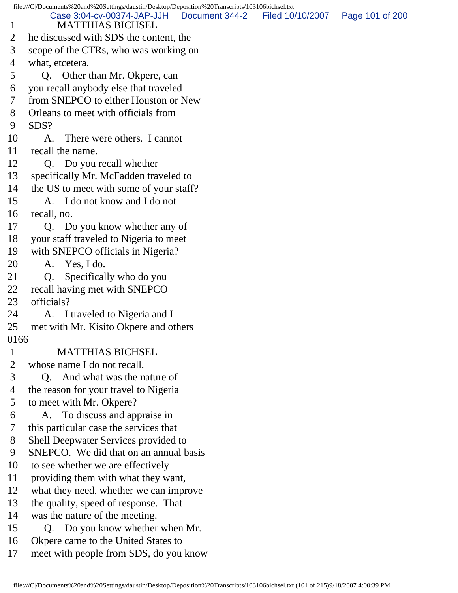file:///C|/Documents%20and%20Settings/daustin/Desktop/Deposition%20Transcripts/103106bichsel.txt 1 MATTHIAS BICHSEL 2 he discussed with SDS the content, the 3 scope of the CTRs, who was working on 4 what, etcetera. 5 Q. Other than Mr. Okpere, can 6 you recall anybody else that traveled 7 from SNEPCO to either Houston or New 8 Orleans to meet with officials from 9 SDS? 10 A. There were others. I cannot 11 recall the name. 12 Q. Do you recall whether 13 specifically Mr. McFadden traveled to 14 the US to meet with some of your staff? 15 A. I do not know and I do not 16 recall, no. 17 Q. Do you know whether any of 18 your staff traveled to Nigeria to meet 19 with SNEPCO officials in Nigeria? 20 A. Yes, I do. 21 Q. Specifically who do you 22 recall having met with SNEPCO 23 officials? 24 A. I traveled to Nigeria and I 25 met with Mr. Kisito Okpere and others 0166 1 MATTHIAS BICHSEL 2 whose name I do not recall. 3 Q. And what was the nature of 4 the reason for your travel to Nigeria 5 to meet with Mr. Okpere? 6 A. To discuss and appraise in 7 this particular case the services that 8 Shell Deepwater Services provided to 9 SNEPCO. We did that on an annual basis 10 to see whether we are effectively 11 providing them with what they want, 12 what they need, whether we can improve 13 the quality, speed of response. That 14 was the nature of the meeting. 15 Q. Do you know whether when Mr. 16 Okpere came to the United States to 17 meet with people from SDS, do you know Case 3:04-cv-00374-JAP-JJH Document 344-2 Filed 10/10/2007 Page 101 of 200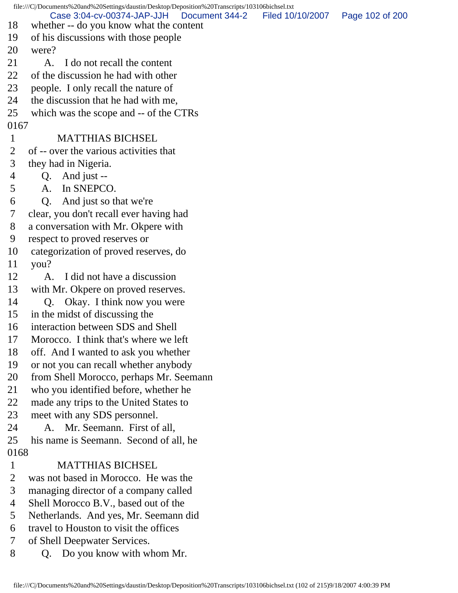file:///C|/Documents%20and%20Settings/daustin/Desktop/Deposition%20Transcripts/103106bichsel.txt 18 whether -- do you know what the content 19 of his discussions with those people 20 were? 21 A. I do not recall the content 22 of the discussion he had with other 23 people. I only recall the nature of 24 the discussion that he had with me, 25 which was the scope and -- of the CTRs 0167 1 MATTHIAS BICHSEL 2 of -- over the various activities that 3 they had in Nigeria. 4 Q. And just -- 5 A. In SNEPCO. 6 Q. And just so that we're 7 clear, you don't recall ever having had 8 a conversation with Mr. Okpere with 9 respect to proved reserves or 10 categorization of proved reserves, do 11 you? 12 A. I did not have a discussion 13 with Mr. Okpere on proved reserves. 14 Q. Okay. I think now you were 15 in the midst of discussing the 16 interaction between SDS and Shell 17 Morocco. I think that's where we left 18 off. And I wanted to ask you whether 19 or not you can recall whether anybody 20 from Shell Morocco, perhaps Mr. Seemann 21 who you identified before, whether he 22 made any trips to the United States to 23 meet with any SDS personnel. 24 A. Mr. Seemann. First of all, 25 his name is Seemann. Second of all, he 0168 1 MATTHIAS BICHSEL 2 was not based in Morocco. He was the 3 managing director of a company called 4 Shell Morocco B.V., based out of the 5 Netherlands. And yes, Mr. Seemann did 6 travel to Houston to visit the offices 7 of Shell Deepwater Services. 8 Q. Do you know with whom Mr. Case 3:04-cv-00374-JAP-JJH Document 344-2 Filed 10/10/2007 Page 102 of 200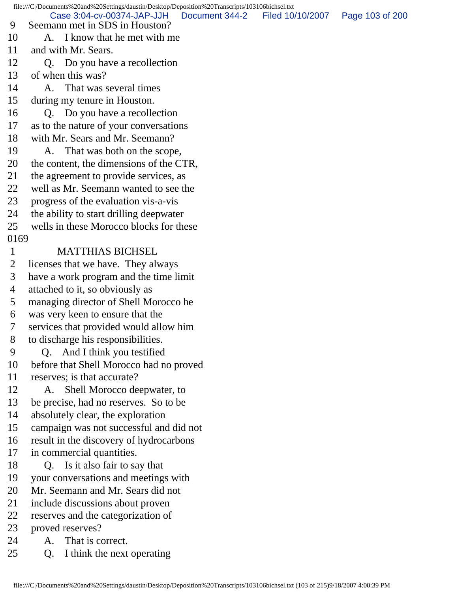file:///C|/Documents%20and%20Settings/daustin/Desktop/Deposition%20Transcripts/103106bichsel.txt 9 Seemann met in SDS in Houston? 10 A. I know that he met with me 11 and with Mr. Sears. 12 Q. Do you have a recollection 13 of when this was? 14 A. That was several times 15 during my tenure in Houston. 16 Q. Do you have a recollection 17 as to the nature of your conversations 18 with Mr. Sears and Mr. Seemann? 19 A. That was both on the scope, 20 the content, the dimensions of the CTR, 21 the agreement to provide services, as 22 well as Mr. Seemann wanted to see the 23 progress of the evaluation vis-a-vis 24 the ability to start drilling deepwater 25 wells in these Morocco blocks for these 0169 1 MATTHIAS BICHSEL 2 licenses that we have. They always 3 have a work program and the time limit 4 attached to it, so obviously as 5 managing director of Shell Morocco he 6 was very keen to ensure that the 7 services that provided would allow him 8 to discharge his responsibilities. 9 Q. And I think you testified 10 before that Shell Morocco had no proved 11 reserves; is that accurate? 12 A. Shell Morocco deepwater, to 13 be precise, had no reserves. So to be 14 absolutely clear, the exploration 15 campaign was not successful and did not 16 result in the discovery of hydrocarbons 17 in commercial quantities. 18 Q. Is it also fair to say that 19 your conversations and meetings with 20 Mr. Seemann and Mr. Sears did not 21 include discussions about proven 22 reserves and the categorization of 23 proved reserves? 24 A. That is correct. 25 Q. I think the next operating Case 3:04-cv-00374-JAP-JJH Document 344-2 Filed 10/10/2007 Page 103 of 200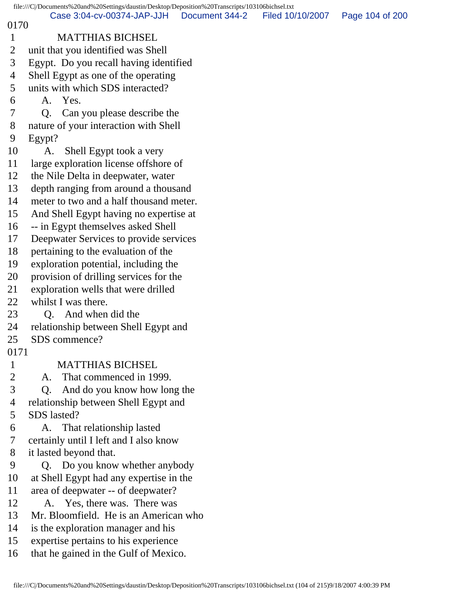file:///C|/Documents%20and%20Settings/daustin/Desktop/Deposition%20Transcripts/103106bichsel.txt 0170 1 MATTHIAS BICHSEL 2 unit that you identified was Shell 3 Egypt. Do you recall having identified 4 Shell Egypt as one of the operating 5 units with which SDS interacted? 6 A. Yes. 7 Q. Can you please describe the 8 nature of your interaction with Shell 9 Egypt? 10 A. Shell Egypt took a very 11 large exploration license offshore of 12 the Nile Delta in deepwater, water 13 depth ranging from around a thousand 14 meter to two and a half thousand meter. 15 And Shell Egypt having no expertise at 16 -- in Egypt themselves asked Shell 17 Deepwater Services to provide services 18 pertaining to the evaluation of the 19 exploration potential, including the 20 provision of drilling services for the 21 exploration wells that were drilled 22 whilst I was there. 23 Q. And when did the 24 relationship between Shell Egypt and 25 SDS commence? 0171 1 MATTHIAS BICHSEL 2 A. That commenced in 1999. 3 Q. And do you know how long the 4 relationship between Shell Egypt and 5 SDS lasted? 6 A. That relationship lasted 7 certainly until I left and I also know 8 it lasted beyond that. 9 Q. Do you know whether anybody 10 at Shell Egypt had any expertise in the 11 area of deepwater -- of deepwater? 12 A. Yes, there was. There was 13 Mr. Bloomfield. He is an American who 14 is the exploration manager and his 15 expertise pertains to his experience 16 that he gained in the Gulf of Mexico. Case 3:04-cv-00374-JAP-JJH Document 344-2 Filed 10/10/2007 Page 104 of 200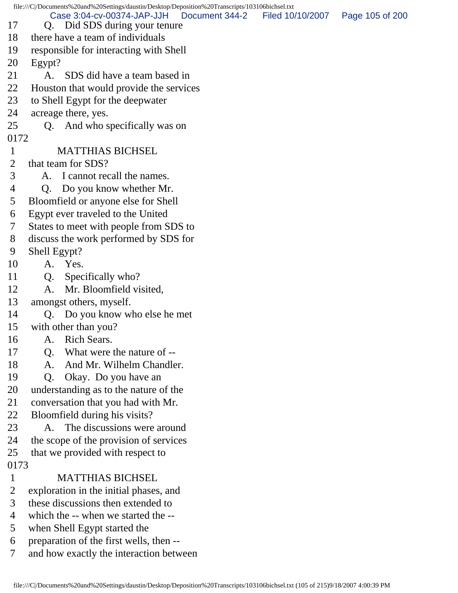file:///C|/Documents%20and%20Settings/daustin/Desktop/Deposition%20Transcripts/103106bichsel.txt 17 Q. Did SDS during your tenure 18 there have a team of individuals 19 responsible for interacting with Shell 20 Egypt? 21 A. SDS did have a team based in 22 Houston that would provide the services 23 to Shell Egypt for the deepwater 24 acreage there, yes. 25 Q. And who specifically was on 0172 1 MATTHIAS BICHSEL 2 that team for SDS? 3 A. I cannot recall the names. 4 Q. Do you know whether Mr. 5 Bloomfield or anyone else for Shell 6 Egypt ever traveled to the United 7 States to meet with people from SDS to 8 discuss the work performed by SDS for 9 Shell Egypt? 10 A. Yes. 11 Q. Specifically who? 12 A. Mr. Bloomfield visited, 13 amongst others, myself. 14 Q. Do you know who else he met 15 with other than you? 16 A. Rich Sears. 17 Q. What were the nature of -- 18 A. And Mr. Wilhelm Chandler. 19 Q. Okay. Do you have an 20 understanding as to the nature of the 21 conversation that you had with Mr. 22 Bloomfield during his visits? 23 A. The discussions were around 24 the scope of the provision of services 25 that we provided with respect to 0173 1 MATTHIAS BICHSEL 2 exploration in the initial phases, and 3 these discussions then extended to 4 which the -- when we started the -- 5 when Shell Egypt started the 6 preparation of the first wells, then -- 7 and how exactly the interaction between Case 3:04-cv-00374-JAP-JJH Document 344-2 Filed 10/10/2007 Page 105 of 200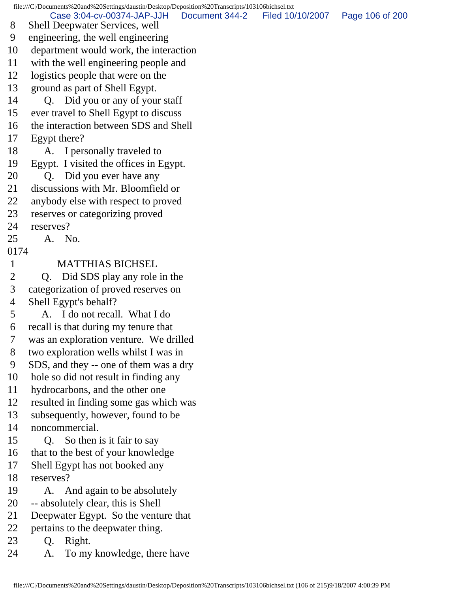file:///C|/Documents%20and%20Settings/daustin/Desktop/Deposition%20Transcripts/103106bichsel.txt 8 Shell Deepwater Services, well 9 engineering, the well engineering 10 department would work, the interaction 11 with the well engineering people and 12 logistics people that were on the 13 ground as part of Shell Egypt. 14 Q. Did you or any of your staff 15 ever travel to Shell Egypt to discuss 16 the interaction between SDS and Shell 17 Egypt there? 18 A. I personally traveled to 19 Egypt. I visited the offices in Egypt. 20 Q. Did you ever have any 21 discussions with Mr. Bloomfield or 22 anybody else with respect to proved 23 reserves or categorizing proved 24 reserves? 25 A. No. 0174 1 MATTHIAS BICHSEL 2 Q. Did SDS play any role in the 3 categorization of proved reserves on 4 Shell Egypt's behalf? 5 A. I do not recall. What I do 6 recall is that during my tenure that 7 was an exploration venture. We drilled 8 two exploration wells whilst I was in 9 SDS, and they -- one of them was a dry 10 hole so did not result in finding any 11 hydrocarbons, and the other one 12 resulted in finding some gas which was 13 subsequently, however, found to be 14 noncommercial. 15 Q. So then is it fair to say 16 that to the best of your knowledge 17 Shell Egypt has not booked any 18 reserves? 19 A. And again to be absolutely 20 -- absolutely clear, this is Shell 21 Deepwater Egypt. So the venture that 22 pertains to the deepwater thing. 23 Q. Right. 24 A. To my knowledge, there have Case 3:04-cv-00374-JAP-JJH Document 344-2 Filed 10/10/2007 Page 106 of 200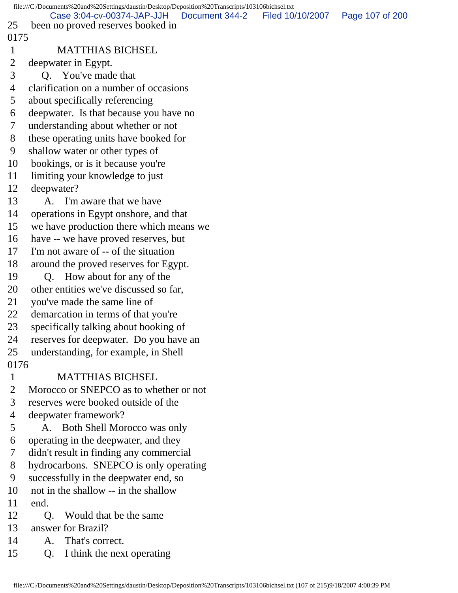|                | file:///C//Documents%20and%20Settings/daustin/Desktop/Deposition%20Transcripts/103106bichsel.txt |                  |                 |
|----------------|--------------------------------------------------------------------------------------------------|------------------|-----------------|
| 25             | Case 3:04-cv-00374-JAP-JJH<br>Document 344-2<br>been no proved reserves booked in                | Filed 10/10/2007 | Page 107 of 200 |
| 0175           |                                                                                                  |                  |                 |
| $\mathbf{1}$   | <b>MATTHIAS BICHSEL</b>                                                                          |                  |                 |
| $\overline{2}$ | deepwater in Egypt.                                                                              |                  |                 |
| 3              | Q. You've made that                                                                              |                  |                 |
| $\overline{4}$ | clarification on a number of occasions                                                           |                  |                 |
| 5              | about specifically referencing                                                                   |                  |                 |
| 6              | deepwater. Is that because you have no                                                           |                  |                 |
| 7              | understanding about whether or not                                                               |                  |                 |
| 8              | these operating units have booked for                                                            |                  |                 |
| 9              | shallow water or other types of                                                                  |                  |                 |
| 10             | bookings, or is it because you're                                                                |                  |                 |
| 11             | limiting your knowledge to just                                                                  |                  |                 |
| 12             | deepwater?                                                                                       |                  |                 |
| 13             | A. I'm aware that we have                                                                        |                  |                 |
| 14             | operations in Egypt on shore, and that                                                           |                  |                 |
| 15             | we have production there which means we                                                          |                  |                 |
| 16             | have -- we have proved reserves, but                                                             |                  |                 |
| 17             | I'm not aware of -- of the situation                                                             |                  |                 |
| 18             | around the proved reserves for Egypt.                                                            |                  |                 |
| 19             | Q. How about for any of the                                                                      |                  |                 |
| 20             | other entities we've discussed so far,                                                           |                  |                 |
| 21             | you've made the same line of                                                                     |                  |                 |
| 22             | demarcation in terms of that you're                                                              |                  |                 |
| 23             | specifically talking about booking of                                                            |                  |                 |
| 24             | reserves for deepwater. Do you have an                                                           |                  |                 |
| 25             | understanding, for example, in Shell                                                             |                  |                 |
| 0176           |                                                                                                  |                  |                 |
| $\mathbf{1}$   | <b>MATTHIAS BICHSEL</b>                                                                          |                  |                 |
| $\overline{2}$ | Morocco or SNEPCO as to whether or not                                                           |                  |                 |
| 3              | reserves were booked outside of the                                                              |                  |                 |
| 4              | deepwater framework?                                                                             |                  |                 |
| 5              | A. Both Shell Morocco was only                                                                   |                  |                 |
| 6              | operating in the deepwater, and they                                                             |                  |                 |
| 7              | didn't result in finding any commercial                                                          |                  |                 |
| 8              | hydrocarbons. SNEPCO is only operating                                                           |                  |                 |
| 9              | successfully in the deepwater end, so                                                            |                  |                 |
| 10             | not in the shallow -- in the shallow                                                             |                  |                 |
| 11             | end.                                                                                             |                  |                 |
| 12             | Would that be the same<br>O.                                                                     |                  |                 |
| 13             | answer for Brazil?                                                                               |                  |                 |
| 14             | A. That's correct.                                                                               |                  |                 |
| 15             | I think the next operating<br>Q.                                                                 |                  |                 |
|                |                                                                                                  |                  |                 |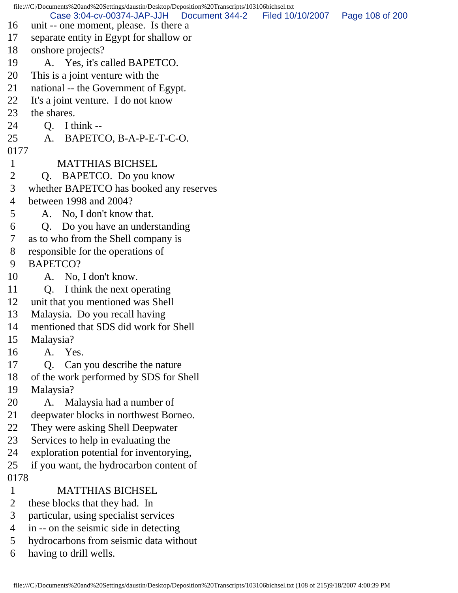file:///C|/Documents%20and%20Settings/daustin/Desktop/Deposition%20Transcripts/103106bichsel.txt 16 unit -- one moment, please. Is there a 17 separate entity in Egypt for shallow or 18 onshore projects? 19 A. Yes, it's called BAPETCO. 20 This is a joint venture with the 21 national -- the Government of Egypt. 22 It's a joint venture. I do not know 23 the shares. 24 Q. I think -- 25 A. BAPETCO, B-A-P-E-T-C-O. 0177 1 MATTHIAS BICHSEL 2 Q. BAPETCO. Do you know 3 whether BAPETCO has booked any reserves 4 between 1998 and 2004? 5 A. No, I don't know that. 6 Q. Do you have an understanding 7 as to who from the Shell company is 8 responsible for the operations of 9 BAPETCO? 10 A. No, I don't know. 11 Q. I think the next operating 12 unit that you mentioned was Shell 13 Malaysia. Do you recall having 14 mentioned that SDS did work for Shell 15 Malaysia? 16 A. Yes. 17 Q. Can you describe the nature 18 of the work performed by SDS for Shell 19 Malaysia? 20 A. Malaysia had a number of 21 deepwater blocks in northwest Borneo. 22 They were asking Shell Deepwater 23 Services to help in evaluating the 24 exploration potential for inventorying, 25 if you want, the hydrocarbon content of 0178 1 MATTHIAS BICHSEL 2 these blocks that they had. In 3 particular, using specialist services 4 in -- on the seismic side in detecting 5 hydrocarbons from seismic data without 6 having to drill wells. Case 3:04-cv-00374-JAP-JJH Document 344-2 Filed 10/10/2007 Page 108 of 200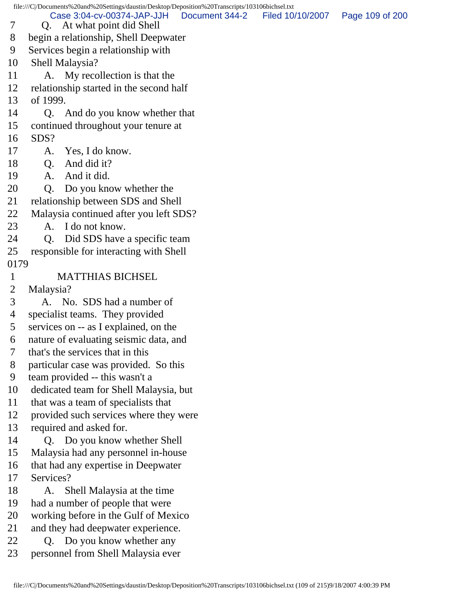file:///C|/Documents%20and%20Settings/daustin/Desktop/Deposition%20Transcripts/103106bichsel.txt 7 Q. At what point did Shell 8 begin a relationship, Shell Deepwater 9 Services begin a relationship with 10 Shell Malaysia? 11 A. My recollection is that the 12 relationship started in the second half 13 of 1999. 14 Q. And do you know whether that 15 continued throughout your tenure at 16 SDS? 17 A. Yes, I do know. 18 Q. And did it? 19 A. And it did. 20 Q. Do you know whether the 21 relationship between SDS and Shell 22 Malaysia continued after you left SDS? 23 A. I do not know. 24 O. Did SDS have a specific team 25 responsible for interacting with Shell 0179 1 MATTHIAS BICHSEL 2 Malaysia? 3 A. No. SDS had a number of 4 specialist teams. They provided 5 services on -- as I explained, on the 6 nature of evaluating seismic data, and 7 that's the services that in this 8 particular case was provided. So this 9 team provided -- this wasn't a 10 dedicated team for Shell Malaysia, but 11 that was a team of specialists that 12 provided such services where they were 13 required and asked for. 14 Q. Do you know whether Shell 15 Malaysia had any personnel in-house 16 that had any expertise in Deepwater 17 Services? 18 A. Shell Malaysia at the time 19 had a number of people that were 20 working before in the Gulf of Mexico 21 and they had deepwater experience. 22 Q. Do you know whether any 23 personnel from Shell Malaysia ever Case 3:04-cv-00374-JAP-JJH Document 344-2 Filed 10/10/2007 Page 109 of 200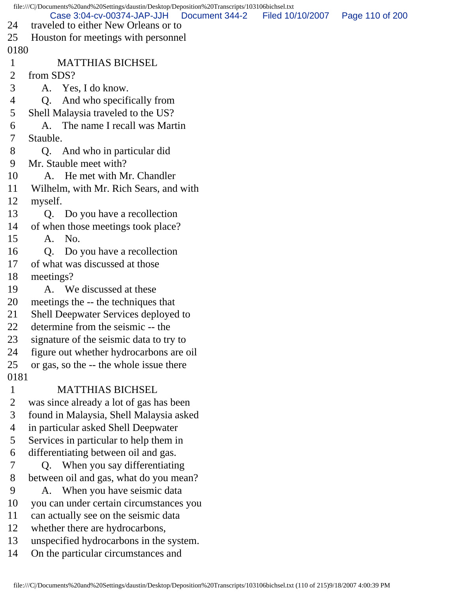| file:///C /Documents%20and%20Settings/daustin/Desktop/Deposition%20Transcripts/103106bichsel.txt |                                                                    |                |                  |                 |  |
|--------------------------------------------------------------------------------------------------|--------------------------------------------------------------------|----------------|------------------|-----------------|--|
| 24                                                                                               | Case 3:04-cv-00374-JAP-JJH<br>traveled to either New Orleans or to | Document 344-2 | Filed 10/10/2007 | Page 110 of 200 |  |
| 25                                                                                               | Houston for meetings with personnel                                |                |                  |                 |  |
| 0180                                                                                             |                                                                    |                |                  |                 |  |
| $\mathbf{1}$                                                                                     | <b>MATTHIAS BICHSEL</b>                                            |                |                  |                 |  |
| 2                                                                                                | from SDS?                                                          |                |                  |                 |  |
| 3                                                                                                | A. Yes, I do know.                                                 |                |                  |                 |  |
| 4                                                                                                | And who specifically from<br>Q.                                    |                |                  |                 |  |
| 5                                                                                                | Shell Malaysia traveled to the US?                                 |                |                  |                 |  |
| 6                                                                                                | A. The name I recall was Martin                                    |                |                  |                 |  |
| 7                                                                                                | Stauble.                                                           |                |                  |                 |  |
| 8                                                                                                | Q. And who in particular did                                       |                |                  |                 |  |
| 9                                                                                                | Mr. Stauble meet with?                                             |                |                  |                 |  |
| 10                                                                                               | A. He met with Mr. Chandler                                        |                |                  |                 |  |
| 11                                                                                               | Wilhelm, with Mr. Rich Sears, and with                             |                |                  |                 |  |
| 12                                                                                               | myself.                                                            |                |                  |                 |  |
| 13                                                                                               | Q. Do you have a recollection                                      |                |                  |                 |  |
| 14                                                                                               | of when those meetings took place?                                 |                |                  |                 |  |
| 15                                                                                               | A. No.                                                             |                |                  |                 |  |
| 16                                                                                               | Do you have a recollection<br>Q <sub>r</sub>                       |                |                  |                 |  |
| 17                                                                                               | of what was discussed at those                                     |                |                  |                 |  |
| 18                                                                                               | meetings?                                                          |                |                  |                 |  |
| 19                                                                                               | A. We discussed at these                                           |                |                  |                 |  |
| 20                                                                                               | meetings the -- the techniques that                                |                |                  |                 |  |
| 21                                                                                               | Shell Deepwater Services deployed to                               |                |                  |                 |  |
| 22                                                                                               | determine from the seismic -- the                                  |                |                  |                 |  |
| 23                                                                                               | signature of the seismic data to try to                            |                |                  |                 |  |
| 24                                                                                               | figure out whether hydrocarbons are oil                            |                |                  |                 |  |
| 25                                                                                               | or gas, so the -- the whole issue there                            |                |                  |                 |  |
| 0181                                                                                             |                                                                    |                |                  |                 |  |
| $\mathbf{1}$                                                                                     | <b>MATTHIAS BICHSEL</b>                                            |                |                  |                 |  |
| $\overline{2}$                                                                                   | was since already a lot of gas has been                            |                |                  |                 |  |
| 3                                                                                                | found in Malaysia, Shell Malaysia asked                            |                |                  |                 |  |
| $\overline{4}$                                                                                   | in particular asked Shell Deepwater                                |                |                  |                 |  |
| 5                                                                                                | Services in particular to help them in                             |                |                  |                 |  |
| 6                                                                                                | differentiating between oil and gas.                               |                |                  |                 |  |
| 7                                                                                                | When you say differentiating<br>O.                                 |                |                  |                 |  |
| 8                                                                                                | between oil and gas, what do you mean?                             |                |                  |                 |  |
| 9                                                                                                | A. When you have seismic data                                      |                |                  |                 |  |
| 10                                                                                               | you can under certain circumstances you                            |                |                  |                 |  |
| 11                                                                                               | can actually see on the seismic data                               |                |                  |                 |  |
| 12                                                                                               | whether there are hydrocarbons,                                    |                |                  |                 |  |
| 13                                                                                               | unspecified hydrocarbons in the system.                            |                |                  |                 |  |
| 14                                                                                               | On the particular circumstances and                                |                |                  |                 |  |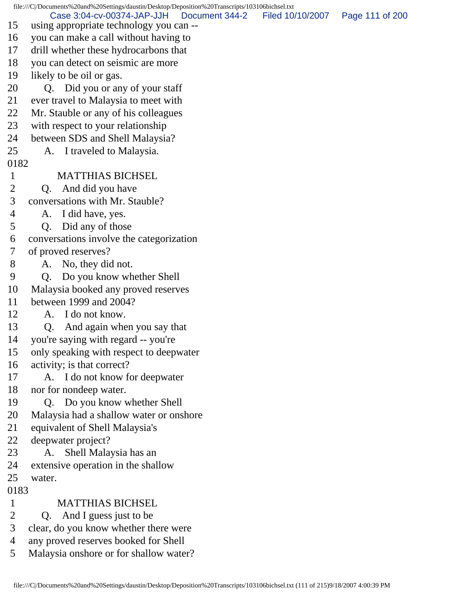file:///C|/Documents%20and%20Settings/daustin/Desktop/Deposition%20Transcripts/103106bichsel.txt 15 using appropriate technology you can -- 16 you can make a call without having to 17 drill whether these hydrocarbons that 18 you can detect on seismic are more 19 likely to be oil or gas. 20 Q. Did you or any of your staff 21 ever travel to Malaysia to meet with 22 Mr. Stauble or any of his colleagues 23 with respect to your relationship 24 between SDS and Shell Malaysia? 25 A. I traveled to Malaysia. 0182 1 MATTHIAS BICHSEL 2 Q. And did you have 3 conversations with Mr. Stauble? 4 A. I did have, yes. 5 Q. Did any of those 6 conversations involve the categorization 7 of proved reserves? 8 A. No, they did not. 9 Q. Do you know whether Shell 10 Malaysia booked any proved reserves 11 between 1999 and 2004? 12 A. I do not know. 13 Q. And again when you say that 14 you're saying with regard -- you're 15 only speaking with respect to deepwater 16 activity; is that correct? 17 A. I do not know for deepwater 18 nor for nondeep water. 19 Q. Do you know whether Shell 20 Malaysia had a shallow water or onshore 21 equivalent of Shell Malaysia's 22 deepwater project? 23 A. Shell Malaysia has an 24 extensive operation in the shallow 25 water. 0183 1 MATTHIAS BICHSEL 2 Q. And I guess just to be 3 clear, do you know whether there were 4 any proved reserves booked for Shell 5 Malaysia onshore or for shallow water? Case 3:04-cv-00374-JAP-JJH Document 344-2 Filed 10/10/2007 Page 111 of 200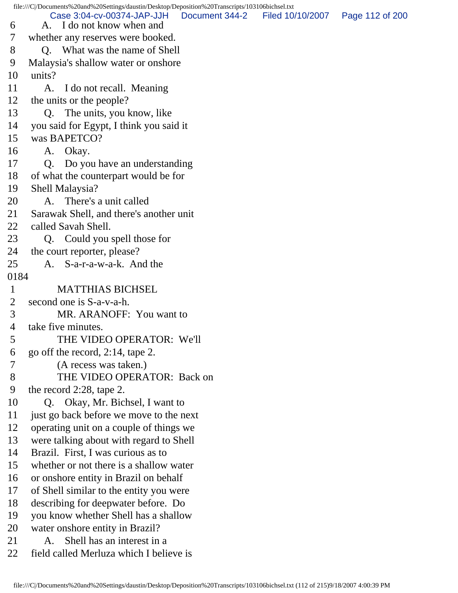file:///C|/Documents%20and%20Settings/daustin/Desktop/Deposition%20Transcripts/103106bichsel.txt 6 A. I do not know when and 7 whether any reserves were booked. 8 Q. What was the name of Shell 9 Malaysia's shallow water or onshore 10 units? 11 A. I do not recall. Meaning 12 the units or the people? 13 Q. The units, you know, like 14 you said for Egypt, I think you said it 15 was BAPETCO? 16 A. Okay. 17 Q. Do you have an understanding 18 of what the counterpart would be for 19 Shell Malaysia? 20 A. There's a unit called 21 Sarawak Shell, and there's another unit 22 called Savah Shell. 23 Q. Could you spell those for 24 the court reporter, please? 25 A. S-a-r-a-w-a-k. And the 0184 1 MATTHIAS BICHSEL 2 second one is S-a-v-a-h. 3 MR. ARANOFF: You want to 4 take five minutes. 5 THE VIDEO OPERATOR: We'll 6 go off the record, 2:14, tape 2. 7 (A recess was taken.) 8 THE VIDEO OPERATOR: Back on 9 the record 2:28, tape 2. 10 Q. Okay, Mr. Bichsel, I want to 11 just go back before we move to the next 12 operating unit on a couple of things we 13 were talking about with regard to Shell 14 Brazil. First, I was curious as to 15 whether or not there is a shallow water 16 or onshore entity in Brazil on behalf 17 of Shell similar to the entity you were 18 describing for deepwater before. Do 19 you know whether Shell has a shallow 20 water onshore entity in Brazil? Case 3:04-cv-00374-JAP-JJH Document 344-2 Filed 10/10/2007 Page 112 of 200

- 21 A. Shell has an interest in a
- 22 field called Merluza which I believe is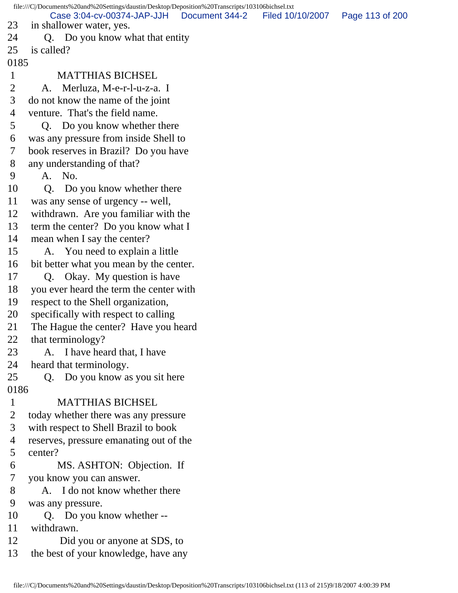file:///C|/Documents%20and%20Settings/daustin/Desktop/Deposition%20Transcripts/103106bichsel.txt 23 in shallower water, yes. 24 Q. Do you know what that entity 25 is called? 0185 1 MATTHIAS BICHSEL 2 A. Merluza, M-e-r-l-u-z-a. I 3 do not know the name of the joint 4 venture. That's the field name. 5 Q. Do you know whether there 6 was any pressure from inside Shell to 7 book reserves in Brazil? Do you have 8 any understanding of that? 9 A. No. 10 Q. Do you know whether there 11 was any sense of urgency -- well, 12 withdrawn. Are you familiar with the 13 term the center? Do you know what I 14 mean when I say the center? 15 A. You need to explain a little 16 bit better what you mean by the center. 17 Q. Okay. My question is have 18 you ever heard the term the center with 19 respect to the Shell organization, 20 specifically with respect to calling 21 The Hague the center? Have you heard 22 that terminology? 23 A. I have heard that, I have 24 heard that terminology. 25 Q. Do you know as you sit here 0186 1 MATTHIAS BICHSEL 2 today whether there was any pressure 3 with respect to Shell Brazil to book 4 reserves, pressure emanating out of the 5 center? 6 MS. ASHTON: Objection. If 7 you know you can answer. 8 A. I do not know whether there 9 was any pressure. 10 Q. Do you know whether -- 11 withdrawn. 12 Did you or anyone at SDS, to 13 the best of your knowledge, have any Case 3:04-cv-00374-JAP-JJH Document 344-2 Filed 10/10/2007 Page 113 of 200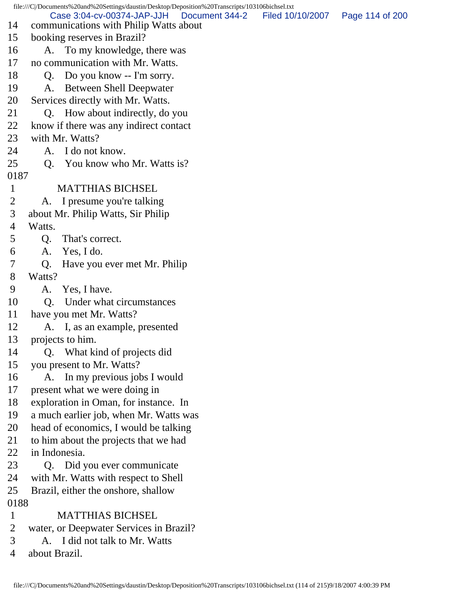file:///C|/Documents%20and%20Settings/daustin/Desktop/Deposition%20Transcripts/103106bichsel.txt 14 communications with Philip Watts about 15 booking reserves in Brazil? 16 A. To my knowledge, there was 17 no communication with Mr. Watts. 18 O. Do you know -- I'm sorry. 19 A. Between Shell Deepwater 20 Services directly with Mr. Watts. 21 Q. How about indirectly, do you 22 know if there was any indirect contact 23 with Mr. Watts? 24 A. I do not know. 25 Q. You know who Mr. Watts is? 0187 1 MATTHIAS BICHSEL 2 A. I presume you're talking 3 about Mr. Philip Watts, Sir Philip 4 Watts. 5 Q. That's correct. 6 A. Yes, I do. 7 Q. Have you ever met Mr. Philip 8 Watts? 9 A. Yes, I have. 10 O. Under what circumstances 11 have you met Mr. Watts? 12 A. I, as an example, presented 13 projects to him. 14 Q. What kind of projects did 15 you present to Mr. Watts? 16 A. In my previous jobs I would 17 present what we were doing in 18 exploration in Oman, for instance. In 19 a much earlier job, when Mr. Watts was 20 head of economics, I would be talking 21 to him about the projects that we had 22 in Indonesia. 23 Q. Did you ever communicate 24 with Mr. Watts with respect to Shell 25 Brazil, either the onshore, shallow 0188 1 MATTHIAS BICHSEL 2 water, or Deepwater Services in Brazil? 3 A. I did not talk to Mr. Watts 4 about Brazil. Case 3:04-cv-00374-JAP-JJH Document 344-2 Filed 10/10/2007 Page 114 of 200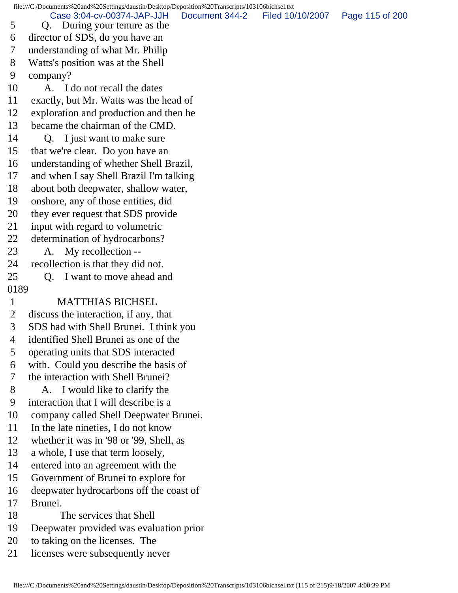5 Q. During your tenure as the 6 director of SDS, do you have an 7 understanding of what Mr. Philip 8 Watts's position was at the Shell 9 company? 10 A. I do not recall the dates 11 exactly, but Mr. Watts was the head of 12 exploration and production and then he 13 became the chairman of the CMD. 14 O. I just want to make sure 15 that we're clear. Do you have an 16 understanding of whether Shell Brazil, 17 and when I say Shell Brazil I'm talking 18 about both deepwater, shallow water, 19 onshore, any of those entities, did 20 they ever request that SDS provide 21 input with regard to volumetric 22 determination of hydrocarbons? 23 A. My recollection -- 24 recollection is that they did not. 25 Q. I want to move ahead and 0189 1 MATTHIAS BICHSEL 2 discuss the interaction, if any, that 3 SDS had with Shell Brunei. I think you 4 identified Shell Brunei as one of the 5 operating units that SDS interacted 6 with. Could you describe the basis of 7 the interaction with Shell Brunei? 8 A. I would like to clarify the 9 interaction that I will describe is a 10 company called Shell Deepwater Brunei. 11 In the late nineties, I do not know 12 whether it was in '98 or '99, Shell, as 13 a whole, I use that term loosely, 14 entered into an agreement with the 15 Government of Brunei to explore for 16 deepwater hydrocarbons off the coast of 17 Brunei. 18 The services that Shell 19 Deepwater provided was evaluation prior 20 to taking on the licenses. The 21 licenses were subsequently never Case 3:04-cv-00374-JAP-JJH Document 344-2 Filed 10/10/2007 Page 115 of 200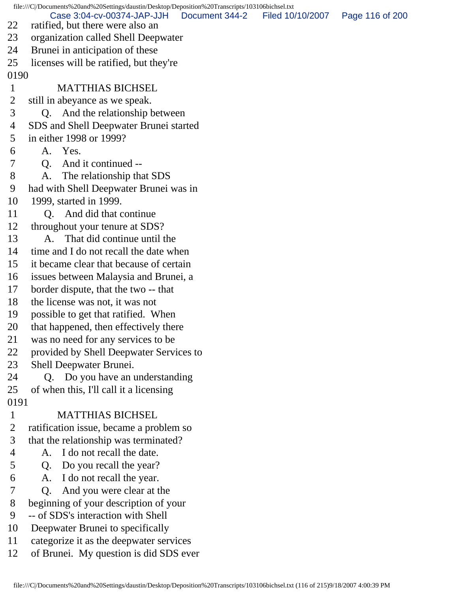file:///C|/Documents%20and%20Settings/daustin/Desktop/Deposition%20Transcripts/103106bichsel.txt 22 ratified, but there were also an 23 organization called Shell Deepwater 24 Brunei in anticipation of these 25 licenses will be ratified, but they're 0190 1 MATTHIAS BICHSEL 2 still in abeyance as we speak. 3 Q. And the relationship between 4 SDS and Shell Deepwater Brunei started 5 in either 1998 or 1999? 6 A. Yes. 7 Q. And it continued -- 8 A. The relationship that SDS 9 had with Shell Deepwater Brunei was in 10 1999, started in 1999. 11 Q. And did that continue 12 throughout your tenure at SDS? 13 A. That did continue until the 14 time and I do not recall the date when 15 it became clear that because of certain 16 issues between Malaysia and Brunei, a 17 border dispute, that the two -- that 18 the license was not, it was not 19 possible to get that ratified. When 20 that happened, then effectively there 21 was no need for any services to be 22 provided by Shell Deepwater Services to 23 Shell Deepwater Brunei. 24 Q. Do you have an understanding 25 of when this, I'll call it a licensing 0191 1 MATTHIAS BICHSEL 2 ratification issue, became a problem so 3 that the relationship was terminated? 4 A. I do not recall the date. 5 Q. Do you recall the year? 6 A. I do not recall the year. 7 Q. And you were clear at the 8 beginning of your description of your 9 -- of SDS's interaction with Shell 10 Deepwater Brunei to specifically 11 categorize it as the deepwater services Case 3:04-cv-00374-JAP-JJH Document 344-2 Filed 10/10/2007 Page 116 of 200

12 of Brunei. My question is did SDS ever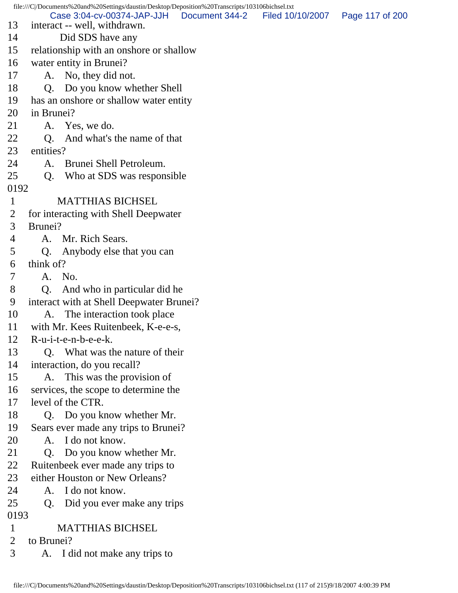file:///C|/Documents%20and%20Settings/daustin/Desktop/Deposition%20Transcripts/103106bichsel.txt 13 interact -- well, withdrawn. 14 Did SDS have any 15 relationship with an onshore or shallow 16 water entity in Brunei? 17 A. No, they did not. 18 Q. Do you know whether Shell 19 has an onshore or shallow water entity 20 in Brunei? 21 A. Yes, we do. 22 O. And what's the name of that 23 entities? 24 A. Brunei Shell Petroleum. 25 Q. Who at SDS was responsible 0192 1 MATTHIAS BICHSEL 2 for interacting with Shell Deepwater 3 Brunei? 4 A. Mr. Rich Sears. 5 Q. Anybody else that you can 6 think of? 7 A. No. 8 Q. And who in particular did he 9 interact with at Shell Deepwater Brunei? 10 A. The interaction took place 11 with Mr. Kees Ruitenbeek, K-e-e-s, 12 R-u-i-t-e-n-b-e-e-k. 13 Q. What was the nature of their 14 interaction, do you recall? 15 A. This was the provision of 16 services, the scope to determine the 17 level of the CTR. 18 Q. Do you know whether Mr. 19 Sears ever made any trips to Brunei? 20 A. I do not know. 21 Q. Do you know whether Mr. 22 Ruitenbeek ever made any trips to 23 either Houston or New Orleans? 24 A. I do not know. 25 Q. Did you ever make any trips 0193 1 MATTHIAS BICHSEL 2 to Brunei? 3 A. I did not make any trips to Case 3:04-cv-00374-JAP-JJH Document 344-2 Filed 10/10/2007 Page 117 of 200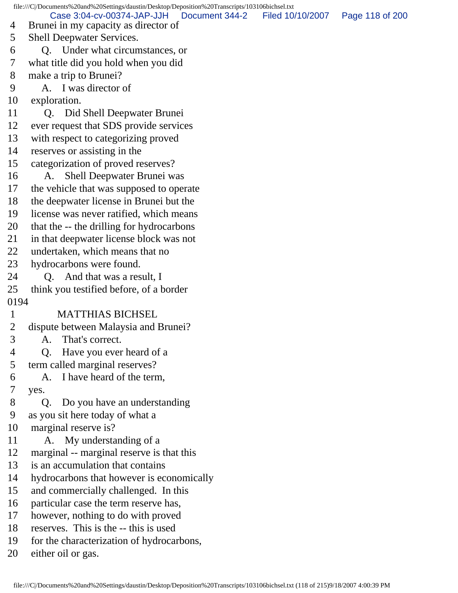file:///C|/Documents%20and%20Settings/daustin/Desktop/Deposition%20Transcripts/103106bichsel.txt 4 Brunei in my capacity as director of 5 Shell Deepwater Services. 6 Q. Under what circumstances, or 7 what title did you hold when you did 8 make a trip to Brunei? 9 A. I was director of 10 exploration. 11 Q. Did Shell Deepwater Brunei 12 ever request that SDS provide services 13 with respect to categorizing proved 14 reserves or assisting in the 15 categorization of proved reserves? 16 A. Shell Deepwater Brunei was 17 the vehicle that was supposed to operate 18 the deepwater license in Brunei but the 19 license was never ratified, which means 20 that the -- the drilling for hydrocarbons 21 in that deepwater license block was not 22 undertaken, which means that no 23 hydrocarbons were found. 24 Q. And that was a result, I 25 think you testified before, of a border 0194 1 MATTHIAS BICHSEL 2 dispute between Malaysia and Brunei? 3 A. That's correct. 4 Q. Have you ever heard of a 5 term called marginal reserves? 6 A. I have heard of the term, 7 yes. 8 Q. Do you have an understanding 9 as you sit here today of what a 10 marginal reserve is? 11 A. My understanding of a 12 marginal -- marginal reserve is that this 13 is an accumulation that contains 14 hydrocarbons that however is economically 15 and commercially challenged. In this 16 particular case the term reserve has, 17 however, nothing to do with proved 18 reserves. This is the -- this is used 19 for the characterization of hydrocarbons, 20 either oil or gas. Case 3:04-cv-00374-JAP-JJH Document 344-2 Filed 10/10/2007 Page 118 of 200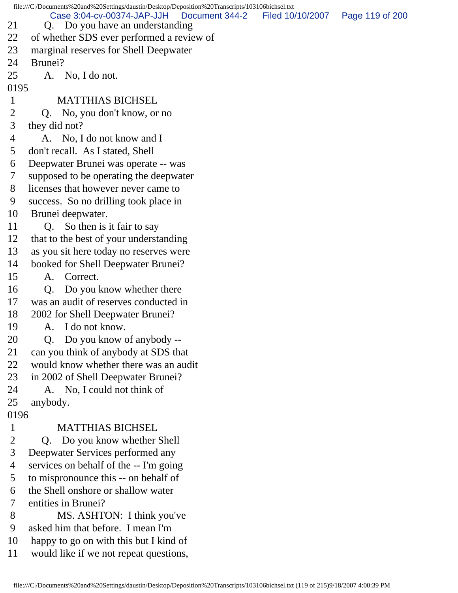file:///C|/Documents%20and%20Settings/daustin/Desktop/Deposition%20Transcripts/103106bichsel.txt 21 Q. Do you have an understanding 22 of whether SDS ever performed a review of 23 marginal reserves for Shell Deepwater 24 Brunei? 25 A. No, I do not. 0195 1 MATTHIAS BICHSEL 2 Q. No, you don't know, or no 3 they did not? 4 A. No, I do not know and I 5 don't recall. As I stated, Shell 6 Deepwater Brunei was operate -- was 7 supposed to be operating the deepwater 8 licenses that however never came to 9 success. So no drilling took place in 10 Brunei deepwater. 11 Q. So then is it fair to say 12 that to the best of your understanding 13 as you sit here today no reserves were 14 booked for Shell Deepwater Brunei? 15 A. Correct. 16 Q. Do you know whether there 17 was an audit of reserves conducted in 18 2002 for Shell Deepwater Brunei? 19 A. I do not know. 20 Q. Do you know of anybody -- 21 can you think of anybody at SDS that 22 would know whether there was an audit 23 in 2002 of Shell Deepwater Brunei? 24 A. No, I could not think of 25 anybody. 0196 1 MATTHIAS BICHSEL 2 Q. Do you know whether Shell 3 Deepwater Services performed any 4 services on behalf of the -- I'm going 5 to mispronounce this -- on behalf of 6 the Shell onshore or shallow water 7 entities in Brunei? 8 MS. ASHTON: I think you've 9 asked him that before. I mean I'm 10 happy to go on with this but I kind of 11 would like if we not repeat questions, Case 3:04-cv-00374-JAP-JJH Document 344-2 Filed 10/10/2007 Page 119 of 200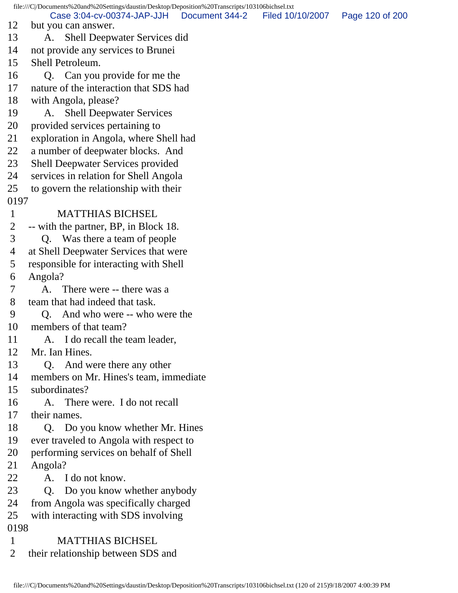file:///C|/Documents%20and%20Settings/daustin/Desktop/Deposition%20Transcripts/103106bichsel.txt 12 but you can answer. 13 A. Shell Deepwater Services did 14 not provide any services to Brunei 15 Shell Petroleum. 16 O. Can you provide for me the 17 nature of the interaction that SDS had 18 with Angola, please? 19 A. Shell Deepwater Services 20 provided services pertaining to 21 exploration in Angola, where Shell had 22 a number of deepwater blocks. And 23 Shell Deepwater Services provided 24 services in relation for Shell Angola 25 to govern the relationship with their 0197 1 MATTHIAS BICHSEL 2 -- with the partner, BP, in Block 18. 3 Q. Was there a team of people 4 at Shell Deepwater Services that were 5 responsible for interacting with Shell 6 Angola? 7 A. There were -- there was a 8 team that had indeed that task. 9 Q. And who were -- who were the 10 members of that team? 11 A. I do recall the team leader, 12 Mr. Ian Hines. 13 Q. And were there any other 14 members on Mr. Hines's team, immediate 15 subordinates? 16 A. There were. I do not recall 17 their names. 18 Q. Do you know whether Mr. Hines 19 ever traveled to Angola with respect to 20 performing services on behalf of Shell 21 Angola? 22 A. I do not know. 23 O. Do you know whether anybody 24 from Angola was specifically charged 25 with interacting with SDS involving 0198 1 MATTHIAS BICHSEL 2 their relationship between SDS and Case 3:04-cv-00374-JAP-JJH Document 344-2 Filed 10/10/2007 Page 120 of 200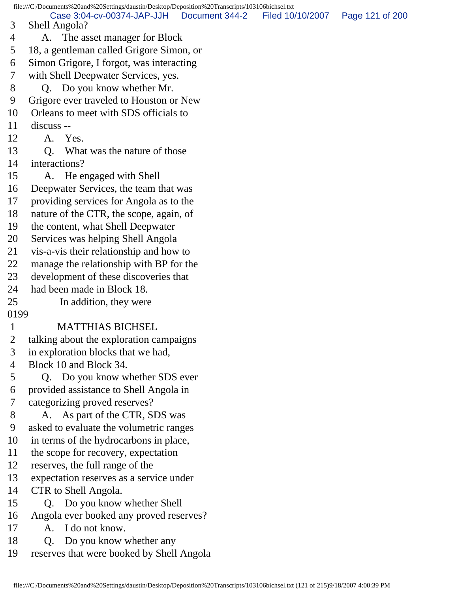file:///C|/Documents%20and%20Settings/daustin/Desktop/Deposition%20Transcripts/103106bichsel.txt 3 Shell Angola? 4 A. The asset manager for Block 5 18, a gentleman called Grigore Simon, or 6 Simon Grigore, I forgot, was interacting 7 with Shell Deepwater Services, yes. 8 Q. Do you know whether Mr. 9 Grigore ever traveled to Houston or New 10 Orleans to meet with SDS officials to 11 discuss -- 12 A. Yes. 13 Q. What was the nature of those 14 interactions? 15 A. He engaged with Shell 16 Deepwater Services, the team that was 17 providing services for Angola as to the 18 nature of the CTR, the scope, again, of 19 the content, what Shell Deepwater 20 Services was helping Shell Angola 21 vis-a-vis their relationship and how to 22 manage the relationship with BP for the 23 development of these discoveries that 24 had been made in Block 18. 25 In addition, they were 0199 1 MATTHIAS BICHSEL 2 talking about the exploration campaigns 3 in exploration blocks that we had, 4 Block 10 and Block 34. 5 Q. Do you know whether SDS ever 6 provided assistance to Shell Angola in 7 categorizing proved reserves? 8 A. As part of the CTR, SDS was 9 asked to evaluate the volumetric ranges 10 in terms of the hydrocarbons in place, 11 the scope for recovery, expectation 12 reserves, the full range of the 13 expectation reserves as a service under 14 CTR to Shell Angola. 15 Q. Do you know whether Shell 16 Angola ever booked any proved reserves? 17 A. I do not know. 18 Q. Do you know whether any 19 reserves that were booked by Shell Angola Case 3:04-cv-00374-JAP-JJH Document 344-2 Filed 10/10/2007 Page 121 of 200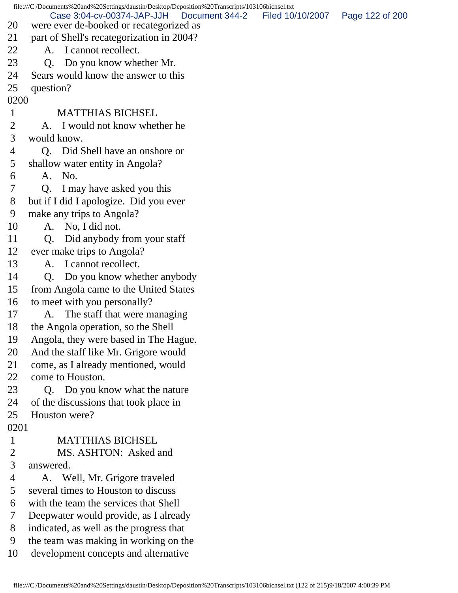file:///C|/Documents%20and%20Settings/daustin/Desktop/Deposition%20Transcripts/103106bichsel.txt 20 were ever de-booked or recategorized as 21 part of Shell's recategorization in 2004? 22 A. I cannot recollect. 23 Q. Do you know whether Mr. 24 Sears would know the answer to this 25 question? 0200 1 MATTHIAS BICHSEL 2 A. I would not know whether he 3 would know. 4 Q. Did Shell have an onshore or 5 shallow water entity in Angola? 6 A. No. 7 Q. I may have asked you this 8 but if I did I apologize. Did you ever 9 make any trips to Angola? 10 A. No, I did not. 11 Q. Did anybody from your staff 12 ever make trips to Angola? 13 A. I cannot recollect. 14 Q. Do you know whether anybody 15 from Angola came to the United States 16 to meet with you personally? 17 A. The staff that were managing 18 the Angola operation, so the Shell 19 Angola, they were based in The Hague. 20 And the staff like Mr. Grigore would 21 come, as I already mentioned, would 22 come to Houston. 23 Q. Do you know what the nature 24 of the discussions that took place in 25 Houston were? 0201 1 MATTHIAS BICHSEL 2 MS. ASHTON: Asked and 3 answered. 4 A. Well, Mr. Grigore traveled 5 several times to Houston to discuss 6 with the team the services that Shell 7 Deepwater would provide, as I already 8 indicated, as well as the progress that 9 the team was making in working on the 10 development concepts and alternative Case 3:04-cv-00374-JAP-JJH Document 344-2 Filed 10/10/2007 Page 122 of 200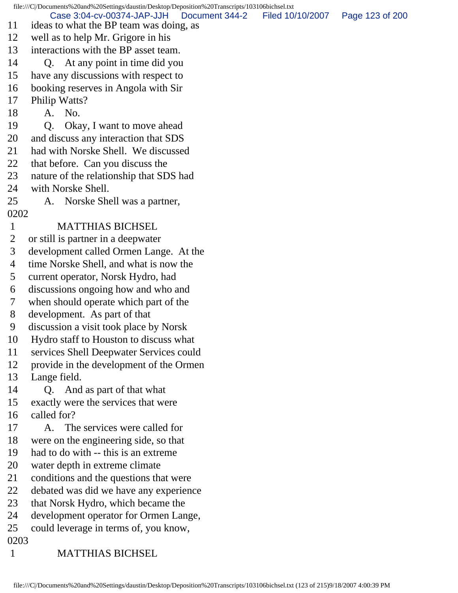file:///C|/Documents%20and%20Settings/daustin/Desktop/Deposition%20Transcripts/103106bichsel.txt 11 ideas to what the BP team was doing, as 12 well as to help Mr. Grigore in his 13 interactions with the BP asset team. 14 Q. At any point in time did you 15 have any discussions with respect to 16 booking reserves in Angola with Sir 17 Philip Watts? 18 A. No. 19 Q. Okay, I want to move ahead 20 and discuss any interaction that SDS 21 had with Norske Shell. We discussed 22 that before. Can you discuss the 23 nature of the relationship that SDS had 24 with Norske Shell. 25 A. Norske Shell was a partner, 0202 1 MATTHIAS BICHSEL 2 or still is partner in a deepwater 3 development called Ormen Lange. At the 4 time Norske Shell, and what is now the 5 current operator, Norsk Hydro, had 6 discussions ongoing how and who and 7 when should operate which part of the 8 development. As part of that 9 discussion a visit took place by Norsk 10 Hydro staff to Houston to discuss what 11 services Shell Deepwater Services could 12 provide in the development of the Ormen 13 Lange field. 14 Q. And as part of that what 15 exactly were the services that were 16 called for? 17 A. The services were called for 18 were on the engineering side, so that 19 had to do with -- this is an extreme 20 water depth in extreme climate 21 conditions and the questions that were 22 debated was did we have any experience 23 that Norsk Hydro, which became the 24 development operator for Ormen Lange, 25 could leverage in terms of, you know, 0203 1 MATTHIAS BICHSEL Case 3:04-cv-00374-JAP-JJH Document 344-2 Filed 10/10/2007 Page 123 of 200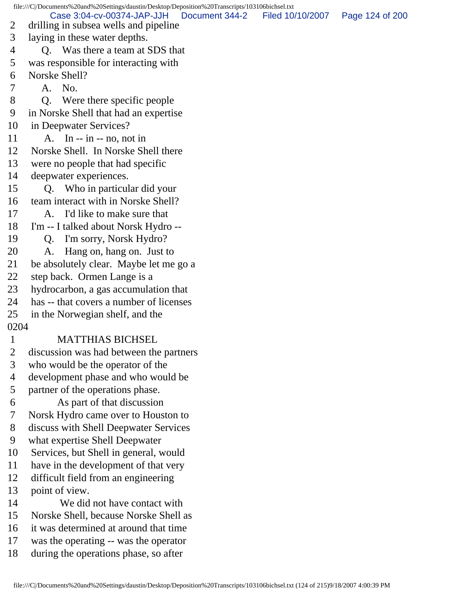file:///C|/Documents%20and%20Settings/daustin/Desktop/Deposition%20Transcripts/103106bichsel.txt 2 drilling in subsea wells and pipeline 3 laying in these water depths. 4 Q. Was there a team at SDS that 5 was responsible for interacting with 6 Norske Shell? 7 A. No. 8 Q. Were there specific people 9 in Norske Shell that had an expertise 10 in Deepwater Services? 11 A. In -- in -- no, not in 12 Norske Shell. In Norske Shell there 13 were no people that had specific 14 deepwater experiences. 15 Q. Who in particular did your 16 team interact with in Norske Shell? 17 A. I'd like to make sure that 18 I'm -- I talked about Norsk Hydro -- 19 Q. I'm sorry, Norsk Hydro? 20 A. Hang on, hang on. Just to 21 be absolutely clear. Maybe let me go a 22 step back. Ormen Lange is a 23 hydrocarbon, a gas accumulation that 24 has -- that covers a number of licenses 25 in the Norwegian shelf, and the 0204 1 MATTHIAS BICHSEL 2 discussion was had between the partners 3 who would be the operator of the 4 development phase and who would be 5 partner of the operations phase. 6 As part of that discussion 7 Norsk Hydro came over to Houston to 8 discuss with Shell Deepwater Services 9 what expertise Shell Deepwater 10 Services, but Shell in general, would 11 have in the development of that very 12 difficult field from an engineering 13 point of view. 14 We did not have contact with 15 Norske Shell, because Norske Shell as 16 it was determined at around that time 17 was the operating -- was the operator 18 during the operations phase, so after Case 3:04-cv-00374-JAP-JJH Document 344-2 Filed 10/10/2007 Page 124 of 200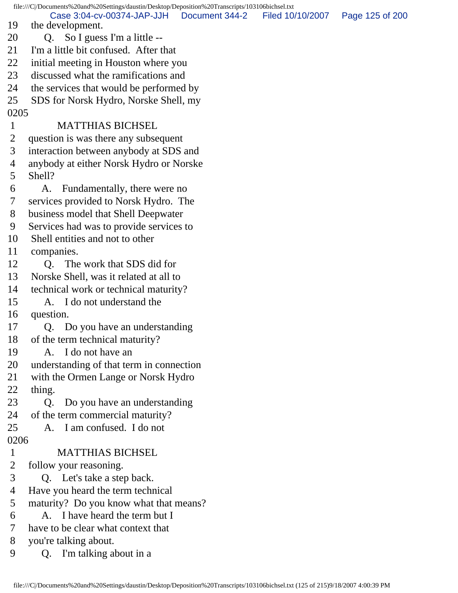file:///C|/Documents%20and%20Settings/daustin/Desktop/Deposition%20Transcripts/103106bichsel.txt 19 the development. 20 Q. So I guess I'm a little -- 21 I'm a little bit confused. After that 22 initial meeting in Houston where you 23 discussed what the ramifications and 24 the services that would be performed by 25 SDS for Norsk Hydro, Norske Shell, my 0205 1 MATTHIAS BICHSEL 2 question is was there any subsequent 3 interaction between anybody at SDS and 4 anybody at either Norsk Hydro or Norske 5 Shell? 6 A. Fundamentally, there were no 7 services provided to Norsk Hydro. The 8 business model that Shell Deepwater 9 Services had was to provide services to 10 Shell entities and not to other 11 companies. 12 O. The work that SDS did for 13 Norske Shell, was it related at all to 14 technical work or technical maturity? 15 A. I do not understand the 16 question. 17 Q. Do you have an understanding 18 of the term technical maturity? 19 A. I do not have an 20 understanding of that term in connection 21 with the Ormen Lange or Norsk Hydro 22 thing. 23 Q. Do you have an understanding 24 of the term commercial maturity? 25 A. I am confused. I do not 0206 1 MATTHIAS BICHSEL 2 follow your reasoning. 3 Q. Let's take a step back. 4 Have you heard the term technical 5 maturity? Do you know what that means? 6 A. I have heard the term but I 7 have to be clear what context that 8 you're talking about. 9 Q. I'm talking about in a Case 3:04-cv-00374-JAP-JJH Document 344-2 Filed 10/10/2007 Page 125 of 200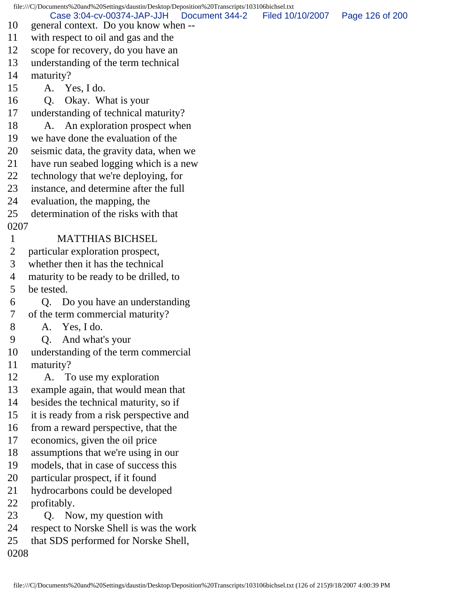file:///C|/Documents%20and%20Settings/daustin/Desktop/Deposition%20Transcripts/103106bichsel.txt 10 general context. Do you know when -- 11 with respect to oil and gas and the 12 scope for recovery, do you have an 13 understanding of the term technical 14 maturity? 15 A. Yes, I do. 16 Q. Okay. What is your 17 understanding of technical maturity? 18 A. An exploration prospect when 19 we have done the evaluation of the 20 seismic data, the gravity data, when we 21 have run seabed logging which is a new 22 technology that we're deploying, for 23 instance, and determine after the full 24 evaluation, the mapping, the 25 determination of the risks with that 0207 1 MATTHIAS BICHSEL 2 particular exploration prospect, 3 whether then it has the technical 4 maturity to be ready to be drilled, to 5 be tested. 6 Q. Do you have an understanding 7 of the term commercial maturity? 8 A. Yes, I do. 9 Q. And what's your 10 understanding of the term commercial 11 maturity? 12 A. To use my exploration 13 example again, that would mean that 14 besides the technical maturity, so if 15 it is ready from a risk perspective and 16 from a reward perspective, that the 17 economics, given the oil price 18 assumptions that we're using in our 19 models, that in case of success this 20 particular prospect, if it found 21 hydrocarbons could be developed 22 profitably. 23 Q. Now, my question with 24 respect to Norske Shell is was the work 25 that SDS performed for Norske Shell, 0208 Case 3:04-cv-00374-JAP-JJH Document 344-2 Filed 10/10/2007 Page 126 of 200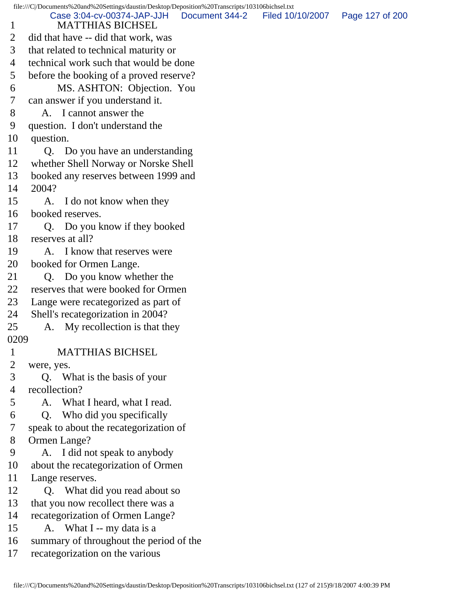file:///C|/Documents%20and%20Settings/daustin/Desktop/Deposition%20Transcripts/103106bichsel.txt 1 MATTHIAS BICHSEL 2 did that have -- did that work, was 3 that related to technical maturity or 4 technical work such that would be done 5 before the booking of a proved reserve? 6 MS. ASHTON: Objection. You 7 can answer if you understand it. 8 A. I cannot answer the 9 question. I don't understand the 10 question. 11 Q. Do you have an understanding 12 whether Shell Norway or Norske Shell 13 booked any reserves between 1999 and 14 2004? 15 A. I do not know when they 16 booked reserves. 17 Q. Do you know if they booked 18 reserves at all? 19 A. I know that reserves were 20 booked for Ormen Lange. 21 Q. Do you know whether the 22 reserves that were booked for Ormen 23 Lange were recategorized as part of 24 Shell's recategorization in 2004? 25 A. My recollection is that they 0209 1 MATTHIAS BICHSEL 2 were, yes. 3 Q. What is the basis of your 4 recollection? 5 A. What I heard, what I read. 6 Q. Who did you specifically 7 speak to about the recategorization of 8 Ormen Lange? 9 A. I did not speak to anybody 10 about the recategorization of Ormen 11 Lange reserves. 12 Q. What did you read about so 13 that you now recollect there was a 14 recategorization of Ormen Lange? 15 A. What I -- my data is a 16 summary of throughout the period of the 17 recategorization on the various Case 3:04-cv-00374-JAP-JJH Document 344-2 Filed 10/10/2007 Page 127 of 200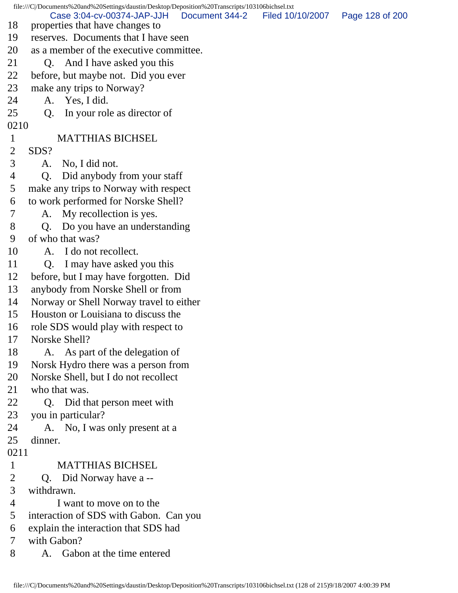file:///C|/Documents%20and%20Settings/daustin/Desktop/Deposition%20Transcripts/103106bichsel.txt 18 properties that have changes to 19 reserves. Documents that I have seen 20 as a member of the executive committee. 21 O. And I have asked you this 22 before, but maybe not. Did you ever 23 make any trips to Norway? 24 A. Yes, I did. 25 Q. In your role as director of 0210 1 MATTHIAS BICHSEL 2 SDS? 3 A. No, I did not. 4 Q. Did anybody from your staff 5 make any trips to Norway with respect 6 to work performed for Norske Shell? 7 A. My recollection is yes. 8 Q. Do you have an understanding 9 of who that was? 10 A. I do not recollect. 11 O. I may have asked you this 12 before, but I may have forgotten. Did 13 anybody from Norske Shell or from 14 Norway or Shell Norway travel to either 15 Houston or Louisiana to discuss the 16 role SDS would play with respect to 17 Norske Shell? 18 A. As part of the delegation of 19 Norsk Hydro there was a person from 20 Norske Shell, but I do not recollect 21 who that was. 22 Q. Did that person meet with 23 you in particular? 24 A. No, I was only present at a 25 dinner. 0211 1 MATTHIAS BICHSEL 2 Q. Did Norway have a -- 3 withdrawn. 4 I want to move on to the 5 interaction of SDS with Gabon. Can you 6 explain the interaction that SDS had 7 with Gabon? 8 A. Gabon at the time entered Case 3:04-cv-00374-JAP-JJH Document 344-2 Filed 10/10/2007 Page 128 of 200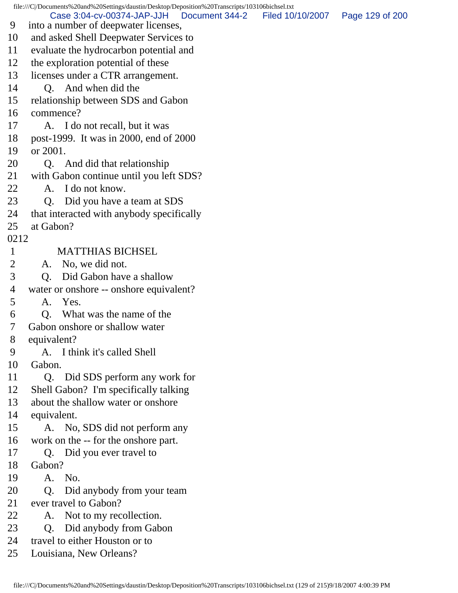file:///C|/Documents%20and%20Settings/daustin/Desktop/Deposition%20Transcripts/103106bichsel.txt 9 into a number of deepwater licenses, 10 and asked Shell Deepwater Services to 11 evaluate the hydrocarbon potential and 12 the exploration potential of these 13 licenses under a CTR arrangement. 14 Q. And when did the 15 relationship between SDS and Gabon 16 commence? 17 A. I do not recall, but it was 18 post-1999. It was in 2000, end of 2000 19 or 2001. 20 Q. And did that relationship 21 with Gabon continue until you left SDS? 22 A. I do not know. 23 Q. Did you have a team at SDS 24 that interacted with anybody specifically 25 at Gabon? 0212 1 MATTHIAS BICHSEL 2 A. No, we did not. 3 Q. Did Gabon have a shallow 4 water or onshore -- onshore equivalent? 5 A. Yes. 6 Q. What was the name of the 7 Gabon onshore or shallow water 8 equivalent? 9 A. I think it's called Shell 10 Gabon. 11 Q. Did SDS perform any work for 12 Shell Gabon? I'm specifically talking 13 about the shallow water or onshore 14 equivalent. 15 A. No, SDS did not perform any 16 work on the -- for the onshore part. 17 Q. Did you ever travel to 18 Gabon? 19 A. No. 20 O. Did anybody from your team 21 ever travel to Gabon? 22 A. Not to my recollection. 23 Q. Did anybody from Gabon 24 travel to either Houston or to 25 Louisiana, New Orleans? Case 3:04-cv-00374-JAP-JJH Document 344-2 Filed 10/10/2007 Page 129 of 200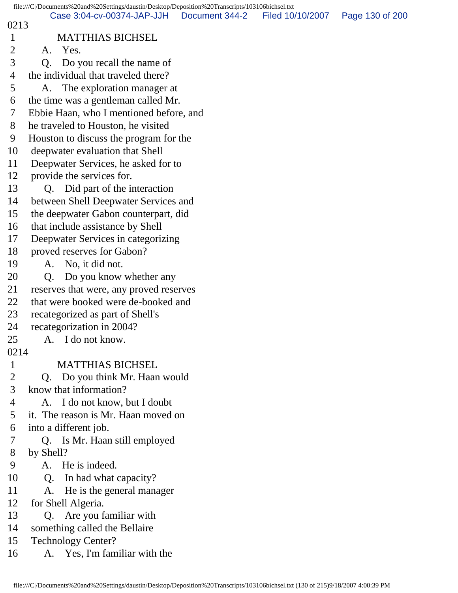|              | file:///C /Documents%20and%20Settings/daustin/Desktop/Deposition%20Transcripts/103106bichsel.txt |                |                  |                 |
|--------------|--------------------------------------------------------------------------------------------------|----------------|------------------|-----------------|
| 0213         | Case 3:04-cv-00374-JAP-JJH                                                                       | Document 344-2 | Filed 10/10/2007 | Page 130 of 200 |
| $\mathbf{1}$ | <b>MATTHIAS BICHSEL</b>                                                                          |                |                  |                 |
| 2            | A. Yes.                                                                                          |                |                  |                 |
| 3            | Do you recall the name of<br>Q.                                                                  |                |                  |                 |
| 4            | the individual that traveled there?                                                              |                |                  |                 |
| 5            | A. The exploration manager at                                                                    |                |                  |                 |
| 6            | the time was a gentleman called Mr.                                                              |                |                  |                 |
| 7            | Ebbie Haan, who I mentioned before, and                                                          |                |                  |                 |
| 8            | he traveled to Houston, he visited                                                               |                |                  |                 |
| 9            | Houston to discuss the program for the                                                           |                |                  |                 |
| 10           | deepwater evaluation that Shell                                                                  |                |                  |                 |
| 11           | Deepwater Services, he asked for to                                                              |                |                  |                 |
| 12           | provide the services for.                                                                        |                |                  |                 |
| 13           | Q. Did part of the interaction                                                                   |                |                  |                 |
| 14           | between Shell Deepwater Services and                                                             |                |                  |                 |
| 15           | the deepwater Gabon counterpart, did                                                             |                |                  |                 |
| 16           | that include assistance by Shell                                                                 |                |                  |                 |
| 17           | Deepwater Services in categorizing                                                               |                |                  |                 |
| 18           | proved reserves for Gabon?                                                                       |                |                  |                 |
| 19           | A. No, it did not.                                                                               |                |                  |                 |
| 20           | Do you know whether any<br>Q.                                                                    |                |                  |                 |
| 21           | reserves that were, any proved reserves                                                          |                |                  |                 |
| 22           | that were booked were de-booked and                                                              |                |                  |                 |
| 23           | recategorized as part of Shell's                                                                 |                |                  |                 |
| 24           | recategorization in 2004?                                                                        |                |                  |                 |
| 25           | A. I do not know.                                                                                |                |                  |                 |
| 0214         |                                                                                                  |                |                  |                 |
| $\mathbf{1}$ | <b>MATTHIAS BICHSEL</b>                                                                          |                |                  |                 |
| 2            | Do you think Mr. Haan would<br>Q.                                                                |                |                  |                 |
| 3            | know that information?                                                                           |                |                  |                 |
| 4            | A. I do not know, but I doubt                                                                    |                |                  |                 |
| 5            | it. The reason is Mr. Haan moved on                                                              |                |                  |                 |
| 6            | into a different job.                                                                            |                |                  |                 |
| 7            | Q. Is Mr. Haan still employed                                                                    |                |                  |                 |
| 8            | by Shell?                                                                                        |                |                  |                 |
| 9            | A. He is indeed.                                                                                 |                |                  |                 |
| 10           | In had what capacity?<br>Q <sub>r</sub>                                                          |                |                  |                 |
| 11           | He is the general manager<br>A.                                                                  |                |                  |                 |
| 12           | for Shell Algeria.                                                                               |                |                  |                 |
| 13           | Q. Are you familiar with                                                                         |                |                  |                 |
| 14           | something called the Bellaire                                                                    |                |                  |                 |
| 15           | <b>Technology Center?</b>                                                                        |                |                  |                 |
| 16           | Yes, I'm familiar with the<br>А.                                                                 |                |                  |                 |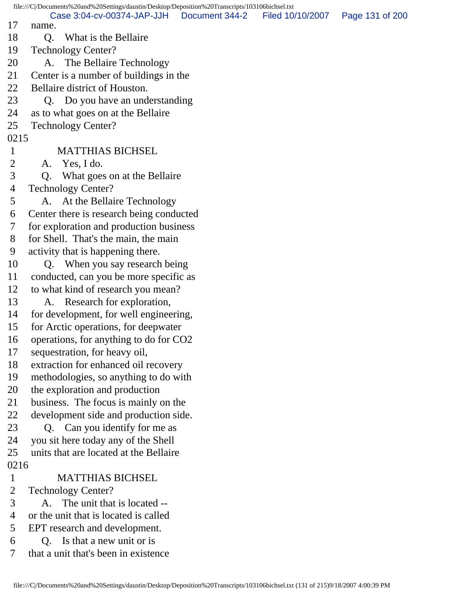file:///C|/Documents%20and%20Settings/daustin/Desktop/Deposition%20Transcripts/103106bichsel.txt 17 name. 18 Q. What is the Bellaire 19 Technology Center? 20 A. The Bellaire Technology 21 Center is a number of buildings in the 22 Bellaire district of Houston. 23 Q. Do you have an understanding 24 as to what goes on at the Bellaire 25 Technology Center? 0215 1 MATTHIAS BICHSEL 2 A. Yes, I do. 3 Q. What goes on at the Bellaire 4 Technology Center? 5 A. At the Bellaire Technology 6 Center there is research being conducted 7 for exploration and production business 8 for Shell. That's the main, the main 9 activity that is happening there. 10 Q. When you say research being 11 conducted, can you be more specific as 12 to what kind of research you mean? 13 A. Research for exploration, 14 for development, for well engineering, 15 for Arctic operations, for deepwater 16 operations, for anything to do for CO2 17 sequestration, for heavy oil, 18 extraction for enhanced oil recovery 19 methodologies, so anything to do with 20 the exploration and production 21 business. The focus is mainly on the 22 development side and production side. 23 Q. Can you identify for me as 24 you sit here today any of the Shell 25 units that are located at the Bellaire 0216 1 MATTHIAS BICHSEL 2 Technology Center? 3 A. The unit that is located -- 4 or the unit that is located is called 5 EPT research and development. 6 Q. Is that a new unit or is 7 that a unit that's been in existence Case 3:04-cv-00374-JAP-JJH Document 344-2 Filed 10/10/2007 Page 131 of 200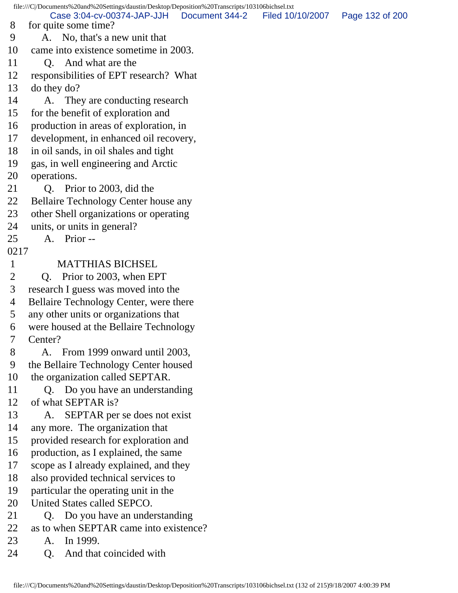file:///C|/Documents%20and%20Settings/daustin/Desktop/Deposition%20Transcripts/103106bichsel.txt 8 for quite some time? 9 A. No, that's a new unit that 10 came into existence sometime in 2003. 11 O. And what are the 12 responsibilities of EPT research? What 13 do they do? 14 A. They are conducting research 15 for the benefit of exploration and 16 production in areas of exploration, in 17 development, in enhanced oil recovery, 18 in oil sands, in oil shales and tight 19 gas, in well engineering and Arctic 20 operations. 21 Q. Prior to 2003, did the 22 Bellaire Technology Center house any 23 other Shell organizations or operating 24 units, or units in general? 25 A. Prior -- 0217 1 MATTHIAS BICHSEL 2 Q. Prior to 2003, when EPT 3 research I guess was moved into the 4 Bellaire Technology Center, were there 5 any other units or organizations that 6 were housed at the Bellaire Technology 7 Center? 8 A. From 1999 onward until 2003, 9 the Bellaire Technology Center housed 10 the organization called SEPTAR. 11 Q. Do you have an understanding 12 of what SEPTAR is? 13 A. SEPTAR per se does not exist 14 any more. The organization that 15 provided research for exploration and 16 production, as I explained, the same 17 scope as I already explained, and they 18 also provided technical services to 19 particular the operating unit in the 20 United States called SEPCO. 21 Q. Do you have an understanding 22 as to when SEPTAR came into existence? 23 A. In 1999. 24 O. And that coincided with Case 3:04-cv-00374-JAP-JJH Document 344-2 Filed 10/10/2007 Page 132 of 200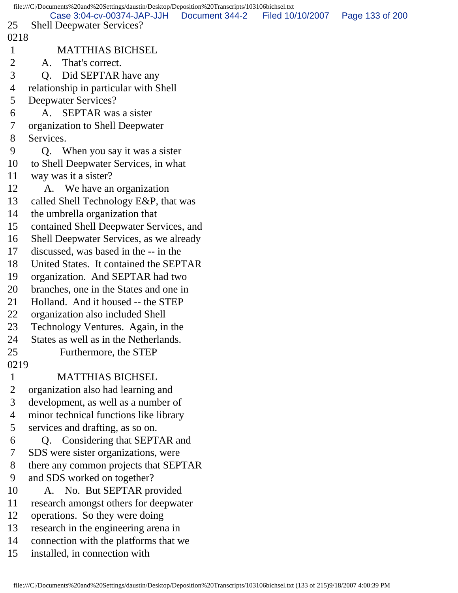file:///C|/Documents%20and%20Settings/daustin/Desktop/Deposition%20Transcripts/103106bichsel.txt 25 Shell Deepwater Services? 0218 1 MATTHIAS BICHSEL 2 A. That's correct. 3 Q. Did SEPTAR have any 4 relationship in particular with Shell 5 Deepwater Services? 6 A. SEPTAR was a sister 7 organization to Shell Deepwater 8 Services. 9 Q. When you say it was a sister 10 to Shell Deepwater Services, in what 11 way was it a sister? 12 A. We have an organization 13 called Shell Technology E&P, that was 14 the umbrella organization that 15 contained Shell Deepwater Services, and 16 Shell Deepwater Services, as we already 17 discussed, was based in the -- in the 18 United States. It contained the SEPTAR 19 organization. And SEPTAR had two 20 branches, one in the States and one in 21 Holland. And it housed -- the STEP 22 organization also included Shell 23 Technology Ventures. Again, in the 24 States as well as in the Netherlands. 25 Furthermore, the STEP 0219 1 MATTHIAS BICHSEL 2 organization also had learning and 3 development, as well as a number of 4 minor technical functions like library 5 services and drafting, as so on. 6 Q. Considering that SEPTAR and 7 SDS were sister organizations, were 8 there any common projects that SEPTAR 9 and SDS worked on together? 10 A. No. But SEPTAR provided 11 research amongst others for deepwater 12 operations. So they were doing 13 research in the engineering arena in 14 connection with the platforms that we 15 installed, in connection with Case 3:04-cv-00374-JAP-JJH Document 344-2 Filed 10/10/2007 Page 133 of 200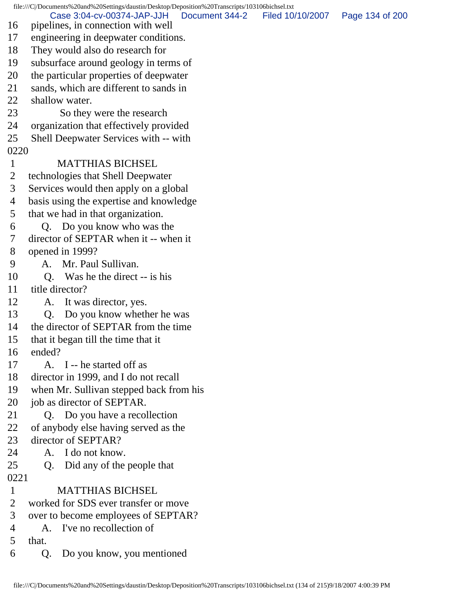file:///C|/Documents%20and%20Settings/daustin/Desktop/Deposition%20Transcripts/103106bichsel.txt 16 pipelines, in connection with well 17 engineering in deepwater conditions. 18 They would also do research for 19 subsurface around geology in terms of 20 the particular properties of deepwater 21 sands, which are different to sands in 22 shallow water. 23 So they were the research 24 organization that effectively provided 25 Shell Deepwater Services with -- with 0220 1 MATTHIAS BICHSEL 2 technologies that Shell Deepwater 3 Services would then apply on a global 4 basis using the expertise and knowledge 5 that we had in that organization. 6 Q. Do you know who was the 7 director of SEPTAR when it -- when it 8 opened in 1999? 9 A. Mr. Paul Sullivan. 10 O. Was he the direct -- is his 11 title director? 12 A. It was director, yes. 13 Q. Do you know whether he was 14 the director of SEPTAR from the time 15 that it began till the time that it 16 ended? 17 A. I -- he started off as 18 director in 1999, and I do not recall 19 when Mr. Sullivan stepped back from his 20 job as director of SEPTAR. 21 Q. Do you have a recollection 22 of anybody else having served as the 23 director of SEPTAR? 24 A. I do not know. 25 Q. Did any of the people that 0221 1 MATTHIAS BICHSEL 2 worked for SDS ever transfer or move 3 over to become employees of SEPTAR? 4 A. I've no recollection of 5 that. 6 Q. Do you know, you mentioned Case 3:04-cv-00374-JAP-JJH Document 344-2 Filed 10/10/2007 Page 134 of 200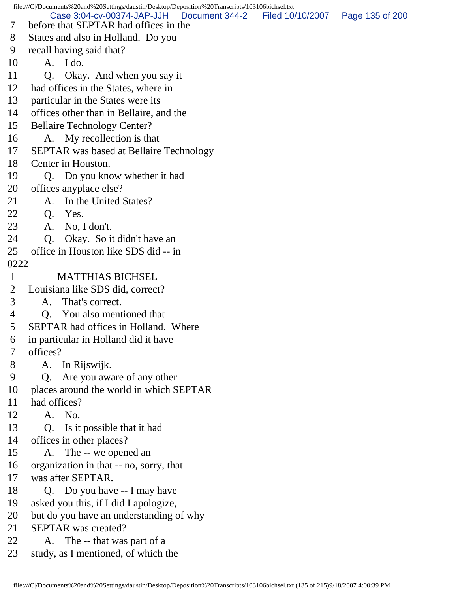file:///C|/Documents%20and%20Settings/daustin/Desktop/Deposition%20Transcripts/103106bichsel.txt 7 before that SEPTAR had offices in the 8 States and also in Holland. Do you 9 recall having said that? 10 A. I do. 11 Q. Okay. And when you say it 12 had offices in the States, where in 13 particular in the States were its 14 offices other than in Bellaire, and the 15 Bellaire Technology Center? 16 A. My recollection is that 17 SEPTAR was based at Bellaire Technology 18 Center in Houston. 19 Q. Do you know whether it had 20 offices anyplace else? 21 A. In the United States? 22 Q. Yes. 23 A. No, I don't. 24 O. Okay. So it didn't have an 25 office in Houston like SDS did -- in 0222 1 MATTHIAS BICHSEL 2 Louisiana like SDS did, correct? 3 A. That's correct. 4 Q. You also mentioned that 5 SEPTAR had offices in Holland. Where 6 in particular in Holland did it have 7 offices? 8 A. In Rijswijk. 9 Q. Are you aware of any other 10 places around the world in which SEPTAR 11 had offices? 12 A. No. 13 Q. Is it possible that it had 14 offices in other places? 15 A. The -- we opened an 16 organization in that -- no, sorry, that 17 was after SEPTAR. 18 O. Do you have -- I may have 19 asked you this, if I did I apologize, 20 but do you have an understanding of why 21 SEPTAR was created? 22 A. The -- that was part of a 23 study, as I mentioned, of which the Case 3:04-cv-00374-JAP-JJH Document 344-2 Filed 10/10/2007 Page 135 of 200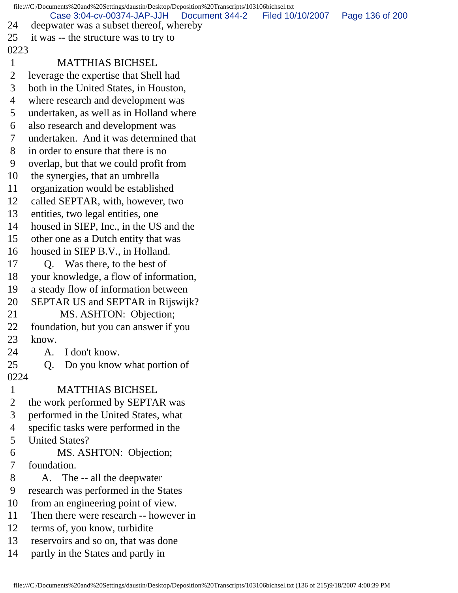| file:///C /Documents%20and%20Settings/daustin/Desktop/Deposition%20Transcripts/103106bichsel.txt |                                                                                         |                  |                 |  |  |
|--------------------------------------------------------------------------------------------------|-----------------------------------------------------------------------------------------|------------------|-----------------|--|--|
| 24                                                                                               | Case 3:04-cv-00374-JAP-JJH<br>Document 344-2<br>deepwater was a subset thereof, whereby | Filed 10/10/2007 | Page 136 of 200 |  |  |
| 25                                                                                               | it was -- the structure was to try to                                                   |                  |                 |  |  |
| 0223                                                                                             |                                                                                         |                  |                 |  |  |
| $\mathbf{1}$                                                                                     | <b>MATTHIAS BICHSEL</b>                                                                 |                  |                 |  |  |
| $\overline{2}$                                                                                   | leverage the expertise that Shell had                                                   |                  |                 |  |  |
| 3                                                                                                | both in the United States, in Houston,                                                  |                  |                 |  |  |
| 4                                                                                                | where research and development was                                                      |                  |                 |  |  |
| 5                                                                                                | undertaken, as well as in Holland where                                                 |                  |                 |  |  |
| 6                                                                                                | also research and development was                                                       |                  |                 |  |  |
| 7                                                                                                | undertaken. And it was determined that                                                  |                  |                 |  |  |
| 8                                                                                                | in order to ensure that there is no                                                     |                  |                 |  |  |
| 9                                                                                                | overlap, but that we could profit from                                                  |                  |                 |  |  |
| 10                                                                                               | the synergies, that an umbrella                                                         |                  |                 |  |  |
| 11                                                                                               | organization would be established                                                       |                  |                 |  |  |
| 12                                                                                               | called SEPTAR, with, however, two                                                       |                  |                 |  |  |
| 13                                                                                               | entities, two legal entities, one                                                       |                  |                 |  |  |
| 14                                                                                               | housed in SIEP, Inc., in the US and the                                                 |                  |                 |  |  |
| 15                                                                                               | other one as a Dutch entity that was                                                    |                  |                 |  |  |
| 16                                                                                               | housed in SIEP B.V., in Holland.                                                        |                  |                 |  |  |
| 17                                                                                               | Q. Was there, to the best of                                                            |                  |                 |  |  |
| 18                                                                                               | your knowledge, a flow of information,                                                  |                  |                 |  |  |
| 19                                                                                               | a steady flow of information between                                                    |                  |                 |  |  |
| 20                                                                                               | SEPTAR US and SEPTAR in Rijswijk?                                                       |                  |                 |  |  |
| 21                                                                                               | MS. ASHTON: Objection;                                                                  |                  |                 |  |  |
| 22                                                                                               | foundation, but you can answer if you                                                   |                  |                 |  |  |
| 23                                                                                               | know.                                                                                   |                  |                 |  |  |
| 24                                                                                               | I don't know.<br>A.                                                                     |                  |                 |  |  |
| 25                                                                                               | Do you know what portion of<br>Q.                                                       |                  |                 |  |  |
| 0224                                                                                             |                                                                                         |                  |                 |  |  |
| $\mathbf{1}$                                                                                     | <b>MATTHIAS BICHSEL</b>                                                                 |                  |                 |  |  |
| $\overline{2}$                                                                                   | the work performed by SEPTAR was                                                        |                  |                 |  |  |
| 3                                                                                                | performed in the United States, what                                                    |                  |                 |  |  |
| $\overline{4}$                                                                                   | specific tasks were performed in the                                                    |                  |                 |  |  |
| 5                                                                                                | <b>United States?</b>                                                                   |                  |                 |  |  |
| 6                                                                                                | MS. ASHTON: Objection;                                                                  |                  |                 |  |  |
| 7                                                                                                | foundation.                                                                             |                  |                 |  |  |
| 8                                                                                                | A. The -- all the deepwater                                                             |                  |                 |  |  |
| 9                                                                                                | research was performed in the States                                                    |                  |                 |  |  |
| 10                                                                                               | from an engineering point of view.                                                      |                  |                 |  |  |
| 11                                                                                               | Then there were research -- however in                                                  |                  |                 |  |  |
| 12                                                                                               | terms of, you know, turbidite                                                           |                  |                 |  |  |
| 13                                                                                               | reservoirs and so on, that was done                                                     |                  |                 |  |  |
| 14                                                                                               | partly in the States and partly in                                                      |                  |                 |  |  |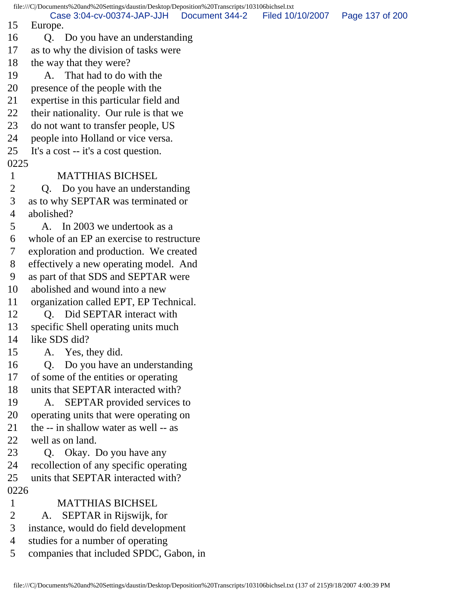file:///C|/Documents%20and%20Settings/daustin/Desktop/Deposition%20Transcripts/103106bichsel.txt 15 Europe. 16 Q. Do you have an understanding 17 as to why the division of tasks were 18 the way that they were? 19 A. That had to do with the 20 presence of the people with the 21 expertise in this particular field and 22 their nationality. Our rule is that we 23 do not want to transfer people, US 24 people into Holland or vice versa. 25 It's a cost -- it's a cost question. 0225 1 MATTHIAS BICHSEL 2 Q. Do you have an understanding 3 as to why SEPTAR was terminated or 4 abolished? 5 A. In 2003 we undertook as a 6 whole of an EP an exercise to restructure 7 exploration and production. We created 8 effectively a new operating model. And 9 as part of that SDS and SEPTAR were 10 abolished and wound into a new 11 organization called EPT, EP Technical. 12 Q. Did SEPTAR interact with 13 specific Shell operating units much 14 like SDS did? 15 A. Yes, they did. 16 Q. Do you have an understanding 17 of some of the entities or operating 18 units that SEPTAR interacted with? 19 A. SEPTAR provided services to 20 operating units that were operating on 21 the -- in shallow water as well -- as 22 well as on land. 23 Q. Okay. Do you have any 24 recollection of any specific operating 25 units that SEPTAR interacted with? 0226 1 MATTHIAS BICHSEL 2 A. SEPTAR in Rijswijk, for 3 instance, would do field development 4 studies for a number of operating 5 companies that included SPDC, Gabon, in Case 3:04-cv-00374-JAP-JJH Document 344-2 Filed 10/10/2007 Page 137 of 200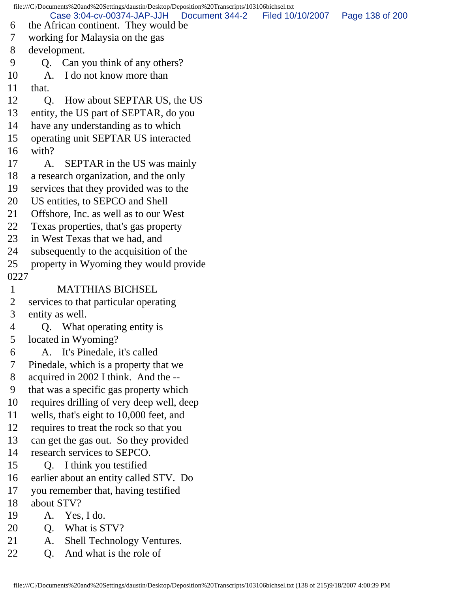file:///C|/Documents%20and%20Settings/daustin/Desktop/Deposition%20Transcripts/103106bichsel.txt 6 the African continent. They would be 7 working for Malaysia on the gas 8 development. 9 Q. Can you think of any others? 10 A. I do not know more than 11 that. 12 O. How about SEPTAR US, the US 13 entity, the US part of SEPTAR, do you 14 have any understanding as to which 15 operating unit SEPTAR US interacted 16 with? 17 A. SEPTAR in the US was mainly 18 a research organization, and the only 19 services that they provided was to the 20 US entities, to SEPCO and Shell 21 Offshore, Inc. as well as to our West 22 Texas properties, that's gas property 23 in West Texas that we had, and 24 subsequently to the acquisition of the 25 property in Wyoming they would provide 0227 1 MATTHIAS BICHSEL 2 services to that particular operating 3 entity as well. 4 Q. What operating entity is 5 located in Wyoming? 6 A. It's Pinedale, it's called 7 Pinedale, which is a property that we 8 acquired in 2002 I think. And the -- 9 that was a specific gas property which 10 requires drilling of very deep well, deep 11 wells, that's eight to 10,000 feet, and 12 requires to treat the rock so that you 13 can get the gas out. So they provided 14 research services to SEPCO. 15 Q. I think you testified 16 earlier about an entity called STV. Do 17 you remember that, having testified 18 about STV? 19 A. Yes, I do. 20 Q. What is STV? 21 A. Shell Technology Ventures. 22 O. And what is the role of Case 3:04-cv-00374-JAP-JJH Document 344-2 Filed 10/10/2007 Page 138 of 200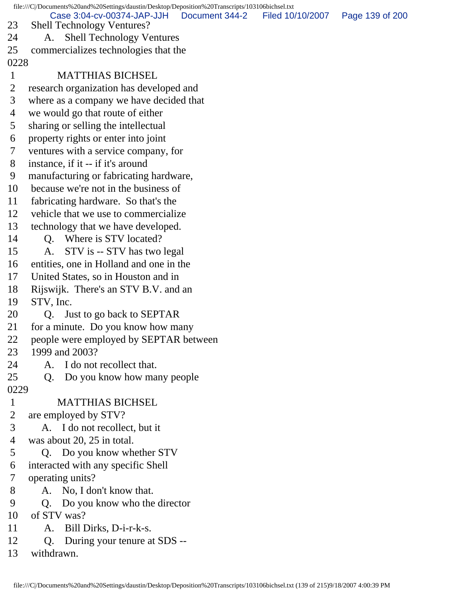file:///C|/Documents%20and%20Settings/daustin/Desktop/Deposition%20Transcripts/103106bichsel.txt 23 Shell Technology Ventures? 24 A. Shell Technology Ventures 25 commercializes technologies that the 0228 1 MATTHIAS BICHSEL 2 research organization has developed and 3 where as a company we have decided that 4 we would go that route of either 5 sharing or selling the intellectual 6 property rights or enter into joint 7 ventures with a service company, for 8 instance, if it -- if it's around 9 manufacturing or fabricating hardware, 10 because we're not in the business of 11 fabricating hardware. So that's the 12 vehicle that we use to commercialize 13 technology that we have developed. 14 O. Where is STV located? 15 A. STV is -- STV has two legal 16 entities, one in Holland and one in the 17 United States, so in Houston and in 18 Rijswijk. There's an STV B.V. and an 19 STV, Inc. 20 Q. Just to go back to SEPTAR 21 for a minute. Do you know how many 22 people were employed by SEPTAR between 23 1999 and 2003? 24 A. I do not recollect that. 25 Q. Do you know how many people 0229 1 MATTHIAS BICHSEL 2 are employed by STV? 3 A. I do not recollect, but it 4 was about 20, 25 in total. 5 Q. Do you know whether STV 6 interacted with any specific Shell 7 operating units? 8 A. No, I don't know that. 9 Q. Do you know who the director 10 of STV was? 11 A. Bill Dirks, D-i-r-k-s. 12 Q. During your tenure at SDS -- 13 withdrawn. Case 3:04-cv-00374-JAP-JJH Document 344-2 Filed 10/10/2007 Page 139 of 200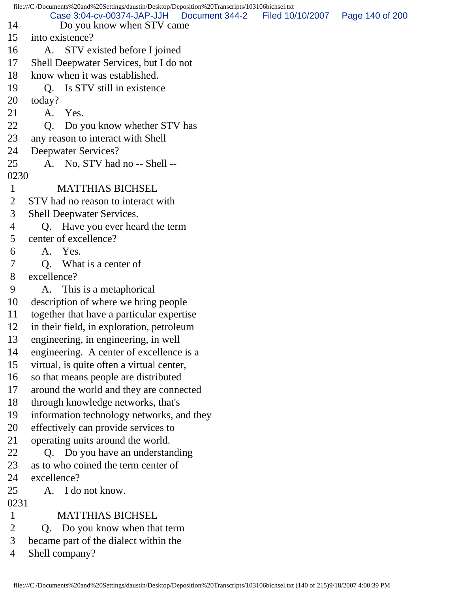| file:///C /Documents%20and%20Settings/daustin/Desktop/Deposition%20Transcripts/103106bichsel.txt |                                                                           |                  |                 |  |  |
|--------------------------------------------------------------------------------------------------|---------------------------------------------------------------------------|------------------|-----------------|--|--|
| 14                                                                                               | Case 3:04-cv-00374-JAP-JJH<br>Document 344-2<br>Do you know when STV came | Filed 10/10/2007 | Page 140 of 200 |  |  |
| 15                                                                                               | into existence?                                                           |                  |                 |  |  |
| 16                                                                                               | A. STV existed before I joined                                            |                  |                 |  |  |
| 17                                                                                               | Shell Deepwater Services, but I do not                                    |                  |                 |  |  |
| 18                                                                                               | know when it was established.                                             |                  |                 |  |  |
| 19                                                                                               | Q. Is STV still in existence                                              |                  |                 |  |  |
| 20                                                                                               | today?                                                                    |                  |                 |  |  |
| 21                                                                                               | A. Yes.                                                                   |                  |                 |  |  |
| 22                                                                                               | Q <sub>1</sub><br>Do you know whether STV has                             |                  |                 |  |  |
| 23                                                                                               | any reason to interact with Shell                                         |                  |                 |  |  |
| 24                                                                                               | Deepwater Services?                                                       |                  |                 |  |  |
| 25                                                                                               | A. No, STV had no -- Shell --                                             |                  |                 |  |  |
| 0230                                                                                             |                                                                           |                  |                 |  |  |
| $\mathbf{1}$                                                                                     | <b>MATTHIAS BICHSEL</b>                                                   |                  |                 |  |  |
| $\overline{2}$                                                                                   | STV had no reason to interact with                                        |                  |                 |  |  |
| 3                                                                                                | Shell Deepwater Services.                                                 |                  |                 |  |  |
| 4                                                                                                | Q. Have you ever heard the term                                           |                  |                 |  |  |
| 5                                                                                                | center of excellence?                                                     |                  |                 |  |  |
| 6                                                                                                | A. Yes.                                                                   |                  |                 |  |  |
| 7                                                                                                | Q. What is a center of                                                    |                  |                 |  |  |
| 8                                                                                                | excellence?                                                               |                  |                 |  |  |
| 9                                                                                                | A. This is a metaphorical                                                 |                  |                 |  |  |
| 10                                                                                               | description of where we bring people                                      |                  |                 |  |  |
| 11                                                                                               | together that have a particular expertise                                 |                  |                 |  |  |
| 12                                                                                               | in their field, in exploration, petroleum                                 |                  |                 |  |  |
| 13                                                                                               | engineering, in engineering, in well                                      |                  |                 |  |  |
| 14                                                                                               | engineering. A center of excellence is a                                  |                  |                 |  |  |
| 15                                                                                               | virtual, is quite often a virtual center,                                 |                  |                 |  |  |
| 16                                                                                               | so that means people are distributed                                      |                  |                 |  |  |
| 17                                                                                               | around the world and they are connected                                   |                  |                 |  |  |
| 18                                                                                               | through knowledge networks, that's                                        |                  |                 |  |  |
| 19                                                                                               | information technology networks, and they                                 |                  |                 |  |  |
| 20                                                                                               | effectively can provide services to                                       |                  |                 |  |  |
| 21                                                                                               | operating units around the world.                                         |                  |                 |  |  |
| 22                                                                                               | Q. Do you have an understanding                                           |                  |                 |  |  |
| 23                                                                                               | as to who coined the term center of                                       |                  |                 |  |  |
| 24                                                                                               | excellence?                                                               |                  |                 |  |  |
| 25                                                                                               | A. I do not know.                                                         |                  |                 |  |  |
| 0231                                                                                             |                                                                           |                  |                 |  |  |
| $\mathbf{1}$                                                                                     | <b>MATTHIAS BICHSEL</b>                                                   |                  |                 |  |  |
| $\overline{2}$                                                                                   | Do you know when that term<br>Q.                                          |                  |                 |  |  |
| 3                                                                                                | became part of the dialect within the                                     |                  |                 |  |  |
| 4                                                                                                | Shell company?                                                            |                  |                 |  |  |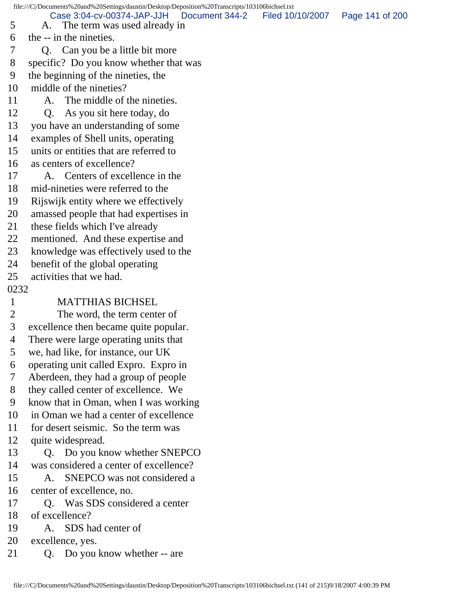file:///C|/Documents%20and%20Settings/daustin/Desktop/Deposition%20Transcripts/103106bichsel.txt 5 A. The term was used already in 6 the -- in the nineties. 7 Q. Can you be a little bit more 8 specific? Do you know whether that was 9 the beginning of the nineties, the 10 middle of the nineties? 11 A. The middle of the nineties. 12 Q. As you sit here today, do 13 you have an understanding of some 14 examples of Shell units, operating 15 units or entities that are referred to 16 as centers of excellence? 17 A. Centers of excellence in the 18 mid-nineties were referred to the 19 Rijswijk entity where we effectively 20 amassed people that had expertises in 21 these fields which I've already 22 mentioned. And these expertise and 23 knowledge was effectively used to the 24 benefit of the global operating 25 activities that we had. 0232 1 MATTHIAS BICHSEL 2 The word, the term center of 3 excellence then became quite popular. 4 There were large operating units that 5 we, had like, for instance, our UK 6 operating unit called Expro. Expro in 7 Aberdeen, they had a group of people 8 they called center of excellence. We 9 know that in Oman, when I was working 10 in Oman we had a center of excellence 11 for desert seismic. So the term was 12 quite widespread. 13 Q. Do you know whether SNEPCO 14 was considered a center of excellence? 15 A. SNEPCO was not considered a 16 center of excellence, no. 17 O. Was SDS considered a center 18 of excellence? 19 A. SDS had center of 20 excellence, yes. 21 Q. Do you know whether -- are Case 3:04-cv-00374-JAP-JJH Document 344-2 Filed 10/10/2007 Page 141 of 200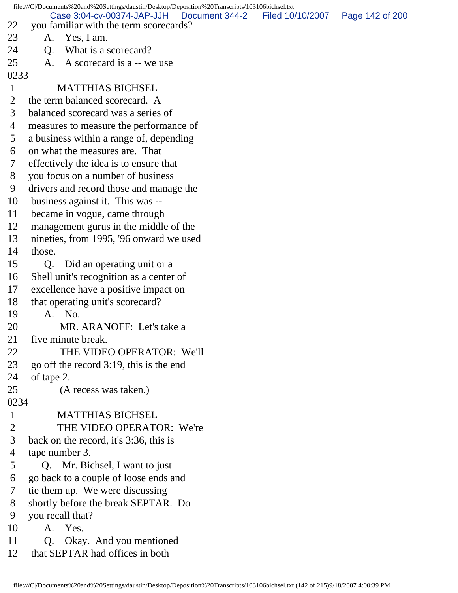| file:///C /Documents%20and%20Settings/daustin/Desktop/Deposition%20Transcripts/103106bichsel.txt |                |                                                                                       |                                   |  |  |
|--------------------------------------------------------------------------------------------------|----------------|---------------------------------------------------------------------------------------|-----------------------------------|--|--|
| 22                                                                                               |                | Case 3:04-cv-00374-JAP-JJH   Document 344-2<br>you familiar with the term scorecards? | Filed 10/10/2007  Page 142 of 200 |  |  |
| 23                                                                                               |                | A. Yes, I am.                                                                         |                                   |  |  |
| 24                                                                                               | Q.             | What is a scorecard?                                                                  |                                   |  |  |
| 25                                                                                               | A.             | A scorecard is a -- we use                                                            |                                   |  |  |
| 0233                                                                                             |                |                                                                                       |                                   |  |  |
| $\mathbf{1}$                                                                                     |                | <b>MATTHIAS BICHSEL</b>                                                               |                                   |  |  |
| $\overline{2}$                                                                                   |                | the term balanced scorecard. A                                                        |                                   |  |  |
| 3                                                                                                |                | balanced scorecard was a series of                                                    |                                   |  |  |
| 4                                                                                                |                | measures to measure the performance of                                                |                                   |  |  |
| 5                                                                                                |                | a business within a range of, depending                                               |                                   |  |  |
| 6                                                                                                |                | on what the measures are. That                                                        |                                   |  |  |
| 7                                                                                                |                | effectively the idea is to ensure that                                                |                                   |  |  |
| 8                                                                                                |                | you focus on a number of business                                                     |                                   |  |  |
| 9                                                                                                |                | drivers and record those and manage the                                               |                                   |  |  |
| 10                                                                                               |                | business against it. This was --                                                      |                                   |  |  |
| 11                                                                                               |                | became in vogue, came through                                                         |                                   |  |  |
| 12                                                                                               |                | management gurus in the middle of the                                                 |                                   |  |  |
| 13                                                                                               |                | nineties, from 1995, '96 onward we used                                               |                                   |  |  |
| 14                                                                                               | those.         |                                                                                       |                                   |  |  |
| 15                                                                                               | Q.             | Did an operating unit or a                                                            |                                   |  |  |
| 16                                                                                               |                | Shell unit's recognition as a center of                                               |                                   |  |  |
| 17                                                                                               |                | excellence have a positive impact on                                                  |                                   |  |  |
| 18                                                                                               |                | that operating unit's scorecard?                                                      |                                   |  |  |
| 19                                                                                               |                | A. No.                                                                                |                                   |  |  |
| 20                                                                                               |                | MR. ARANOFF: Let's take a                                                             |                                   |  |  |
| 21                                                                                               |                | five minute break.                                                                    |                                   |  |  |
| 22                                                                                               |                | THE VIDEO OPERATOR: We'll                                                             |                                   |  |  |
| 23                                                                                               |                | go off the record 3:19, this is the end                                               |                                   |  |  |
| 24                                                                                               | of tape 2.     |                                                                                       |                                   |  |  |
| 25                                                                                               |                | (A recess was taken.)                                                                 |                                   |  |  |
| 0234                                                                                             |                |                                                                                       |                                   |  |  |
| $\mathbf{1}$                                                                                     |                | <b>MATTHIAS BICHSEL</b>                                                               |                                   |  |  |
| $\overline{2}$                                                                                   |                | THE VIDEO OPERATOR: We're                                                             |                                   |  |  |
| 3                                                                                                |                | back on the record, it's 3:36, this is                                                |                                   |  |  |
| 4                                                                                                | tape number 3. |                                                                                       |                                   |  |  |
| 5                                                                                                |                | Q. Mr. Bichsel, I want to just                                                        |                                   |  |  |
| 6                                                                                                |                | go back to a couple of loose ends and                                                 |                                   |  |  |
| 7                                                                                                |                | tie them up. We were discussing                                                       |                                   |  |  |
| 8                                                                                                |                | shortly before the break SEPTAR. Do                                                   |                                   |  |  |
| 9                                                                                                |                | you recall that?                                                                      |                                   |  |  |
| 10                                                                                               |                | A. Yes.                                                                               |                                   |  |  |
| 11                                                                                               | Q.             | Okay. And you mentioned                                                               |                                   |  |  |
| 12                                                                                               |                | that SEPTAR had offices in both                                                       |                                   |  |  |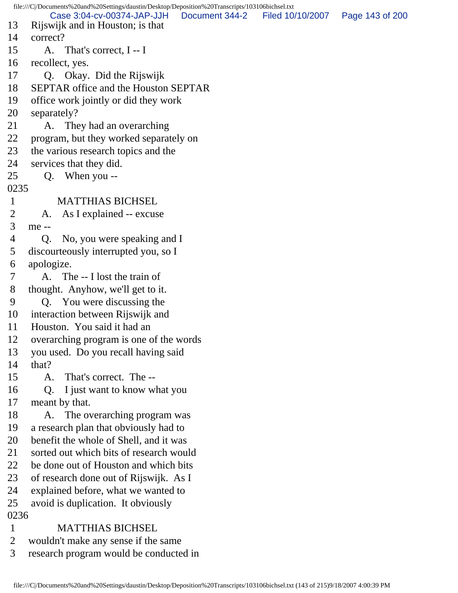file:///C|/Documents%20and%20Settings/daustin/Desktop/Deposition%20Transcripts/103106bichsel.txt 13 Rijswijk and in Houston; is that 14 correct? 15 A. That's correct, I -- I 16 recollect, yes. 17 Q. Okay. Did the Rijswijk 18 SEPTAR office and the Houston SEPTAR 19 office work jointly or did they work 20 separately? 21 A. They had an overarching 22 program, but they worked separately on 23 the various research topics and the 24 services that they did. 25 Q. When you -- 0235 1 MATTHIAS BICHSEL 2 A. As I explained -- excuse 3 me -- 4 Q. No, you were speaking and I 5 discourteously interrupted you, so I 6 apologize. 7 A. The -- I lost the train of 8 thought. Anyhow, we'll get to it. 9 Q. You were discussing the 10 interaction between Rijswijk and 11 Houston. You said it had an 12 overarching program is one of the words 13 you used. Do you recall having said 14 that? 15 A. That's correct. The -- 16 Q. I just want to know what you 17 meant by that. 18 A. The overarching program was 19 a research plan that obviously had to 20 benefit the whole of Shell, and it was 21 sorted out which bits of research would 22 be done out of Houston and which bits 23 of research done out of Rijswijk. As I 24 explained before, what we wanted to 25 avoid is duplication. It obviously 0236 1 MATTHIAS BICHSEL 2 wouldn't make any sense if the same 3 research program would be conducted in Case 3:04-cv-00374-JAP-JJH Document 344-2 Filed 10/10/2007 Page 143 of 200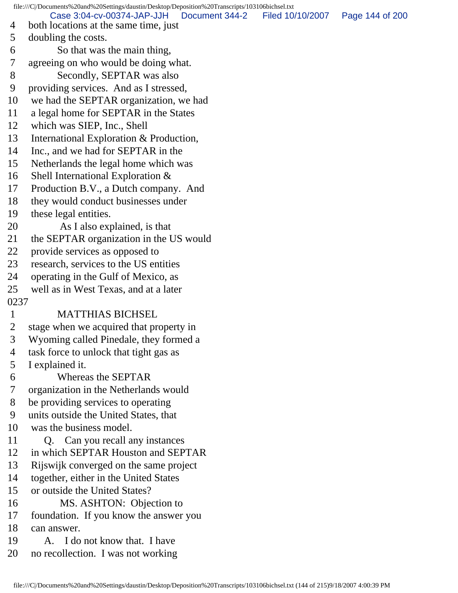file:///C|/Documents%20and%20Settings/daustin/Desktop/Deposition%20Transcripts/103106bichsel.txt 4 both locations at the same time, just 5 doubling the costs. 6 So that was the main thing, 7 agreeing on who would be doing what. 8 Secondly, SEPTAR was also 9 providing services. And as I stressed, 10 we had the SEPTAR organization, we had 11 a legal home for SEPTAR in the States 12 which was SIEP, Inc., Shell 13 International Exploration & Production, 14 Inc., and we had for SEPTAR in the 15 Netherlands the legal home which was 16 Shell International Exploration & 17 Production B.V., a Dutch company. And 18 they would conduct businesses under 19 these legal entities. 20 As I also explained, is that 21 the SEPTAR organization in the US would 22 provide services as opposed to 23 research, services to the US entities 24 operating in the Gulf of Mexico, as 25 well as in West Texas, and at a later 0237 1 MATTHIAS BICHSEL 2 stage when we acquired that property in 3 Wyoming called Pinedale, they formed a 4 task force to unlock that tight gas as 5 I explained it. 6 Whereas the SEPTAR 7 organization in the Netherlands would 8 be providing services to operating 9 units outside the United States, that 10 was the business model. 11 Q. Can you recall any instances 12 in which SEPTAR Houston and SEPTAR 13 Rijswijk converged on the same project 14 together, either in the United States 15 or outside the United States? 16 MS. ASHTON: Objection to 17 foundation. If you know the answer you 18 can answer. 19 A. I do not know that. I have 20 no recollection. I was not working Case 3:04-cv-00374-JAP-JJH Document 344-2 Filed 10/10/2007 Page 144 of 200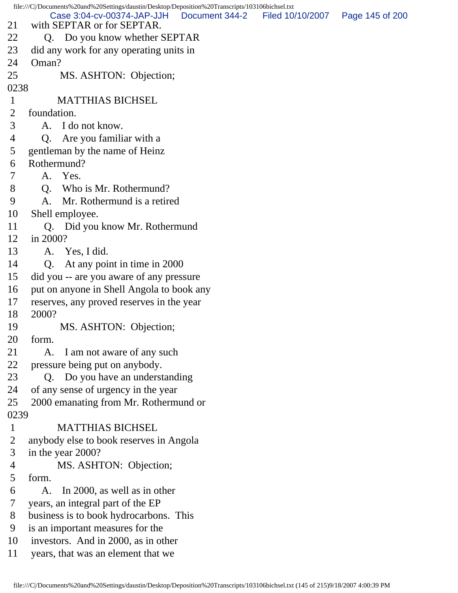|                | file:///C /Documents%20and%20Settings/daustin/Desktop/Deposition%20Transcripts/103106bichsel.txt |                |                                   |  |
|----------------|--------------------------------------------------------------------------------------------------|----------------|-----------------------------------|--|
| 21             | Case 3:04-cv-00374-JAP-JJH<br>with SEPTAR or for SEPTAR.                                         | Document 344-2 | Filed 10/10/2007  Page 145 of 200 |  |
| 22             | Q. Do you know whether SEPTAR                                                                    |                |                                   |  |
| 23             | did any work for any operating units in                                                          |                |                                   |  |
| 24             | Oman?                                                                                            |                |                                   |  |
| 25             | MS. ASHTON: Objection;                                                                           |                |                                   |  |
| 0238           |                                                                                                  |                |                                   |  |
| $\mathbf{1}$   | <b>MATTHIAS BICHSEL</b>                                                                          |                |                                   |  |
| $\overline{2}$ | foundation.                                                                                      |                |                                   |  |
| 3              | A. I do not know.                                                                                |                |                                   |  |
| 4              | Q. Are you familiar with a                                                                       |                |                                   |  |
| 5              | gentleman by the name of Heinz                                                                   |                |                                   |  |
| 6              | Rothermund?                                                                                      |                |                                   |  |
| 7              | A. Yes.                                                                                          |                |                                   |  |
| 8              | Q. Who is Mr. Rothermund?                                                                        |                |                                   |  |
| 9              | Mr. Rothermund is a retired<br>A.                                                                |                |                                   |  |
| 10             | Shell employee.                                                                                  |                |                                   |  |
| 11             | Q. Did you know Mr. Rothermund                                                                   |                |                                   |  |
| 12             | in 2000?                                                                                         |                |                                   |  |
| 13             | A. Yes, I did.                                                                                   |                |                                   |  |
| 14             | At any point in time in 2000<br>Q.                                                               |                |                                   |  |
| 15             | did you -- are you aware of any pressure                                                         |                |                                   |  |
| 16             | put on anyone in Shell Angola to book any                                                        |                |                                   |  |
| 17             | reserves, any proved reserves in the year                                                        |                |                                   |  |
| 18             | 2000?                                                                                            |                |                                   |  |
| 19             | MS. ASHTON: Objection;                                                                           |                |                                   |  |
| 20             | form.                                                                                            |                |                                   |  |
| 21             | I am not aware of any such<br>A.                                                                 |                |                                   |  |
| 22             | pressure being put on anybody.                                                                   |                |                                   |  |
| 23             | Q. Do you have an understanding                                                                  |                |                                   |  |
| 24             | of any sense of urgency in the year                                                              |                |                                   |  |
| 25             | 2000 emanating from Mr. Rothermund or                                                            |                |                                   |  |
| 0239           |                                                                                                  |                |                                   |  |
| $\mathbf{1}$   | <b>MATTHIAS BICHSEL</b>                                                                          |                |                                   |  |
| $\overline{2}$ | anybody else to book reserves in Angola                                                          |                |                                   |  |
| 3              | in the year 2000?                                                                                |                |                                   |  |
| 4              | MS. ASHTON: Objection;                                                                           |                |                                   |  |
| 5              | form.                                                                                            |                |                                   |  |
| 6              | In 2000, as well as in other<br>A.                                                               |                |                                   |  |
| 7              | years, an integral part of the EP                                                                |                |                                   |  |
| 8              | business is to book hydrocarbons. This                                                           |                |                                   |  |
| 9              | is an important measures for the                                                                 |                |                                   |  |
| 10             | investors. And in 2000, as in other                                                              |                |                                   |  |
| 11             | years, that was an element that we                                                               |                |                                   |  |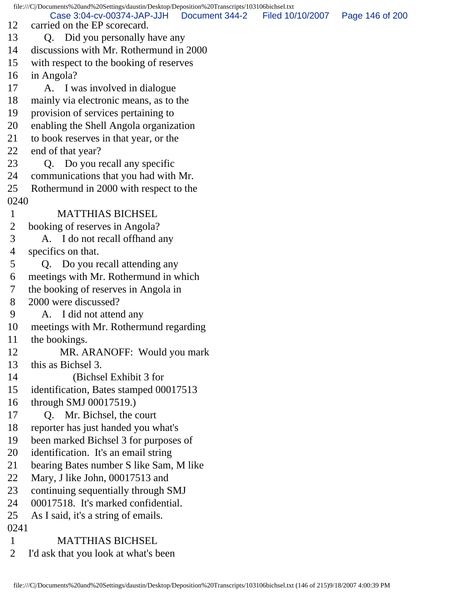file:///C|/Documents%20and%20Settings/daustin/Desktop/Deposition%20Transcripts/103106bichsel.txt 12 carried on the EP scorecard. 13 Q. Did you personally have any 14 discussions with Mr. Rothermund in 2000 15 with respect to the booking of reserves 16 in Angola? 17 A. I was involved in dialogue 18 mainly via electronic means, as to the 19 provision of services pertaining to 20 enabling the Shell Angola organization 21 to book reserves in that year, or the 22 end of that year? 23 Q. Do you recall any specific 24 communications that you had with Mr. 25 Rothermund in 2000 with respect to the 0240 1 MATTHIAS BICHSEL 2 booking of reserves in Angola? 3 A. I do not recall offhand any 4 specifics on that. 5 Q. Do you recall attending any 6 meetings with Mr. Rothermund in which 7 the booking of reserves in Angola in 8 2000 were discussed? 9 A. I did not attend any 10 meetings with Mr. Rothermund regarding 11 the bookings. 12 MR. ARANOFF: Would you mark 13 this as Bichsel 3. 14 (Bichsel Exhibit 3 for 15 identification, Bates stamped 00017513 16 through SMJ 00017519.) 17 Q. Mr. Bichsel, the court 18 reporter has just handed you what's 19 been marked Bichsel 3 for purposes of 20 identification. It's an email string 21 bearing Bates number S like Sam, M like 22 Mary, J like John, 00017513 and 23 continuing sequentially through SMJ 24 00017518. It's marked confidential. 25 As I said, it's a string of emails. 0241 1 MATTHIAS BICHSEL 2 I'd ask that you look at what's been Case 3:04-cv-00374-JAP-JJH Document 344-2 Filed 10/10/2007 Page 146 of 200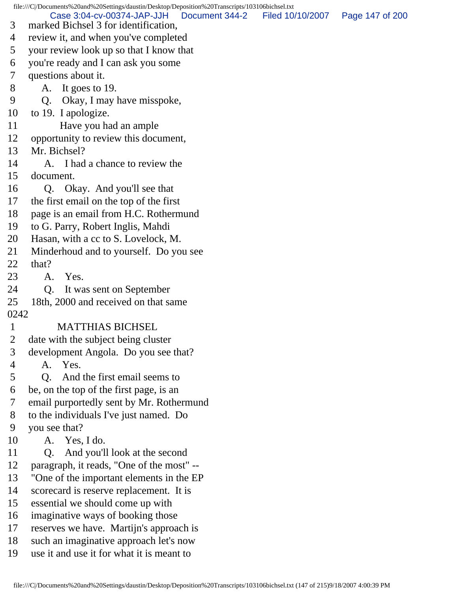file:///C|/Documents%20and%20Settings/daustin/Desktop/Deposition%20Transcripts/103106bichsel.txt 3 marked Bichsel 3 for identification, 4 review it, and when you've completed 5 your review look up so that I know that 6 you're ready and I can ask you some 7 questions about it. 8 A. It goes to 19. 9 Q. Okay, I may have misspoke, 10 to 19. I apologize. 11 Have you had an ample 12 opportunity to review this document, 13 Mr. Bichsel? 14 A. I had a chance to review the 15 document. 16 Q. Okay. And you'll see that 17 the first email on the top of the first 18 page is an email from H.C. Rothermund 19 to G. Parry, Robert Inglis, Mahdi 20 Hasan, with a cc to S. Lovelock, M. 21 Minderhoud and to yourself. Do you see 22 that? 23 A. Yes. 24 Q. It was sent on September 25 18th, 2000 and received on that same 0242 1 MATTHIAS BICHSEL 2 date with the subject being cluster 3 development Angola. Do you see that? 4 A. Yes. 5 Q. And the first email seems to 6 be, on the top of the first page, is an 7 email purportedly sent by Mr. Rothermund 8 to the individuals I've just named. Do 9 you see that? 10 A. Yes, I do. 11 Q. And you'll look at the second 12 paragraph, it reads, "One of the most" -- 13 "One of the important elements in the EP 14 scorecard is reserve replacement. It is 15 essential we should come up with 16 imaginative ways of booking those 17 reserves we have. Martijn's approach is 18 such an imaginative approach let's now 19 use it and use it for what it is meant to Case 3:04-cv-00374-JAP-JJH Document 344-2 Filed 10/10/2007 Page 147 of 200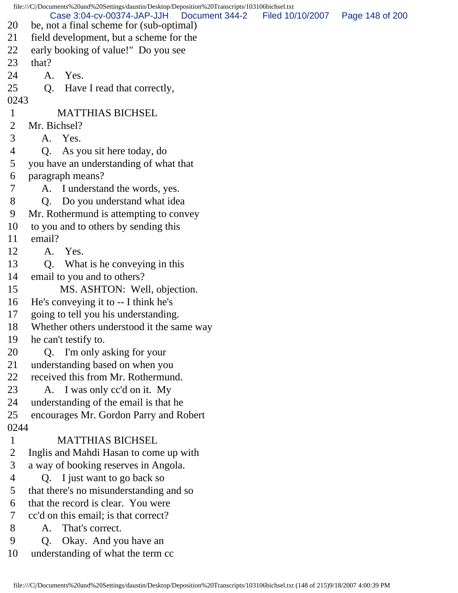file:///C|/Documents%20and%20Settings/daustin/Desktop/Deposition%20Transcripts/103106bichsel.txt 20 be, not a final scheme for (sub-optimal) 21 field development, but a scheme for the 22 early booking of value!" Do you see 23 that? 24 A. Yes. 25 Q. Have I read that correctly, 0243 1 MATTHIAS BICHSEL 2 Mr. Bichsel? 3 A. Yes. 4 Q. As you sit here today, do 5 you have an understanding of what that 6 paragraph means? 7 A. I understand the words, yes. 8 Q. Do you understand what idea 9 Mr. Rothermund is attempting to convey 10 to you and to others by sending this 11 email? 12 A. Yes. 13 Q. What is he conveying in this 14 email to you and to others? 15 MS. ASHTON: Well, objection. 16 He's conveying it to -- I think he's 17 going to tell you his understanding. 18 Whether others understood it the same way 19 he can't testify to. 20 Q. I'm only asking for your 21 understanding based on when you 22 received this from Mr. Rothermund. 23 A. I was only cc'd on it. My 24 understanding of the email is that he 25 encourages Mr. Gordon Parry and Robert 0244 1 MATTHIAS BICHSEL 2 Inglis and Mahdi Hasan to come up with 3 a way of booking reserves in Angola. 4 Q. I just want to go back so 5 that there's no misunderstanding and so 6 that the record is clear. You were 7 cc'd on this email; is that correct? 8 A. That's correct. 9 Q. Okay. And you have an 10 understanding of what the term cc Case 3:04-cv-00374-JAP-JJH Document 344-2 Filed 10/10/2007 Page 148 of 200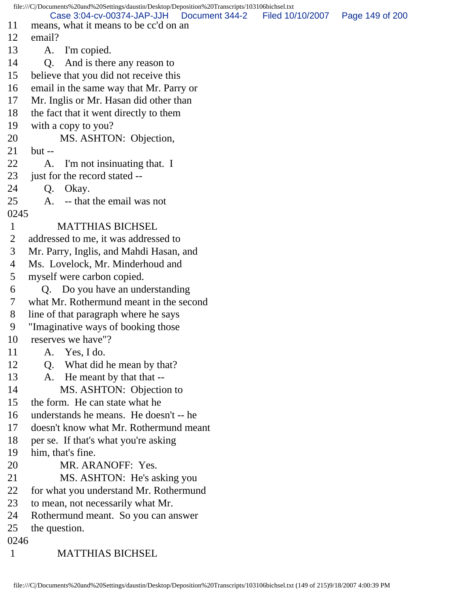file:///C|/Documents%20and%20Settings/daustin/Desktop/Deposition%20Transcripts/103106bichsel.txt 11 means, what it means to be cc'd on an 12 email? 13 A. I'm copied. 14 Q. And is there any reason to 15 believe that you did not receive this 16 email in the same way that Mr. Parry or 17 Mr. Inglis or Mr. Hasan did other than 18 the fact that it went directly to them 19 with a copy to you? 20 MS. ASHTON: Objection, 21 but -- 22 A. I'm not insinuating that. I 23 just for the record stated -- 24 Q. Okay. 25 A. -- that the email was not 0245 1 MATTHIAS BICHSEL 2 addressed to me, it was addressed to 3 Mr. Parry, Inglis, and Mahdi Hasan, and 4 Ms. Lovelock, Mr. Minderhoud and 5 myself were carbon copied. 6 Q. Do you have an understanding 7 what Mr. Rothermund meant in the second 8 line of that paragraph where he says 9 "Imaginative ways of booking those 10 reserves we have"? 11 A. Yes, I do. 12 Q. What did he mean by that? 13 A. He meant by that that --14 MS. ASHTON: Objection to 15 the form. He can state what he 16 understands he means. He doesn't -- he 17 doesn't know what Mr. Rothermund meant 18 per se. If that's what you're asking 19 him, that's fine. 20 MR. ARANOFF: Yes. 21 MS. ASHTON: He's asking you 22 for what you understand Mr. Rothermund 23 to mean, not necessarily what Mr. 24 Rothermund meant. So you can answer 25 the question. 0246 1 MATTHIAS BICHSEL Case 3:04-cv-00374-JAP-JJH Document 344-2 Filed 10/10/2007 Page 149 of 200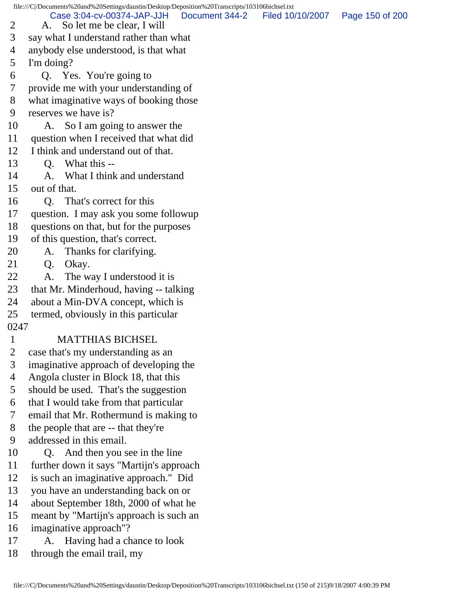file:///C|/Documents%20and%20Settings/daustin/Desktop/Deposition%20Transcripts/103106bichsel.txt 2 A. So let me be clear, I will 3 say what I understand rather than what 4 anybody else understood, is that what 5 I'm doing? 6 Q. Yes. You're going to 7 provide me with your understanding of 8 what imaginative ways of booking those 9 reserves we have is? 10 A. So I am going to answer the 11 question when I received that what did 12 I think and understand out of that. 13 Q. What this -- 14 A. What I think and understand 15 out of that. 16 Q. That's correct for this 17 question. I may ask you some followup 18 questions on that, but for the purposes 19 of this question, that's correct. 20 A. Thanks for clarifying. 21 Q. Okay. 22 A. The way I understood it is 23 that Mr. Minderhoud, having -- talking 24 about a Min-DVA concept, which is 25 termed, obviously in this particular 0247 1 MATTHIAS BICHSEL 2 case that's my understanding as an 3 imaginative approach of developing the 4 Angola cluster in Block 18, that this 5 should be used. That's the suggestion 6 that I would take from that particular 7 email that Mr. Rothermund is making to 8 the people that are -- that they're 9 addressed in this email. 10 Q. And then you see in the line 11 further down it says "Martijn's approach 12 is such an imaginative approach." Did 13 you have an understanding back on or 14 about September 18th, 2000 of what he 15 meant by "Martijn's approach is such an 16 imaginative approach"? 17 A. Having had a chance to look 18 through the email trail, my Case 3:04-cv-00374-JAP-JJH Document 344-2 Filed 10/10/2007 Page 150 of 200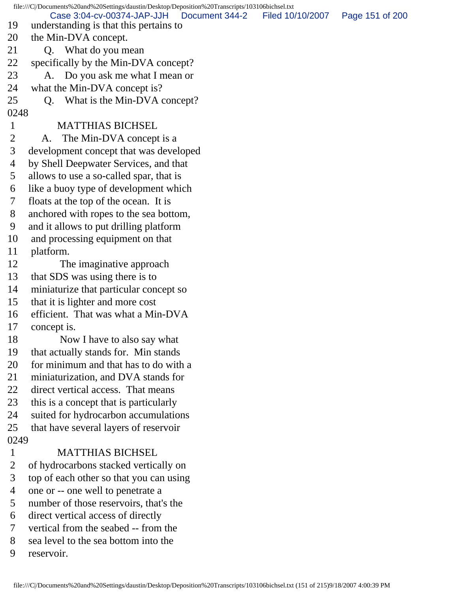file:///C|/Documents%20and%20Settings/daustin/Desktop/Deposition%20Transcripts/103106bichsel.txt 19 understanding is that this pertains to 20 the Min-DVA concept. 21 Q. What do you mean 22 specifically by the Min-DVA concept? 23 A. Do you ask me what I mean or 24 what the Min-DVA concept is? 25 Q. What is the Min-DVA concept? 0248 1 MATTHIAS BICHSEL 2 A. The Min-DVA concept is a 3 development concept that was developed 4 by Shell Deepwater Services, and that 5 allows to use a so-called spar, that is 6 like a buoy type of development which 7 floats at the top of the ocean. It is 8 anchored with ropes to the sea bottom, 9 and it allows to put drilling platform 10 and processing equipment on that 11 platform. 12 The imaginative approach 13 that SDS was using there is to 14 miniaturize that particular concept so 15 that it is lighter and more cost 16 efficient. That was what a Min-DVA 17 concept is. 18 Now I have to also say what 19 that actually stands for. Min stands 20 for minimum and that has to do with a 21 miniaturization, and DVA stands for 22 direct vertical access. That means 23 this is a concept that is particularly 24 suited for hydrocarbon accumulations 25 that have several layers of reservoir 0249 1 MATTHIAS BICHSEL 2 of hydrocarbons stacked vertically on 3 top of each other so that you can using 4 one or -- one well to penetrate a 5 number of those reservoirs, that's the 6 direct vertical access of directly 7 vertical from the seabed -- from the 8 sea level to the sea bottom into the 9 reservoir. Case 3:04-cv-00374-JAP-JJH Document 344-2 Filed 10/10/2007 Page 151 of 200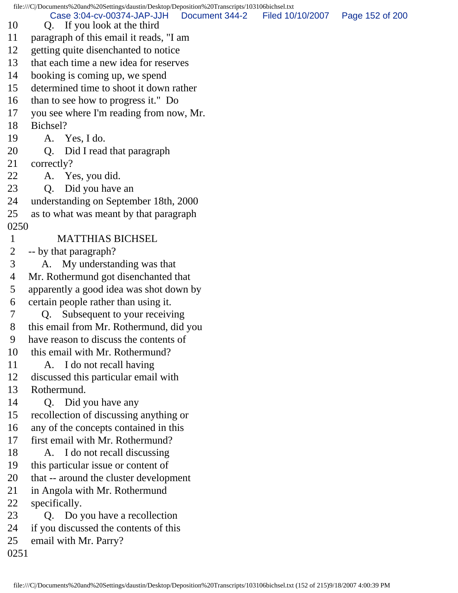file:///C|/Documents%20and%20Settings/daustin/Desktop/Deposition%20Transcripts/103106bichsel.txt 10 Q. If you look at the third 11 paragraph of this email it reads, "I am 12 getting quite disenchanted to notice 13 that each time a new idea for reserves 14 booking is coming up, we spend 15 determined time to shoot it down rather 16 than to see how to progress it." Do 17 you see where I'm reading from now, Mr. 18 Bichsel? 19 A. Yes, I do. 20 Q. Did I read that paragraph 21 correctly? 22 A. Yes, you did. 23 Q. Did you have an 24 understanding on September 18th, 2000 25 as to what was meant by that paragraph 0250 1 MATTHIAS BICHSEL 2 -- by that paragraph? 3 A. My understanding was that 4 Mr. Rothermund got disenchanted that 5 apparently a good idea was shot down by 6 certain people rather than using it. 7 Q. Subsequent to your receiving 8 this email from Mr. Rothermund, did you 9 have reason to discuss the contents of 10 this email with Mr. Rothermund? 11 A. I do not recall having 12 discussed this particular email with 13 Rothermund. 14 Q. Did you have any 15 recollection of discussing anything or 16 any of the concepts contained in this 17 first email with Mr. Rothermund? 18 A. I do not recall discussing 19 this particular issue or content of 20 that -- around the cluster development 21 in Angola with Mr. Rothermund 22 specifically. 23 Q. Do you have a recollection 24 if you discussed the contents of this 25 email with Mr. Parry? 0251 Case 3:04-cv-00374-JAP-JJH Document 344-2 Filed 10/10/2007 Page 152 of 200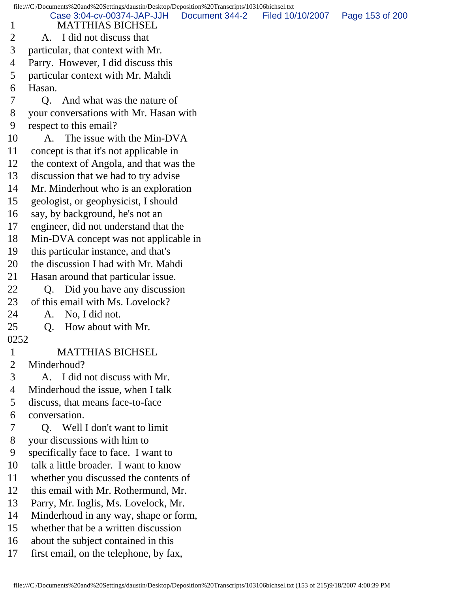file:///C|/Documents%20and%20Settings/daustin/Desktop/Deposition%20Transcripts/103106bichsel.txt 1 MATTHIAS BICHSEL 2 A. I did not discuss that 3 particular, that context with Mr. 4 Parry. However, I did discuss this 5 particular context with Mr. Mahdi 6 Hasan. 7 Q. And what was the nature of 8 your conversations with Mr. Hasan with 9 respect to this email? 10 A. The issue with the Min-DVA 11 concept is that it's not applicable in 12 the context of Angola, and that was the 13 discussion that we had to try advise 14 Mr. Minderhout who is an exploration 15 geologist, or geophysicist, I should 16 say, by background, he's not an 17 engineer, did not understand that the 18 Min-DVA concept was not applicable in 19 this particular instance, and that's 20 the discussion I had with Mr. Mahdi 21 Hasan around that particular issue. 22 Q. Did you have any discussion 23 of this email with Ms. Lovelock? 24 A. No, I did not. 25 Q. How about with Mr. 0252 1 MATTHIAS BICHSEL<br>2 Minderhoud? Minderhoud? 3 A. I did not discuss with Mr. 4 Minderhoud the issue, when I talk 5 discuss, that means face-to-face 6 conversation. 7 Q. Well I don't want to limit 8 your discussions with him to 9 specifically face to face. I want to 10 talk a little broader. I want to know 11 whether you discussed the contents of 12 this email with Mr. Rothermund, Mr. 13 Parry, Mr. Inglis, Ms. Lovelock, Mr. 14 Minderhoud in any way, shape or form, 15 whether that be a written discussion Case 3:04-cv-00374-JAP-JJH Document 344-2 Filed 10/10/2007 Page 153 of 200

- 16 about the subject contained in this
- 17 first email, on the telephone, by fax,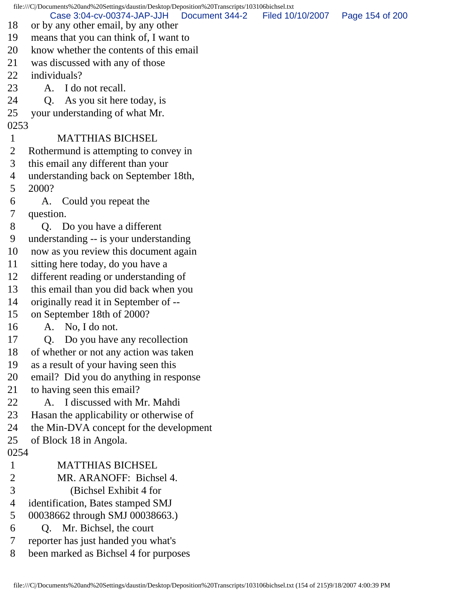file:///C|/Documents%20and%20Settings/daustin/Desktop/Deposition%20Transcripts/103106bichsel.txt 18 or by any other email, by any other 19 means that you can think of, I want to 20 know whether the contents of this email 21 was discussed with any of those 22 individuals? 23 A. I do not recall. 24 Q. As you sit here today, is 25 your understanding of what Mr. 0253 1 MATTHIAS BICHSEL 2 Rothermund is attempting to convey in 3 this email any different than your 4 understanding back on September 18th, 5 2000? 6 A. Could you repeat the 7 question. 8 Q. Do you have a different 9 understanding -- is your understanding 10 now as you review this document again 11 sitting here today, do you have a 12 different reading or understanding of 13 this email than you did back when you 14 originally read it in September of -- 15 on September 18th of 2000? 16 A. No, I do not. 17 Q. Do you have any recollection 18 of whether or not any action was taken 19 as a result of your having seen this 20 email? Did you do anything in response 21 to having seen this email? 22 A. I discussed with Mr. Mahdi 23 Hasan the applicability or otherwise of 24 the Min-DVA concept for the development 25 of Block 18 in Angola. 0254 1 MATTHIAS BICHSEL 2 MR. ARANOFF: Bichsel 4. 3 (Bichsel Exhibit 4 for 4 identification, Bates stamped SMJ 5 00038662 through SMJ 00038663.) 6 Q. Mr. Bichsel, the court 7 reporter has just handed you what's 8 been marked as Bichsel 4 for purposes Case 3:04-cv-00374-JAP-JJH Document 344-2 Filed 10/10/2007 Page 154 of 200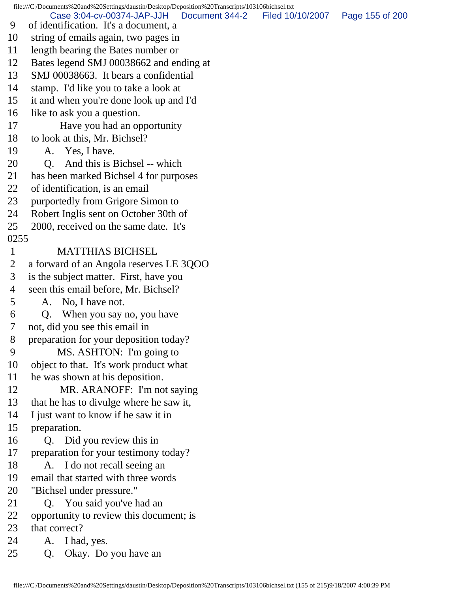file:///C|/Documents%20and%20Settings/daustin/Desktop/Deposition%20Transcripts/103106bichsel.txt 9 of identification. It's a document, a 10 string of emails again, two pages in 11 length bearing the Bates number or 12 Bates legend SMJ 00038662 and ending at 13 SMJ 00038663. It bears a confidential 14 stamp. I'd like you to take a look at 15 it and when you're done look up and I'd 16 like to ask you a question. 17 Have you had an opportunity 18 to look at this, Mr. Bichsel? 19 A. Yes, I have. 20 Q. And this is Bichsel -- which 21 has been marked Bichsel 4 for purposes 22 of identification, is an email 23 purportedly from Grigore Simon to 24 Robert Inglis sent on October 30th of 25 2000, received on the same date. It's 0255 1 MATTHIAS BICHSEL 2 a forward of an Angola reserves LE 3QOO 3 is the subject matter. First, have you 4 seen this email before, Mr. Bichsel? 5 A. No, I have not. 6 Q. When you say no, you have 7 not, did you see this email in 8 preparation for your deposition today? 9 MS. ASHTON: I'm going to 10 object to that. It's work product what 11 he was shown at his deposition. 12 MR. ARANOFF: I'm not saying 13 that he has to divulge where he saw it, 14 I just want to know if he saw it in 15 preparation. 16 Q. Did you review this in 17 preparation for your testimony today? 18 A. I do not recall seeing an 19 email that started with three words 20 "Bichsel under pressure." 21 Q. You said you've had an 22 opportunity to review this document; is 23 that correct? 24 A. I had, yes. 25 Q. Okay. Do you have an Case 3:04-cv-00374-JAP-JJH Document 344-2 Filed 10/10/2007 Page 155 of 200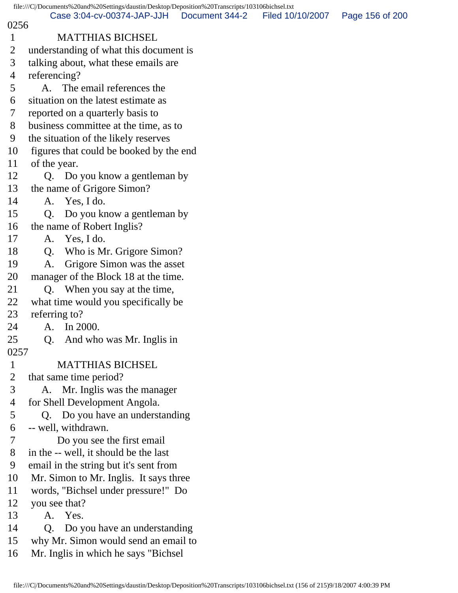|                                                                                             | file:///C /Documents%20and%20Settings/daustin/Desktop/Deposition%20Transcripts/103106bichsel.txt |  |  |  |  |
|---------------------------------------------------------------------------------------------|--------------------------------------------------------------------------------------------------|--|--|--|--|
| Case 3:04-cv-00374-JAP-JJH<br>Document 344-2<br>Filed 10/10/2007<br>Page 156 of 200<br>0256 |                                                                                                  |  |  |  |  |
| $\mathbf{1}$                                                                                | <b>MATTHIAS BICHSEL</b>                                                                          |  |  |  |  |
| $\overline{2}$                                                                              | understanding of what this document is                                                           |  |  |  |  |
| 3                                                                                           | talking about, what these emails are                                                             |  |  |  |  |
| $\overline{4}$                                                                              | referencing?                                                                                     |  |  |  |  |
| 5                                                                                           | A. The email references the                                                                      |  |  |  |  |
| 6                                                                                           | situation on the latest estimate as                                                              |  |  |  |  |
| 7                                                                                           | reported on a quarterly basis to                                                                 |  |  |  |  |
| 8                                                                                           | business committee at the time, as to                                                            |  |  |  |  |
| 9                                                                                           | the situation of the likely reserves                                                             |  |  |  |  |
| 10                                                                                          | figures that could be booked by the end                                                          |  |  |  |  |
| 11                                                                                          | of the year.                                                                                     |  |  |  |  |
| 12                                                                                          | Q. Do you know a gentleman by                                                                    |  |  |  |  |
| 13                                                                                          | the name of Grigore Simon?                                                                       |  |  |  |  |
| 14                                                                                          | A. Yes, I do.                                                                                    |  |  |  |  |
| 15                                                                                          | Do you know a gentleman by<br>Q.                                                                 |  |  |  |  |
| 16                                                                                          | the name of Robert Inglis?                                                                       |  |  |  |  |
| 17                                                                                          | Yes, I do.<br>A.                                                                                 |  |  |  |  |
| 18                                                                                          | Who is Mr. Grigore Simon?<br>Q.                                                                  |  |  |  |  |
| 19                                                                                          | Grigore Simon was the asset<br>A.                                                                |  |  |  |  |
| 20                                                                                          | manager of the Block 18 at the time.                                                             |  |  |  |  |
| 21                                                                                          | Q. When you say at the time,                                                                     |  |  |  |  |
| 22                                                                                          | what time would you specifically be                                                              |  |  |  |  |
| 23                                                                                          | referring to?                                                                                    |  |  |  |  |
| 24                                                                                          | A. In 2000.                                                                                      |  |  |  |  |
| 25                                                                                          | And who was Mr. Inglis in<br>Q.                                                                  |  |  |  |  |
| 0257                                                                                        |                                                                                                  |  |  |  |  |
| $\mathbf{1}$                                                                                | <b>MATTHIAS BICHSEL</b>                                                                          |  |  |  |  |
| $\overline{2}$                                                                              | that same time period?                                                                           |  |  |  |  |
| 3                                                                                           | A. Mr. Inglis was the manager                                                                    |  |  |  |  |
| 4                                                                                           | for Shell Development Angola.                                                                    |  |  |  |  |
| 5                                                                                           | Q. Do you have an understanding                                                                  |  |  |  |  |
| 6                                                                                           | -- well, withdrawn.                                                                              |  |  |  |  |
| $\tau$                                                                                      | Do you see the first email                                                                       |  |  |  |  |
| 8                                                                                           | in the -- well, it should be the last                                                            |  |  |  |  |
| 9                                                                                           | email in the string but it's sent from                                                           |  |  |  |  |
| 10                                                                                          | Mr. Simon to Mr. Inglis. It says three                                                           |  |  |  |  |
| 11                                                                                          | words, "Bichsel under pressure!" Do                                                              |  |  |  |  |
| 12                                                                                          | you see that?                                                                                    |  |  |  |  |
| 13                                                                                          | A. Yes.                                                                                          |  |  |  |  |
| 14                                                                                          | Do you have an understanding<br>Q.                                                               |  |  |  |  |
| 15                                                                                          | why Mr. Simon would send an email to                                                             |  |  |  |  |
| 16                                                                                          | Mr. Inglis in which he says "Bichsel"                                                            |  |  |  |  |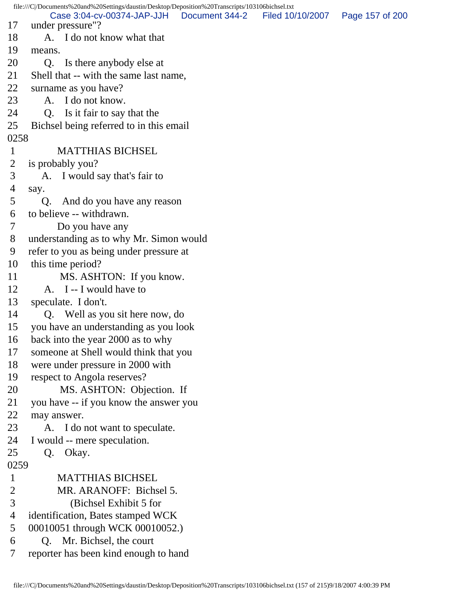file:///C|/Documents%20and%20Settings/daustin/Desktop/Deposition%20Transcripts/103106bichsel.txt 17 under pressure"? 18 A. I do not know what that 19 means. 20 Q. Is there anybody else at 21 Shell that -- with the same last name, 22 surname as you have? 23 A. I do not know. 24 Q. Is it fair to say that the 25 Bichsel being referred to in this email 0258 1 MATTHIAS BICHSEL 2 is probably you? 3 A. I would say that's fair to 4 say. 5 Q. And do you have any reason 6 to believe -- withdrawn. 7 Do you have any 8 understanding as to why Mr. Simon would 9 refer to you as being under pressure at 10 this time period? 11 MS. ASHTON: If you know. 12 A. I -- I would have to 13 speculate. I don't. 14 Q. Well as you sit here now, do 15 you have an understanding as you look 16 back into the year 2000 as to why 17 someone at Shell would think that you 18 were under pressure in 2000 with 19 respect to Angola reserves? 20 MS. ASHTON: Objection. If 21 you have -- if you know the answer you 22 may answer. 23 A. I do not want to speculate. 24 I would -- mere speculation. 25 Q. Okay. 0259 1 MATTHIAS BICHSEL 2 MR. ARANOFF: Bichsel 5. 3 (Bichsel Exhibit 5 for 4 identification, Bates stamped WCK 5 00010051 through WCK 00010052.) 6 Q. Mr. Bichsel, the court 7 reporter has been kind enough to hand Case 3:04-cv-00374-JAP-JJH Document 344-2 Filed 10/10/2007 Page 157 of 200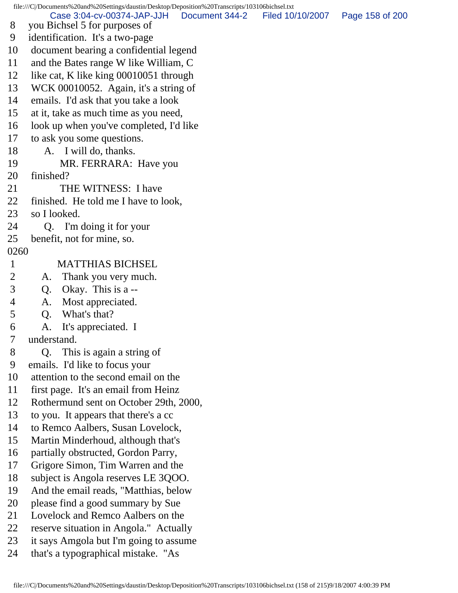file:///C|/Documents%20and%20Settings/daustin/Desktop/Deposition%20Transcripts/103106bichsel.txt 8 you Bichsel 5 for purposes of 9 identification. It's a two-page 10 document bearing a confidential legend 11 and the Bates range W like William, C 12 like cat, K like king 00010051 through 13 WCK 00010052. Again, it's a string of 14 emails. I'd ask that you take a look 15 at it, take as much time as you need, 16 look up when you've completed, I'd like 17 to ask you some questions. 18 A. I will do, thanks. 19 MR. FERRARA: Have you 20 finished? 21 THE WITNESS: I have 22 finished. He told me I have to look, 23 so I looked. 24 Q. I'm doing it for your 25 benefit, not for mine, so. 0260 1 MATTHIAS BICHSEL 2 A. Thank you very much. 3 Q. Okay. This is a -- 4 A. Most appreciated. 5 Q. What's that? 6 A. It's appreciated. I 7 understand. 8 Q. This is again a string of 9 emails. I'd like to focus your 10 attention to the second email on the 11 first page. It's an email from Heinz 12 Rothermund sent on October 29th, 2000, 13 to you. It appears that there's a cc 14 to Remco Aalbers, Susan Lovelock, 15 Martin Minderhoud, although that's 16 partially obstructed, Gordon Parry, 17 Grigore Simon, Tim Warren and the 18 subject is Angola reserves LE 3QOO. 19 And the email reads, "Matthias, below 20 please find a good summary by Sue 21 Lovelock and Remco Aalbers on the 22 reserve situation in Angola." Actually 23 it says Amgola but I'm going to assume 24 that's a typographical mistake. "As Case 3:04-cv-00374-JAP-JJH Document 344-2 Filed 10/10/2007 Page 158 of 200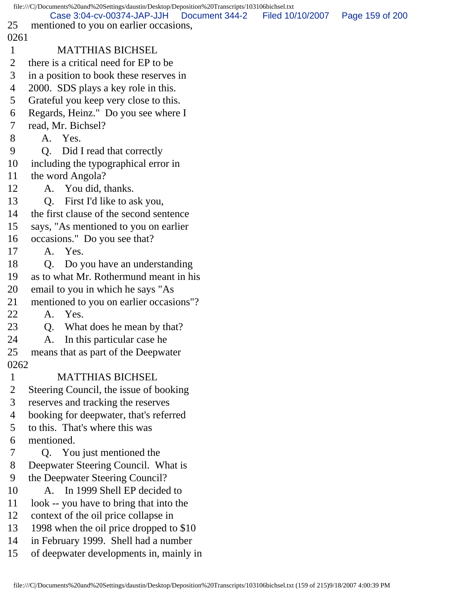|              | file:///C /Documents%20and%20Settings/daustin/Desktop/Deposition%20Transcripts/103106bichsel.txt |                                   |  |
|--------------|--------------------------------------------------------------------------------------------------|-----------------------------------|--|
| 25           | Case 3:04-cv-00374-JAP-JJH   Document 344-2<br>mentioned to you on earlier occasions,            | Filed 10/10/2007  Page 159 of 200 |  |
| 0261         |                                                                                                  |                                   |  |
| $\mathbf{1}$ | <b>MATTHIAS BICHSEL</b>                                                                          |                                   |  |
|              |                                                                                                  |                                   |  |
| 2            | there is a critical need for EP to be                                                            |                                   |  |
| 3            | in a position to book these reserves in                                                          |                                   |  |
| 4            | 2000. SDS plays a key role in this.                                                              |                                   |  |
| 5            | Grateful you keep very close to this.                                                            |                                   |  |
| 6            | Regards, Heinz." Do you see where I                                                              |                                   |  |
| 7            | read, Mr. Bichsel?                                                                               |                                   |  |
| 8            | A. Yes.                                                                                          |                                   |  |
| 9            | Q. Did I read that correctly                                                                     |                                   |  |
| 10           | including the typographical error in                                                             |                                   |  |
| 11           | the word Angola?                                                                                 |                                   |  |
| 12           | A. You did, thanks.                                                                              |                                   |  |
| 13           | First I'd like to ask you,<br>Q <sub>r</sub>                                                     |                                   |  |
| 14           | the first clause of the second sentence                                                          |                                   |  |
| 15           | says, "As mentioned to you on earlier                                                            |                                   |  |
| 16           | occasions." Do you see that?                                                                     |                                   |  |
| 17           | A. Yes.                                                                                          |                                   |  |
| 18           | Do you have an understanding<br>Q.                                                               |                                   |  |
| 19           | as to what Mr. Rothermund meant in his                                                           |                                   |  |
| 20           | email to you in which he says "As                                                                |                                   |  |
| 21           | mentioned to you on earlier occasions"?                                                          |                                   |  |
| 22           | A. Yes.                                                                                          |                                   |  |
| 23           | What does he mean by that?<br>Q.                                                                 |                                   |  |
| 24           | A. In this particular case he                                                                    |                                   |  |
| 25           | means that as part of the Deepwater                                                              |                                   |  |
| 0262         |                                                                                                  |                                   |  |
| $\mathbf{1}$ | <b>MATTHIAS BICHSEL</b>                                                                          |                                   |  |
| 2            | Steering Council, the issue of booking                                                           |                                   |  |
| 3            | reserves and tracking the reserves                                                               |                                   |  |
| 4            | booking for deepwater, that's referred                                                           |                                   |  |
| 5            | to this. That's where this was                                                                   |                                   |  |
| 6            | mentioned.                                                                                       |                                   |  |
| 7            | Q. You just mentioned the                                                                        |                                   |  |
| 8            | Deepwater Steering Council. What is                                                              |                                   |  |
| 9            | the Deepwater Steering Council?                                                                  |                                   |  |
| 10           | A. In 1999 Shell EP decided to                                                                   |                                   |  |
| 11           | look -- you have to bring that into the                                                          |                                   |  |
| 12           | context of the oil price collapse in                                                             |                                   |  |
| 13           | 1998 when the oil price dropped to \$10                                                          |                                   |  |
| 14           | in February 1999. Shell had a number                                                             |                                   |  |
| 15           | of deepwater developments in, mainly in                                                          |                                   |  |
|              |                                                                                                  |                                   |  |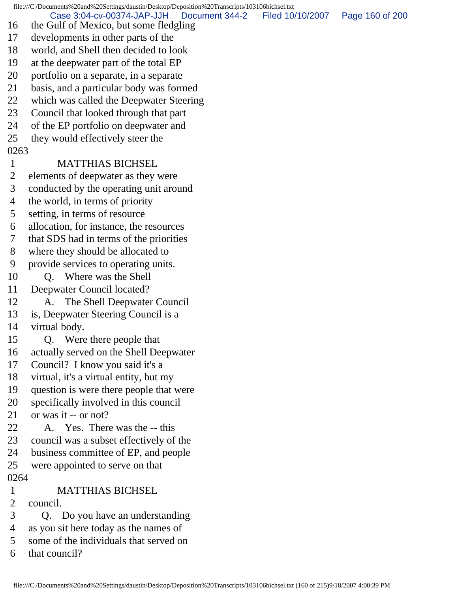file:///C|/Documents%20and%20Settings/daustin/Desktop/Deposition%20Transcripts/103106bichsel.txt 16 the Gulf of Mexico, but some fledgling 17 developments in other parts of the 18 world, and Shell then decided to look 19 at the deepwater part of the total EP 20 portfolio on a separate, in a separate 21 basis, and a particular body was formed 22 which was called the Deepwater Steering 23 Council that looked through that part 24 of the EP portfolio on deepwater and 25 they would effectively steer the 0263 1 MATTHIAS BICHSEL 2 elements of deepwater as they were 3 conducted by the operating unit around 4 the world, in terms of priority 5 setting, in terms of resource 6 allocation, for instance, the resources 7 that SDS had in terms of the priorities 8 where they should be allocated to 9 provide services to operating units. 10 Q. Where was the Shell 11 Deepwater Council located? 12 A. The Shell Deepwater Council 13 is, Deepwater Steering Council is a 14 virtual body. 15 Q. Were there people that 16 actually served on the Shell Deepwater 17 Council? I know you said it's a 18 virtual, it's a virtual entity, but my 19 question is were there people that were 20 specifically involved in this council 21 or was it -- or not? 22 A. Yes. There was the -- this 23 council was a subset effectively of the 24 business committee of EP, and people 25 were appointed to serve on that 0264 1 MATTHIAS BICHSEL 2 council. 3 Q. Do you have an understanding 4 as you sit here today as the names of 5 some of the individuals that served on 6 that council? Case 3:04-cv-00374-JAP-JJH Document 344-2 Filed 10/10/2007 Page 160 of 200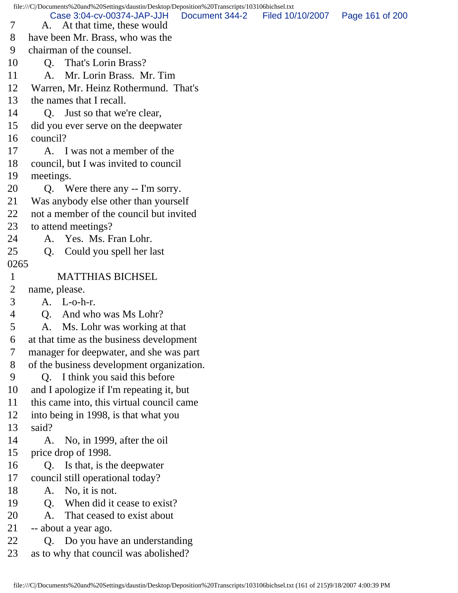file:///C|/Documents%20and%20Settings/daustin/Desktop/Deposition%20Transcripts/103106bichsel.txt 7 A. At that time, these would 8 have been Mr. Brass, who was the 9 chairman of the counsel. 10 Q. That's Lorin Brass? 11 A. Mr. Lorin Brass. Mr. Tim 12 Warren, Mr. Heinz Rothermund. That's 13 the names that I recall. 14 O. Just so that we're clear, 15 did you ever serve on the deepwater 16 council? 17 A. I was not a member of the 18 council, but I was invited to council 19 meetings. 20 Q. Were there any -- I'm sorry. 21 Was anybody else other than yourself 22 not a member of the council but invited 23 to attend meetings? 24 A. Yes. Ms. Fran Lohr. 25 Q. Could you spell her last 0265 1 MATTHIAS BICHSEL 2 name, please. 3 A. L-o-h-r. 4 Q. And who was Ms Lohr? 5 A. Ms. Lohr was working at that 6 at that time as the business development 7 manager for deepwater, and she was part 8 of the business development organization. 9 Q. I think you said this before 10 and I apologize if I'm repeating it, but 11 this came into, this virtual council came 12 into being in 1998, is that what you 13 said? 14 A. No, in 1999, after the oil 15 price drop of 1998. 16 Q. Is that, is the deepwater 17 council still operational today? 18 A. No, it is not. 19 Q. When did it cease to exist? 20 A. That ceased to exist about 21 -- about a year ago. 22 Q. Do you have an understanding 23 as to why that council was abolished? Case 3:04-cv-00374-JAP-JJH Document 344-2 Filed 10/10/2007 Page 161 of 200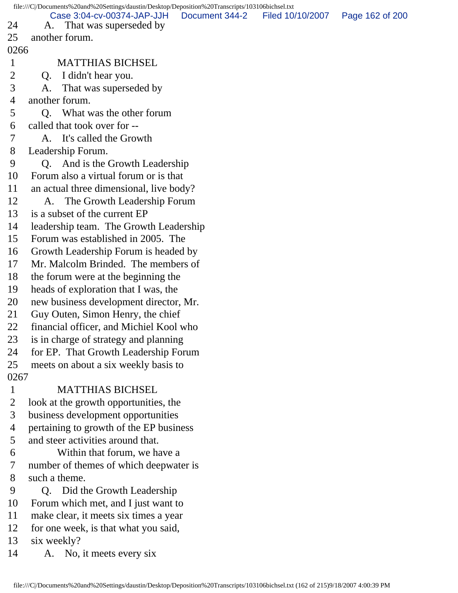file:///C|/Documents%20and%20Settings/daustin/Desktop/Deposition%20Transcripts/103106bichsel.txt 24 A. That was superseded by 25 another forum. 0266 1 MATTHIAS BICHSEL 2 Q. I didn't hear you. 3 A. That was superseded by 4 another forum. 5 Q. What was the other forum 6 called that took over for -- 7 A. It's called the Growth 8 Leadership Forum. 9 Q. And is the Growth Leadership 10 Forum also a virtual forum or is that 11 an actual three dimensional, live body? 12 A. The Growth Leadership Forum 13 is a subset of the current EP 14 leadership team. The Growth Leadership 15 Forum was established in 2005. The 16 Growth Leadership Forum is headed by 17 Mr. Malcolm Brinded. The members of 18 the forum were at the beginning the 19 heads of exploration that I was, the 20 new business development director, Mr. 21 Guy Outen, Simon Henry, the chief 22 financial officer, and Michiel Kool who 23 is in charge of strategy and planning 24 for EP. That Growth Leadership Forum 25 meets on about a six weekly basis to 0267 1 MATTHIAS BICHSEL 2 look at the growth opportunities, the 3 business development opportunities 4 pertaining to growth of the EP business 5 and steer activities around that. 6 Within that forum, we have a 7 number of themes of which deepwater is 8 such a theme. 9 Q. Did the Growth Leadership 10 Forum which met, and I just want to 11 make clear, it meets six times a year 12 for one week, is that what you said, 13 six weekly? 14 A. No, it meets every six Case 3:04-cv-00374-JAP-JJH Document 344-2 Filed 10/10/2007 Page 162 of 200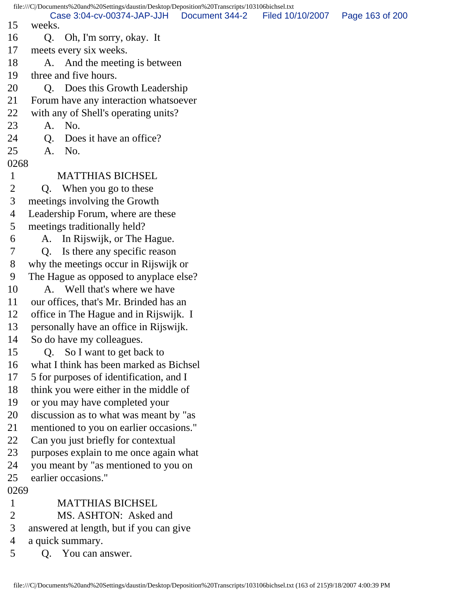file:///C|/Documents%20and%20Settings/daustin/Desktop/Deposition%20Transcripts/103106bichsel.txt 15 weeks. 16 Q. Oh, I'm sorry, okay. It 17 meets every six weeks. 18 A. And the meeting is between 19 three and five hours. 20 Q. Does this Growth Leadership 21 Forum have any interaction whatsoever 22 with any of Shell's operating units? 23 A. No. 24 O. Does it have an office? 25 A. No. 0268 1 MATTHIAS BICHSEL 2 Q. When you go to these 3 meetings involving the Growth 4 Leadership Forum, where are these 5 meetings traditionally held? 6 A. In Rijswijk, or The Hague. 7 Q. Is there any specific reason 8 why the meetings occur in Rijswijk or 9 The Hague as opposed to anyplace else? 10 A. Well that's where we have 11 our offices, that's Mr. Brinded has an 12 office in The Hague and in Rijswijk. I 13 personally have an office in Rijswijk. 14 So do have my colleagues. 15 Q. So I want to get back to 16 what I think has been marked as Bichsel 17 5 for purposes of identification, and I 18 think you were either in the middle of 19 or you may have completed your 20 discussion as to what was meant by "as 21 mentioned to you on earlier occasions." 22 Can you just briefly for contextual 23 purposes explain to me once again what 24 you meant by "as mentioned to you on 25 earlier occasions." 0269 1 MATTHIAS BICHSEL 2 MS. ASHTON: Asked and 3 answered at length, but if you can give 4 a quick summary. 5 Q. You can answer. Case 3:04-cv-00374-JAP-JJH Document 344-2 Filed 10/10/2007 Page 163 of 200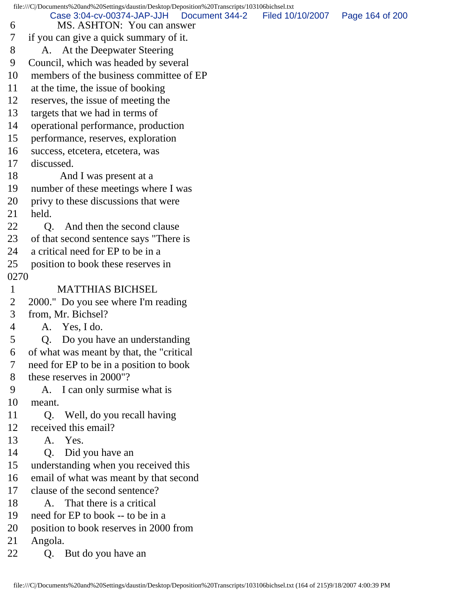|              | file:///C /Documents%20and%20Settings/daustin/Desktop/Deposition%20Transcripts/103106bichsel.txt |                  |                 |
|--------------|--------------------------------------------------------------------------------------------------|------------------|-----------------|
| 6            | Case 3:04-cv-00374-JAP-JJH<br>Document 344-2<br>MS. ASHTON: You can answer                       | Filed 10/10/2007 | Page 164 of 200 |
| 7            | if you can give a quick summary of it.                                                           |                  |                 |
| 8            | A. At the Deepwater Steering                                                                     |                  |                 |
| 9            | Council, which was headed by several                                                             |                  |                 |
| 10           | members of the business committee of EP                                                          |                  |                 |
| 11           | at the time, the issue of booking                                                                |                  |                 |
| 12           | reserves, the issue of meeting the                                                               |                  |                 |
| 13           | targets that we had in terms of                                                                  |                  |                 |
| 14           |                                                                                                  |                  |                 |
| 15           | operational performance, production                                                              |                  |                 |
| 16           | performance, reserves, exploration                                                               |                  |                 |
| 17           | success, etcetera, etcetera, was<br>discussed.                                                   |                  |                 |
| 18           |                                                                                                  |                  |                 |
| 19           | And I was present at a                                                                           |                  |                 |
|              | number of these meetings where I was                                                             |                  |                 |
| 20<br>21     | privy to these discussions that were<br>held.                                                    |                  |                 |
| 22           |                                                                                                  |                  |                 |
|              | And then the second clause<br>O.                                                                 |                  |                 |
| 23           | of that second sentence says "There is                                                           |                  |                 |
| 24           | a critical need for EP to be in a                                                                |                  |                 |
| 25           | position to book these reserves in                                                               |                  |                 |
| 0270         |                                                                                                  |                  |                 |
| $\mathbf{1}$ | <b>MATTHIAS BICHSEL</b>                                                                          |                  |                 |
| 2            | 2000." Do you see where I'm reading                                                              |                  |                 |
| 3            | from, Mr. Bichsel?                                                                               |                  |                 |
| 4            | A. Yes, I do.                                                                                    |                  |                 |
| 5            | Q. Do you have an understanding                                                                  |                  |                 |
| 6            | of what was meant by that, the "critical"                                                        |                  |                 |
| 7            | need for EP to be in a position to book                                                          |                  |                 |
| 8            | these reserves in 2000"?                                                                         |                  |                 |
| 9            | A. I can only surmise what is                                                                    |                  |                 |
| 10           | meant.                                                                                           |                  |                 |
| 11           | Well, do you recall having<br>Q.                                                                 |                  |                 |
| 12           | received this email?<br>A. Yes.                                                                  |                  |                 |
| 13           |                                                                                                  |                  |                 |
| 14           | Did you have an<br>Q.                                                                            |                  |                 |
| 15           | understanding when you received this                                                             |                  |                 |
| 16           | email of what was meant by that second<br>clause of the second sentence?                         |                  |                 |
| 17           |                                                                                                  |                  |                 |
| 18           | That there is a critical<br>A.                                                                   |                  |                 |
| 19           | need for EP to book -- to be in a                                                                |                  |                 |
| 20           | position to book reserves in 2000 from                                                           |                  |                 |
| 21           | Angola.                                                                                          |                  |                 |
| 22           | But do you have an<br>Q.                                                                         |                  |                 |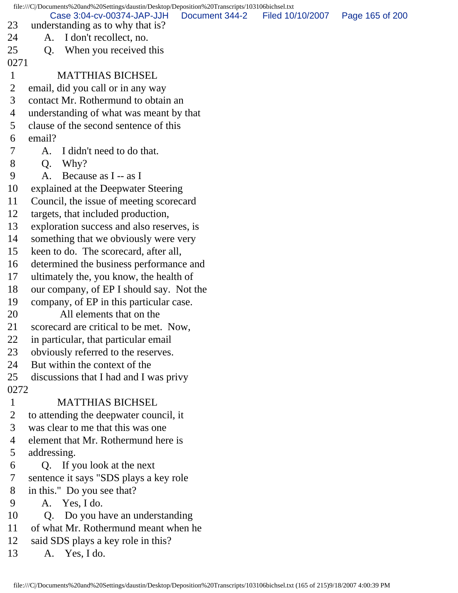file:///C|/Documents%20and%20Settings/daustin/Desktop/Deposition%20Transcripts/103106bichsel.txt 23 understanding as to why that is? 24 A. I don't recollect, no. 25 O. When you received this 0271 1 MATTHIAS BICHSEL 2 email, did you call or in any way 3 contact Mr. Rothermund to obtain an 4 understanding of what was meant by that 5 clause of the second sentence of this 6 email? 7 A. I didn't need to do that. 8 Q. Why? 9 A. Because as I -- as I 10 explained at the Deepwater Steering 11 Council, the issue of meeting scorecard 12 targets, that included production, 13 exploration success and also reserves, is 14 something that we obviously were very 15 keen to do. The scorecard, after all, 16 determined the business performance and 17 ultimately the, you know, the health of 18 our company, of EP I should say. Not the 19 company, of EP in this particular case. 20 All elements that on the 21 scorecard are critical to be met. Now, 22 in particular, that particular email 23 obviously referred to the reserves. 24 But within the context of the 25 discussions that I had and I was privy 0272 1 MATTHIAS BICHSEL 2 to attending the deepwater council, it 3 was clear to me that this was one 4 element that Mr. Rothermund here is 5 addressing. 6 Q. If you look at the next 7 sentence it says "SDS plays a key role 8 in this." Do you see that? 9 A. Yes, I do. 10 O. Do you have an understanding 11 of what Mr. Rothermund meant when he 12 said SDS plays a key role in this? 13 A. Yes, I do. Case 3:04-cv-00374-JAP-JJH Document 344-2 Filed 10/10/2007 Page 165 of 200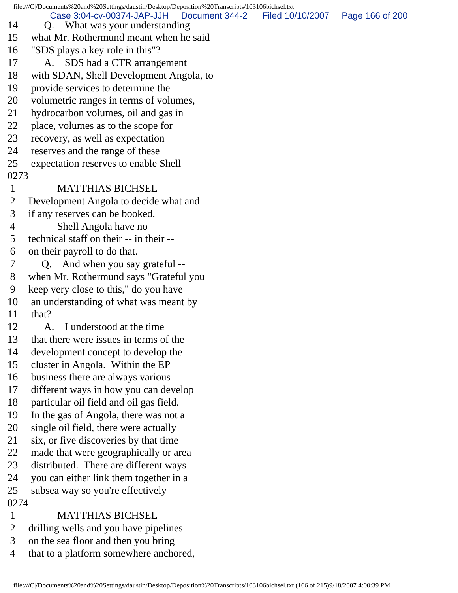file:///C|/Documents%20and%20Settings/daustin/Desktop/Deposition%20Transcripts/103106bichsel.txt 14 Q. What was your understanding 15 what Mr. Rothermund meant when he said 16 "SDS plays a key role in this"? 17 A. SDS had a CTR arrangement 18 with SDAN, Shell Development Angola, to 19 provide services to determine the 20 volumetric ranges in terms of volumes, 21 hydrocarbon volumes, oil and gas in 22 place, volumes as to the scope for 23 recovery, as well as expectation 24 reserves and the range of these 25 expectation reserves to enable Shell 0273 1 MATTHIAS BICHSEL 2 Development Angola to decide what and 3 if any reserves can be booked. 4 Shell Angola have no 5 technical staff on their -- in their -- 6 on their payroll to do that. 7 Q. And when you say grateful -- 8 when Mr. Rothermund says "Grateful you 9 keep very close to this," do you have 10 an understanding of what was meant by 11 that? 12 A. I understood at the time 13 that there were issues in terms of the 14 development concept to develop the 15 cluster in Angola. Within the EP 16 business there are always various 17 different ways in how you can develop 18 particular oil field and oil gas field. 19 In the gas of Angola, there was not a 20 single oil field, there were actually 21 six, or five discoveries by that time 22 made that were geographically or area 23 distributed. There are different ways 24 you can either link them together in a 25 subsea way so you're effectively 0274 1 MATTHIAS BICHSEL 2 drilling wells and you have pipelines 3 on the sea floor and then you bring Case 3:04-cv-00374-JAP-JJH Document 344-2 Filed 10/10/2007 Page 166 of 200

4 that to a platform somewhere anchored,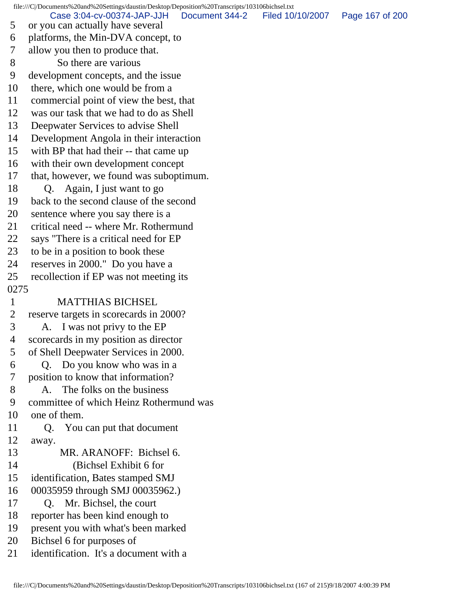file:///C|/Documents%20and%20Settings/daustin/Desktop/Deposition%20Transcripts/103106bichsel.txt 5 or you can actually have several 6 platforms, the Min-DVA concept, to 7 allow you then to produce that. 8 So there are various 9 development concepts, and the issue 10 there, which one would be from a 11 commercial point of view the best, that 12 was our task that we had to do as Shell 13 Deepwater Services to advise Shell 14 Development Angola in their interaction 15 with BP that had their -- that came up 16 with their own development concept 17 that, however, we found was suboptimum. 18 Q. Again, I just want to go 19 back to the second clause of the second 20 sentence where you say there is a 21 critical need -- where Mr. Rothermund 22 says "There is a critical need for EP 23 to be in a position to book these 24 reserves in 2000." Do you have a 25 recollection if EP was not meeting its 0275 1 MATTHIAS BICHSEL 2 reserve targets in scorecards in 2000? 3 A. I was not privy to the EP 4 scorecards in my position as director 5 of Shell Deepwater Services in 2000. 6 Q. Do you know who was in a 7 position to know that information? 8 A. The folks on the business 9 committee of which Heinz Rothermund was 10 one of them. 11 Q. You can put that document 12 away. 13 MR. ARANOFF: Bichsel 6. 14 (Bichsel Exhibit 6 for 15 identification, Bates stamped SMJ 16 00035959 through SMJ 00035962.) 17 Q. Mr. Bichsel, the court 18 reporter has been kind enough to 19 present you with what's been marked 20 Bichsel 6 for purposes of 21 identification. It's a document with a Case 3:04-cv-00374-JAP-JJH Document 344-2 Filed 10/10/2007 Page 167 of 200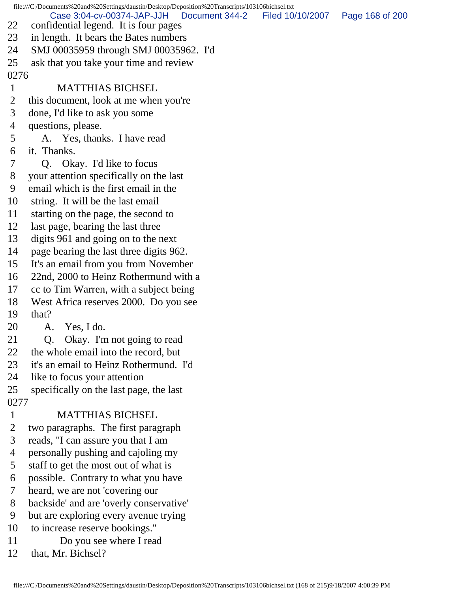file:///C|/Documents%20and%20Settings/daustin/Desktop/Deposition%20Transcripts/103106bichsel.txt 22 confidential legend. It is four pages 23 in length. It bears the Bates numbers 24 SMJ 00035959 through SMJ 00035962. I'd 25 ask that you take your time and review 0276 1 MATTHIAS BICHSEL 2 this document, look at me when you're 3 done, I'd like to ask you some 4 questions, please. 5 A. Yes, thanks. I have read 6 it. Thanks. 7 Q. Okay. I'd like to focus 8 your attention specifically on the last 9 email which is the first email in the 10 string. It will be the last email 11 starting on the page, the second to 12 last page, bearing the last three 13 digits 961 and going on to the next 14 page bearing the last three digits 962. 15 It's an email from you from November 16 22nd, 2000 to Heinz Rothermund with a 17 cc to Tim Warren, with a subject being 18 West Africa reserves 2000. Do you see 19 that? 20 A. Yes, I do. 21 Q. Okay. I'm not going to read 22 the whole email into the record, but 23 it's an email to Heinz Rothermund. I'd 24 like to focus your attention 25 specifically on the last page, the last 0277 1 MATTHIAS BICHSEL 2 two paragraphs. The first paragraph 3 reads, "I can assure you that I am 4 personally pushing and cajoling my 5 staff to get the most out of what is 6 possible. Contrary to what you have 7 heard, we are not 'covering our 8 backside' and are 'overly conservative' 9 but are exploring every avenue trying 10 to increase reserve bookings." 11 Do you see where I read Case 3:04-cv-00374-JAP-JJH Document 344-2 Filed 10/10/2007 Page 168 of 200

12 that, Mr. Bichsel?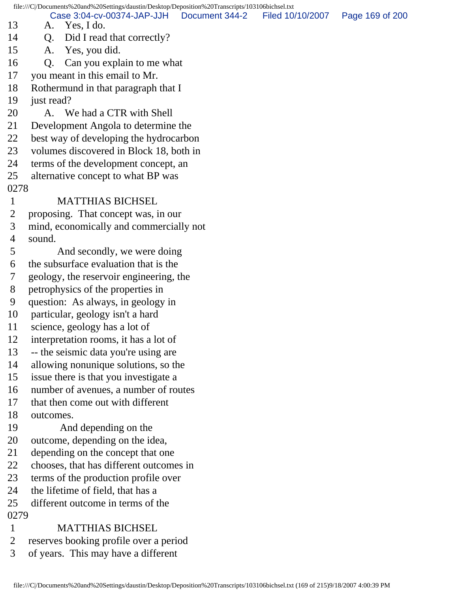file:///C|/Documents%20and%20Settings/daustin/Desktop/Deposition%20Transcripts/103106bichsel.txt

13 A. Yes, I do. Case 3:04-cv-00374-JAP-JJH Document 344-2 Filed 10/10/2007 Page 169 of 200

- 14 Q. Did I read that correctly?
- 15 A. Yes, you did.
- 16 Q. Can you explain to me what
- 17 you meant in this email to Mr.
- 18 Rothermund in that paragraph that I
- 19 just read?
- 20 A. We had a CTR with Shell
- 21 Development Angola to determine the
- 22 best way of developing the hydrocarbon
- 23 volumes discovered in Block 18, both in
- 24 terms of the development concept, an
- 25 alternative concept to what BP was
- 0278

## 1 MATTHIAS BICHSEL

- 2 proposing. That concept was, in our
- 3 mind, economically and commercially not
- 4 sound.
- 5 And secondly, we were doing
- 6 the subsurface evaluation that is the
- 7 geology, the reservoir engineering, the
- 8 petrophysics of the properties in
- 9 question: As always, in geology in
- 10 particular, geology isn't a hard
- 11 science, geology has a lot of
- 12 interpretation rooms, it has a lot of
- 13 -- the seismic data you're using are
- 14 allowing nonunique solutions, so the
- 15 issue there is that you investigate a
- 16 number of avenues, a number of routes
- 17 that then come out with different
- 18 outcomes.
- 19 And depending on the
- 20 outcome, depending on the idea,
- 21 depending on the concept that one
- 22 chooses, that has different outcomes in
- 23 terms of the production profile over
- 24 the lifetime of field, that has a
- 25 different outcome in terms of the 0279
- 1 MATTHIAS BICHSEL
- 2 reserves booking profile over a period
- 3 of years. This may have a different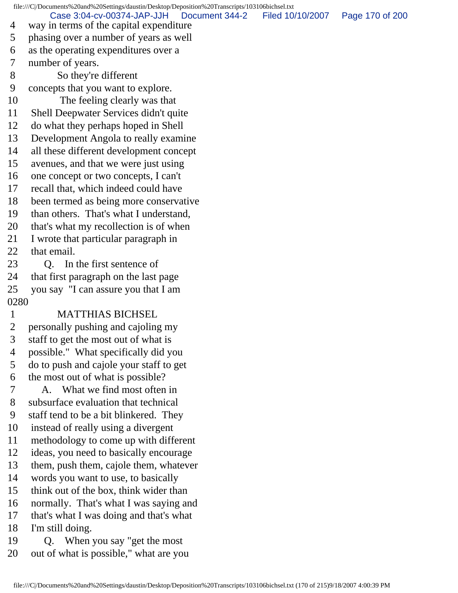file:///C|/Documents%20and%20Settings/daustin/Desktop/Deposition%20Transcripts/103106bichsel.txt 4 way in terms of the capital expenditure 5 phasing over a number of years as well 6 as the operating expenditures over a 7 number of years. 8 So they're different 9 concepts that you want to explore. 10 The feeling clearly was that 11 Shell Deepwater Services didn't quite 12 do what they perhaps hoped in Shell 13 Development Angola to really examine 14 all these different development concept 15 avenues, and that we were just using 16 one concept or two concepts, I can't 17 recall that, which indeed could have 18 been termed as being more conservative 19 than others. That's what I understand, 20 that's what my recollection is of when 21 I wrote that particular paragraph in 22 that email. 23 Q. In the first sentence of 24 that first paragraph on the last page 25 you say "I can assure you that I am 0280 1 MATTHIAS BICHSEL 2 personally pushing and cajoling my 3 staff to get the most out of what is 4 possible." What specifically did you 5 do to push and cajole your staff to get 6 the most out of what is possible? 7 A. What we find most often in 8 subsurface evaluation that technical 9 staff tend to be a bit blinkered. They 10 instead of really using a divergent 11 methodology to come up with different 12 ideas, you need to basically encourage 13 them, push them, cajole them, whatever 14 words you want to use, to basically 15 think out of the box, think wider than 16 normally. That's what I was saying and 17 that's what I was doing and that's what 18 I'm still doing. 19 Q. When you say "get the most 20 out of what is possible," what are you Case 3:04-cv-00374-JAP-JJH Document 344-2 Filed 10/10/2007 Page 170 of 200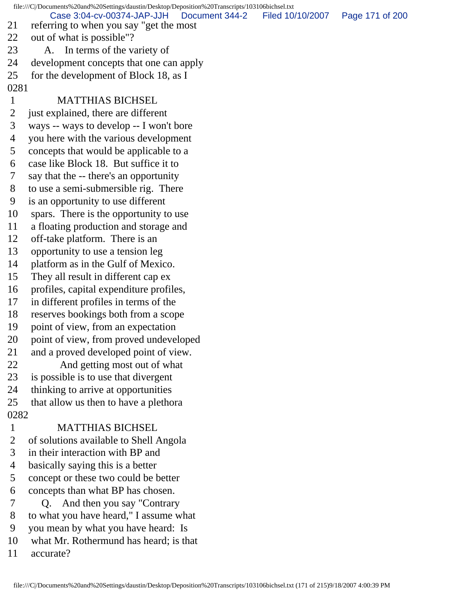file:///C|/Documents%20and%20Settings/daustin/Desktop/Deposition%20Transcripts/103106bichsel.txt 21 referring to when you say "get the most 22 out of what is possible"? 23 A. In terms of the variety of 24 development concepts that one can apply 25 for the development of Block 18, as I 0281 1 MATTHIAS BICHSEL 2 just explained, there are different 3 ways -- ways to develop -- I won't bore 4 you here with the various development 5 concepts that would be applicable to a 6 case like Block 18. But suffice it to 7 say that the -- there's an opportunity 8 to use a semi-submersible rig. There 9 is an opportunity to use different 10 spars. There is the opportunity to use 11 a floating production and storage and 12 off-take platform. There is an 13 opportunity to use a tension leg 14 platform as in the Gulf of Mexico. 15 They all result in different cap ex 16 profiles, capital expenditure profiles, 17 in different profiles in terms of the 18 reserves bookings both from a scope 19 point of view, from an expectation 20 point of view, from proved undeveloped 21 and a proved developed point of view. 22 And getting most out of what 23 is possible is to use that divergent 24 thinking to arrive at opportunities 25 that allow us then to have a plethora 0282 1 MATTHIAS BICHSEL 2 of solutions available to Shell Angola 3 in their interaction with BP and 4 basically saying this is a better 5 concept or these two could be better 6 concepts than what BP has chosen. 7 Q. And then you say "Contrary 8 to what you have heard," I assume what 9 you mean by what you have heard: Is 10 what Mr. Rothermund has heard; is that 11 accurate? Case 3:04-cv-00374-JAP-JJH Document 344-2 Filed 10/10/2007 Page 171 of 200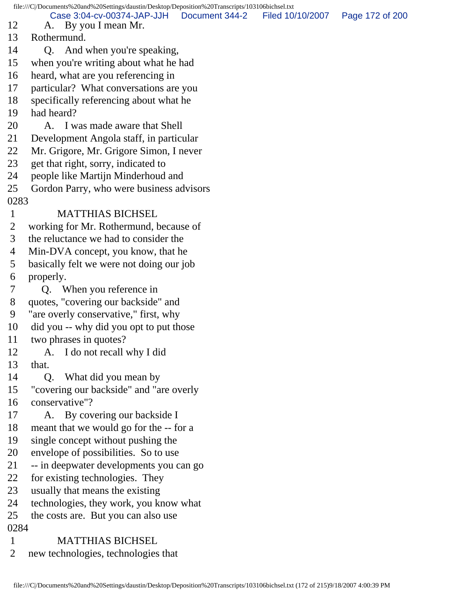file:///C|/Documents%20and%20Settings/daustin/Desktop/Deposition%20Transcripts/103106bichsel.txt 12 A. By you I mean Mr. 13 Rothermund. 14 Q. And when you're speaking, 15 when you're writing about what he had 16 heard, what are you referencing in 17 particular? What conversations are you 18 specifically referencing about what he 19 had heard? 20 A. I was made aware that Shell 21 Development Angola staff, in particular 22 Mr. Grigore, Mr. Grigore Simon, I never 23 get that right, sorry, indicated to 24 people like Martijn Minderhoud and 25 Gordon Parry, who were business advisors 0283 1 MATTHIAS BICHSEL 2 working for Mr. Rothermund, because of 3 the reluctance we had to consider the 4 Min-DVA concept, you know, that he 5 basically felt we were not doing our job 6 properly. 7 Q. When you reference in 8 quotes, "covering our backside" and 9 "are overly conservative," first, why 10 did you -- why did you opt to put those 11 two phrases in quotes? 12 A. I do not recall why I did 13 that. 14 Q. What did you mean by 15 "covering our backside" and "are overly 16 conservative"? 17 A. By covering our backside I 18 meant that we would go for the -- for a 19 single concept without pushing the 20 envelope of possibilities. So to use 21 -- in deepwater developments you can go 22 for existing technologies. They 23 usually that means the existing 24 technologies, they work, you know what 25 the costs are. But you can also use 0284 1 MATTHIAS BICHSEL 2 new technologies, technologies that Case 3:04-cv-00374-JAP-JJH Document 344-2 Filed 10/10/2007 Page 172 of 200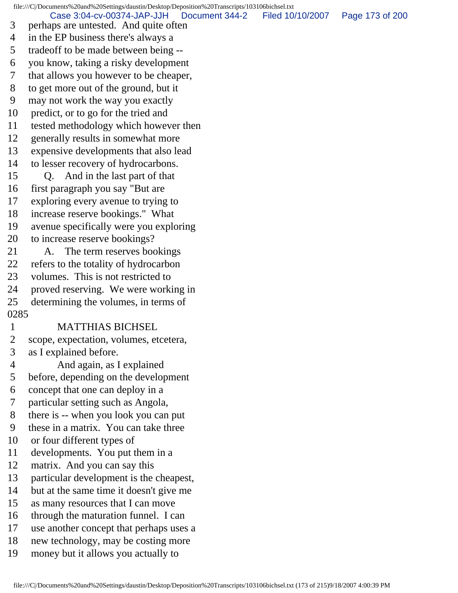file:///C|/Documents%20and%20Settings/daustin/Desktop/Deposition%20Transcripts/103106bichsel.txt 3 perhaps are untested. And quite often 4 in the EP business there's always a 5 tradeoff to be made between being -- 6 you know, taking a risky development 7 that allows you however to be cheaper, 8 to get more out of the ground, but it 9 may not work the way you exactly 10 predict, or to go for the tried and 11 tested methodology which however then 12 generally results in somewhat more 13 expensive developments that also lead 14 to lesser recovery of hydrocarbons. 15 Q. And in the last part of that 16 first paragraph you say "But are 17 exploring every avenue to trying to 18 increase reserve bookings." What 19 avenue specifically were you exploring 20 to increase reserve bookings? 21 A. The term reserves bookings 22 refers to the totality of hydrocarbon 23 volumes. This is not restricted to 24 proved reserving. We were working in 25 determining the volumes, in terms of 0285 1 MATTHIAS BICHSEL 2 scope, expectation, volumes, etcetera, 3 as I explained before. 4 And again, as I explained 5 before, depending on the development 6 concept that one can deploy in a 7 particular setting such as Angola, 8 there is -- when you look you can put 9 these in a matrix. You can take three 10 or four different types of 11 developments. You put them in a 12 matrix. And you can say this 13 particular development is the cheapest, 14 but at the same time it doesn't give me 15 as many resources that I can move 16 through the maturation funnel. I can 17 use another concept that perhaps uses a 18 new technology, may be costing more 19 money but it allows you actually to Case 3:04-cv-00374-JAP-JJH Document 344-2 Filed 10/10/2007 Page 173 of 200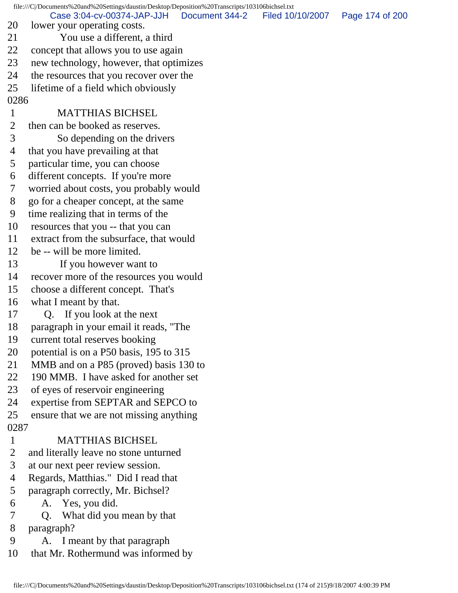file:///C|/Documents%20and%20Settings/daustin/Desktop/Deposition%20Transcripts/103106bichsel.txt 20 lower your operating costs. 21 You use a different, a third 22 concept that allows you to use again 23 new technology, however, that optimizes 24 the resources that you recover over the 25 lifetime of a field which obviously 0286 1 MATTHIAS BICHSEL 2 then can be booked as reserves. 3 So depending on the drivers 4 that you have prevailing at that 5 particular time, you can choose 6 different concepts. If you're more 7 worried about costs, you probably would 8 go for a cheaper concept, at the same 9 time realizing that in terms of the 10 resources that you -- that you can 11 extract from the subsurface, that would 12 be -- will be more limited. 13 If you however want to 14 recover more of the resources you would 15 choose a different concept. That's 16 what I meant by that. 17 Q. If you look at the next 18 paragraph in your email it reads, "The 19 current total reserves booking 20 potential is on a P50 basis, 195 to 315 21 MMB and on a P85 (proved) basis 130 to 22 190 MMB. I have asked for another set 23 of eyes of reservoir engineering 24 expertise from SEPTAR and SEPCO to 25 ensure that we are not missing anything 0287 1 MATTHIAS BICHSEL 2 and literally leave no stone unturned 3 at our next peer review session. 4 Regards, Matthias." Did I read that 5 paragraph correctly, Mr. Bichsel? 6 A. Yes, you did. 7 Q. What did you mean by that 8 paragraph? 9 A. I meant by that paragraph 10 that Mr. Rothermund was informed by Case 3:04-cv-00374-JAP-JJH Document 344-2 Filed 10/10/2007 Page 174 of 200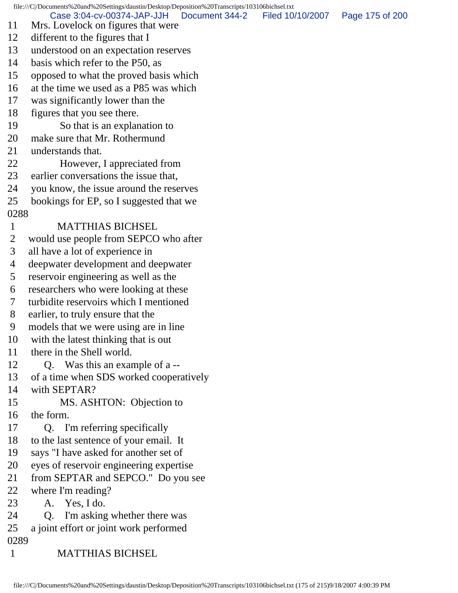file:///C|/Documents%20and%20Settings/daustin/Desktop/Deposition%20Transcripts/103106bichsel.txt 11 Mrs. Lovelock on figures that were 12 different to the figures that I 13 understood on an expectation reserves 14 basis which refer to the P50, as 15 opposed to what the proved basis which 16 at the time we used as a P85 was which 17 was significantly lower than the 18 figures that you see there. 19 So that is an explanation to 20 make sure that Mr. Rothermund 21 understands that. 22 However, I appreciated from 23 earlier conversations the issue that, 24 you know, the issue around the reserves 25 bookings for EP, so I suggested that we 0288 1 MATTHIAS BICHSEL 2 would use people from SEPCO who after 3 all have a lot of experience in 4 deepwater development and deepwater 5 reservoir engineering as well as the 6 researchers who were looking at these 7 turbidite reservoirs which I mentioned 8 earlier, to truly ensure that the 9 models that we were using are in line 10 with the latest thinking that is out 11 there in the Shell world. 12 Q. Was this an example of a -- 13 of a time when SDS worked cooperatively 14 with SEPTAR? 15 MS. ASHTON: Objection to 16 the form. 17 Q. I'm referring specifically 18 to the last sentence of your email. It 19 says "I have asked for another set of 20 eyes of reservoir engineering expertise 21 from SEPTAR and SEPCO." Do you see 22 where I'm reading? 23 A. Yes, I do. 24 Q. I'm asking whether there was 25 a joint effort or joint work performed 0289 1 MATTHIAS BICHSEL Case 3:04-cv-00374-JAP-JJH Document 344-2 Filed 10/10/2007 Page 175 of 200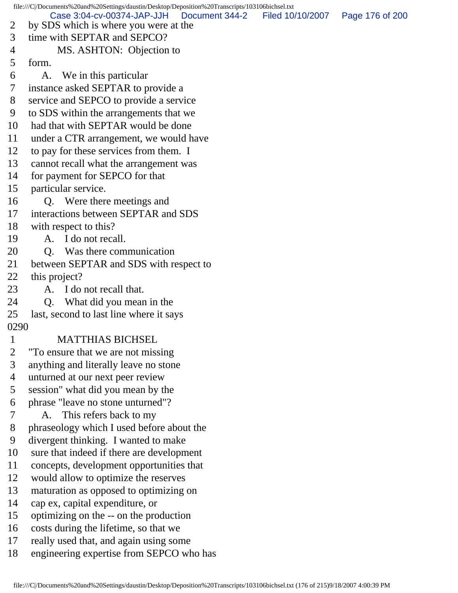file:///C|/Documents%20and%20Settings/daustin/Desktop/Deposition%20Transcripts/103106bichsel.txt 2 by SDS which is where you were at the 3 time with SEPTAR and SEPCO? 4 MS. ASHTON: Objection to 5 form. 6 A. We in this particular 7 instance asked SEPTAR to provide a 8 service and SEPCO to provide a service 9 to SDS within the arrangements that we 10 had that with SEPTAR would be done 11 under a CTR arrangement, we would have 12 to pay for these services from them. I 13 cannot recall what the arrangement was 14 for payment for SEPCO for that 15 particular service. 16 Q. Were there meetings and 17 interactions between SEPTAR and SDS 18 with respect to this? 19 A. I do not recall. 20 Q. Was there communication 21 between SEPTAR and SDS with respect to 22 this project? 23 A. I do not recall that. 24 Q. What did you mean in the 25 last, second to last line where it says 0290 1 MATTHIAS BICHSEL 2 "To ensure that we are not missing 3 anything and literally leave no stone 4 unturned at our next peer review 5 session" what did you mean by the 6 phrase "leave no stone unturned"? 7 A. This refers back to my 8 phraseology which I used before about the 9 divergent thinking. I wanted to make 10 sure that indeed if there are development 11 concepts, development opportunities that 12 would allow to optimize the reserves 13 maturation as opposed to optimizing on 14 cap ex, capital expenditure, or 15 optimizing on the -- on the production 16 costs during the lifetime, so that we 17 really used that, and again using some 18 engineering expertise from SEPCO who has Case 3:04-cv-00374-JAP-JJH Document 344-2 Filed 10/10/2007 Page 176 of 200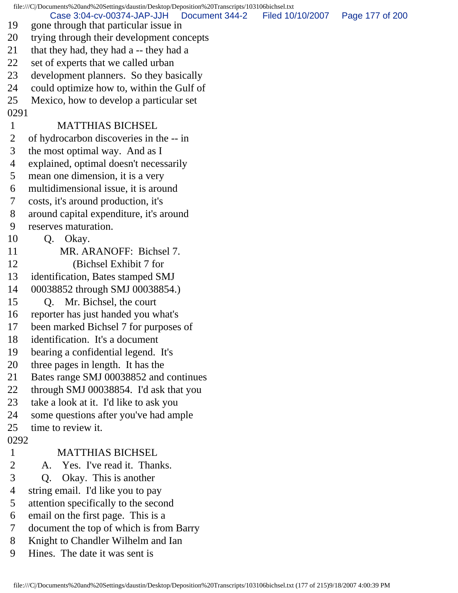file:///C|/Documents%20and%20Settings/daustin/Desktop/Deposition%20Transcripts/103106bichsel.txt 19 gone through that particular issue in 20 trying through their development concepts 21 that they had, they had a -- they had a 22 set of experts that we called urban 23 development planners. So they basically 24 could optimize how to, within the Gulf of 25 Mexico, how to develop a particular set 0291 1 MATTHIAS BICHSEL 2 of hydrocarbon discoveries in the -- in 3 the most optimal way. And as I 4 explained, optimal doesn't necessarily 5 mean one dimension, it is a very 6 multidimensional issue, it is around 7 costs, it's around production, it's 8 around capital expenditure, it's around 9 reserves maturation. 10 Q. Okay. 11 MR. ARANOFF: Bichsel 7. 12 (Bichsel Exhibit 7 for 13 identification, Bates stamped SMJ 14 00038852 through SMJ 00038854.) 15 Q. Mr. Bichsel, the court 16 reporter has just handed you what's 17 been marked Bichsel 7 for purposes of 18 identification. It's a document 19 bearing a confidential legend. It's 20 three pages in length. It has the 21 Bates range SMJ 00038852 and continues 22 through SMJ 00038854. I'd ask that you 23 take a look at it. I'd like to ask you 24 some questions after you've had ample 25 time to review it. 0292 1 MATTHIAS BICHSEL 2 A. Yes. I've read it. Thanks. 3 Q. Okay. This is another 4 string email. I'd like you to pay 5 attention specifically to the second 6 email on the first page. This is a 7 document the top of which is from Barry 8 Knight to Chandler Wilhelm and Ian 9 Hines. The date it was sent is Case 3:04-cv-00374-JAP-JJH Document 344-2 Filed 10/10/2007 Page 177 of 200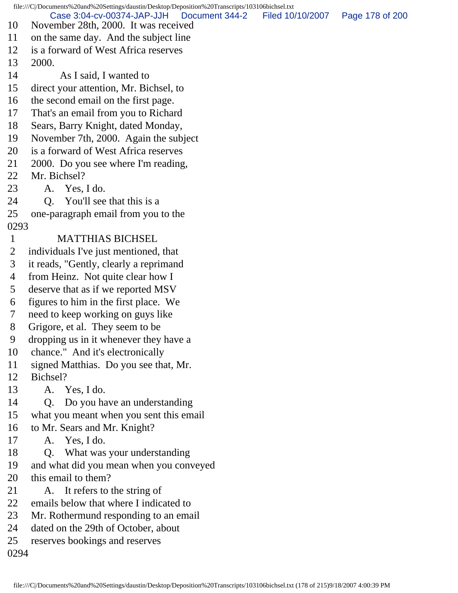file:///C|/Documents%20and%20Settings/daustin/Desktop/Deposition%20Transcripts/103106bichsel.txt 10 November 28th, 2000. It was received 11 on the same day. And the subject line 12 is a forward of West Africa reserves 13 2000. 14 As I said, I wanted to 15 direct your attention, Mr. Bichsel, to 16 the second email on the first page. 17 That's an email from you to Richard 18 Sears, Barry Knight, dated Monday, 19 November 7th, 2000. Again the subject 20 is a forward of West Africa reserves 21 2000. Do you see where I'm reading, 22 Mr. Bichsel? 23 A. Yes, I do. 24 O. You'll see that this is a 25 one-paragraph email from you to the 0293 1 MATTHIAS BICHSEL 2 individuals I've just mentioned, that 3 it reads, "Gently, clearly a reprimand 4 from Heinz. Not quite clear how I 5 deserve that as if we reported MSV 6 figures to him in the first place. We 7 need to keep working on guys like 8 Grigore, et al. They seem to be 9 dropping us in it whenever they have a 10 chance." And it's electronically 11 signed Matthias. Do you see that, Mr. 12 Bichsel? 13 A. Yes, I do. 14 Q. Do you have an understanding 15 what you meant when you sent this email 16 to Mr. Sears and Mr. Knight? 17 A. Yes, I do. 18 Q. What was your understanding 19 and what did you mean when you conveyed 20 this email to them? 21 A. It refers to the string of 22 emails below that where I indicated to 23 Mr. Rothermund responding to an email 24 dated on the 29th of October, about 25 reserves bookings and reserves 0294 Case 3:04-cv-00374-JAP-JJH Document 344-2 Filed 10/10/2007 Page 178 of 200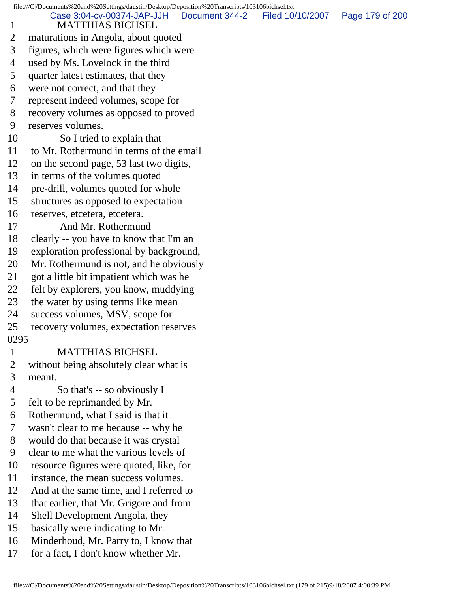file:///C|/Documents%20and%20Settings/daustin/Desktop/Deposition%20Transcripts/103106bichsel.txt 1 MATTHIAS BICHSEL 2 maturations in Angola, about quoted 3 figures, which were figures which were 4 used by Ms. Lovelock in the third 5 quarter latest estimates, that they 6 were not correct, and that they 7 represent indeed volumes, scope for 8 recovery volumes as opposed to proved 9 reserves volumes. 10 So I tried to explain that 11 to Mr. Rothermund in terms of the email 12 on the second page, 53 last two digits, 13 in terms of the volumes quoted 14 pre-drill, volumes quoted for whole 15 structures as opposed to expectation 16 reserves, etcetera, etcetera. 17 And Mr. Rothermund 18 clearly -- you have to know that I'm an 19 exploration professional by background, 20 Mr. Rothermund is not, and he obviously 21 got a little bit impatient which was he 22 felt by explorers, you know, muddying 23 the water by using terms like mean 24 success volumes, MSV, scope for 25 recovery volumes, expectation reserves 0295 1 MATTHIAS BICHSEL 2 without being absolutely clear what is 3 meant. 4 So that's -- so obviously I 5 felt to be reprimanded by Mr. 6 Rothermund, what I said is that it 7 wasn't clear to me because -- why he 8 would do that because it was crystal 9 clear to me what the various levels of 10 resource figures were quoted, like, for 11 instance, the mean success volumes. 12 And at the same time, and I referred to 13 that earlier, that Mr. Grigore and from 14 Shell Development Angola, they 15 basically were indicating to Mr. 16 Minderhoud, Mr. Parry to, I know that 17 for a fact, I don't know whether Mr. Case 3:04-cv-00374-JAP-JJH Document 344-2 Filed 10/10/2007 Page 179 of 200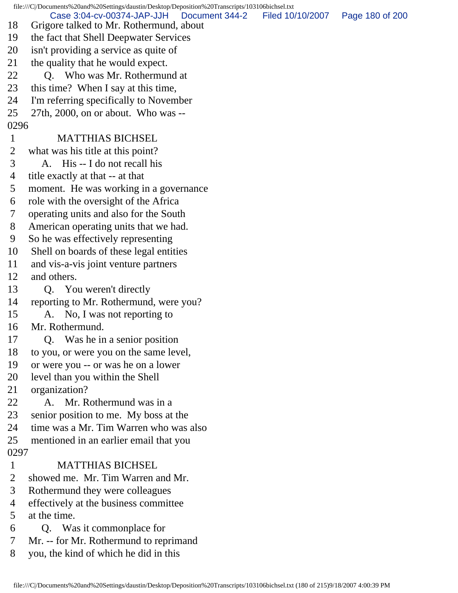file:///C|/Documents%20and%20Settings/daustin/Desktop/Deposition%20Transcripts/103106bichsel.txt 18 Grigore talked to Mr. Rothermund, about 19 the fact that Shell Deepwater Services 20 isn't providing a service as quite of 21 the quality that he would expect. 22 O. Who was Mr. Rothermund at 23 this time? When I say at this time, 24 I'm referring specifically to November 25 27th, 2000, on or about. Who was -- 0296 1 MATTHIAS BICHSEL 2 what was his title at this point? 3 A. His -- I do not recall his 4 title exactly at that -- at that 5 moment. He was working in a governance 6 role with the oversight of the Africa 7 operating units and also for the South 8 American operating units that we had. 9 So he was effectively representing 10 Shell on boards of these legal entities 11 and vis-a-vis joint venture partners 12 and others. 13 Q. You weren't directly 14 reporting to Mr. Rothermund, were you? 15 A. No, I was not reporting to 16 Mr. Rothermund. 17 Q. Was he in a senior position 18 to you, or were you on the same level, 19 or were you -- or was he on a lower 20 level than you within the Shell 21 organization? 22 A. Mr. Rothermund was in a 23 senior position to me. My boss at the 24 time was a Mr. Tim Warren who was also 25 mentioned in an earlier email that you 0297 1 MATTHIAS BICHSEL 2 showed me. Mr. Tim Warren and Mr. 3 Rothermund they were colleagues 4 effectively at the business committee 5 at the time. 6 Q. Was it commonplace for 7 Mr. -- for Mr. Rothermund to reprimand 8 you, the kind of which he did in this Case 3:04-cv-00374-JAP-JJH Document 344-2 Filed 10/10/2007 Page 180 of 200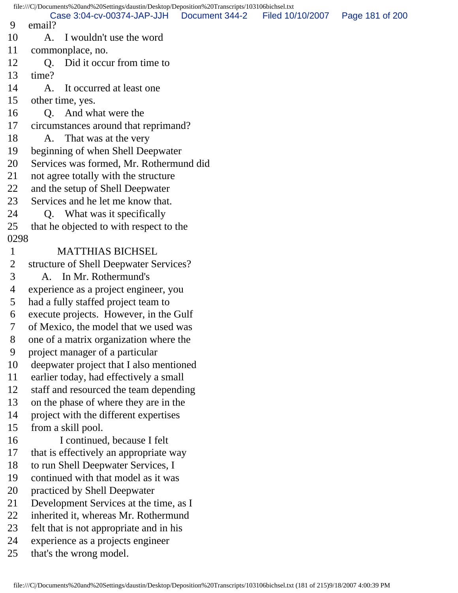file:///C|/Documents%20and%20Settings/daustin/Desktop/Deposition%20Transcripts/103106bichsel.txt 9 email? 10 A. I wouldn't use the word 11 commonplace, no. 12 O. Did it occur from time to 13 time? 14 A. It occurred at least one 15 other time, yes. 16 Q. And what were the 17 circumstances around that reprimand? 18 A. That was at the very 19 beginning of when Shell Deepwater 20 Services was formed, Mr. Rothermund did 21 not agree totally with the structure 22 and the setup of Shell Deepwater 23 Services and he let me know that. 24 Q. What was it specifically 25 that he objected to with respect to the 0298 1 MATTHIAS BICHSEL 2 structure of Shell Deepwater Services? 3 A. In Mr. Rothermund's 4 experience as a project engineer, you 5 had a fully staffed project team to 6 execute projects. However, in the Gulf 7 of Mexico, the model that we used was 8 one of a matrix organization where the 9 project manager of a particular 10 deepwater project that I also mentioned 11 earlier today, had effectively a small 12 staff and resourced the team depending 13 on the phase of where they are in the 14 project with the different expertises 15 from a skill pool. 16 I continued, because I felt 17 that is effectively an appropriate way 18 to run Shell Deepwater Services, I 19 continued with that model as it was 20 practiced by Shell Deepwater 21 Development Services at the time, as I 22 inherited it, whereas Mr. Rothermund 23 felt that is not appropriate and in his 24 experience as a projects engineer 25 that's the wrong model. Case 3:04-cv-00374-JAP-JJH Document 344-2 Filed 10/10/2007 Page 181 of 200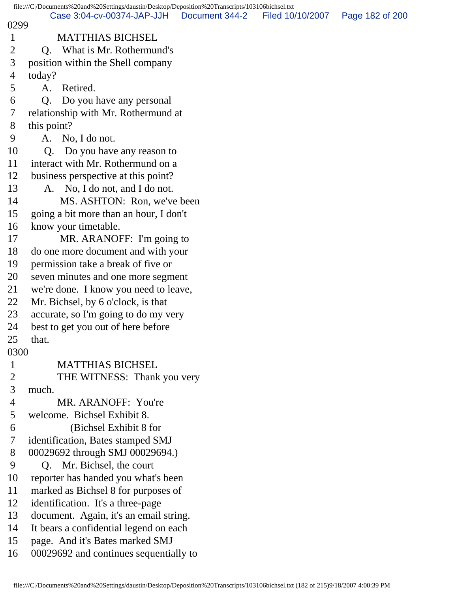file:///C|/Documents%20and%20Settings/daustin/Desktop/Deposition%20Transcripts/103106bichsel.txt 0299 1 MATTHIAS BICHSEL 2 Q. What is Mr. Rothermund's 3 position within the Shell company 4 today? 5 A. Retired. 6 Q. Do you have any personal 7 relationship with Mr. Rothermund at 8 this point? 9 A. No, I do not. 10 Q. Do you have any reason to 11 interact with Mr. Rothermund on a 12 business perspective at this point? 13 A. No, I do not, and I do not. 14 MS. ASHTON: Ron, we've been 15 going a bit more than an hour, I don't 16 know your timetable. 17 MR. ARANOFF: I'm going to 18 do one more document and with your 19 permission take a break of five or 20 seven minutes and one more segment 21 we're done. I know you need to leave, 22 Mr. Bichsel, by 6 o'clock, is that 23 accurate, so I'm going to do my very 24 best to get you out of here before 25 that. 0300 1 MATTHIAS BICHSEL 2 THE WITNESS: Thank you very 3 much. 4 MR. ARANOFF: You're 5 welcome. Bichsel Exhibit 8. 6 (Bichsel Exhibit 8 for 7 identification, Bates stamped SMJ 8 00029692 through SMJ 00029694.) 9 Q. Mr. Bichsel, the court 10 reporter has handed you what's been 11 marked as Bichsel 8 for purposes of 12 identification. It's a three-page 13 document. Again, it's an email string. 14 It bears a confidential legend on each 15 page. And it's Bates marked SMJ 16 00029692 and continues sequentially to Case 3:04-cv-00374-JAP-JJH Document 344-2 Filed 10/10/2007 Page 182 of 200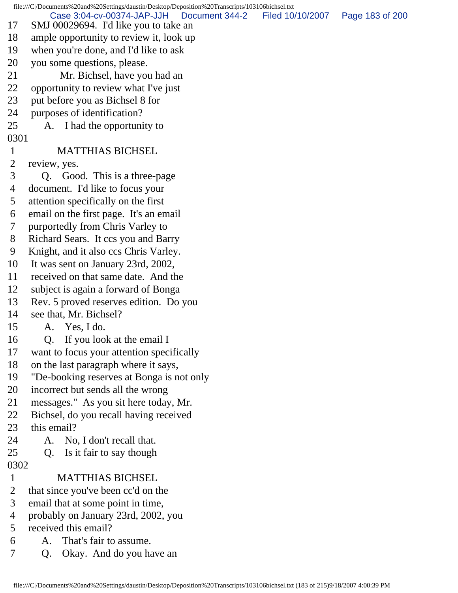file:///C|/Documents%20and%20Settings/daustin/Desktop/Deposition%20Transcripts/103106bichsel.txt 17 SMJ 00029694. I'd like you to take an 18 ample opportunity to review it, look up 19 when you're done, and I'd like to ask 20 you some questions, please. 21 Mr. Bichsel, have you had an 22 opportunity to review what I've just 23 put before you as Bichsel 8 for 24 purposes of identification? 25 A. I had the opportunity to 0301 1 MATTHIAS BICHSEL 2 review, yes. 3 Q. Good. This is a three-page 4 document. I'd like to focus your 5 attention specifically on the first 6 email on the first page. It's an email 7 purportedly from Chris Varley to 8 Richard Sears. It ccs you and Barry 9 Knight, and it also ccs Chris Varley. 10 It was sent on January 23rd, 2002, 11 received on that same date. And the 12 subject is again a forward of Bonga 13 Rev. 5 proved reserves edition. Do you 14 see that, Mr. Bichsel? 15 A. Yes, I do. 16 Q. If you look at the email I 17 want to focus your attention specifically 18 on the last paragraph where it says, 19 "De-booking reserves at Bonga is not only 20 incorrect but sends all the wrong 21 messages." As you sit here today, Mr. 22 Bichsel, do you recall having received 23 this email? 24 A. No, I don't recall that. 25 Q. Is it fair to say though 0302 1 MATTHIAS BICHSEL 2 that since you've been cc'd on the 3 email that at some point in time, 4 probably on January 23rd, 2002, you 5 received this email? 6 A. That's fair to assume. 7 Q. Okay. And do you have an Case 3:04-cv-00374-JAP-JJH Document 344-2 Filed 10/10/2007 Page 183 of 200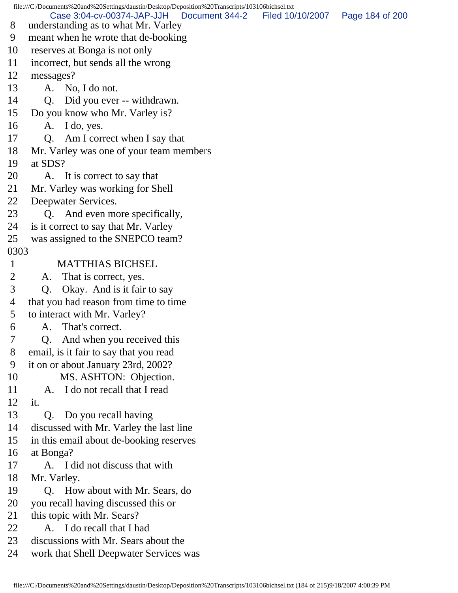file:///C|/Documents%20and%20Settings/daustin/Desktop/Deposition%20Transcripts/103106bichsel.txt 8 understanding as to what Mr. Varley 9 meant when he wrote that de-booking 10 reserves at Bonga is not only 11 incorrect, but sends all the wrong 12 messages? 13 A. No, I do not. 14 Q. Did you ever -- withdrawn. 15 Do you know who Mr. Varley is? 16 A. I do, yes. 17 Q. Am I correct when I say that 18 Mr. Varley was one of your team members 19 at SDS? 20 A. It is correct to say that 21 Mr. Varley was working for Shell 22 Deepwater Services. 23 Q. And even more specifically, 24 is it correct to say that Mr. Varley 25 was assigned to the SNEPCO team? 0303 1 MATTHIAS BICHSEL 2 A. That is correct, yes. 3 Q. Okay. And is it fair to say 4 that you had reason from time to time 5 to interact with Mr. Varley? 6 A. That's correct. 7 Q. And when you received this 8 email, is it fair to say that you read 9 it on or about January 23rd, 2002? 10 MS. ASHTON: Objection. 11 A. I do not recall that I read 12 it. 13 Q. Do you recall having 14 discussed with Mr. Varley the last line 15 in this email about de-booking reserves 16 at Bonga? 17 A. I did not discuss that with 18 Mr. Varley. 19 Q. How about with Mr. Sears, do 20 you recall having discussed this or 21 this topic with Mr. Sears? 22 A. I do recall that I had 23 discussions with Mr. Sears about the 24 work that Shell Deepwater Services was Case 3:04-cv-00374-JAP-JJH Document 344-2 Filed 10/10/2007 Page 184 of 200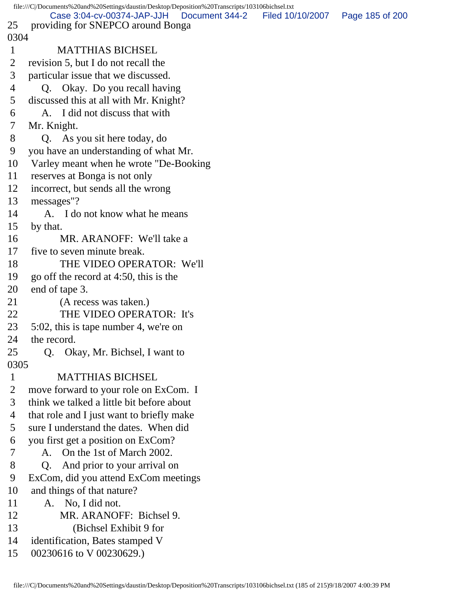```
file:///C|/Documents%20and%20Settings/daustin/Desktop/Deposition%20Transcripts/103106bichsel.txt
25 providing for SNEPCO around Bonga
0304
 1 MATTHIAS BICHSEL
 2 revision 5, but I do not recall the
 3 particular issue that we discussed.
 4 Q. Okay. Do you recall having
 5 discussed this at all with Mr. Knight?
 6 A. I did not discuss that with
 7 Mr. Knight.
 8 Q. As you sit here today, do
 9 you have an understanding of what Mr.
10 Varley meant when he wrote "De-Booking
11 reserves at Bonga is not only
12 incorrect, but sends all the wrong
13 messages"?
14 A. I do not know what he means
15 by that.
16 MR. ARANOFF: We'll take a
17 five to seven minute break.
18 THE VIDEO OPERATOR: We'll
19 go off the record at 4:50, this is the
20 end of tape 3.
21 (A recess was taken.)
22 THE VIDEO OPERATOR: It's
23 5:02, this is tape number 4, we're on
24 the record.
25 Q. Okay, Mr. Bichsel, I want to
0305
 1 MATTHIAS BICHSEL
 2 move forward to your role on ExCom. I
 3 think we talked a little bit before about
 4 that role and I just want to briefly make
 5 sure I understand the dates. When did
 6 you first get a position on ExCom?
 7 A. On the 1st of March 2002.
 8 Q. And prior to your arrival on
 9 ExCom, did you attend ExCom meetings
10 and things of that nature?
11 A. No, I did not.
12 MR. ARANOFF: Bichsel 9.
13 (Bichsel Exhibit 9 for
14 identification, Bates stamped V
15 00230616 to V 00230629.)
        Case 3:04-cv-00374-JAP-JJH Document 344-2 Filed 10/10/2007 Page 185 of 200
```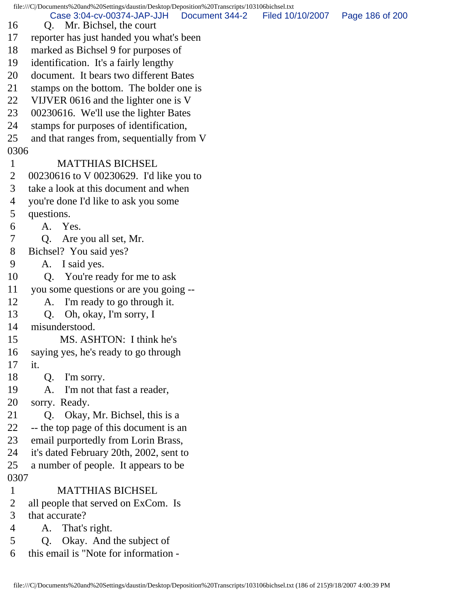file:///C|/Documents%20and%20Settings/daustin/Desktop/Deposition%20Transcripts/103106bichsel.txt 16 Q. Mr. Bichsel, the court 17 reporter has just handed you what's been 18 marked as Bichsel 9 for purposes of 19 identification. It's a fairly lengthy 20 document. It bears two different Bates 21 stamps on the bottom. The bolder one is 22 VIJVER 0616 and the lighter one is V 23 00230616. We'll use the lighter Bates 24 stamps for purposes of identification, 25 and that ranges from, sequentially from V 0306 1 MATTHIAS BICHSEL 2 00230616 to V 00230629. I'd like you to 3 take a look at this document and when 4 you're done I'd like to ask you some 5 questions. 6 A. Yes. 7 Q. Are you all set, Mr. 8 Bichsel? You said yes? 9 A. I said yes. 10 Q. You're ready for me to ask 11 you some questions or are you going -- 12 A. I'm ready to go through it. 13 Q. Oh, okay, I'm sorry, I 14 misunderstood. 15 MS. ASHTON: I think he's 16 saying yes, he's ready to go through 17 it. 18 Q. I'm sorry. 19 A. I'm not that fast a reader, 20 sorry. Ready. 21 Q. Okay, Mr. Bichsel, this is a 22 -- the top page of this document is an 23 email purportedly from Lorin Brass, 24 it's dated February 20th, 2002, sent to 25 a number of people. It appears to be 0307 1 MATTHIAS BICHSEL 2 all people that served on ExCom. Is 3 that accurate? 4 A. That's right. 5 Q. Okay. And the subject of 6 this email is "Note for information - Case 3:04-cv-00374-JAP-JJH Document 344-2 Filed 10/10/2007 Page 186 of 200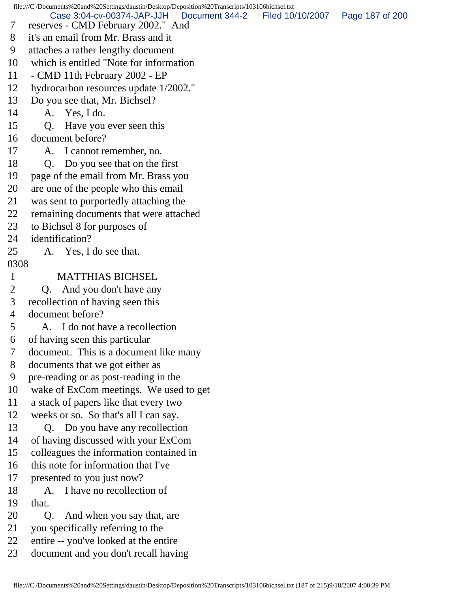file:///C|/Documents%20and%20Settings/daustin/Desktop/Deposition%20Transcripts/103106bichsel.txt 7 reserves - CMD February 2002." And 8 it's an email from Mr. Brass and it 9 attaches a rather lengthy document 10 which is entitled "Note for information 11 - CMD 11th February 2002 - EP 12 hydrocarbon resources update 1/2002." 13 Do you see that, Mr. Bichsel? 14 A. Yes, I do. 15 Q. Have you ever seen this 16 document before? 17 A. I cannot remember, no. 18 Q. Do you see that on the first 19 page of the email from Mr. Brass you 20 are one of the people who this email 21 was sent to purportedly attaching the 22 remaining documents that were attached 23 to Bichsel 8 for purposes of 24 identification? 25 A. Yes, I do see that. 0308 1 MATTHIAS BICHSEL 2 Q. And you don't have any 3 recollection of having seen this 4 document before? 5 A. I do not have a recollection 6 of having seen this particular 7 document. This is a document like many 8 documents that we got either as 9 pre-reading or as post-reading in the 10 wake of ExCom meetings. We used to get 11 a stack of papers like that every two 12 weeks or so. So that's all I can say. 13 Q. Do you have any recollection 14 of having discussed with your ExCom 15 colleagues the information contained in 16 this note for information that I've 17 presented to you just now? 18 A. I have no recollection of 19 that. 20 Q. And when you say that, are 21 you specifically referring to the 22 entire -- you've looked at the entire Case 3:04-cv-00374-JAP-JJH Document 344-2 Filed 10/10/2007 Page 187 of 200

23 document and you don't recall having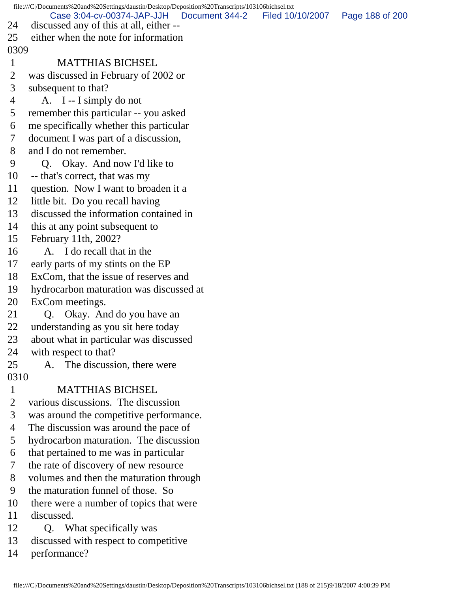file:///C|/Documents%20and%20Settings/daustin/Desktop/Deposition%20Transcripts/103106bichsel.txt 24 discussed any of this at all, either -- 25 either when the note for information 0309 1 MATTHIAS BICHSEL 2 was discussed in February of 2002 or 3 subsequent to that? 4 A. I -- I simply do not 5 remember this particular -- you asked 6 me specifically whether this particular 7 document I was part of a discussion, 8 and I do not remember. 9 Q. Okay. And now I'd like to 10 -- that's correct, that was my 11 question. Now I want to broaden it a 12 little bit. Do you recall having 13 discussed the information contained in 14 this at any point subsequent to 15 February 11th, 2002? 16 A. I do recall that in the 17 early parts of my stints on the EP 18 ExCom, that the issue of reserves and 19 hydrocarbon maturation was discussed at 20 ExCom meetings. 21 Q. Okay. And do you have an 22 understanding as you sit here today 23 about what in particular was discussed 24 with respect to that? 25 A. The discussion, there were 0310 1 MATTHIAS BICHSEL 2 various discussions. The discussion 3 was around the competitive performance. 4 The discussion was around the pace of 5 hydrocarbon maturation. The discussion 6 that pertained to me was in particular 7 the rate of discovery of new resource 8 volumes and then the maturation through 9 the maturation funnel of those. So 10 there were a number of topics that were 11 discussed. 12 Q. What specifically was 13 discussed with respect to competitive 14 performance? Case 3:04-cv-00374-JAP-JJH Document 344-2 Filed 10/10/2007 Page 188 of 200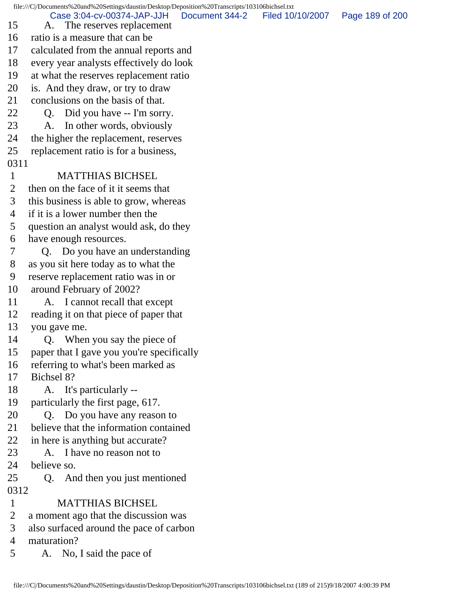file:///C|/Documents%20and%20Settings/daustin/Desktop/Deposition%20Transcripts/103106bichsel.txt 15 A. The reserves replacement 16 ratio is a measure that can be 17 calculated from the annual reports and 18 every year analysts effectively do look 19 at what the reserves replacement ratio 20 is. And they draw, or try to draw 21 conclusions on the basis of that. 22 Q. Did you have -- I'm sorry. 23 A. In other words, obviously 24 the higher the replacement, reserves 25 replacement ratio is for a business, 0311 1 MATTHIAS BICHSEL 2 then on the face of it it seems that 3 this business is able to grow, whereas 4 if it is a lower number then the 5 question an analyst would ask, do they 6 have enough resources. 7 Q. Do you have an understanding 8 as you sit here today as to what the 9 reserve replacement ratio was in or 10 around February of 2002? 11 A. I cannot recall that except 12 reading it on that piece of paper that 13 you gave me. 14 Q. When you say the piece of 15 paper that I gave you you're specifically 16 referring to what's been marked as 17 Bichsel 8? 18 A. It's particularly -- 19 particularly the first page, 617. 20 Q. Do you have any reason to 21 believe that the information contained 22 in here is anything but accurate? 23 A. I have no reason not to 24 believe so. 25 Q. And then you just mentioned 0312 1 MATTHIAS BICHSEL 2 a moment ago that the discussion was 3 also surfaced around the pace of carbon 4 maturation? 5 A. No, I said the pace of Case 3:04-cv-00374-JAP-JJH Document 344-2 Filed 10/10/2007 Page 189 of 200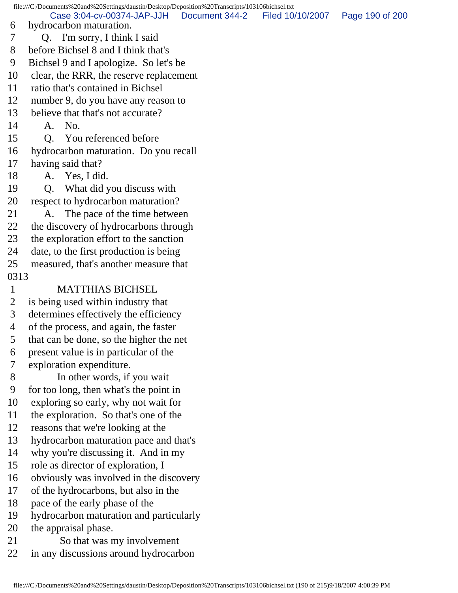file:///C|/Documents%20and%20Settings/daustin/Desktop/Deposition%20Transcripts/103106bichsel.txt 6 hydrocarbon maturation. 7 Q. I'm sorry, I think I said 8 before Bichsel 8 and I think that's 9 Bichsel 9 and I apologize. So let's be 10 clear, the RRR, the reserve replacement 11 ratio that's contained in Bichsel 12 number 9, do you have any reason to 13 believe that that's not accurate? 14 A. No. 15 Q. You referenced before 16 hydrocarbon maturation. Do you recall 17 having said that? 18 A. Yes, I did. 19 Q. What did you discuss with 20 respect to hydrocarbon maturation? 21 A. The pace of the time between 22 the discovery of hydrocarbons through 23 the exploration effort to the sanction 24 date, to the first production is being 25 measured, that's another measure that 0313 1 MATTHIAS BICHSEL 2 is being used within industry that 3 determines effectively the efficiency 4 of the process, and again, the faster 5 that can be done, so the higher the net 6 present value is in particular of the 7 exploration expenditure. 8 In other words, if you wait 9 for too long, then what's the point in 10 exploring so early, why not wait for 11 the exploration. So that's one of the 12 reasons that we're looking at the 13 hydrocarbon maturation pace and that's 14 why you're discussing it. And in my 15 role as director of exploration, I 16 obviously was involved in the discovery 17 of the hydrocarbons, but also in the 18 pace of the early phase of the 19 hydrocarbon maturation and particularly 20 the appraisal phase. 21 So that was my involvement 22 in any discussions around hydrocarbon Case 3:04-cv-00374-JAP-JJH Document 344-2 Filed 10/10/2007 Page 190 of 200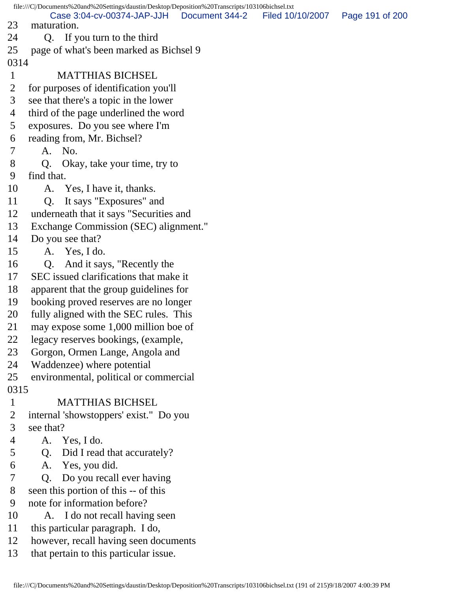file:///C|/Documents%20and%20Settings/daustin/Desktop/Deposition%20Transcripts/103106bichsel.txt 23 maturation. 24 Q. If you turn to the third 25 page of what's been marked as Bichsel 9 0314 1 MATTHIAS BICHSEL 2 for purposes of identification you'll 3 see that there's a topic in the lower 4 third of the page underlined the word 5 exposures. Do you see where I'm 6 reading from, Mr. Bichsel? 7 A. No. 8 Q. Okay, take your time, try to 9 find that. 10 A. Yes, I have it, thanks. 11 Q. It says "Exposures" and 12 underneath that it says "Securities and 13 Exchange Commission (SEC) alignment." 14 Do you see that? 15 A. Yes, I do. 16 Q. And it says, "Recently the 17 SEC issued clarifications that make it 18 apparent that the group guidelines for 19 booking proved reserves are no longer 20 fully aligned with the SEC rules. This 21 may expose some 1,000 million boe of 22 legacy reserves bookings, (example, 23 Gorgon, Ormen Lange, Angola and 24 Waddenzee) where potential 25 environmental, political or commercial 0315 1 MATTHIAS BICHSEL 2 internal 'showstoppers' exist." Do you 3 see that? 4 A. Yes, I do. 5 Q. Did I read that accurately? 6 A. Yes, you did. 7 Q. Do you recall ever having 8 seen this portion of this -- of this 9 note for information before? 10 A. I do not recall having seen 11 this particular paragraph. I do, 12 however, recall having seen documents 13 that pertain to this particular issue. Case 3:04-cv-00374-JAP-JJH Document 344-2 Filed 10/10/2007 Page 191 of 200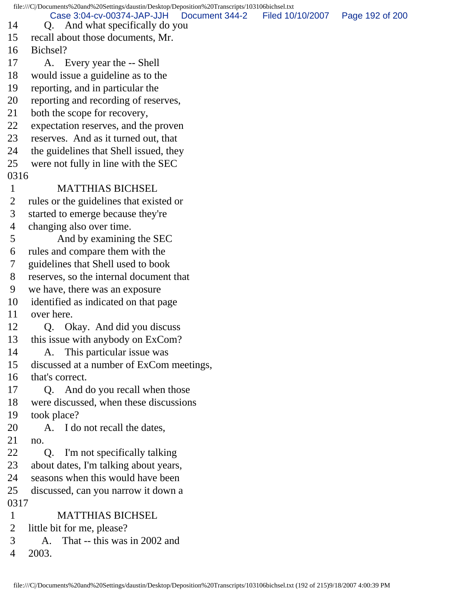file:///C|/Documents%20and%20Settings/daustin/Desktop/Deposition%20Transcripts/103106bichsel.txt 14 Q. And what specifically do you 15 recall about those documents, Mr. 16 Bichsel? 17 A. Every year the -- Shell 18 would issue a guideline as to the 19 reporting, and in particular the 20 reporting and recording of reserves, 21 both the scope for recovery, 22 expectation reserves, and the proven 23 reserves. And as it turned out, that 24 the guidelines that Shell issued, they 25 were not fully in line with the SEC 0316 1 MATTHIAS BICHSEL 2 rules or the guidelines that existed or 3 started to emerge because they're 4 changing also over time. 5 And by examining the SEC 6 rules and compare them with the 7 guidelines that Shell used to book 8 reserves, so the internal document that 9 we have, there was an exposure 10 identified as indicated on that page 11 over here. 12 Q. Okay. And did you discuss 13 this issue with anybody on ExCom? 14 A. This particular issue was 15 discussed at a number of ExCom meetings, 16 that's correct. 17 Q. And do you recall when those 18 were discussed, when these discussions 19 took place? 20 A. I do not recall the dates, 21 no. 22 Q. I'm not specifically talking 23 about dates, I'm talking about years, 24 seasons when this would have been 25 discussed, can you narrow it down a 0317 1 MATTHIAS BICHSEL 2 little bit for me, please? 3 A. That -- this was in 2002 and 4 2003. Case 3:04-cv-00374-JAP-JJH Document 344-2 Filed 10/10/2007 Page 192 of 200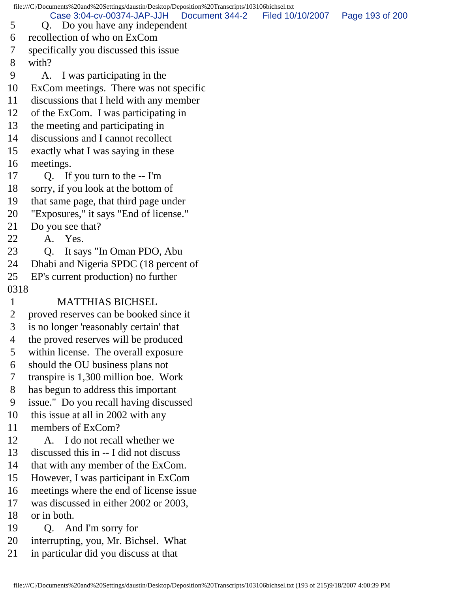file:///C|/Documents%20and%20Settings/daustin/Desktop/Deposition%20Transcripts/103106bichsel.txt 5 Q. Do you have any independent 6 recollection of who on ExCom 7 specifically you discussed this issue 8 with? 9 A. I was participating in the 10 ExCom meetings. There was not specific 11 discussions that I held with any member 12 of the ExCom. I was participating in 13 the meeting and participating in 14 discussions and I cannot recollect 15 exactly what I was saying in these 16 meetings. 17 Q. If you turn to the -- I'm 18 sorry, if you look at the bottom of 19 that same page, that third page under 20 "Exposures," it says "End of license." 21 Do you see that? 22 A. Yes. 23 Q. It says "In Oman PDO, Abu 24 Dhabi and Nigeria SPDC (18 percent of 25 EP's current production) no further 0318 1 MATTHIAS BICHSEL 2 proved reserves can be booked since it 3 is no longer 'reasonably certain' that 4 the proved reserves will be produced 5 within license. The overall exposure 6 should the OU business plans not 7 transpire is 1,300 million boe. Work 8 has begun to address this important 9 issue." Do you recall having discussed 10 this issue at all in 2002 with any 11 members of ExCom? 12 A. I do not recall whether we 13 discussed this in -- I did not discuss 14 that with any member of the ExCom. 15 However, I was participant in ExCom 16 meetings where the end of license issue 17 was discussed in either 2002 or 2003, 18 or in both. 19 Q. And I'm sorry for 20 interrupting, you, Mr. Bichsel. What 21 in particular did you discuss at that Case 3:04-cv-00374-JAP-JJH Document 344-2 Filed 10/10/2007 Page 193 of 200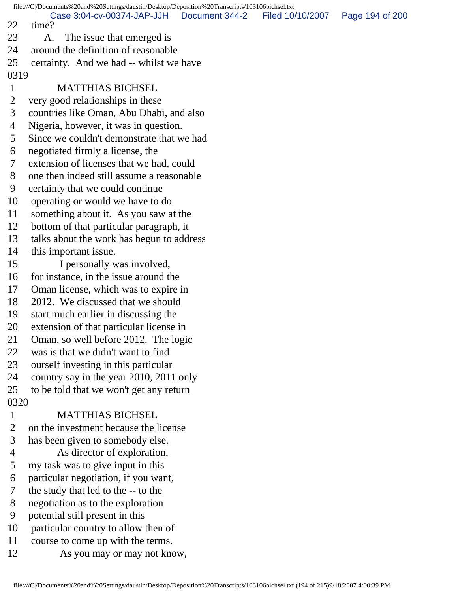file:///C|/Documents%20and%20Settings/daustin/Desktop/Deposition%20Transcripts/103106bichsel.txt 22 time? 23 A. The issue that emerged is 24 around the definition of reasonable 25 certainty. And we had -- whilst we have 0319 1 MATTHIAS BICHSEL 2 very good relationships in these 3 countries like Oman, Abu Dhabi, and also 4 Nigeria, however, it was in question. 5 Since we couldn't demonstrate that we had 6 negotiated firmly a license, the 7 extension of licenses that we had, could 8 one then indeed still assume a reasonable 9 certainty that we could continue 10 operating or would we have to do 11 something about it. As you saw at the 12 bottom of that particular paragraph, it 13 talks about the work has begun to address 14 this important issue. 15 I personally was involved, 16 for instance, in the issue around the 17 Oman license, which was to expire in 18 2012. We discussed that we should 19 start much earlier in discussing the 20 extension of that particular license in 21 Oman, so well before 2012. The logic 22 was is that we didn't want to find 23 ourself investing in this particular 24 country say in the year 2010, 2011 only 25 to be told that we won't get any return 0320 1 MATTHIAS BICHSEL 2 on the investment because the license 3 has been given to somebody else. 4 As director of exploration, 5 my task was to give input in this 6 particular negotiation, if you want, 7 the study that led to the -- to the 8 negotiation as to the exploration 9 potential still present in this 10 particular country to allow then of 11 course to come up with the terms. 12 As you may or may not know, Case 3:04-cv-00374-JAP-JJH Document 344-2 Filed 10/10/2007 Page 194 of 200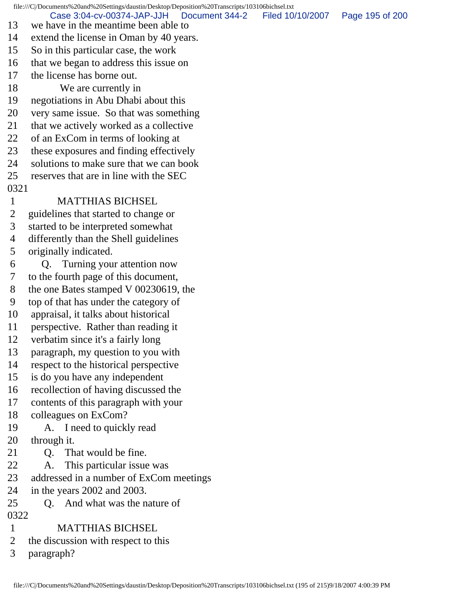file:///C|/Documents%20and%20Settings/daustin/Desktop/Deposition%20Transcripts/103106bichsel.txt 13 we have in the meantime been able to 14 extend the license in Oman by 40 years. 15 So in this particular case, the work 16 that we began to address this issue on 17 the license has borne out. 18 We are currently in 19 negotiations in Abu Dhabi about this 20 very same issue. So that was something 21 that we actively worked as a collective 22 of an ExCom in terms of looking at 23 these exposures and finding effectively 24 solutions to make sure that we can book 25 reserves that are in line with the SEC 0321 1 MATTHIAS BICHSEL 2 guidelines that started to change or 3 started to be interpreted somewhat 4 differently than the Shell guidelines 5 originally indicated. 6 Q. Turning your attention now 7 to the fourth page of this document, 8 the one Bates stamped V 00230619, the 9 top of that has under the category of 10 appraisal, it talks about historical 11 perspective. Rather than reading it 12 verbatim since it's a fairly long 13 paragraph, my question to you with 14 respect to the historical perspective 15 is do you have any independent 16 recollection of having discussed the 17 contents of this paragraph with your 18 colleagues on ExCom? 19 A. I need to quickly read 20 through it. 21 Q. That would be fine. 22 A. This particular issue was 23 addressed in a number of ExCom meetings 24 in the years 2002 and 2003. 25 C. And what was the nature of 0322 1 MATTHIAS BICHSEL 2 the discussion with respect to this Case 3:04-cv-00374-JAP-JJH Document 344-2 Filed 10/10/2007 Page 195 of 200

3 paragraph?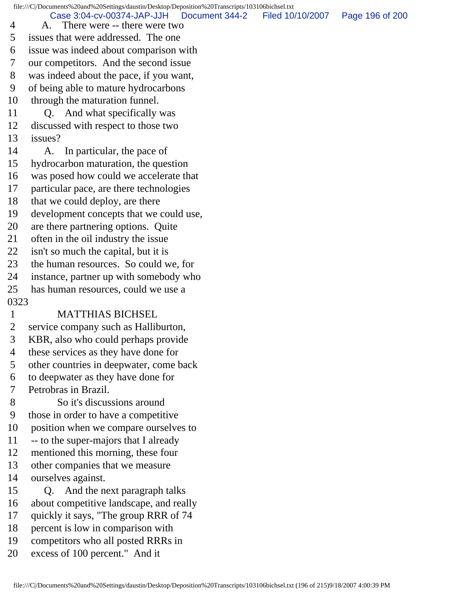file:///C|/Documents%20and%20Settings/daustin/Desktop/Deposition%20Transcripts/103106bichsel.txt 4 A. There were -- there were two 5 issues that were addressed. The one 6 issue was indeed about comparison with 7 our competitors. And the second issue 8 was indeed about the pace, if you want, 9 of being able to mature hydrocarbons 10 through the maturation funnel. 11 Q. And what specifically was 12 discussed with respect to those two 13 issues? 14 A. In particular, the pace of 15 hydrocarbon maturation, the question 16 was posed how could we accelerate that 17 particular pace, are there technologies 18 that we could deploy, are there 19 development concepts that we could use, 20 are there partnering options. Quite 21 often in the oil industry the issue 22 isn't so much the capital, but it is 23 the human resources. So could we, for 24 instance, partner up with somebody who 25 has human resources, could we use a 0323 1 MATTHIAS BICHSEL 2 service company such as Halliburton, 3 KBR, also who could perhaps provide 4 these services as they have done for 5 other countries in deepwater, come back 6 to deepwater as they have done for 7 Petrobras in Brazil. 8 So it's discussions around 9 those in order to have a competitive 10 position when we compare ourselves to 11 -- to the super-majors that I already 12 mentioned this morning, these four 13 other companies that we measure 14 ourselves against. 15 Q. And the next paragraph talks 16 about competitive landscape, and really 17 quickly it says, "The group RRR of 74 18 percent is low in comparison with 19 competitors who all posted RRRs in 20 excess of 100 percent." And it Case 3:04-cv-00374-JAP-JJH Document 344-2 Filed 10/10/2007 Page 196 of 200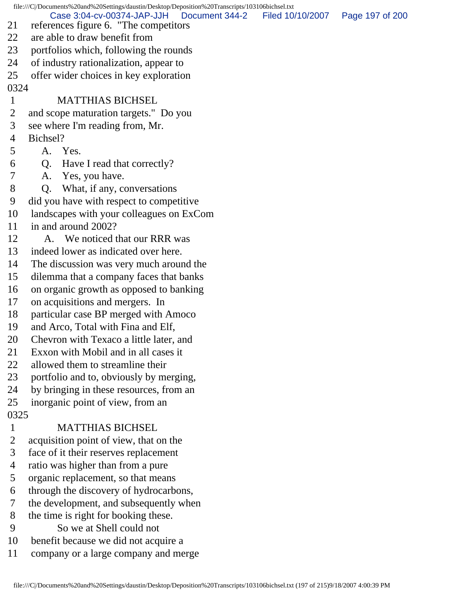file:///C|/Documents%20and%20Settings/daustin/Desktop/Deposition%20Transcripts/103106bichsel.txt 21 references figure 6. "The competitors 22 are able to draw benefit from 23 portfolios which, following the rounds 24 of industry rationalization, appear to 25 offer wider choices in key exploration 0324 1 MATTHIAS BICHSEL 2 and scope maturation targets." Do you 3 see where I'm reading from, Mr. 4 Bichsel? 5 A. Yes. 6 Q. Have I read that correctly? 7 A. Yes, you have. 8 Q. What, if any, conversations 9 did you have with respect to competitive 10 landscapes with your colleagues on ExCom 11 in and around 2002? 12 A. We noticed that our RRR was 13 indeed lower as indicated over here. 14 The discussion was very much around the 15 dilemma that a company faces that banks 16 on organic growth as opposed to banking 17 on acquisitions and mergers. In 18 particular case BP merged with Amoco 19 and Arco, Total with Fina and Elf, 20 Chevron with Texaco a little later, and 21 Exxon with Mobil and in all cases it 22 allowed them to streamline their 23 portfolio and to, obviously by merging, 24 by bringing in these resources, from an 25 inorganic point of view, from an 0325 1 MATTHIAS BICHSEL 2 acquisition point of view, that on the 3 face of it their reserves replacement 4 ratio was higher than from a pure 5 organic replacement, so that means 6 through the discovery of hydrocarbons, 7 the development, and subsequently when 8 the time is right for booking these. 9 So we at Shell could not 10 benefit because we did not acquire a Case 3:04-cv-00374-JAP-JJH Document 344-2 Filed 10/10/2007 Page 197 of 200

11 company or a large company and merge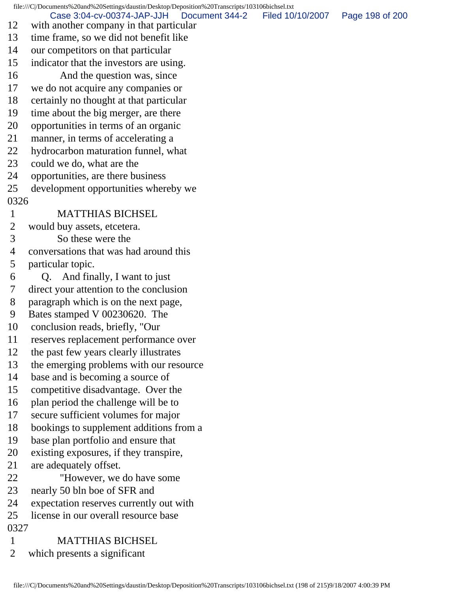file:///C|/Documents%20and%20Settings/daustin/Desktop/Deposition%20Transcripts/103106bichsel.txt 12 with another company in that particular 13 time frame, so we did not benefit like 14 our competitors on that particular 15 indicator that the investors are using. 16 And the question was, since 17 we do not acquire any companies or 18 certainly no thought at that particular 19 time about the big merger, are there 20 opportunities in terms of an organic 21 manner, in terms of accelerating a 22 hydrocarbon maturation funnel, what 23 could we do, what are the 24 opportunities, are there business 25 development opportunities whereby we 0326 1 MATTHIAS BICHSEL 2 would buy assets, etcetera. 3 So these were the 4 conversations that was had around this 5 particular topic. 6 Q. And finally, I want to just 7 direct your attention to the conclusion 8 paragraph which is on the next page, 9 Bates stamped V 00230620. The 10 conclusion reads, briefly, "Our 11 reserves replacement performance over 12 the past few years clearly illustrates 13 the emerging problems with our resource 14 base and is becoming a source of 15 competitive disadvantage. Over the 16 plan period the challenge will be to 17 secure sufficient volumes for major 18 bookings to supplement additions from a 19 base plan portfolio and ensure that 20 existing exposures, if they transpire, 21 are adequately offset. 22 "However, we do have some 23 nearly 50 bln boe of SFR and 24 expectation reserves currently out with 25 license in our overall resource base 0327 1 MATTHIAS BICHSEL 2 which presents a significant Case 3:04-cv-00374-JAP-JJH Document 344-2 Filed 10/10/2007 Page 198 of 200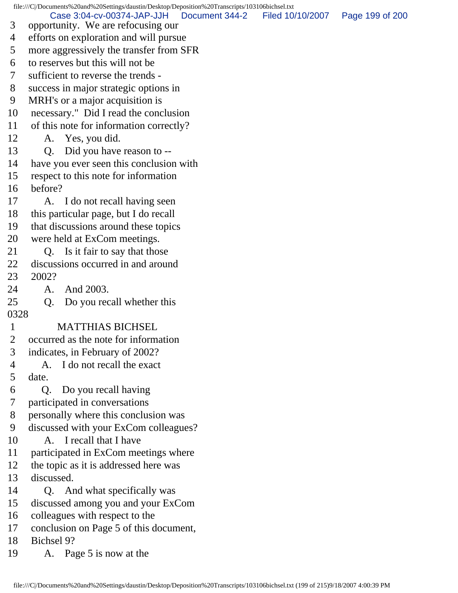file:///C|/Documents%20and%20Settings/daustin/Desktop/Deposition%20Transcripts/103106bichsel.txt 3 opportunity. We are refocusing our 4 efforts on exploration and will pursue 5 more aggressively the transfer from SFR 6 to reserves but this will not be 7 sufficient to reverse the trends - 8 success in major strategic options in 9 MRH's or a major acquisition is 10 necessary." Did I read the conclusion 11 of this note for information correctly? 12 A. Yes, you did. 13 Q. Did you have reason to -- 14 have you ever seen this conclusion with 15 respect to this note for information 16 before? 17 A. I do not recall having seen 18 this particular page, but I do recall 19 that discussions around these topics 20 were held at ExCom meetings. 21 Q. Is it fair to say that those 22 discussions occurred in and around 23 2002? 24 A. And 2003. 25 Q. Do you recall whether this 0328 1 MATTHIAS BICHSEL 2 occurred as the note for information 3 indicates, in February of 2002? 4 A. I do not recall the exact 5 date. 6 Q. Do you recall having 7 participated in conversations 8 personally where this conclusion was 9 discussed with your ExCom colleagues? 10 A. I recall that I have 11 participated in ExCom meetings where 12 the topic as it is addressed here was 13 discussed. 14 Q. And what specifically was 15 discussed among you and your ExCom 16 colleagues with respect to the 17 conclusion on Page 5 of this document, 18 Bichsel 9? 19 A. Page 5 is now at the Case 3:04-cv-00374-JAP-JJH Document 344-2 Filed 10/10/2007 Page 199 of 200